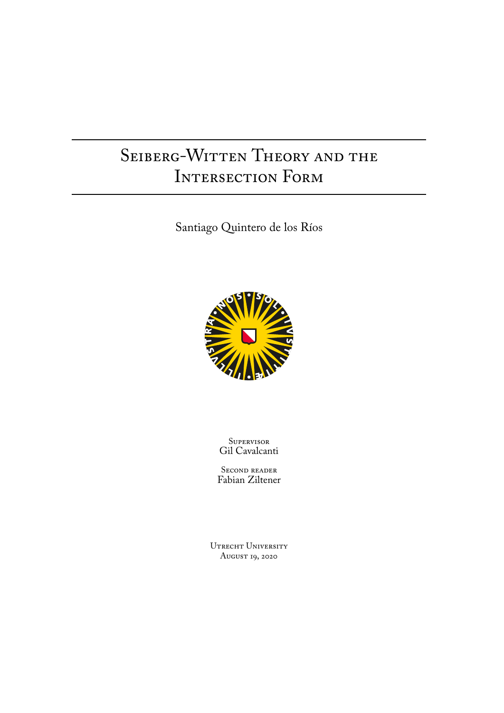# SEIBERG-WITTEN THEORY AND THE INTERSECTION FORM

Santiago Quintero de los Ríos



**SUPERVISOR** Gil Cavalcanti

Second reader Fabian Ziltener

UTRECHT UNIVERSITY August 19, 2020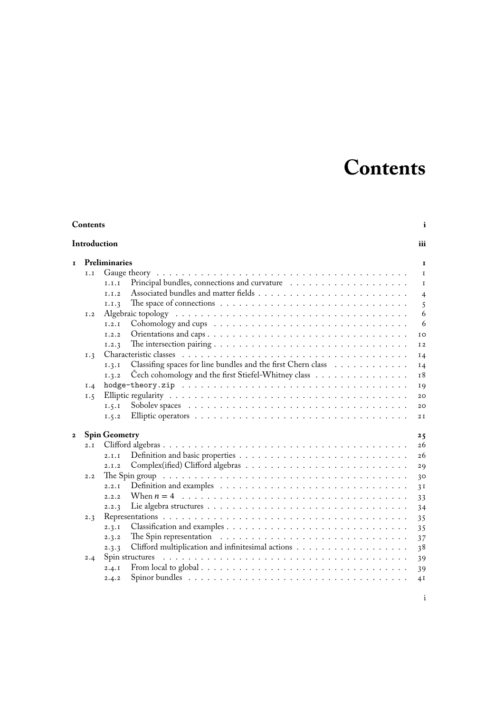# **Contents**

<span id="page-2-0"></span>

| Contents<br>Introduction |     |                                                                                                                  |                |
|--------------------------|-----|------------------------------------------------------------------------------------------------------------------|----------------|
|                          |     |                                                                                                                  |                |
|                          | I.I |                                                                                                                  | $\mathbf I$    |
|                          |     | I.I.I                                                                                                            | $\mathbf I$    |
|                          |     | I.I.2                                                                                                            | $\overline{4}$ |
|                          |     | The space of connections $\dots \dots \dots \dots \dots \dots \dots \dots \dots \dots \dots \dots$<br>I.I.3      | 5              |
|                          | I.2 |                                                                                                                  | 6              |
|                          |     | I.2.1                                                                                                            | 6              |
|                          |     | 1.2.2                                                                                                            | IO             |
|                          |     | The intersection pairing $\ldots \ldots \ldots \ldots \ldots \ldots \ldots \ldots \ldots \ldots$<br>1.2.3        | I <sub>2</sub> |
|                          | I.3 |                                                                                                                  | <b>I4</b>      |
|                          |     | Classifing spaces for line bundles and the first Chern class<br>I.3.1                                            | $I_4$          |
|                          |     | Čech cohomology and the first Stiefel-Whitney class<br>1.3.2                                                     | I8             |
|                          | I.4 |                                                                                                                  | <b>19</b>      |
|                          | 1.5 |                                                                                                                  | 20             |
|                          |     | 1.5.1                                                                                                            | 20             |
|                          |     | 1.5.2                                                                                                            | 2I             |
| $\mathbf 2$              |     | <b>Spin Geometry</b>                                                                                             | 25             |
|                          | 2.1 |                                                                                                                  | 26             |
|                          |     | 2.I.I                                                                                                            | 26             |
|                          |     | 2.1.2                                                                                                            | 29             |
|                          | 2.2 | The Spin group $\dots \dots \dots \dots \dots \dots \dots \dots \dots \dots \dots \dots \dots \dots \dots \dots$ | 30             |
|                          |     | 2.2.1                                                                                                            | 3 <sub>1</sub> |
|                          |     | 2.2.2                                                                                                            | 33             |
|                          |     | 2.2.3                                                                                                            | 34             |
|                          | 2.3 |                                                                                                                  | 35             |
|                          |     | 2.3.1                                                                                                            | 35             |
|                          |     | 2.3.2                                                                                                            | 37             |
|                          |     | 2.3.3                                                                                                            | 38             |
|                          | 2.4 | Spin structures $\ldots \ldots \ldots \ldots \ldots \ldots \ldots \ldots \ldots \ldots \ldots \ldots \ldots$     | 39             |
|                          |     | From local to global $\ldots \ldots \ldots \ldots \ldots \ldots \ldots \ldots \ldots \ldots \ldots$<br>2.4.1     | 39             |
|                          |     | 2.4.2                                                                                                            | 4I             |
|                          |     |                                                                                                                  |                |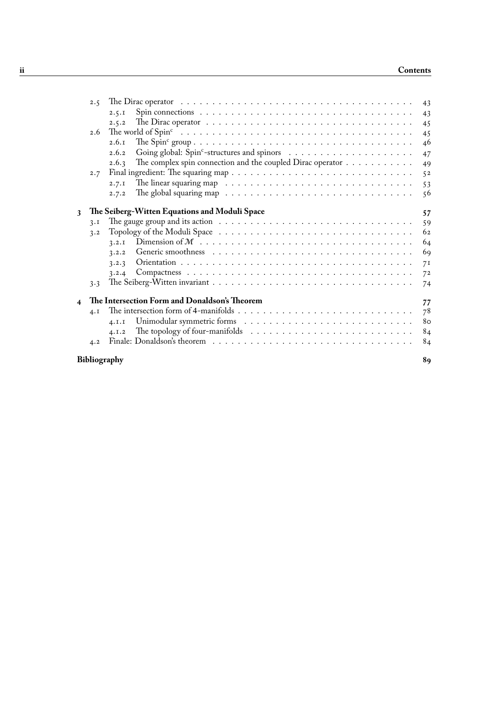| 2.5                                           | 43                                                                                                                                                                                                             |  |  |
|-----------------------------------------------|----------------------------------------------------------------------------------------------------------------------------------------------------------------------------------------------------------------|--|--|
| 2.5.1                                         | 43                                                                                                                                                                                                             |  |  |
| 2.5.2                                         | 45                                                                                                                                                                                                             |  |  |
| 2.6                                           | 45                                                                                                                                                                                                             |  |  |
| 2.6.1                                         | 46                                                                                                                                                                                                             |  |  |
| 2.6.2                                         | 47                                                                                                                                                                                                             |  |  |
| 2.6.3                                         | 49                                                                                                                                                                                                             |  |  |
| 2.7                                           | 52                                                                                                                                                                                                             |  |  |
| 2.7.1                                         | 53                                                                                                                                                                                                             |  |  |
| 2.7.2                                         | 56                                                                                                                                                                                                             |  |  |
|                                               |                                                                                                                                                                                                                |  |  |
|                                               | 57                                                                                                                                                                                                             |  |  |
| 3.1                                           | 59                                                                                                                                                                                                             |  |  |
| 3.2                                           | 62                                                                                                                                                                                                             |  |  |
| 3.2.1                                         | 64                                                                                                                                                                                                             |  |  |
| 3.2.2                                         | 69                                                                                                                                                                                                             |  |  |
| 3.2.3                                         | 7 <sub>I</sub>                                                                                                                                                                                                 |  |  |
| 3.2.4                                         | 72                                                                                                                                                                                                             |  |  |
| 3.3                                           | 74                                                                                                                                                                                                             |  |  |
| The Intersection Form and Donaldson's Theorem | 77                                                                                                                                                                                                             |  |  |
| 4.1                                           | 78                                                                                                                                                                                                             |  |  |
| 4.1.1                                         | 80                                                                                                                                                                                                             |  |  |
| 4.1.2                                         | 84                                                                                                                                                                                                             |  |  |
| 4.2                                           | 84                                                                                                                                                                                                             |  |  |
| Bibliography<br>89                            |                                                                                                                                                                                                                |  |  |
|                                               | The complex spin connection and the coupled Dirac operator<br>The global squaring map $\ldots \ldots \ldots \ldots \ldots \ldots \ldots \ldots \ldots \ldots$<br>The Seiberg-Witten Equations and Moduli Space |  |  |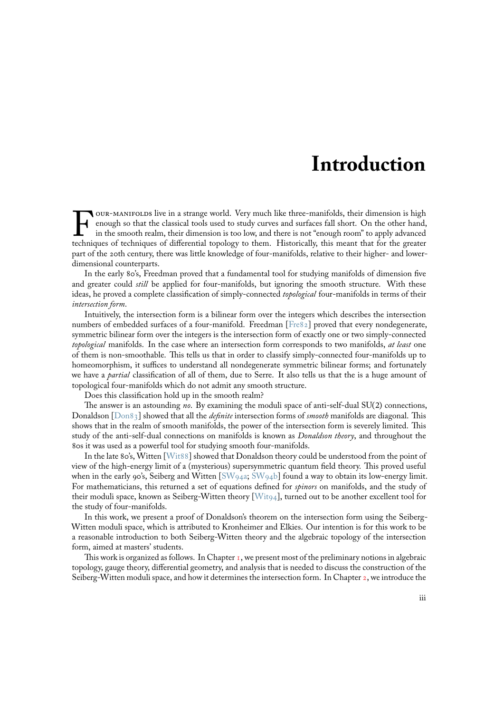# **Introduction**

<span id="page-4-0"></span> $\prod_{\text{techni}}$ our-manifolds live in a strange world. Very much like three-manifolds, their dimension is high enough so that the classical tools used to study curves and surfaces fall short. On the other hand, in the smooth realm, their dimension is too low, and there is not "enough room" to apply advanced techniques of techniques of differential topology to them. Historically, this meant that for the greater part of the 20th century, there was little knowledge of four-manifolds, relative to their higher- and lowerdimensional counterparts.

In the early 80's, Freedman proved that a fundamental tool for studying manifolds of dimension five and greater could *still* be applied for four-manifolds, but ignoring the smooth structure. With these ideas, he proved a complete classification of simply-connected *topological* four-manifolds in terms of their *intersection form*.

Intuitively, the intersection form is a bilinear form over the integers which describes the intersection numbers of embedded surfaces of a four-manifold. Freedman [Fre82] proved that every nondegenerate, symmetric bilinear form over the integers is the intersection form of exactly one or two simply-connected *topological* manifolds. In the case where an intersection form corresponds to two manifolds, *at least* one of them is non-smoothable. This tells us that in order to classify simply-connected four-manifolds up to homeomorphism, it suffices to understand all nondegenerate s[ymmet](#page-95-0)ric bilinear forms; and fortunately we have a *partial* classification of all of them, due to Serre. It also tells us that the is a huge amount of topological four-manifolds which do not admit any smooth structure.

Does this classification hold up in the smooth realm?

The answer is an astounding *no*. By examining the moduli space of anti-self-dual SU(2) connections, Donaldson [Don83] showed that all the *definite* intersection forms of *smooth* manifolds are diagonal. This shows that in the realm of smooth manifolds, the power of the intersection form is severely limited. This study of the anti-self-dual connections on manifolds is known as *Donaldson theory*, and throughout the 80s it was used as a powerful tool for studying smooth four-manifolds.

In the la[te 80's, W](#page-94-0)itten [Wit88] showed that Donaldson theory could be understood from the point of view of the high-energy limit of a (mysterious) supersymmetric quantum field theory. This proved useful when in the early 90's, Seiberg and Witten  $\text{[SW94a; SW94b]}$  found a way to obtain its low-energy limit. For mathematicians, this returned a set of equations defined for *spinors* on manifolds, and the study of their moduli space, known [as Seibe](#page-97-0)rg-Witten theory [Wit94], turned out to be another excellent tool for the study of four-manifolds.

In this work, we present a proof of Don[aldson's](#page-96-0) [theorem](#page-96-1) on the intersection form using the Seiberg-Witten moduli space, which is attributed to Kronheimer and Elkies. Our intention is for this work to be a reasonable introduction to both Seiberg-Witten th[eory an](#page-97-1)d the algebraic topology of the intersection form, aimed at masters' students.

This work is organized as follows. In Chapter  $\tau$ , we present most of the preliminary notions in algebraic topology, gauge theory, differential geometry, and analysis that is needed to discuss the construction of the Seiberg-Witten moduli space, and how it determines the intersection form. In Chapter 2, we introduce the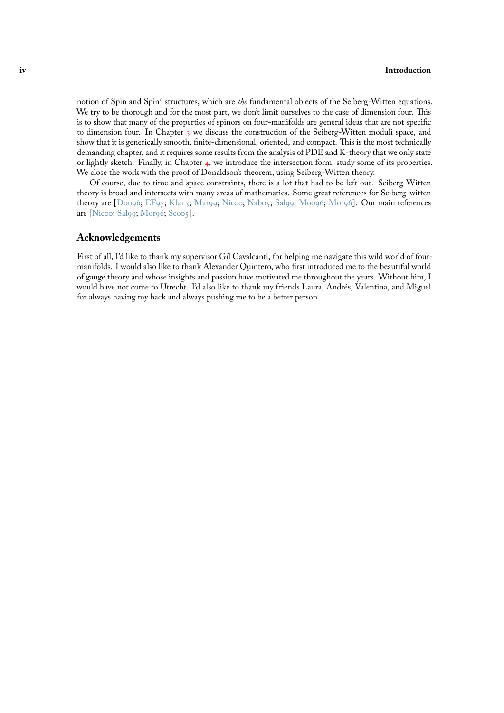notion of Spin and Spin<sup>c</sup> structures, which are *the* fundamental objects of the Seiberg-Witten equations. We try to be thorough and for the most part, we don't limit ourselves to the case of dimension four. This is to show that many of the properties of spinors on four-manifolds are general ideas that are not specific to dimension four. In Chapter  $\frac{1}{3}$  we discuss the construction of the Seiberg-Witten moduli space, and show that it is generically smooth, finite-dimensional, oriented, and compact. This is the most technically demanding chapter, and it requires some results from the analysis of PDE and K-theory that we only state or lightly sketch. Finally, in Chapter 4, we introduce the intersection form, study some of its properties. We close the work with the pro[of](#page-62-0) of Donaldson's theorem, using Seiberg-Witten theory.

Of course, due to time and space constraints, there is a lot that had to be left out. Seiberg-Witten theory is broad and intersects with many areas of mathematics. Some great references for Seiberg-witten theory are [Don96; EF97; Kla13; M[ar9](#page-82-0)9; Nicoo; Nabo5; Sal99; Moo96; Mor96]. Our main references are [Nicoo; Sal99; Mor96; Scoo5].

# **Acknowl[edgem](#page-94-1)[ents](#page-94-2)**

Firs[t of all,](#page-96-2) [I'd like](#page-96-3) [to than](#page-96-4)k [my su](#page-96-5)pervisor Gil Cavalcanti, for helping me navigate this wild world of fourmanifolds. I would also like to thank Alexander Quintero, who first introduced me to the beautiful world of gauge theory and whose insights and passion have motivated me throughout the years. Without him, I would have not come to Utrecht. I'd also like to thank my friends Laura, Andrés, Valentina, and Miguel for always having my back and always pushing me to be a better person.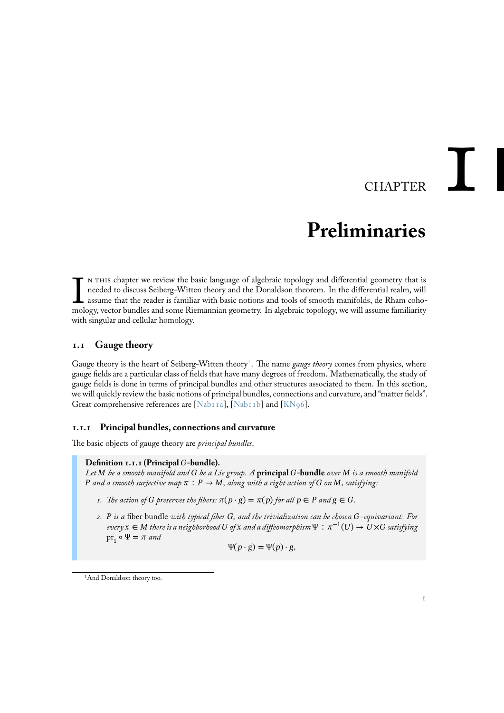# CHAPTER

# **Preliminaries**

<span id="page-6-0"></span>IN THIS chapter we review the basic language of algebraic topology and differential geometry that is needed to discuss Seiberg-Witten theory and the Donaldson theorem. In the differential realm, will assume that the reader n this chapter we review the basic language of algebraic topology and differential geometry that is needed to discuss Seiberg-Witten theory and the Donaldson theorem. In the differential realm, will assume that the reader is familiar with basic notions and tools of smooth manifolds, de Rham cohowith singular and cellular homology.

# **1.1 Gauge theory**

<span id="page-6-1"></span>Gauge theory is the heart of Seiberg-Witten theory<sup>1</sup>. The name *gauge theory* comes from physics, where gauge fields are a particular class of fields that have many degrees of freedom. Mathematically, the study of gauge fields is done in terms of principal bundles and other structures associated to them. In this section, we will quickly review the basic notions of principal bundles, connections and curvature, and "matter fields". Great comprehensive references are [Na[b1](#page-6-3)1a], [Nab11b] and [KN96].

# **1.1.1 Principal bundles, connections and curvature**

The basic objects of gauge theory are *[principa](#page-96-6)l b[undles](#page-96-7)*.

#### <span id="page-6-2"></span>Definition 1.1.1 (Principal G-bundle).

*Let be a smooth manifold and be a Lie group. A* **principal -bundle** *over is a smooth manifold P* and a smooth surjective map  $\pi$  :  $P \rightarrow M$ , along with a right action of G on M, satisfying:

- *1. The action of G* preserves the fibers:  $\pi(p \cdot g) = \pi(p)$  for all  $p \in P$  and  $g \in G$ .
- *2. is a* fiber bundle *with typical fiber , and the trivialization can be chosen -equivariant: For every*  $x \in M$  there is a neighborhood U of x and a diffeomorphism  $\Psi : \pi^{-1}(U) \to U \times G$  satisfying  $\operatorname{pr}_1 \circ \Psi = \pi$  and

$$
\Psi(p \cdot g) = \Psi(p) \cdot g,
$$

<span id="page-6-3"></span><sup>1</sup>And Donaldson theory too.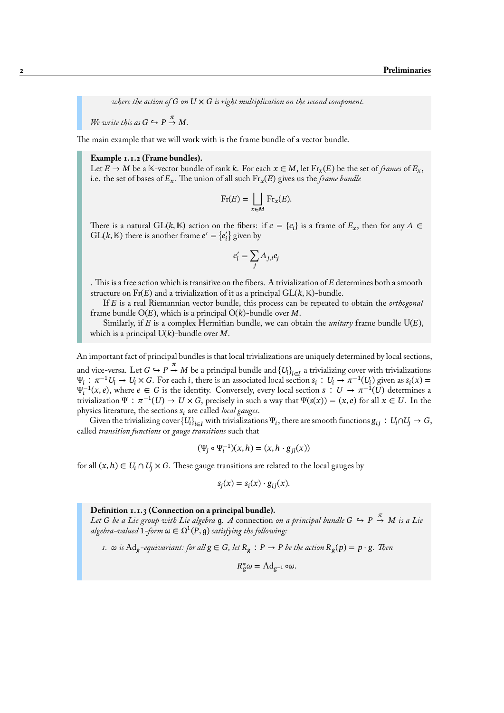where the action of  $G$  on  $U \times G$  is right multiplication on the second component.

We write this as  $G \hookrightarrow P \stackrel{\pi}{\rightarrow} M$ .

The main example that we will work with is the frame bundle of a vector bundle.

#### **Example 1.1.2 (Frame bundles).**

Let  $E \to M$  be a K-vector bundle of rank k. For each  $x \in M$ , let  $\text{Fr}_x(E)$  be the set of *frames* of  $E_x$ , i.e. the set of bases of  $E_x$ . The union of all such  $\text{Fr}_x(E)$  gives us the *frame bundle* 

$$
\operatorname{Fr}(E) = \bigsqcup_{x \in M} \operatorname{Fr}_x(E).
$$

There is a natural GL(k, K) action on the fibers: if  $e = \{e_i\}$  is a frame of  $E_x$ , then for any  $A \in$  $GL(k, K)$  there is another frame  $e' = \{e'_i\}$  given by

$$
e_i' = \sum_j A_{j,i} e_j
$$

. This is a free action which is transitive on the fibers. A trivialization of  $E$  determines both a smooth structure on  $\text{Fr}(E)$  and a trivialization of it as a principal  $\text{GL}(k, \mathbb{K})$ -bundle.

If is a real Riemannian vector bundle, this process can be repeated to obtain the *orthogonal* frame bundle  $O(E)$ , which is a principal  $O(k)$ -bundle over M.

Similarly, if  $E$  is a complex Hermitian bundle, we can obtain the *unitary* frame bundle  $U(E)$ , which is a principal  $U(k)$ -bundle over M.

An important fact of principal bundles is that local trivializations are uniquely determined by local sections, and vice-versa. Let  $G\hookrightarrow P\stackrel{\pi}{\to}M$  be a principal bundle and  $\{U_i\}_{i\in I}$  a trivializing cover with trivializations  $\Psi_i : \pi^{-1}U_i \to U_i \times G$ . For each i, there is an associated local section  $s_i : U_i \to \pi^{-1}(U_i)$  given as  $s_i(x) =$  $\Psi_i^{-1}(x,e)$ , where  $e \in G$  is the identity. Conversely, every local section  $s : U \to \pi^{-1}(U)$  determines a trivialization  $\Psi : \pi^{-1}(U) \to U \times G$ , precisely in such a way that  $\Psi(s(x)) = (x, e)$  for all  $x \in U$ . In the physics literature, the sections  $s_i$  are called *local gauges*.

Given the trivializing cover  ${U_i}_{i\in I}$  with trivializations  $\Psi_i$ , there are smooth functions  $g_{ij}: U_i \cap U_j \to G$ , called *transition functions* or *gauge transitions* such that

$$
(\Psi_j \circ \Psi_i^{-1})(x, h) = (x, h \cdot g_{ji}(x))
$$

for all  $(x, h) \in U_i \cap U_j \times G$ . These gauge transitions are related to the local gauges by

$$
s_j(x) = s_i(x) \cdot g_{ij}(x).
$$

**Definition 1.1.3 (Connection on a principal bundle).**

Let G be a Lie group with Lie algebra  $g$ . A connection on a principal bundle  $G \hookrightarrow P \stackrel{\pi}{\rightarrow} M$  is a Lie  $\mathit{algebra}\text{-}valued\ 1\text{-}form\ \omega \in \Omega^1(P,\mathfrak{g})$  satisfying the following:

*1.*  $\omega$  is  $\text{Ad}_g$ -equivariant: for all  $g \in G$ , let  $R_g : P \to P$  be the action  $R_g(p) = p \cdot g$ . Then

 $R_g^* \omega = \text{Ad}_{g^{-1}} \circ \omega.$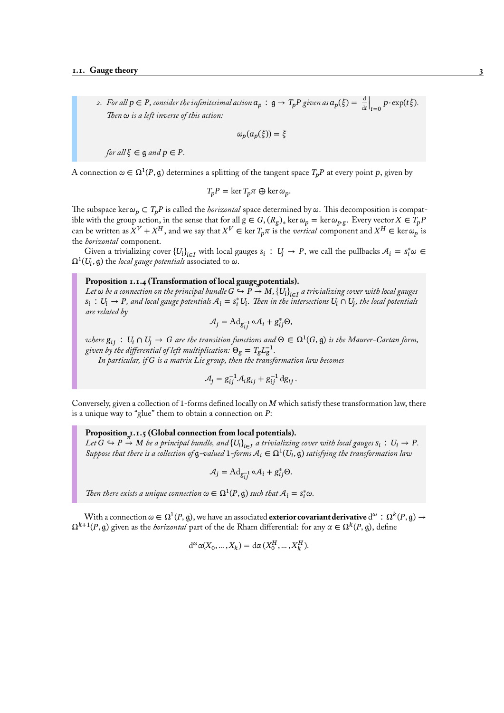*2.* For all  $p \in P$ , consider the infinitesimal action  $a_p : g \to T_p P$  given as  $a_p(\xi) = \frac{d}{dt}$  $\Big|_{t=0} p \cdot \exp(t\xi).$ *Then is a left inverse of this action:*

$$
\omega_p(a_p(\xi)) = \xi
$$

*for all*  $\xi \in \mathfrak{g}$  *and*  $p \in P$ *.* 

A connection  $\omega \in \Omega^1(P, \mathfrak{g})$  determines a splitting of the tangent space  $T_pP$  at every point p, given by

$$
T_p P = \ker T_p \pi \oplus \ker \omega_p.
$$

The subspace ker  $\omega_p \subset T_pP$  is called the *horizontal* space determined by  $\omega$ . This decomposition is compatible with the group action, in the sense that for all  $g\in G$ ,  $(R_g)_\ast$  ker  $\omega_p=$  ker  $\omega_{p\cdot g}.$  Every vector  $X\in T_pP$ can be written as  $X^V+X^H$ , and we say that  $X^V\in\ker T_p\pi$  is the *vertical* component and  $X^H\in\ker\omega_p$  is the *horizontal* component.

Given a trivializing cover  ${U_i}_{i \in I}$  with local gauges  $s_i : U_j \to P$ , we call the pullbacks  $A_i = s_i^* \omega \in$  $\Omega^1(U_i,\mathfrak{g})$  the *local gauge potentials* associated to  $\omega.$ 

# **Proposition 1.1.4 (Transformation of local gauge potentials).**

Let  $\omega$  be a connection on the principal bundle  $G\hookrightarrow P\to M, \left\{U_l\right\}_{l\in I}$  a trivializing cover with local gauges  $s_i$  :  $U_i \to P$ , and local gauge potentials  $A_i = s_i^* U_i$ . Then in the intersections  $U_i \cap U_j$ , the local potentials *are related by*

$$
\mathcal{A}_j = \mathrm{Ad}_{g_{ij}^{-1}} \circ \mathcal{A}_i + g_{ij}^* \Theta,
$$

where  $g_{ij}$  :  $U_i \cap U_j \to G$  are the transition functions and  $\Theta \in \Omega^1(G, \mathfrak{g})$  is the Maurer-Cartan form, given by the differential of left multiplication:  $\Theta_{\text{g}} = T_{\text{g}} L_{\text{g}}^{-1}$ .

*In particular, if is a matrix Lie group, then the transformation law becomes*

$$
\mathcal{A}_j = g_{ij}^{-1} \mathcal{A}_i g_{ij} + g_{ij}^{-1} dg_{ij}.
$$

Conversely, given a collection of 1-forms defined locally on  $M$  which satisfy these transformation law, there is a unique way to "glue" them to obtain a connection on *:* 

Proposition **1.1.5** (Global connection from local potentials).  $\mu$  *Let*  $G \hookrightarrow P \to M$  be a principal bundle, and  $\{U_i\}_{i \in I}$  a trivializing cover with local gauges  $s_i : U_i \to P$ . Suppose that there is a collection of  $g$ -valued  $1$ -forms  $A_i \in \Omega^1(U_i, \mathfrak{g})$  satisfying the transformation law

$$
\mathcal{A}_j = \mathrm{Ad}_{g_{ij}^{-1}} \circ \mathcal{A}_i + g_{ij}^* \Theta.
$$

*Then there exists a unique connection*  $\omega \in \Omega^1(P, \mathfrak{g})$  *such that*  $\mathcal{A}_i = s_i^* \omega$ .

With a connection  $\omega\in\Omega^1(P,\mathfrak{g}),$  we have an associated **exterior covariant derivative** d $^\omega$   $:\Omega^k(P,\mathfrak{g})\to$  $\Omega^{k+1}(P,\mathfrak{g})$  given as the *horizontal* part of the de Rham differential: for any  $\alpha\in \Omega^k(P,\mathfrak{g}),$  define

$$
d^{\omega}\alpha(X_0, ..., X_k) = d\alpha(X_0^H, ..., X_k^H).
$$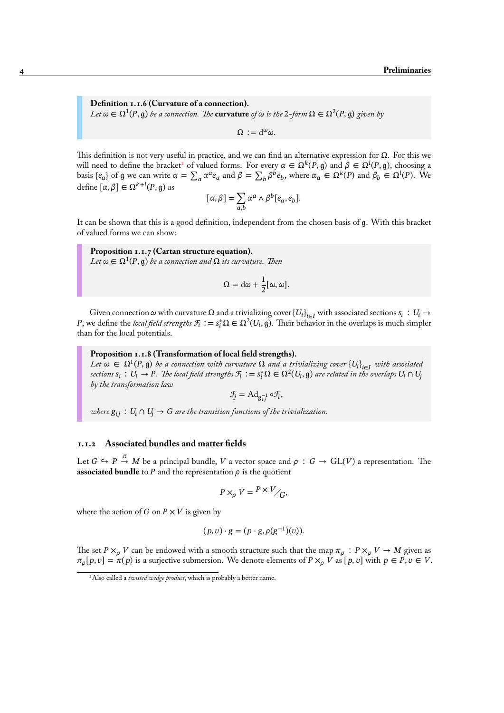**Definition 1.1.6 (Curvature of a connection).**  $Let \omega \in \Omega^1(P, \mathfrak{g})$  be a connection. The  $\textrm{curvature}$  of  $\omega$  is the 2-form  $\Omega \in \Omega^2(P, \mathfrak{g})$  given by

 $\Omega := d^{\omega} \omega.$ 

This definition is not very useful in practice, and we can find an alternative expression for  $\Omega$ . For this we will need to define the bracket<sup>2</sup> of valued forms. For every  $\alpha \in \Omega^k(P, \mathfrak{g})$  and  $\beta \in \Omega^l(P, \mathfrak{g})$ , choosing a basis { $e_a$ } of  $g$  we can write  $\alpha = \sum_a \alpha^a e_a$  and  $\beta = \sum_b \beta^b e_b$ , where  $\alpha_a \in \Omega^k(P)$  and  $\beta_b \in \Omega^l(P)$ . We define  $[\alpha, \beta] \in \Omega^{k+l}(P, \mathfrak{g})$  as

$$
[\alpha, \beta] = \sum_{a,b} \alpha^a \wedge \beta^b [e_a, e_b].
$$

It can be shown that this is a good definition, independent from the chosen basis of g. With this bracket of valued forms we can show:

**Proposition 1.1.7 (Cartan structure equation).**  $Let \, \omega \in \Omega^1(P, \mathfrak{g})$  be a connection and  $\Omega$  its curvature. Then

$$
\Omega = d\omega + \frac{1}{2} [\omega, \omega].
$$

Given connection  $\omega$  with curvature  $\Omega$  and a trivializing cover  $\{U_i\}_{i\in I}$  with associated sections  $s_i\,:\,U_i\to\Omega$ P, we define the *local field strengths*  $\mathcal{F}_i := s_i^* \Omega \in \Omega^2(U_i, \mathfrak{g})$ . Their behavior in the overlaps is much simpler than for the local potentials.

**Proposition 1.1.8 (Transformation of local field strengths).**

Let  $ω ∈ Ω<sup>1</sup>(P, θ)$  be a connection with curvature  $Ω$  and a trivializing cover  $\{U_i\}_{i \in I}$  with associated sections  $s_i\,:\,U_i\to P$ . The local field strengths  $\mathcal{F}_i\,:=\,s_i^*\Omega\in\Omega^2(U_i,\mathfrak{g})$  are related in the overlaps  $U_i\cap U_j$ *by the transformation law*

$$
\mathcal{F}_j = \mathrm{Ad}_{g_{ij}^{-1}} \circ \mathcal{F}_i,
$$

<span id="page-9-1"></span>*where*  $g_{ij}$ :  $U_i \cap U_j \rightarrow G$  are the transition functions of the trivialization.

# **1.1.2 Associated bundles and matter fields**

<span id="page-9-0"></span>Let  $G \hookrightarrow P \stackrel{\pi}{\to} M$  be a principal bundle,  $V$  a vector space and  $\rho\,:\,G \to \mathrm{GL}(V)$  a representation. The **associated bundle** to  $P$  and the representation  $\rho$  is the quotient

$$
P \times_{\rho} V = \frac{P \times V}{G},
$$

where the action of  $G$  on  $P \times V$  is given by

$$
(p,v)\cdot g=(p\cdot g,\rho(g^{-1})(v)).
$$

The set  $P \times_{\rho} V$  can be endowed with a smooth structure such that the map  $\pi_{\rho} : P \times_{\rho} V \to M$  given as  $\pi_{\rho}[p, v] = \pi(p)$  is a surjective submersion. We denote elements of  $P \times_{\rho} V$  as  $[p, v]$  with  $p \in P, v \in V$ .

<sup>2</sup>Also called a *twisted wedge product*, which is probably a better name.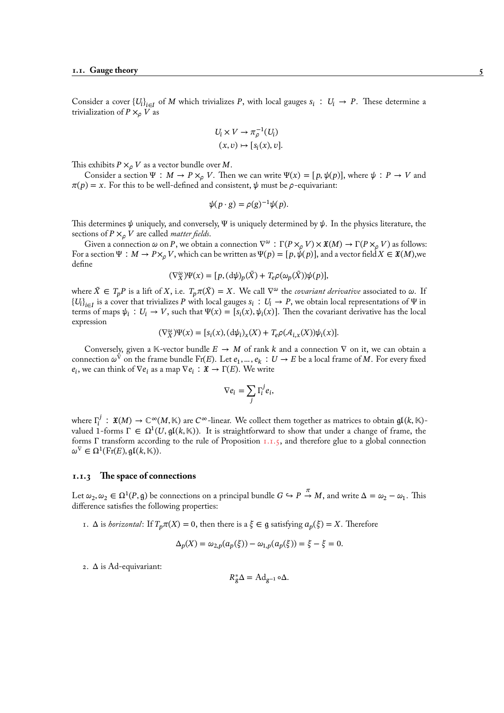Consider a cover  ${U_i}_{i\in I}$  of M which trivializes P, with local gauges  $s_i : U_i \to P$ . These determine a trivialization of  $P \times_{\rho} V$  as

$$
U_i \times V \to \pi_{\rho}^{-1}(U_i)
$$
  

$$
(x, v) \mapsto [s_i(x), v].
$$

This exhibits  $P \times_{\rho} V$  as a vector bundle over M.

Consider a section  $\Psi : M \to P \times_{\sigma} V$ . Then we can write  $\Psi(x) = [p, \psi(p)]$ , where  $\psi : P \to V$  and  $\pi(p) = x$ . For this to be well-defined and consistent,  $\psi$  must be  $\rho$ -equivariant:

$$
\psi(p \cdot g) = \rho(g)^{-1} \psi(p).
$$

This determines  $\psi$  uniquely, and conversely, Ψ is uniquely determined by  $\psi$ . In the physics literature, the sections of  $P \times_{\rho} V$  are called *matter fields*.

Given a connection  $\omega$  on P, we obtain a connection  $\nabla^{\omega}$ :  $\Gamma(P\times_{\rho}V)\times\mathfrak{X}(M)\to \Gamma(P\times_{\rho}V)$  as follows: For a section  $\Psi : M \to P \times_{\rho} V$ , which can be written as  $\Psi(p) = [p, \psi(p)]$ , and a vector field  $X \in \mathfrak{X}(M)$ , we define

$$
(\nabla_X^{\omega})\Psi(x) = [p, (d\psi)_p(\tilde{X}) + T_e \rho(\omega_p(\tilde{X}))\psi(p)],
$$

where  $\tilde{X} \in T_p P$  is a lift of X, i.e.  $T_p \pi(\tilde{X}) = X$ . We call  $\nabla^{\omega}$  the *covariant derivative* associated to  $\omega$ . If  ${U_i}_{i\in I}$  is a cover that trivializes P with local gauges  $s_i: U_i \to P$ , we obtain local representations of  $\Psi$  in terms of maps  $\psi_i : U_i \to V$ , such that  $\Psi(x) = [s_i(x), \psi_i(x)]$ . Then the covariant derivative has the local expression

$$
(\nabla_X^{\omega})\Psi(x) = [s_i(x), (\mathrm{d}\psi_i)_x(X) + T_e \rho(\mathcal{A}_{i,x}(X))\psi_i(x)].
$$

Conversely, given a K-vector bundle  $E \to M$  of rank k and a connection  $\nabla$  on it, we can obtain a connection  $\omega^\nabla$  on the frame bundle Fr(E). Let  $e_1,...,e_k\,:\,U\to E$  be a local frame of  $M.$  For every fixed  $e_i$ , we can think of  $\nabla e_i$  as a map  $\nabla e_i : \mathfrak{X} \to \Gamma(E)$ . We write

$$
\nabla e_i = \sum_j \Gamma_i^j e_i,
$$

where  $\Gamma_i^j$  $\mathfrak{X}_i^J$  :  $\mathfrak{X}(M) \to \mathbb{C}^\infty(M,\mathbb{K})$  are  $C^\infty$ -linear. We collect them together as matrices to obtain  $\mathfrak{gl}(k,\mathbb{K})$ valued 1-forms  $\Gamma \in \Omega^1(U, \mathfrak{gl}(k, \mathbb{K}))$ . It is straightforward to show that under a change of frame, the forms Γ transform according to the rule of Proposition 1.1.5, and therefore glue to a global connection  $\omega^{\nabla} \in \Omega^1(\mathrm{Fr}(E), \mathfrak{gl}(k, \mathbb{K})).$ 

#### **1.1.3 The space of connections**

Let  $\omega_2, \omega_2 \in \Omega^1(P, \mathfrak{g})$  be connections on a principal bundle  $G \hookrightarrow P \stackrel{\pi}{\to} M$ , and write  $\Delta = \omega_2 - \omega_1$ . This difference satisfies the following properties:

<span id="page-10-0"></span>1.  $\Delta$  is *horizontal*: If  $T_p \pi(X) = 0$ , then there is a  $\xi \in \mathfrak{g}$  satisfying  $a_p(\xi) = X$ . Therefore

$$
\Delta_p(X) = \omega_{2,p}(a_p(\xi)) - \omega_{1,p}(a_p(\xi)) = \xi - \xi = 0.
$$

2. Δ is Ad-equivariant:

$$
R_g^* \Delta = \mathrm{Ad}_{g^{-1}} \circ \Delta.
$$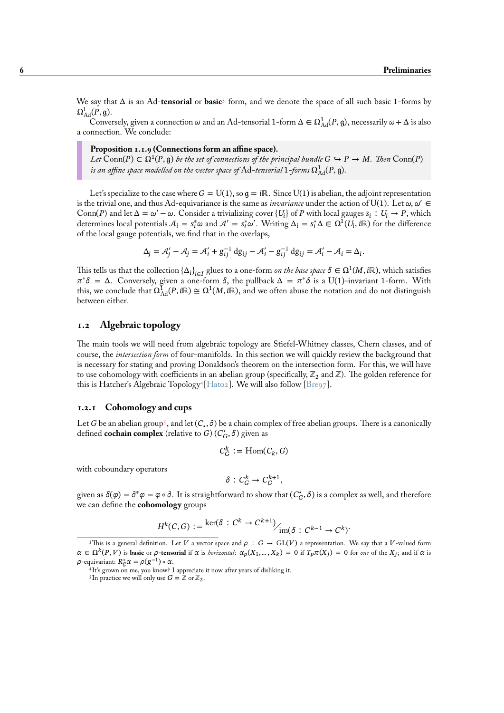We say that Δ is an Ad-**tensorial** or **basic**<sup>3</sup> form, and we denote the space of all such basic 1-forms by  $\Omega_{\rm Ad}^1(P,g)$ .

Conversely, given a connection  $\omega$  and an Ad-tensorial 1-form  $\Delta \in \Omega^1_{\text{Ad}}(P,g)$ , necessarily  $\omega + \Delta$  is also a connection. We conclude:

Proposition 1.1.9 (Connections form [a](#page-11-2)n affine space).  $Let$  Conn(P) ⊂  $\Omega^1(P, \mathfrak{g})$  *be the set of connections of the principal bundle*  $G \hookrightarrow P \to M$ . *Then* Conn(P) is an affine space modelled on the vector space of  $\operatorname{Ad}-$ tensorial  $1$ –forms  $\Omega^1_{\rm Ad}(P, \mathfrak{g}).$ 

Let's specialize to the case where  $G = U(1)$ , so  $g = i\mathbb{R}$ . Since  $U(1)$  is abelian, the adjoint representation is the trivial one, and thus Ad-equivariance is the same as *invariance* under the action of U(1). Let  $\omega, \omega' \in$ Conn(P) and let  $\Delta = \omega' - \omega$ . Consider a trivializing cover {U<sub>i</sub>} of P with local gauges  $s_i : U_i \to P$ , which determines local potentials  $A_i = s_i^* \omega$  and  $A' = s_i^* \omega'$ . Writing  $\Delta_i = s_i^* \Delta \in \Omega^1(U_i, i\mathbb{R})$  for the difference of the local gauge potentials, we find that in the overlaps,

$$
\Delta_j = \mathcal{A}'_j - \mathcal{A}_j = \mathcal{A}'_i + g_{ij}^{-1} dg_{ij} - \mathcal{A}'_i - g_{ij}^{-1} dg_{ij} = \mathcal{A}'_i - \mathcal{A}_i = \Delta_i.
$$

This tells us that the collection  $\{\Delta_i\}_{i\in I}$  glues to a one-form *on the base space*  $\delta\in\Omega^1(M,\mathrm{i}\mathbb{R}),$  which satisfies  $\pi^*\delta = \Delta$ . Conversely, given a one-form  $\delta$ , the pullback  $\Delta = \pi^*\delta$  is a U(1)-invariant 1-form. With this, we conclude that  $\Omega^1_{\rm Ad}(P,{\rm i}\mathbb{R})\cong \Omega^1(M,{\rm i}\mathbb{R}),$  and we often abuse the notation and do not distinguish between either.

# **1.2 Algebraic topology**

<span id="page-11-0"></span>The main tools we will need from algebraic topology are Stiefel-Whitney classes, Chern classes, and of course, the *intersection form* of four-manifolds. In this section we will quickly review the background that is necessary for stating and proving Donaldson's theorem on the intersection form. For this, we will have to use cohomology with coefficients in an abelian group (specifically,  $\mathbb{Z}_2$  and  $\mathbb{Z}$ ). The golden reference for this is Hatcher's Algebraic Topology<sup>4</sup> [Hat02]. We will also follow [Bre97].

## **1.2.1 Cohomology and cups**

Let  $G$  be an [abelian](#page-94-3) group<sup>5</sup>, and let  $(C_.,\partial)$  be a chain complex of free abelian groups. There is a canonically defined **cochain complex** (relative to  $G$ )  $(C_G^*, \delta)$  given as

$$
C_G^k := \mathrm{Hom}(C_k, G)
$$

<span id="page-11-1"></span>with coboundary operato[rs](#page-11-4)

$$
\delta: C_G^k \to C_G^{k+1},
$$

given as  $\delta(\varphi) = \partial^* \varphi = \varphi \circ \partial$ . It is straightforward to show that  $(C_G^*, \delta)$  is a complex as well, and therefore we can define the **cohomology** groups

$$
H^k(C, G) := \frac{\ker(\delta : C^k \to C^{k+1})}{\dim(\delta : C^{k-1} \to C^k)}
$$

<sup>&</sup>lt;sup>3</sup>This is a general definition. Let V a vector space and  $\rho : G \to GL(V)$  a representation. We say that a V-valued form  $\alpha \in \Omega^k(P, V)$  is **basic** or  $\rho$ -tensorial if  $\alpha$  is *horizontal*:  $\alpha_p(X_1,..., X_k) = 0$  if  $T_p\pi(X_j) = 0$  for *one* of the  $X_j$ ; and if  $\alpha$  is  $\rho$ -equivariant:  $R_g^*\alpha = \rho(g^{-1})\circ \alpha$ .

<sup>4</sup> It's grown on me, you know? I appreciate it now after years of disliking it.

<span id="page-11-4"></span><span id="page-11-3"></span><span id="page-11-2"></span><sup>&</sup>lt;sup>5</sup>In practice we will only use  $G = \mathbb{Z}$  or  $\mathbb{Z}_2$ .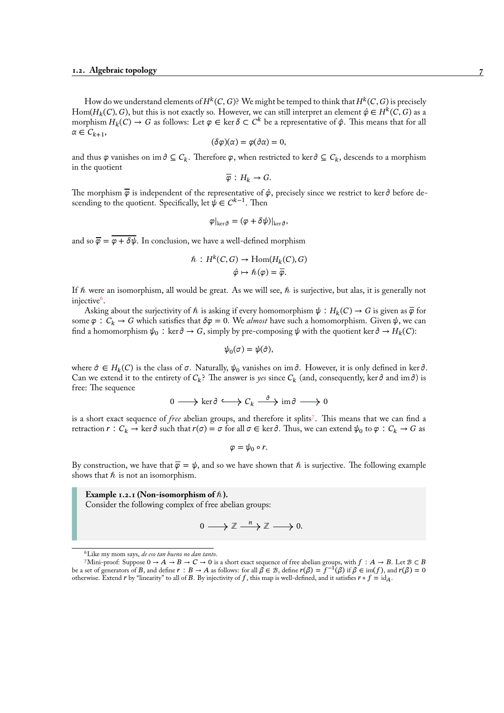How do we understand elements of  $H^k(C,G)$ ? We might be temped to think that  $H^k(C,G)$  is precisely  $\mathrm{Hom}(H_k(C), G)$ , but this is not exactly so. However, we can still interpret an element  $\hat{\varphi} \in H^k(C,G)$  as a morphism  $H_k(C) \to G$  as follows: Let  $\varphi \in \text{ker } \delta \subset C^k$  be a representative of  $\hat{\varphi}$ . This means that for all  $\alpha \in C_{k+1}$ ,

$$
(\delta\varphi)(\alpha)=\varphi(\partial\alpha)=0,
$$

and thus  $\varphi$  vanishes on im  $\partial \subseteq C_k$ . Therefore  $\varphi$ , when restricted to ker  $\partial \subseteq C_k$ , descends to a morphism in the quotient

$$
\overline{\varphi}: H_k \to G.
$$

The morphism  $\bar{\varphi}$  is independent of the representative of  $\hat{\varphi}$ , precisely since we restrict to ker  $\partial$  before descending to the quotient. Specifically, let  $\psi \in C^{k-1}$ . Then

$$
\varphi|_{\ker \partial} = (\varphi + \delta \psi)|_{\ker \partial},
$$

and so  $\overline{\varphi} = \varphi + \delta \psi$ . In conclusion, we have a well-defined morphism

$$
\hat{n}: H^k(C, G) \to \text{Hom}(H_k(C), G)
$$
  

$$
\hat{\varphi} \mapsto \hat{h}(\varphi) = \overline{\varphi}.
$$

If  $\hbar$  were an isomorphism, all would be great. As we will see,  $\hbar$  is surjective, but alas, it is generally not injective<sup>6</sup>.

Asking about the surjectivity of  $h$  is asking if every homomorphism  $\psi : H_k(C) \to G$  is given as  $\overline{\varphi}$  for some  $\varphi : C_k \to G$  which satisfies that  $\delta \varphi = 0$ . We *almost* have such a homomorphism. Given  $\psi$ , we can find a homomorphism  $\psi_0$ : ker  $\partial \to G$ , simply by pre-composing  $\psi$  with the quotient ker  $\partial \to H_k(C)$ :

$$
\psi_0(\sigma)=\psi(\hat{\sigma}),
$$

where  $\hat{\sigma} \in H_k(C)$  is the class of  $\sigma$ . Naturally,  $\psi_0$  vanishes on im  $\hat{\sigma}$ . However, it is only defined in ker  $\hat{\sigma}$ . Can we extend it to the entirety of  $C_k$ ? The answer is *yes* since  $C_k$  (and, consequently, ker  $\partial$  and im  $\partial$ ) is free: The sequence

$$
0 \longrightarrow \ker \partial \hookrightarrow C_k \stackrel{\partial}{\longrightarrow} \mathrm{im} \partial \longrightarrow 0
$$

is a short exact sequence of *free* abelian groups, and therefore it splits<sup>7</sup> . This means that we can find a retraction  $r: C_k \to \ker \partial$  such that  $r(\sigma)=\sigma$  for all  $\sigma\in\ker\partial.$  Thus, we can extend  $\psi_0$  to  $\varphi: C_k\to G$  as

$$
\varphi=\psi_0\circ r.
$$

By construction, we have that  $\overline{\varphi} = \psi$ , and [s](#page-12-0)o we have shown that  $\hbar$  is surjective. The following example shows that  $h$  is not an isomorphism.

**Example 1.2.1 (Non-isomorphism of**  $\hbar$ **).** 

Consider the following complex of free abelian groups:

$$
0 \longrightarrow \mathbb{Z} \xrightarrow{n} \mathbb{Z} \longrightarrow 0.
$$

<sup>6</sup>Like my mom says, *de eso tan bueno no dan tanto*.

<span id="page-12-0"></span><sup>7</sup>Mini-proof: Suppose  $0 \to A \to B \to C \to 0$  is a short exact sequence of free abelian groups, with  $f : A \to B$ . Let  $B \subset B$ be a set of generators of B, and define  $r : B \to A$  as follows: for all  $\beta \in B$ , define  $r(\beta) = f^{-1}(\beta)$  if  $\beta \in \text{im}(f)$ , and  $r(\beta) = 0$ otherwise. Extend r by "linearity" to all of B. By injectivity of f, this map is well-defined, and it satisfies  $r \circ f = id_A$ .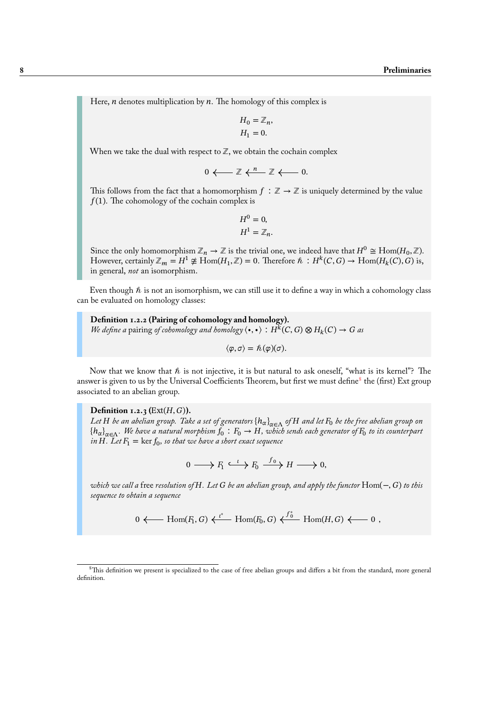Here,  $n$  denotes multiplication by  $n$ . The homology of this complex is

$$
H_0 = \mathbb{Z}_n,
$$
  

$$
H_1 = 0.
$$

When we take the dual with respect to  $\mathbb{Z}$ , we obtain the cochain complex

$$
0 \longleftarrow \mathbb{Z} \stackrel{n}{\longleftarrow} \mathbb{Z} \stackrel{n}{\longleftarrow} 0.
$$

This follows from the fact that a homomorphism  $f : \mathbb{Z} \to \mathbb{Z}$  is uniquely determined by the value  $f(1)$ . The cohomology of the cochain complex is

$$
H^0 = 0,
$$
  

$$
H^1 = \mathbb{Z}_n.
$$

Since the only homomorphism  $\mathbb{Z}_n \to \mathbb{Z}$  is the trivial one, we indeed have that  $H^0 \cong \text{Hom}(H_0, \mathbb{Z})$ . However, certainly  $\mathbb{Z}_m = H^1 \not\cong \text{Hom}(H_1, \mathbb{Z}) = 0$ . Therefore  $\hbar : H^k(C, G) \to \text{Hom}(H_k(C), G)$  is, in general, *not* an isomorphism.

Even though  $\hbar$  is not an isomorphism, we can still use it to define a way in which a cohomology class can be evaluated on homology classes:

**Definition 1.2.2 (Pairing of cohomology and homology).** *We define a* pairing *of cohomology and homology*  $\langle \bullet, \bullet \rangle : H^k(C, G) \otimes H_k(C) \to G$  as

 $\langle \varphi, \sigma \rangle = \hbar(\varphi)(\sigma).$ 

Now that we know that  $\hbar$  is not injective, it is but natural to ask oneself, "what is its kernel"? The answer is given to us by the Universal Coefficients Theorem, but first we must define<sup>8</sup> the (first) Ext group associated to an abelian group.

**Definition 1.2.3** ( $Ext(H, G)$ ). *Let be an abelian group. Take a set of generators* {ℎ}∈Λ *of and let* <sup>0</sup> *be thef[r](#page-13-0)ee abelian group on*  $\{h_{\alpha}\}_{\alpha\in \Lambda}$ . We have a natural morphism  $f_0\,:\, F_0\to H,$  which sends each generator of  $F_0$  to its counterpart *in* H. Let  $F_1 = \ker f_0$ , so that we have a short exact sequence

$$
0 \longrightarrow F_1 \stackrel{\iota}{\longrightarrow} F_0 \stackrel{f_0}{\longrightarrow} H \longrightarrow 0,
$$

*which we call a* free *resolution of . Let be an abelian group, and apply the functor* Hom(−, ) *to this sequence to obtain a sequence*

$$
0 \longleftarrow \text{Hom}(F_1, G) \stackrel{\iota^*}{\longleftarrow} \text{Hom}(F_0, G) \stackrel{f_0^*}{\longleftarrow} \text{Hom}(H, G) \longleftarrow 0 ,
$$

<span id="page-13-0"></span><sup>&</sup>lt;sup>8</sup>This definition we present is specialized to the case of free abelian groups and differs a bit from the standard, more general definition.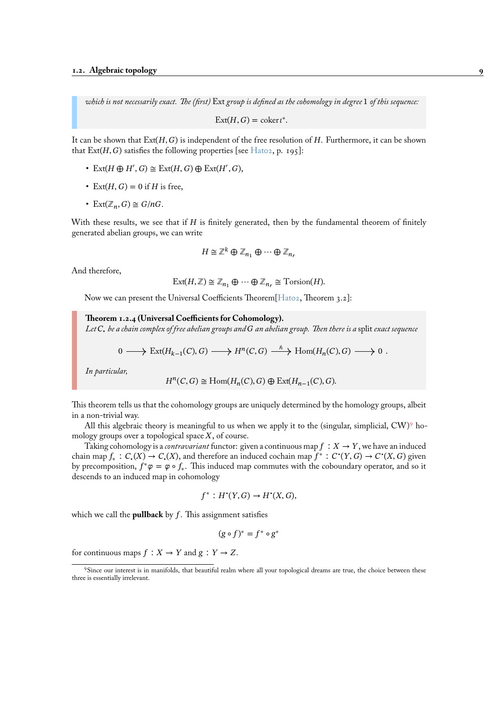*which is not necessarily exact. The (first)* Ext *group is defined as the cohomology in degree* 1 *of this sequence:*

 $\text{Ext}(H, G) = \text{coker } t^*$ .

It can be shown that  $Ext(H, G)$  is independent of the free resolution of H. Furthermore, it can be shown that  $\text{Ext}(H, G)$  satisfies the following properties [see Hato2, p. 195]:

- Ext( $H \oplus H', G$ )  $\cong$  Ext( $H, G$ )  $\oplus$  Ext( $H', G$ ),
- Ext $(H, G) = 0$  if H is free,
- Ext $(\mathbb{Z}_n, G) \cong G/nG$ .

With these results, we see that if  $H$  is finitely generated, then by the fundamental theorem of finitely generated abelian groups, we can write

$$
H \cong \mathbb{Z}^k \oplus \mathbb{Z}_{n_1} \oplus \cdots \oplus \mathbb{Z}_{n_r}
$$

And therefore,

$$
Ext(H,\mathbb{Z}) \cong \mathbb{Z}_{n_1} \oplus \cdots \oplus \mathbb{Z}_{n_r} \cong Torsion(H).
$$

Now we can present the Universal Coefficients Theorem[Hat02, Theorem 3.2]:

**Theorem 1.2.4 (Universal Coefficients for Cohomology).**

*Let* • *be a chain complex of free abelian groups and an abelian group. Then there is a* split *exact sequence*

$$
0 \longrightarrow \text{Ext}(H_{k-1}(C), G) \longrightarrow H^n(C, G) \stackrel{\hbar}{\longrightarrow} \text{Hom}(H_n(C), G) \longrightarrow 0.
$$

<span id="page-14-1"></span>*In particular,*

$$
H^n(C,G)\cong \operatorname{Hom}(H_n(C),G)\oplus \operatorname{Ext}(H_{n-1}(C),G).
$$

This theorem tells us that the cohomology groups are uniquely determined by the homology groups, albeit in a non-trivial way.

All this algebraic theory is meaningful to us when we apply it to the (singular, simplicial,  $CW$ )<sup>9</sup> homology groups over a topological space  $X$ , of course.

Taking cohomology is a *contravariant* functor: given a continuous map  $f : X \to Y$ , we have an induced chain map  $f_*: C_{\bullet}(X) \to C_{\bullet}(X)$ , and therefore an induced cochain map  $f^*: C^{\bullet}(Y, G) \to C^{\bullet}(X, G)$  given by precomposition,  $f^*\varphi = \varphi \circ f_*$ . This induced map commutes with the coboundary operator, and [s](#page-14-0)o it descends to an induced map in cohomology

$$
f^*: H^{\bullet}(Y, G) \to H^{\bullet}(X, G),
$$

which we call the **pullback** by  $f$ . This assignment satisfies

$$
(g \circ f)^* = f^* \circ g^*
$$

for continuous maps  $f : X \to Y$  and  $g : Y \to Z$ .

<span id="page-14-0"></span><sup>9</sup>Since our interest is in manifolds, that beautiful realm where all your topological dreams are true, the choice between these three is essentially irrelevant.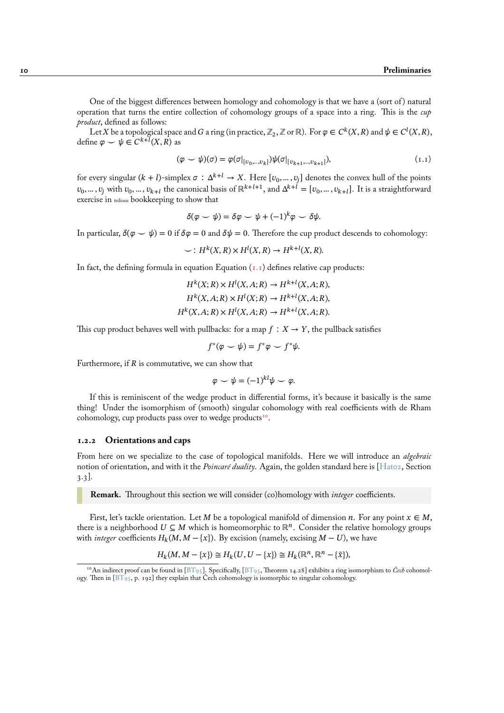One of the biggest differences between homology and cohomology is that we have a (sort of ) natural operation that turns the entire collection of cohomology groups of a space into a ring. This is the *cup product*, defined as follows:

Let X be a topological space and G a ring (in practice,  $\mathbb{Z}_2$ , Z or R). For  $\varphi\in C^k(X,R)$  and  $\psi\in C^l(X,R),$ define  $\varphi \smile \psi \in C^{k+l}(X,R)$  as

$$
(\varphi \smile \psi)(\sigma) = \varphi(\sigma|_{[v_0, \ldots, v_k]}) \psi(\sigma|_{[v_{k+1}, \ldots, v_{k+1}]}), \tag{1.1}
$$

for every singular (k + l)-simplex  $\sigma:\Delta^{k+l}\to X.$  Here  $[\upsilon_0,...,\upsilon_j]$  denotes the convex hull of the points  $v_0,...,v_j$  with  $v_0,...,v_{k+l}$  the canonical basis of  $\mathbb{R}^{k+l+1}$ , and  $\Delta^{k+l}=[v_0,...,v_{k+l}]$ . It is a straightforward exercise in tedious bookkeeping to show that

<span id="page-15-1"></span>
$$
\delta(\varphi \smile \psi) = \delta\varphi \smile \psi + (-1)^k \varphi \smile \delta\psi.
$$

In particular,  $\delta(\varphi \smile \psi) = 0$  if  $\delta\varphi = 0$  and  $\delta\psi = 0$ . Therefore the cup product descends to cohomology:

$$
\smile: H^k(X,R) \times H^l(X,R) \to H^{k+l}(X,R).
$$

In fact, the defining formula in equation Equation  $(I, I)$  defines relative cap products:

$$
H^k(X;R) \times H^l(X,A;R) \to H^{k+l}(X,A;R),
$$
  

$$
H^k(X,A;R) \times H^l(X;R) \to H^{k+l}(X,A;R),
$$
  

$$
H^k(X,A;R) \times H^l(X,A;R) \to H^{k+l}(X,A;R).
$$

This cup product behaves well with pullbacks: for a map  $f : X \to Y$ , the pullback satisfies

$$
f^*(\varphi \smile \psi) = f^*\varphi \smile f^*\psi.
$$

Furthermore, if  $R$  is commutative, we can show that

$$
\varphi \smile \psi = (-1)^{kl}\psi \smile \varphi.
$$

If this is reminiscent of the wedge product in differential forms, it's because it basically is the same thing! Under the isomorphism of (smooth) singular cohomology with real coefficients with de Rham cohomology, cup products pass over to wedge products<sup>10</sup>.

#### **1.2.2 Orientations and caps**

From here on we specialize to the case of topologic[al m](#page-15-2)anifolds. Here we will introduce an *algebraic* notion of orientation, and with it the *Poincaré duality*. Again, the golden standard here is [Hat02, Section 3.3].

<span id="page-15-0"></span>**Remark.** Throughout this section we will consider (co)homology with *integer* coefficients.

First, let's tackle orientation. Let M be a topological manifold of dimension *n*. For any point  $x \in M$ , there is a neighborhood  $U \subseteq M$  which is homeomorphic to  $\mathbb{R}^n$ . Consider the relative homology groups with *integer* coefficients  $H_k(M, M - \{x\})$ . By excision (namely, excising  $M - U$ ), we have

$$
H_k(M, M - \{x\}) \cong H_k(U, U - \{x\}) \cong H_k(\mathbb{R}^n, \mathbb{R}^n - \{\tilde{x}\}),
$$

<span id="page-15-2"></span><sup>&</sup>lt;sup>10</sup>An indirect proof can be found in [BT95]. Specifically, [BT95, Theorem 14.28] exhibits a ring isomorphism to *Čech* cohomology. Then in [BT95, p. 192] they explain that Čech cohomology is isomorphic to singular cohomology.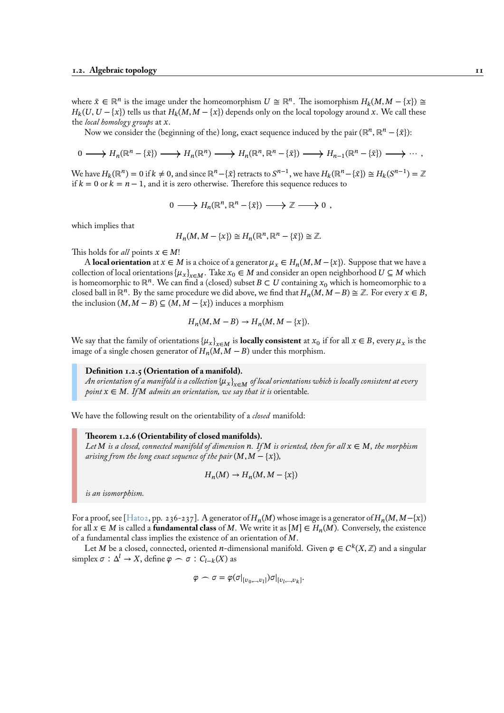where  $\tilde{x} \in \mathbb{R}^n$  is the image under the homeomorphism  $U \cong \mathbb{R}^n$ . The isomorphism  $H_k(M, M - \{x\}) \cong$  $H_k(U, U - \{x\})$  tells us that  $H_k(M, M - \{x\})$  depends only on the local topology around x. We call these the *local homology groups* at x.

Now we consider the (beginning of the) long, exact sequence induced by the pair (ℝ<sup>n</sup>, ℝ<sup>n</sup> – { $\tilde{x}$ }):

$$
0 \longrightarrow H_n(\mathbb{R}^n - \{\tilde{x}\}) \longrightarrow H_n(\mathbb{R}^n) \longrightarrow H_n(\mathbb{R}^n, \mathbb{R}^n - \{\tilde{x}\}) \longrightarrow H_{n-1}(\mathbb{R}^n - \{\tilde{x}\}) \longrightarrow \cdots,
$$

We have  $H_k(\mathbb{R}^n) = 0$  if  $k \neq 0$ , and since  $\mathbb{R}^n - {\tilde{x}}$  retracts to  $S^{n-1}$ , we have  $H_k(\mathbb{R}^n - {\tilde{x}}) \cong H_k(S^{n-1}) = \mathbb{Z}$ if  $k = 0$  or  $k = n - 1$ , and it is zero otherwise. Therefore this sequence reduces to

$$
0 \longrightarrow H_n(\mathbb{R}^n, \mathbb{R}^n - {\tilde{x}}) \longrightarrow \mathbb{Z} \longrightarrow 0 ,
$$

which implies that

$$
H_n(M, M - \{x\}) \cong H_n(\mathbb{R}^n, \mathbb{R}^n - \{\tilde{x}\}) \cong \mathbb{Z}.
$$

This holds for *all* points  $x \in M!$ 

A **local orientation** at  $x \in M$  is a choice of a generator  $\mu_x \in H_n(M, M - \{x\})$ . Suppose that we have a collection of local orientations  $\{\mu_x\}_{x\in M}$ . Take  $x_0 \in M$  and consider an open neighborhood  $U \subseteq M$  which is homeomorphic to  $\mathbb{R}^n$ . We can find a (closed) subset  $B \subset U$  containing  $x_0$  which is homeomorphic to a closed ball in  $\mathbb{R}^n$ . By the same procedure we did above, we find that  $H_n(M, M - B) \cong \mathbb{Z}$ . For every  $x \in B$ , the inclusion  $(M, M - B) \subseteq (M, M - \{x\})$  induces a morphism

$$
H_n(M, M - B) \to H_n(M, M - \{x\}).
$$

We say that the family of orientations  $\{\mu_x\}_{x \in M}$  is **locally consistent** at  $x_0$  if for all  $x \in B$ , every  $\mu_x$  is the image of a single chosen generator of  $H_n(M, M - B)$  under this morphism.

#### **Definition 1.2.5 (Orientation of a manifold).**

*An orientation of a manifold is a collection* {µ<sub>x</sub>}<sub>*x∈M</sub> of local orientations which is locally consistent at every</sub> point*  $x \in M$ *. If*  $M$  *admits an orientation, we say that it is orientable.* 

We have the following result on the orientability of a *closed* manifold:

#### **Theorem 1.2.6 (Orientability of closed manifolds).**

*Let*  $M$  *is a closed, connected manifold of dimension*  $n$ . If  $M$  *is oriented, then for all*  $x \in M$ *, the morphism arising from the long exact sequence of the pair*  $(M, M - \{x\})$ *,* 

$$
H_n(M) \to H_n(M, M - \{x\})
$$

*is an isomorphism.*

For a proof, see [Hato2, pp. 236-237]. A generator of  $H_n(M)$  whose image is a generator of  $H_n(M, M-\{x\})$ for all  $x \in M$  is called a **fundamental class** of M. We write it as  $[M] \in H_n(M)$ . Conversely, the existence of a fundamental class implies the existence of an orientation of  $M$ .

Let M be a closed, connected, oriented  $n$ -dimensional manifold. Given  $\varphi \in C^k (X, \mathbb{Z})$  and a singular simplex  $\sigma : \Delta^l \to X$ , define  $\varphi \frown \sigma : C_{l-k}(X)$  as

$$
\varphi \frown \sigma = \varphi(\sigma|_{[v_0,\ldots,v_l]})\sigma|_{[v_l,\ldots,v_k]}.
$$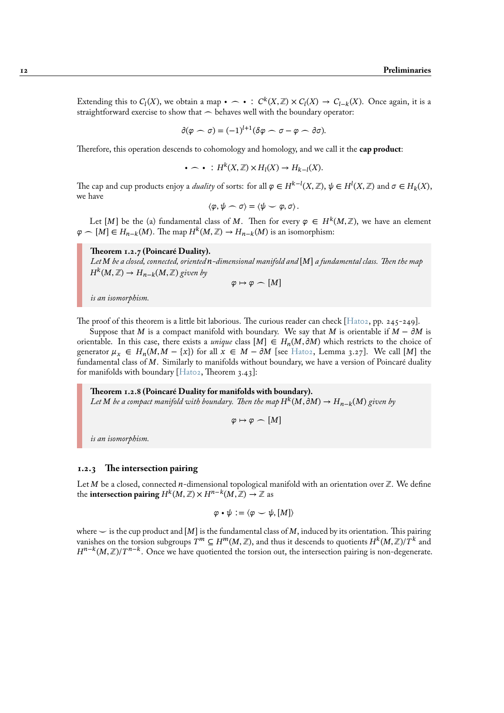Extending this to  $C_l(X)$ , we obtain a map •  $\frown \bullet : C^k(X,\mathbb{Z}) \times C_l(X) \to C_{l-k}(X)$ . Once again, it is a straightforward exercise to show that  $\frown$  behaves well with the boundary operator:

$$
\partial(\varphi\frown \sigma) = (-1)^{l+1} (\delta\varphi\frown \sigma - \varphi\frown \partial\sigma).
$$

Therefore, this operation descends to cohomology and homology, and we call it the **cap product**:

$$
\bullet \frown \bullet : H^k(X,\mathbb{Z}) \times H_l(X) \to H_{k-l}(X).
$$

The cap and cup products enjoy a *duality* of sorts: for all  $\varphi \in H^{k-l}(X, \mathbb{Z})$ ,  $\psi \in H^l(X, \mathbb{Z})$  and  $\sigma \in H_k(X)$ , we have

$$
\langle \varphi, \psi \frown \sigma \rangle = \langle \psi \frown \varphi, \sigma \rangle.
$$

Let [M] be the (a) fundamental class of M. Then for every  $\varphi \in H^k(M,{\mathbb Z}),$  we have an element  $\varphi \frown [M] \in H_{n-k}(M)$ . The map  $H^k(M,\mathbb{Z}) \to H_{n-k}(M)$  is an isomorphism:

# **Theorem 1.2.7 (Poincaré Duality).**

Let M be a closed, connected, oriented **n**-dimensional manifold and [M] a fundamental class. Then the map  $H^k(M,\mathbb{Z}) \to H_{n-k}(M,\mathbb{Z})$  given by

$$
\varphi\mapsto\varphi\frown [M]
$$

*is an isomorphism.*

The proof of this theorem is a little bit laborious. The curious reader can check  $[Hato2, pp. 245-249]$ .

Suppose that M is a compact manifold with boundary. We say that M is orientable if  $M - \partial M$  is orientable. In this case, there exists a *unique* class  $[M] \in H_n(M, \partial M)$  which restricts to the choice of generator  $\mu_x \in H_n(M, M - \{x\})$  for all  $x \in M - \partial M$  [see Hato2, Lemma 3.27]. We call [M] the fundamental class of M. Similarly to manifolds without boundary, we have a v[ersion o](#page-95-1)f Poincaré duality for manifolds with boundary  $[{\text{Hato2}, \text{Theorem 3.43}}]$ :

**Theorem 1.2.8 (Poincaré Duality for manifolds with bou[ndary\).](#page-95-1)** Let  $M$  be a compact manifold with boundary. Then the map  $H^k(M, \partial M) \to H_{n-k}(M)$  given by

$$
\varphi \mapsto \varphi \frown [M]
$$

*is an isomorphism.*

#### **1.2.3 The intersection pairing**

<span id="page-17-0"></span>Let M be a closed, connected n-dimensional topological manifold with an orientation over  $\mathbb{Z}$ . We define the **intersection pairing**  $H^k(M,\mathbb{Z}) \times H^{n-k}(M,\mathbb{Z}) \to \mathbb{Z}$  as

$$
\varphi\bullet\psi:=\langle\varphi\smile\psi,[M]\rangle
$$

where  $\sim$  is the cup product and [M] is the fundamental class of M, induced by its orientation. This pairing vanishes on the torsion subgroups  $T^m\subseteq H^m(M,\mathbb{Z}),$  and thus it descends to quotients  $H^k(M,\mathbb{Z})/T^k$  and  $H^{n-k}(M,\mathbb{Z})/T^{n-k}$ . Once we have quotiented the torsion out, the intersection pairing is non-degenerate.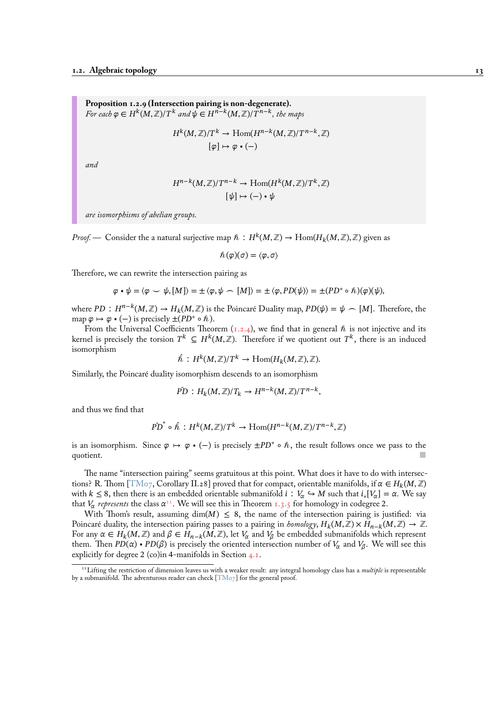**Proposition 1.2.9 (Intersection pairing is non-degenerate).** For each  $\varphi \in H^k(M,\mathbb{Z})$ /T $^k$  and  $\psi \in H^{n-k}(M,\mathbb{Z})$ /T $^{n-k},$  the maps

$$
H^{k}(M, \mathbb{Z})/T^{k} \to \text{Hom}(H^{n-k}(M, \mathbb{Z})/T^{n-k}, \mathbb{Z})
$$

$$
[\varphi] \mapsto \varphi \bullet (-)
$$

<span id="page-18-1"></span>*and*

$$
H^{n-k}(M,\mathbb{Z})/T^{n-k} \to \text{Hom}(H^k(M,\mathbb{Z})/T^k,\mathbb{Z})
$$

$$
[\psi] \mapsto (-) \cdot \psi
$$

*are isomorphisms of abelian groups.*

*Proof.* — Consider the a natural surjective map  $\hbar\, : H^k(M,\mathbb{Z}) \to \mathrm{Hom}(H_k(M,\mathbb{Z}),\mathbb{Z})$  given as

$$
\hbar(\varphi)(\sigma)=\langle\varphi,\sigma\rangle
$$

Therefore, we can rewrite the intersection pairing as

$$
\varphi \cdot \psi = \langle \varphi \smile \psi, [M] \rangle = \pm \langle \varphi, \psi \frown [M] \rangle = \pm \langle \varphi, PD(\psi) \rangle = \pm (PD^* \circ \hbar)(\varphi)(\psi),
$$

where  $PD : H^{n-k}(M, \mathbb{Z}) \to H_k(M, \mathbb{Z})$  is the Poincaré Duality map,  $PD(\psi) = \psi \frown [M]$ . Therefore, the map  $\varphi \mapsto \varphi \bullet (-)$  is precisely  $\pm (PD^* \circ \hbar)$ .

From the Universal Coefficients Theorem (1.2.4), we find that in general  $\hbar$  is not injective and its kernel is precisely the torsion  $T^k \subseteq H^k(M,\mathbb{Z}).$  Therefore if we quotient out  $T^k,$  there is an induced isomorphism

$$
\hat{\hbar}: H^k(M,\mathbb{Z})/T^k \to \text{Hom}(H_k(M,\mathbb{Z}),\mathbb{Z}).
$$

Similarly, the Poincaré duality isomorphism des[cends](#page-14-1) to an isomorphism

$$
\hat{PD}: H_k(M, \mathbb{Z})/T_k \to H^{n-k}(M, \mathbb{Z})/T^{n-k},
$$

and thus we find that

$$
\hat{PD}^* \circ \hat{\mathcal{h}} : H^k(M, \mathbb{Z})/T^k \to \text{Hom}(H^{n-k}(M, \mathbb{Z})/T^{n-k}, \mathbb{Z})
$$

is an isomorphism. Since  $\varphi \mapsto \varphi \bullet (-)$  is precisely  $\pm PD^* \circ \hbar$ , the result follows once we pass to the  $\blacksquare$  quotient.

The name "intersection pairing" seems gratuitous at this point. What does it have to do with intersections? R. Thom [TM07, Corollary II.28] proved that for compact, orientable manifolds, if  $\alpha \in H_k(M,\mathbb{Z})$ with  $k \leq 8$ , then there is an embedded orientable submanifold  $i : V_\alpha \hookrightarrow M$  such that  $i_*[V_\alpha] = \alpha$ . We say that  $V_{\alpha}$  represents the class  $\alpha^{11}$ . We will see this in Theorem 1.3.5 for homology in codegree 2.

With Thom's result, assuming  $\dim(M) \leq 8$ , the name of the intersection pairing is justified: via Poincaré duality, [the int](#page-96-8)ersection pairing passes to a pairing in *homology*,  $H_k(M,\mathbb{Z}) \times H_{n-k}(M,\mathbb{Z}) \to \mathbb{Z}$ . For any  $\alpha \in H_k(M, \mathbb{Z})$  and  $\beta \in H_{n-k}(M, \mathbb{Z})$ , let  $V_\alpha$  and  $V_\beta$  be embedded submanifolds which represent them. Then  $PD(\alpha) \cdot PD(\beta)$  [i](#page-18-0)s precisely the oriented inters[ection](#page-22-0) number of  $V_\alpha$  and  $V_\beta$ . We will see this explicitly for degree 2 (co)in 4-manifolds in Section 4.1.

<span id="page-18-0"></span><sup>&</sup>lt;sup>11</sup> Lifting the restriction of dimension leaves us with a weaker result: any integral homology class has a *multiple* is representable by a submanifold. The adventurous reader can check [TM07] for the general proof.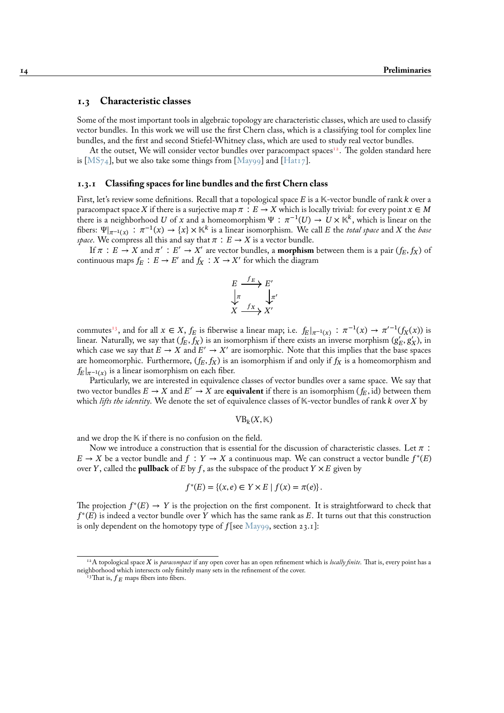### **1.3 Characteristic classes**

Some of the most important tools in algebraic topology are characteristic classes, which are used to classify vector bundles. In this work we will use the first Chern class, which is a classifying tool for complex line bundles, and the first and second Stiefel-Whitney class, which are used to study real vector bundles.

<span id="page-19-0"></span>At the outset, We will consider vector bundles over paracompact spaces<sup>12</sup>. The golden standard here is [MS<sub>74</sub>], but we also take some things from [May99] and [Hat17].

#### **1.3.1 Classifing spaces for line bundles and the first Chern class**

<span id="page-19-1"></span>Fir[st, let's](#page-96-9) review some definitions. Recall that [a topolo](#page-95-2)gicals[pace](#page-95-3)  $E$  is a  $K$ -vector bundle of rank  $k$  over a paracompact space X if there is a surjective map  $\pi : E \to X$  which is locally trivial: for every point  $x \in M$ there is a neighborhood  $U$  of  $x$  and a homeomorphism  $\Psi$   $:\; \pi^{-1}(U) \to U \times \mathbb{K}^k,$  which is linear on the fibers:  $\Psi|_{\pi^{-1}(x)}$  :  $\pi^{-1}(x) \to \{x\} \times \mathbb{K}^k$  is a linear isomorphism. We call E the *total space* and X the *base space*. We compress all this and say that  $\pi : E \to X$  is a vector bundle.

If  $\pi : E \to X$  and  $\pi' : E' \to X'$  are vector bundles, a **morphism** between them is a pair  $(f_E, f_X)$  of continuous maps  $f_E : E \to E'$  and  $f_X : X \to X'$  for which the diagram

$$
E \xrightarrow{f_E} E'
$$
  
\n
$$
\downarrow \pi
$$
  
\n
$$
X \xrightarrow{f_X} X'
$$

commutes<sup>13</sup>, and for all  $x \in X$ ,  $f_E$  is fiberwise a linear map; i.e.  $f_E|_{\pi^{-1}(x)} : \pi^{-1}(x) \to \pi^{-1}(f_X(x))$  is linear. Naturally, we say that  $(f_E, f_X)$  is an isomorphism if there exists an inverse morphism  $(g'_E, g'_X)$ , in which case we say that  $E \to X$  and  $E' \to X'$  are isomorphic. Note that this implies that the base spaces are homeomorphic. Furthermore,  $(f_E, f_X)$  is an isomorphism if and only if  $f_X$  is a homeomorphism and  $|f_E|_{\pi^{-1}(x)}$  i[s a](#page-19-2) linear isomorphism on each fiber.

Particularly, we are interested in equivalence classes of vector bundles over a same space. We say that two vector bundles  $E \to X$  and  $E' \to X$  are **equivalent** if there is an isomorphism  $(f_E, \text{id})$  between them which *lifts the identity*. We denote the set of equivalence classes of K-vector bundles of rank *k* over *X* by

$$
\mathrm{VB}_k(X,\mathbb{K})
$$

and we drop the  $K$  if there is no confusion on the field.

Now we introduce a construction that is essential for the discussion of characteristic classes. Let  $\pi$ :  $E \to X$  be a vector bundle and  $f : Y \to X$  a continuous map. We can construct a vector bundle  $f^*(E)$ over Y, called the **pullback** of E by f, as the subspace of the product  $Y \times E$  given by

$$
f^*(E) = \{(x, e) \in Y \times E \mid f(x) = \pi(e)\}.
$$

The projection  $f^*(E) \to Y$  is the projection on the first component. It is straightforward to check that  $f^*(E)$  is indeed a vector bundle over Y which has the same rank as E. It turns out that this construction is only dependent on the homotopy type of  $f$  [see May99, section 23.1]:

 $^{12}A$  topological space X is *paracompact* if any open cover has an open refinement which is *locally finite*. That is, every point has a neighborhood which intersects only finitely many sets in the r[efinement](#page-95-2) of the cover.

<span id="page-19-2"></span><sup>&</sup>lt;sup>13</sup>That is,  $f_E$  maps fibers into fibers.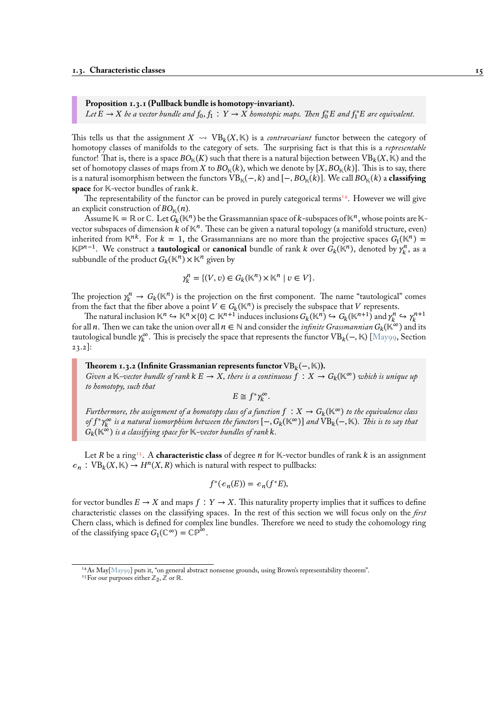# **Proposition 1.3.1 (Pullback bundle is homotopy-invariant).**

Let  $\overline{E}\to X$  be a vector bundle and  $f_0, f_1:Y\to X$  homotopic maps. Then  $f_0^*E$  and  $f_1^*E$  are equivalent.

This tells us that the assignment  $X \leadsto \text{VB}_k(X, \mathbb{K})$  is a *contravariant* functor between the category of homotopy classes of manifolds to the category of sets. The surprising fact is that this is a *representable* functor! That is, there is a space  $BO_{\mathbb{K}}(K)$  such that there is a natural bijection between  $VB_k(X, \mathbb{K})$  and the set of homotopy classes of maps from X to  $BO_{\mathbb{K}}(k)$ , which we denote by  $[X, BO_{\mathbb{K}}(k)]$ . This is to say, there is a natural isomorphism between the functors  $VB_{\mathbb{K}}(-, k)$  and  $[-, BO_{\mathbb{K}}(k)]$ . We call  $BO_{\mathbb{K}}(k)$  a **classifying space** for K-vector bundles of rank k.

The representability of the functor can be proved in purely categorical terms<sup>14</sup>. However we will give an explicit construction of  $BO_{\mathbb{k}}(n)$ .

Assume  $K = \mathbb{R}$  or C. Let  $G_k(\mathbb{K}^n)$  be the Grassmannian space of k-subspaces of  $\mathbb{K}^n$ , whose points are  $\mathbb{K}$ vector subspaces of dimension  $k$  of  $\mathbb{K}^n$ . These can be given a natural topology (a manifold structure, even) inherited from  $\mathbb{K}^{nk}$ . For  $k = 1$ , the Grassmannians are no more than the pr[oje](#page-20-0)ctive spaces  $G_1(\mathbb{K}^n)$  =  $\mathbb{K}\mathbb{P}^{n-1}$ . We construct a **tautological** or **canonical** bundle of rank *k* over  $G_k(\mathbb{K}^n)$ , denoted by  $\gamma_k^n$ , as a subbundle of the product  $G_k(\mathbb{K}^n) \times \mathbb{K}^n$  given by

$$
\gamma_k^n = \{(V, v) \in G_k(\mathbb{K}^n) \times \mathbb{K}^n \mid v \in V\}.
$$

The projection  $\gamma_k^n \to G_k(\mathbb{K}^n)$  is the projection on the first component. The name "tautological" comes from the fact that the fiber above a point  $V \in G_k(\mathbb{K}^n)$  is precisely the subspace that V represents.

The natural inclusion  $\mathbb{K}^n \hookrightarrow \mathbb{K}^n \times \{0\} \subset \mathbb{K}^{n+1}$  induces inclusions  $G_k(\mathbb{K}^n) \hookrightarrow G_k(\mathbb{K}^{n+1})$  and  $\gamma_k^n \hookrightarrow \gamma_k^{n+1}$ for all *n*. Then we can take the union over all  $n \in \mathbb{N}$  and consider the *infinite Grassmannian*  $G_k(\mathbb{K}^\infty)$  and its tautological bundle  $\gamma_k^\infty$ . This is precisely the space that represents the functor VB<sub>k</sub>(−, K) [May99, Section 23.2]:

#### **Theorem 1.3.2 (Infinite Grassmanian represents functor**  $VB_k(-, \mathbb{K})$ ).

*Given a*  $K$ -vector bundle of rank  $k \in \mathcal{A}$  *x*, there is a continuous  $f : X \to G_k(\mathbb{K}^\infty)$  whi[ch is uniq](#page-95-2)ue up *to homotopy, such that*

 $E \cong f^* \gamma_k^{\infty}$ .

*Furthermore, the assignment of a homotopy class of a function*  $f : X \to G_k(\mathbb{K}^\infty)$  to the equivalence class *of f* \* $\gamma_k^\infty$  is a natural isomorphism between the functors  $[-,G_k(\mathbb{K}^\infty)]$  and  $\mathrm{VB}_k(-,\mathbb{K})$ . This is to say that  $G_k(\mathbb{K}^\infty)$  *is a classifying space for*  $\mathbb{K}\text{-}vector bundles of rank  $k$ .$ 

Let R be a ring<sup>15</sup>. A **characteristic class** of degree  $n$  for  $K$ -vector bundles of rank  $k$  is an assignment  $c_n$ : VB<sub>k</sub>(X, K)  $\rightarrow$  H<sup>n</sup>(X, R) which is natural with respect to pullbacks:

$$
f^*(c_n(E)) = c_n(f^*E),
$$

for vector bundles  $E \to X$  and maps  $f : Y \to X$ . This naturality property implies that it suffices to define characteristic classes on the classifying spaces. In the rest of this section we will focus only on the *first* Chern class, which is defined for complex line bundles. Therefore we need to study the cohomology ring of the classifying space  $G_1(\mathbb{C}^{\infty}) = \mathbb{CP}^{\infty}$ .

<sup>14</sup>As May[May99] puts it, "on general abstract nonsense grounds, using Brown's representability theorem".

<span id="page-20-0"></span><sup>&</sup>lt;sup>15</sup> For our purposes either  $\mathbb{Z}_2$ ,  $\mathbb{Z}$  or  $\mathbb{R}$ .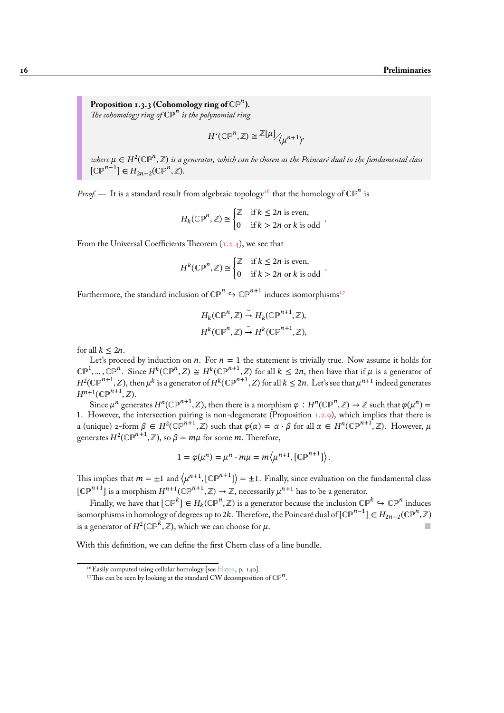**Proposition 1.3.3 (Cohomology ring of** ℂℙ **).** *The cohomology ring of* ℂℙ *is the polynomial ring*

$$
H^{\bullet}(\mathbb{CP}^n, \mathbb{Z}) \cong \mathbb{Z}[\mu] / \mu^{n+1}
$$

<span id="page-21-0"></span>where  $\mu\in H^2(\mathbb{CP}^n,\mathbb{Z})$  is a generator, which can be chosen as the Poincaré dual to the fundamental class  $[\mathbb{CP}^{n-1}] \in H_{2n-2}(\mathbb{CP}^n, \mathbb{Z}).$ 

*Proof.* — It is a standard result from algebraic topology<sup>16</sup> that the homology of  $\mathbb{CP}^n$  is

$$
H_k(\mathbb{CP}^n, \mathbb{Z}) \cong \begin{cases} \mathbb{Z} & \text{if } k \le 2n \text{ is even,} \\ 0 & \text{if } k > 2n \text{ or } k \text{ is odd} \end{cases}.
$$

From the Universal Coefficients Theorem  $(1.2.4)$ , we see that

$$
H^{k}(\mathbb{CP}^{n}, \mathbb{Z}) \cong \begin{cases} \mathbb{Z} & \text{if } k \leq 2n \text{ is even,} \\ 0 & \text{if } k > 2n \text{ or } k \text{ is odd} \end{cases}.
$$

Furthermore, the standard inclusion of  $\mathbb{CP}^n \hookrightarrow \mathbb{CP}^{n+1}$  induces isomorphisms<sup>17</sup>

$$
H_k(\mathbb{CP}^n, \mathbb{Z}) \stackrel{\sim}{\to} H_k(\mathbb{CP}^{n+1}, \mathbb{Z}),
$$
  

$$
H^k(\mathbb{CP}^n, \mathbb{Z}) \stackrel{\sim}{\to} H^k(\mathbb{CP}^{n+1}, \mathbb{Z}),
$$

for all  $k \leq 2n$ .

Let's proceed by induction on  $n$ . For  $n = 1$  the statement is trivially true. Now assume it holds for  $\mathbb{CP}^1,\dots,\mathbb{CP}^n$ . Since  $H^k(\mathbb{CP}^n,Z)\cong H^k(\mathbb{CP}^{n+1},Z)$  for all  $k\leq 2n,$  then have that if  $\mu$  is a generator of  $H^2(\mathbb{CP}^{n+1},Z)$ , then  $\mu^k$  is a generator of  $H^k(\mathbb{CP}^{n+1},Z)$  for all  $k\leq 2n.$  Let's see that  $\mu^{n+1}$  indeed generates  $H^{n+1}(\mathbb{CP}^{n+1},Z)$ .

Since  $\mu^n$  generates  $H^n(\mathbb{CP}^{n+1},Z)$ , then there is a morphism  $\varphi : H^n(\mathbb{CP}^n,\mathbb{Z}) \to \mathbb{Z}$  such that  $\varphi(\mu^n)=0$ 1. However, the intersection pairing is non-degenerate (Proposition 1.2.9), which implies that there is a (unique) 2-form  $\beta \in H^2(\mathbb{CP}^{n+1}, \mathbb{Z})$  such that  $\varphi(\alpha) = \alpha \cdot \beta$  for all  $\alpha \in H^n(\mathbb{CP}^{n+1}, \mathbb{Z})$ . However,  $\mu$ generates  $H^2(\mathbb{CP}^{n+1},\mathbb Z)$ , so  $\beta=m\mu$  for some  $m.$  Therefore,

$$
1 = \varphi(\mu^n) = \mu^n \cdot m\mu = m\left\langle \mu^{n+1}, [\mathbb{CP}^{n+1}]\right\rangle.
$$

This implies that  $m=\pm 1$  and  $\langle \mu^{n+1}, [\mathbb{CP}^{n+1}]\rangle=\pm 1$ . Finally, since evaluation on the fundamental class  $[\mathbb{CP}^{n+1}]$  is a morphism  $H^{n+1}(\mathbb{CP}^{n+1},\mathbb{Z})\to\mathbb{Z}$ , necessarily  $\mu^{n+1}$  has to be a generator.

Finally, we have that  $[\mathbb{CP}^k]\in H_k(\mathbb{CP}^n,\mathbb{Z})$  is a generator because the inclusion  $\mathbb{CP}^k\hookrightarrow\mathbb{CP}^n$  induces isomorphisms in homology of degrees up to 2 $k$ . Therefore, the Poincaré dual of [C $\mathbb{P}^{n-1}]\in H_{2n-2}(\mathbb{CP}^n,\mathbb{Z})$ is a generator of  $H^2({\mathbb{CP}}^k,{\mathbb Z}),$  which we can choose for  $\mu.$ 

With this definition, we can define the first Chern class of a line bundle.

<sup>&</sup>lt;sup>16</sup>Easily computed using cellular homology [see Hat02, p. 140].

<sup>&</sup>lt;sup>17</sup>This can be seen by looking at the standard CW decomposition of  $\mathbb{CP}^n$ .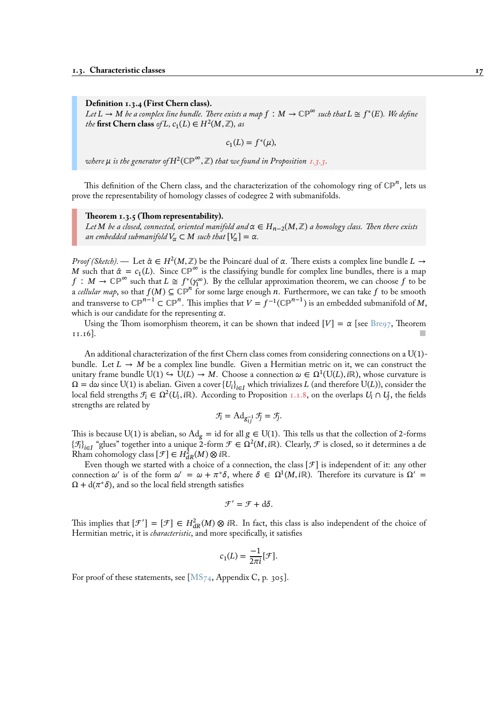**Definition 1.3.4 (First Chern class).**

 $Let L \to M$  be a complex line bundle. There exists a map  $f\,:\, M \to \mathbb{CP}^\infty$  such that  $L \cong f^*(E).$  We define *the* first Chern class *of L*,  $c_1(L) \in H^2(M, \mathbb{Z})$ , as

$$
c_1(L) = f^*(\mu),
$$

where  $\mu$  is the generator of  $H^2({\mathbb{CP}}^\infty,{\mathbb Z})$  that we found in Proposition 1.3.3.

This definition of the Chern class, and the characterization of the cohomology ring of  $\mathbb{CP}^n$ , lets us prove the representability of homology classes of codegree 2 with sub[manifo](#page-21-0)lds.

#### **Theorem 1.3.5 (Thom representability).**

*Let* M be a closed, connected, oriented manifold and  $\alpha \in H_{n-2}(M, \mathbb{Z})$  a homology class. Then there exists *an embedded submanifold*  $V_\alpha \subset M$  *such that*  $[V_\alpha] = \alpha$ .

<span id="page-22-0"></span>*Proof (Sketch).* — Let  $\hat{\alpha} \in H^2(M, \mathbb{Z})$  be the Poincaré dual of  $\alpha$ . There exists a complex line bundle  $L \to$ M such that  $\hat{\alpha} = c_1(L)$ . Since  $\mathbb{CP}^{\infty}$  is the classifying bundle for complex line bundles, there is a map  $f: M \to \mathbb{CP}^{\infty}$  such that  $L \cong f^*(\gamma_1^{\infty})$ . By the cellular approximation theorem, we can choose f to be a *cellular map*, so that  $f(M) \subseteq \overline{CP}^{n}$  for some large enough *n*. Furthermore, we can take f to be smooth and transverse to CP<sup>n−1</sup> ⊂ CP<sup>n</sup>. This implies that  $V=f^{-1}(\mathbb{CP}^{n-1})$  is an embedded submanifold of  $M,$ which is our candidate for the representing  $\alpha$ .

Using the Thom isomorphism theorem, it can be shown that indeed  $[V] = \alpha$  [see Bre97, Theorem  $11.16$ ].

An additional characterization of the first Chern class comes from considering connections on a U(1)- bundle.Let  $L \rightarrow M$  be a complex line bundle. Given a Hermitian metric on it, we c[an con](#page-94-3)struct the unitary frame bundle  $U(1) \hookrightarrow \overline{U}(L) \to M$ . Choose a connection  $\omega \in \Omega^1(U(L), i\mathbb{R})$ , whose curvature is  $\Omega = d\omega$  since U(1) is abelian. Given a cover  $\{U_i\}_{i\in I}$  which trivializes L (and therefore U(L)), consider the local field strengths  $\mathcal{F}_i \in \Omega^2(U_i, i\mathbb{R})$ . According to Proposition 1.1.8, on the overlaps  $U_i \cap U_j$ , the fields strengths are related by

$$
\mathcal{F}_i = \mathrm{Ad}_{g_{ij}^{-1}} \mathcal{F}_j = \mathcal{F}_j.
$$

This is because U(1) is abelian, so  $Ad_g = id$  for all  $g \in U(1)$ . [This te](#page-9-1)lls us that the collection of 2-forms  $\{\mathcal{F}_i\}_{i\in I}$  "glues" together into a unique 2-form  $\mathcal{F}\in \Omega^2(M, i\mathbb{R})$ . Clearly,  $\mathcal{F}$  is closed, so it determines a de Rham cohomology class  $[\mathcal{F}] \in H^2_{dR}(M) \otimes i\mathbb{R}$ .

Even though we started with a choice of a connection, the class  $\mathcal{F}$  is independent of it: any other connection  $\omega'$  is of the form  $\omega' = \omega + \pi^* \delta$ , where  $\delta \in \Omega^1(M, i\mathbb{R})$ . Therefore its curvature is  $\Omega' =$  $\Omega + d(\pi^*\delta)$ , and so the local field strength satisfies

$$
\mathcal{F}' = \mathcal{F} + d\delta.
$$

This implies that  $[\mathcal{F}'] = [\mathcal{F}] \in H^2_{dR}(M) \otimes i\mathbb{R}$ . In fact, this class is also independent of the choice of Hermitian metric, it is *characteristic*, and more specifically, it satisfies

$$
c_1(L) = \frac{-1}{2\pi i} [\mathcal{F}].
$$

For proof of these statements, see [MS<sub>74</sub>, Appendix C, p. 305].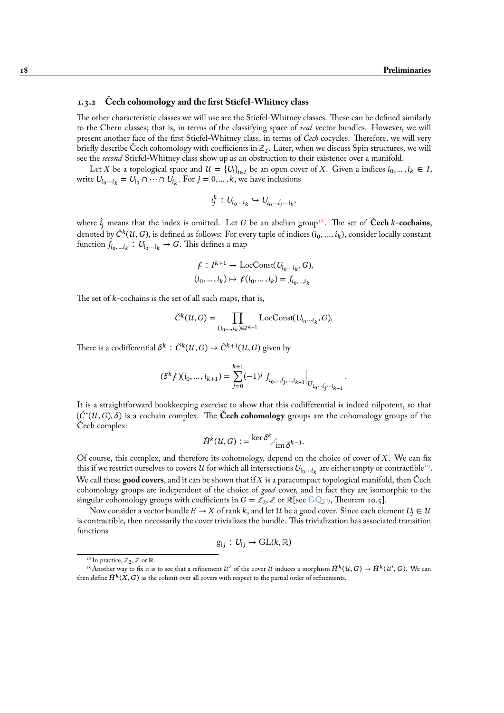### **1.3.2 Čech cohomology and the first Stiefel-Whitney class**

<span id="page-23-0"></span>The other characteristic classes we will use are the Stiefel-Whitney classes. These can be defined similarly to the Chern classes; that is, in terms of the classifying space of *real* vector bundles. However, we will present another face of the first Stiefel-Whitney class, in terms of *Čech* cocycles. Therefore, we will very briefly describe Cech cohomology with coefficients in  $\mathbb{Z}_2.$  Later, when we discuss Spin structures, we will see the *second* Stiefel-Whitney class show up as an obstruction to their existence over a manifold.

Let X be a topological space and  $\mathcal{U} = \{U_i\}_{i \in I}$  be an open cover of X. Given a indices  $i_0, ..., i_k \in I$ , write  $U_{i_0 \cdots i_k} = U_{i_0} \cap \cdots \cap U_{i_k}$ . For  $j = 0, \ldots, k$ , we have inclusions

$$
i_j^k: U_{i_0\cdots i_k} \hookrightarrow U_{i_0\cdots \hat{i_j}\cdots i_k},
$$

where  $\hat{i}_j$  means that the index is omitted. Let G be an abelian group<sup>18</sup>. The set of **Cech** *k*-cochains, denoted by  $\check{C}^k(\mathcal{U},G)$ , is defined as follows: For every tuple of indices  $(i_0,...,i_k),$  consider locally constant function  $f_{i_0, \dots, i_k}: U_{i_0 \cdots i_k} \to G$ . This defines a map

$$
\begin{aligned} \n\ell: I^{k+1} &\to \text{LocConst}(U_{i_0\cdots i_k}, G), \\ \n(i_0, \ldots, i_k) &\mapsto \ell(i_0, \ldots, i_k) = f_{i_0, \ldots, i_k} \n\end{aligned}
$$

The set of  $k$ -cochains is the set of all such maps, that is,

$$
\check{C}^k(\mathcal{U}, G) = \prod_{(i_0, \ldots, i_k) \in I^{k+1}} \text{LocConst}(U_{i_0 \cdots i_k}, G).
$$

There is a codifferential  $\delta^k$  :  $\check{C}^k(\mathcal{U},G) \to \check{C}^{k+1}(\mathcal{U},G)$  given by

$$
(\delta^k\ell)(i_0,\ldots,i_{k+1})=\sum_{j=0}^{k+1}(-1)^j\left.f_{i_0,\ldots,\hat{i_j},\ldots,i_{k+1}}\right|_{U_{i_0\cdots\hat{i_j}\cdots i_{k+1}}}
$$

.

It is a straightforward bookkeeping exercise to show that this codifferential is indeed nilpotent, so that  $(\check{C}^\bullet(\mathcal{U}, G), \delta)$  is a cochain complex. The **Čech cohomology** groups are the cohomology groups of the Cech complex:

$$
\check{H}^k(\mathcal{U}, G) := \frac{\ker \delta^k}{\mathrm{im } \,\delta^{k-1}}.
$$

Of course, this complex, and therefore its cohomology, depend on the choice of cover of  $X$ . We can fix this if we restrict ourselves to covers  $\mathcal U$  for which all intersections  $U_{i_0\cdots i_k}$  are either empty or contractible<sup>19</sup>. We call these **good covers**, and it can be shown that if X is a paracompact topological manifold, then Čech cohomology groups are independent of the choice of *good* cover, and in fact they are isomorphic to the singular cohomology groups with coefficients in  $G=\mathbb{Z}_2,\mathbb{Z}$  or  $\mathbb{R}[\text{see GQ19},\text{Theorem 10.5}].$ 

Nowconsider a vector bundle  $E \to X$  of rank k, and let  $\mathcal U$  be a good cover. Since each element  $U_i \in \mathcal U$ is contractible, then necessarily the cover trivializes the bundle. This trivialization has associated transition functions

$$
g_{ij}: U_{ij} \to \mathrm{GL}(k,\mathbb{R})
$$

<sup>&</sup>lt;sup>18</sup>In practice,  $\mathbb{Z}_2$ ,  $\mathbb{Z}$  or  $\mathbb{R}$ .

<span id="page-23-1"></span><sup>&</sup>lt;sup>19</sup>Another way to fix it is to see that a refinement  $\mathcal{U}'$  of the cover  $\mathcal{U}$  induces a morphism  $\check{H}^k(\mathcal{U},G) \to \check{H}^k(\mathcal{U}',G).$  We can then define  $\check{H}^k(X, G)$  as the colimit over all covers with respect to the partial order of refinements.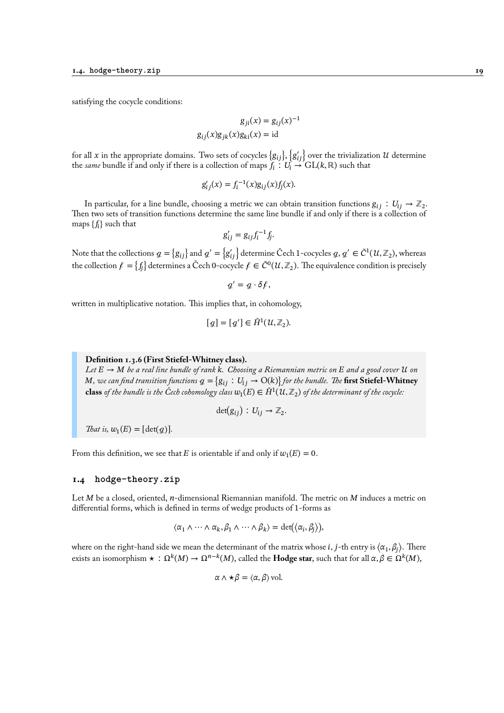satisfying the cocycle conditions:

$$
g_{ji}(x) = g_{ij}(x)^{-1}
$$

$$
g_{ij}(x)g_{jk}(x)g_{ki}(x) = id
$$

for all  $x$  in the appropriate domains. Two sets of cocycles  $\{g_{ij}\},$   $\{g'_{ij}\}$  over the trivialization  $u$  determine the *same* bundle if and only if there is a collection of maps  $f_i : U_i \to GL(k, \mathbb{R})$  such that

$$
g'_{ij}(x) = f_i^{-1}(x)g_{ij}(x)f_j(x).
$$

In particular, for a line bundle, choosing a metric we can obtain transition functions  $g_{ij}:U_{ij}\to\mathbb{Z}_2.$ Then two sets of transition functions determine the same line bundle if and only if there is a collection of maps  $\{f_{\hat{t}}\}$  such that

$$
g'_{ij} = g_{ij} f_i^{-1} f_j.
$$

Note that the collections  $q=\{g_{ij}\}$  and  $q'=\{g_{ij}'\}$  determine Čech 1-cocycles  $q,q'\in\check{C}^1(\mathcal{U},\mathbb{Z}_2),$  whereas the collection  $f = \{f_j\}$  determines a Čech 0-cocycle  $f \in \check{C}^0(\mathcal{U},\mathbb{Z}_2).$  The equivalence condition is precisely

$$
q'=q\cdot \delta \mathbf{f},
$$

written in multiplicative notation. This implies that, in cohomology,

$$
[q] = [q'] \in \check{H}^1(\mathcal{U}, \mathbb{Z}_2).
$$

# **Definition 1.3.6 (First Stiefel-Whitney class).**

Let  $E \to M$  be a real line bundle of rank  $k$ . Choosing a Riemannian metric on  $E$  and a good cover  $\mathcal U$  on *M*, we can find transition functions  $q = \{g_{ij} : U_{ij} \to O(k)\}$  for the bundle. The **first Stiefel-Whitney class** of the bundle is the Čech cohomology class  $w_1(E) \in \check{H}^1(\mathcal{U}, \mathbb{Z}_2)$  of the determinant of the cocycle:

$$
\det(g_{ij}): U_{ij} \to \mathbb{Z}_2.
$$

*That is,*  $w_1(E) = [\det(g)]$ *.* 

From this definition, we see that E is orientable if and only if  $w_1(E) = 0$ .

# <span id="page-24-0"></span>**1.4 hodge-theory.zip**

Let  $M$  be a closed, oriented,  $n$ -dimensional Riemannian manifold. The metric on  $M$  induces a metric on differential forms, which is defined in terms of wedge products of 1-forms as

$$
\langle \alpha_1 \wedge \cdots \wedge \alpha_k, \beta_1 \wedge \cdots \wedge \beta_k \rangle = \det(\langle \alpha_i, \beta_j \rangle),
$$

where on the right-hand side we mean the determinant of the matrix whose  $i$ ,  $j$ -th entry is  $\langle\alpha_1,\beta_j\rangle.$  There exists an isomorphism  $\star\,:\,\Omega^k(M)\to\Omega^{n-k}(M),$  called the **Hodge star**, such that for all  $\alpha,\beta\in\Omega^k(M),$ 

$$
\alpha \wedge \star \beta = \langle \alpha, \beta \rangle \text{vol}.
$$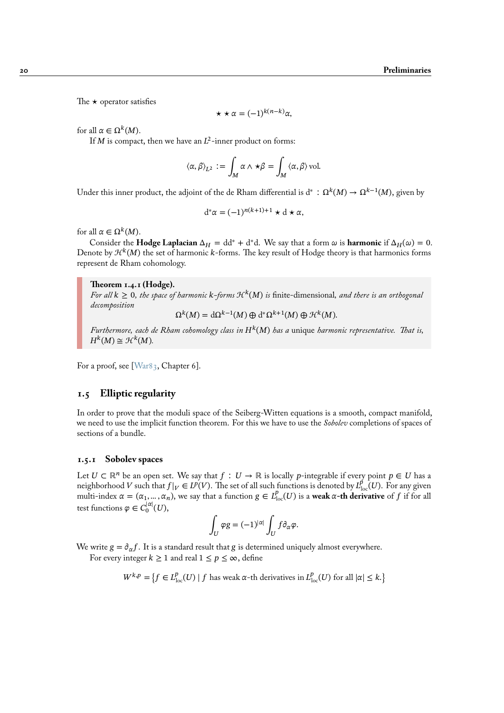The  $\star$  operator satisfies

$$
\star \star \alpha = (-1)^{k(n-k)}\alpha,
$$

for all  $\alpha \in \Omega^k(M)$ .

If M is compact, then we have an  $L^2$ -inner product on forms:

$$
\langle \alpha, \beta \rangle_{L^2} := \int_M \alpha \wedge \star \beta = \int_M \langle \alpha, \beta \rangle \text{vol}.
$$

Under this inner product, the adjoint of the de Rham differential is d\* ∶  $\Omega^k(M)\to \Omega^{k-1}(M),$  given by

$$
d^*\alpha = (-1)^{n(k+1)+1} \star d \star \alpha,
$$

for all  $\alpha \in \Omega^k(M)$ .

Consider the **Hodge Laplacian**  $\Delta_H = dd^* + d^*d$ . We say that a form  $\omega$  is **harmonic** if  $\Delta_H(\omega) = 0$ . Denote by  ${\mathcal H}^k(M)$  the set of harmonic  $k$ -forms. The key result of Hodge theory is that harmonics forms represent de Rham cohomology.

#### **Theorem 1.4.1 (Hodge).**

For all  $k \geq 0$ , the space of harmonic  $k$ -forms  $\mathcal{H}^k(M)$  is finite-dimensional, and there is an orthogonal *decomposition*

 $\Omega^k(M) = \mathrm{d}\Omega^{k-1}(M) \oplus \mathrm{d}^*\Omega^{k+1}(M) \oplus \mathcal{H}^k(M).$ 

*Furthermore, each de Rham cohomology class in* () *has a* unique *harmonic representative. That is,*  $H^k(M) \cong \mathcal{H}^k(M).$ 

For a proof, see [War83, Chapter 6].

# **1.5 Elliptic regularity**

<span id="page-25-0"></span>In order to prov[e that th](#page-97-2)e moduli space of the Seiberg-Witten equations is a smooth, compact manifold, we need to use the implicit function theorem. For this we have to use the *Sobolev* completions of spaces of sections of a bundle.

## **1.5.1 Sobolev spaces**

<span id="page-25-1"></span>Let  $U \subset \mathbb{R}^n$  be an open set. We say that  $f : U \to \mathbb{R}$  is locally p-integrable if every point  $p \in U$  has a neighborhood V such that  $f|_V \in L^p(V)$ . The set of all such functions is denoted by  $L^p_{loc}(U)$ . For any given multi-index  $\alpha = (\alpha_1, ..., \alpha_n)$ , we say that a function  $g \in L^p_{loc}(U)$  is a **weak**  $\alpha$ -th derivative of f if for all test functions  $\varphi \in C_0^{|\alpha|}(U),$ 

$$
\int_U \varphi g = (-1)^{|\alpha|} \int_U f \partial_\alpha \varphi.
$$

We write  $g = \partial_{\alpha} f$ . It is a standard result that g is determined uniquely almost everywhere.

For every integer  $k \ge 1$  and real  $1 \le p \le \infty$ , define

$$
W^{k,p} = \left\{ f \in L^p_{loc}(U) \mid f \text{ has weak } \alpha\text{-th derivatives in } L^p_{loc}(U) \text{ for all } |\alpha| \le k. \right\}
$$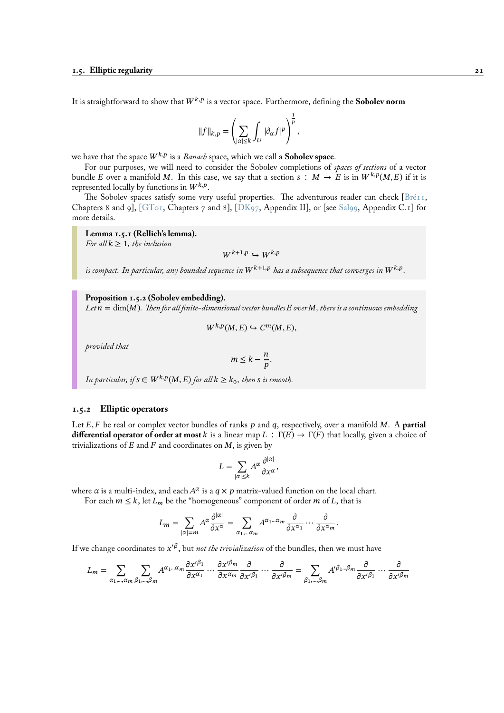It is straightforward to show that  $W^{k,p}$  is a vector space. Furthermore, defining the **Sobolev norm** 

$$
||f||_{k,p} = \left(\sum_{|\alpha| \leq k} \int_U |\partial_{\alpha} f|^p\right)^{\frac{1}{p}},
$$

we have that the space  $W^{k,p}$  is a *Banach* space, which we call a **Sobolev space**.

For our purposes, we will need to consider the Sobolev completions of *spaces of sections* of a vector bundle E over a manifold M. In this case, we say that a section  $s : M \to E$  is in  $W^{k,p}(M, E)$  if it is represented locally by functions in  $W^{k,p}.$ 

The Sobolev spaces satisfy some very useful properties. The adventurous reader can check [Bré11, Chapters 8 and 9],  $[\text{GToI}, \text{Chapters } 7 \text{ and } 8]$ ,  $[\text{DK97}, \text{Appendix II}]$ , or  $[\text{see } \text{Sal99}, \text{Appendix C.I}]$  for more details.

**Lemma 1.5.1 (Rellich's lemma).**

*For all*  $k > 1$ *, the [inclusi](#page-95-4)on* 

 $W^{k+1,p} \hookrightarrow W^{k,p}$  $W^{k+1,p} \hookrightarrow W^{k,p}$  $W^{k+1,p} \hookrightarrow W^{k,p}$ 

is compact. In particular, any bounded sequence in  $W^{k+1,p}$  has a subsequence that converges in  $W^{k,p}.$ 

**Proposition 1.5.2 (Sobolev embedding).**

Let  $n = \dim(M)$ . Then for all finite-dimensional vector bundles  $E$  over  $M$ , there is a continuous embedding

$$
W^{k,p}(M,E) \hookrightarrow C^m(M,E),
$$

*provided that*

$$
m \leq k - \frac{n}{p}.
$$

In particular, if  $s \in W^{k,p}(M, E)$  for all  $k \geq k_0$ , then  $s$  is smooth.

## **1.5.2 Elliptic operators**

<span id="page-26-0"></span>Let  $E, F$  be real or complex vector bundles of ranks  $p$  and  $q$ , respectively, over a manifold  $M$ . A **partial differential operator of order at most** k is a linear map  $L : \Gamma(E) \to \Gamma(F)$  that locally, given a choice of trivializations of  $E$  and  $F$  and coordinates on  $M$ , is given by

$$
L = \sum_{|\alpha| \leq k} A^{\alpha} \frac{\partial^{|\alpha|}}{\partial x^{\alpha}},
$$

where  $\alpha$  is a multi-index, and each  $A^\alpha$  is a  $q\times p$  matrix-valued function on the local chart.

For each  $m \leq k$ , let  $L_m$  be the "homogeneous" component of order  $m$  of  $L$ , that is

$$
L_m = \sum_{|\alpha|=m} A^{\alpha} \frac{\partial^{|\alpha|}}{\partial x^{\alpha}} = \sum_{\alpha_1, \dots, \alpha_m} A^{\alpha_1 \dots \alpha_m} \frac{\partial}{\partial x^{\alpha_1}} \dots \frac{\partial}{\partial x^{\alpha_m}}.
$$

If we change coordinates to  $x'^\beta,$  but *not the trivialization* of the bundles, then we must have

$$
L_m = \sum_{\alpha_1, \dots, \alpha_m} \sum_{\beta_1, \dots, \beta_m} A^{\alpha_1 \dots \alpha_m} \frac{\partial x'^{\beta_1}}{\partial x^{\alpha_1}} \dots \frac{\partial x'^{\beta_m}}{\partial x^{\alpha_m}} \frac{\partial}{\partial x'^{\beta_1}} \dots \frac{\partial}{\partial x'^{\beta_m}} = \sum_{\beta_1, \dots, \beta_m} A'^{\beta_1 \dots \beta_m} \frac{\partial}{\partial x'^{\beta_1}} \dots \frac{\partial}{\partial x'^{\beta_m}}
$$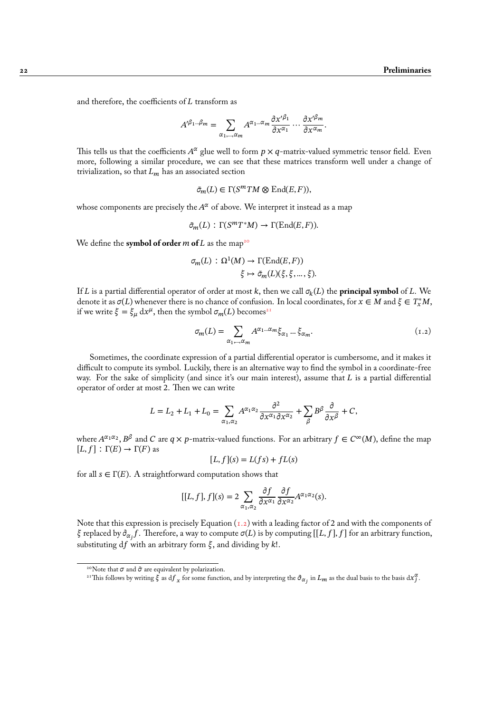and therefore, the coefficients of  $L$  transform as

$$
A'^{\beta_1\dots\beta_m} = \sum_{\alpha_1,\dots,\alpha_m} A^{\alpha_1\dots\alpha_m} \frac{\partial x'^{\beta_1}}{\partial x^{\alpha_1}} \dots \frac{\partial x'^{\beta_m}}{\partial x^{\alpha_m}}.
$$

This tells us that the coefficients  $A^\alpha$  glue well to form  $p\times q$ -matrix-valued symmetric tensor field. Even more, following a similar procedure, we can see that these matrices transform well under a change of trivialization, so that  $L_m$  has an associated section

$$
\tilde{\sigma}_m(L) \in \Gamma(S^mTM \otimes \text{End}(E,F)),
$$

whose components are precisely the  $A^\alpha$  of above. We interpret it instead as a map

$$
\tilde{\sigma}_m(L)\,:\,\Gamma(S^mT^*M)\rightarrow\Gamma(\mathrm{End}(E,F)).
$$

We define the **symbol of order**  $m$  of  $L$  as the map<sup>20</sup>

$$
\sigma_m(L) : \Omega^1(M) \to \Gamma(\text{End}(E, F))
$$
  

$$
\xi \mapsto \tilde{\sigma}_m(L)(\xi, \xi, \dots, \xi).
$$

If L is a partial differential operator of order at most k, then we call  $\sigma_k(L)$  the **principal symbol** of L. We denote it as  $\sigma(L)$  whenever there is no chance of confusion. In local coordinates, for  $x \in M$  and  $\xi \in T_x^*M$ , if we write  $\xi = \xi_\mu dx^\mu$ , then the symbol  $\sigma_m(L)$  becomes<sup>21</sup>

$$
\sigma_m(L) = \sum_{\alpha_1, \dots, \alpha_m} A^{\alpha_1 \dots \alpha_m} \xi_{\alpha_1} \dots \xi_{\alpha_m}.
$$
\n(1.2)

Sometimes, the coordinate expression of a partial di[ffe](#page-27-0)rential operator is cumbersome, and it makes it difficult to compute its symbol. Luckily, there is an alternative way to find the symbol in a coordinate-free way. For the sake of simplicity (and since it's our main interest), assume that  $L$  is a partial differential operator of order at most 2. Then we can write

$$
L = L_2 + L_1 + L_0 = \sum_{\alpha_1, \alpha_2} A^{\alpha_1 \alpha_2} \frac{\partial^2}{\partial x^{\alpha_1} \partial x^{\alpha_2}} + \sum_{\beta} B^{\beta} \frac{\partial}{\partial x^{\beta}} + C,
$$

where  $A^{\alpha_1\alpha_2}, B^\beta$  and C are  $q \times p$ -matrix-valued functions. For an arbitrary  $f \in C^\infty(M)$ , define the map  $[L, f] : \Gamma(E) \to \Gamma(F)$  as

$$
[L, f](s) = L(fs) + fL(s)
$$

for all  $s \in \Gamma(E)$ . A straightforward computation shows that

$$
[[L, f], f](s) = 2 \sum_{\alpha_1, \alpha_2} \frac{\partial f}{\partial x^{\alpha_1}} \frac{\partial f}{\partial x^{\alpha_2}} A^{\alpha_1 \alpha_2}(s).
$$

Note that this expression is precisely Equation  $(1.2)$  with a leading factor of 2 and with the components of  $\xi$  replaced by  $\partial_{\alpha_j}f.$  Therefore, a way to compute  $\sigma(L)$  is by computing  $[[L, f], f]$  for an arbitrary function, substituting df with an arbitrary form  $\xi$ , and dividing by k!.

<sup>&</sup>lt;sup>20</sup>Note that  $\sigma$  and  $\tilde{\sigma}$  are equivalent by polarization.

<span id="page-27-0"></span><sup>&</sup>lt;sup>21</sup>This follows by writing  $\hat{\xi}$  as  $df_x$  for some function, and by interpreting the  $\partial_{\alpha_j}$  in  $L_m$  as the dual basis to the basis  $dx_j^{\alpha}$ .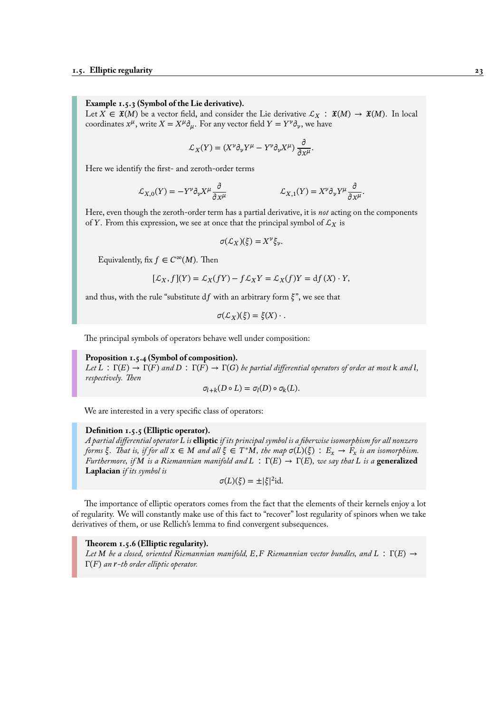**Example 1.5.3 (Symbol of the Lie derivative).**

Let  $X \in \mathfrak{X}(M)$  be a vector field, and consider the Lie derivative  $\mathcal{L}_X : \mathfrak{X}(M) \to \mathfrak{X}(M)$ . In local coordinates  $x^{\mu}$ , write  $X = X^{\mu} \partial_{\mu}$ . For any vector field  $Y = Y^{\nu} \partial_{\nu}$ , we have

$$
\mathcal{L}_X(Y) = (X^{\nu} \partial_{\nu} Y^{\mu} - Y^{\nu} \partial_{\nu} X^{\mu}) \frac{\partial}{\partial x^{\mu}}.
$$

Here we identify the first- and zeroth-order terms

$$
\mathcal{L}_{X,0}(Y) = -Y^{\nu} \partial_{\nu} X^{\mu} \frac{\partial}{\partial x^{\mu}} \qquad \mathcal{L}_{X,1}(Y) = X^{\nu} \partial_{\nu} Y^{\mu} \frac{\partial}{\partial x^{\mu}}.
$$

Here, even though the zeroth-order term has a partial derivative, it is *not* acting on the components of Y. From this expression, we see at once that the principal symbol of  $\mathcal{L}_X$  is

$$
\sigma(\mathcal{L}_X)(\xi) = X^{\nu} \xi_{\nu}.
$$

Equivalently, fix  $f \in C^{\infty}(M)$ . Then

$$
[\mathcal{L}_X, f](Y) = \mathcal{L}_X(fY) - f\mathcal{L}_XY = \mathcal{L}_X(f)Y = df(X) \cdot Y,
$$

and thus, with the rule "substitute df with an arbitrary form  $\xi$ ", we see that

$$
\sigma(\mathcal{L}_X)(\xi) = \xi(X) \cdot .
$$

The principal symbols of operators behave well under composition:

# **Proposition 1.5.4 (Symbol of composition).**

*Let*  $L : \Gamma(E) \to \Gamma(F)$  and  $D : \Gamma(F) \to \Gamma(G)$  *be partial differential operators of order at most* k and *l*, *respectively. Then*

$$
\sigma_{l+k}(D \circ L) = \sigma_l(D) \circ \sigma_k(L).
$$

We are interested in a very specific class of operators:

# **Definition 1.5.5 (Elliptic operator).**

*A partial differential operator is* **elliptic** *if its principal symbol is a fiberwise isomorphism for all nonzero forms*  $\xi$ . That is, if for all  $x \in M$  and all  $\xi \in T^*M$ , the map  $\sigma(L)(\xi) : E_x \to F_x$  is an isomorphism. *Furthermore, if M is a Riemannian manifold and*  $L : \Gamma(E) \rightarrow \Gamma(E)$ *, we say that L is a* **generalized Laplacian** *if its symbol is*

$$
\sigma(L)(\xi) = \pm |\xi|^2 \mathrm{id}.
$$

The importance of elliptic operators comes from the fact that the elements of their kernels enjoy a lot of regularity. We will constantly make use of this fact to "recover" lost regularity of spinors when we take derivatives of them, or use Rellich's lemma to find convergent subsequences.

## **Theorem 1.5.6 (Elliptic regularity).**

Let M be a closed, oriented Riemannian manifold, E, F Riemannian vector bundles, and L:  $\Gamma(E) \rightarrow$ Γ(*F*) an *r*-th order elliptic operator.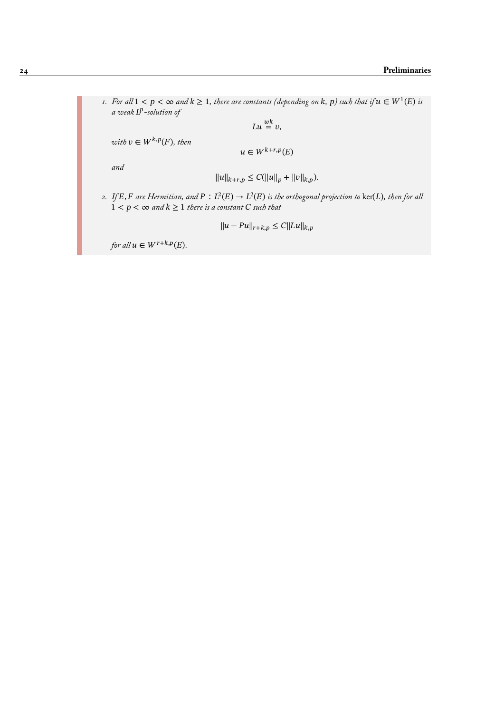*1.* For all  $1 < p < \infty$  and  $k \ge 1$ , there are constants (depending on k, p) such that if  $u \in W^1(E)$  is *a weak -solution of*

 $Lu \overset{wk}{=} v,$ 

 $with v \in W^{k,p}(F), then$ 

 $u \in W^{k+r,p}(E)$ 

*and*

$$
||u||_{k+r,p} \leq C(||u||_p + ||v||_{k,p}).
$$

2. If E, F are Hermitian, and  $P: L^2(E) \to L^2(E)$  is the orthogonal projection to ker(L), then for all  $1 < p < \infty$  and  $k \geq 1$  there is a constant  $C$  such that

$$
||u - Pu||_{r+k,p} \le C||Lu||_{k,p}
$$

*for all*  $u \in W^{r+k,p}(E)$ *.*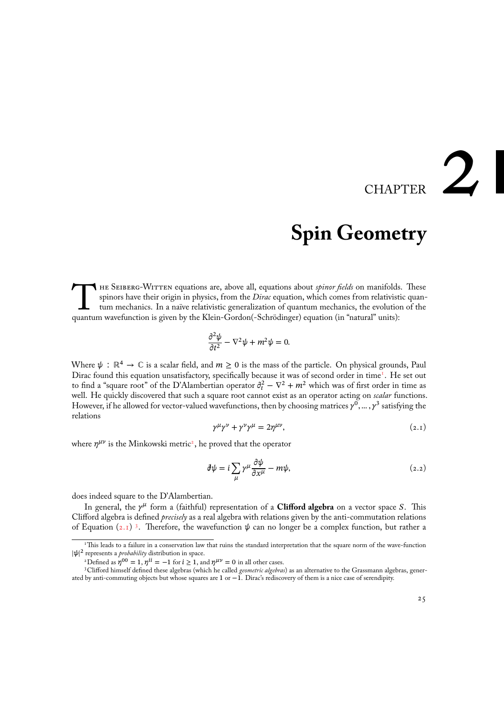# CHAPTER 2

# **Spin Geometry**

<span id="page-30-0"></span>THE SEIBERG-WITTEN equations are, above all, equations about *spinor fields* on manifolds spinors have their origin in physics, from the *Dirac* equation, which comes from relativist tum mechanics. In a naïve relativistic he Seiberg-Witten equations are, above all, equations about *spinor fields* on manifolds. These spinors have their origin in physics, from the *Dirac* equation, which comes from relativistic quantum mechanics. In a naïve relativistic generalization of quantum mechanics, the evolution of the

$$
\frac{\partial^2 \psi}{\partial t^2} - \nabla^2 \psi + m^2 \psi = 0.
$$

Where  $\psi : \mathbb{R}^4 \to \mathbb{C}$  is a scalar field, and  $m \ge 0$  is the mass of the particle. On physical grounds, Paul Dirac found this equation unsatisfactory, specifically because it was of second order in time<sup>1</sup>. He set out to find a "square root" of the D'Alambertian operator  $\partial_t^2 - \nabla^2 + m^2$  which was of first order in time as well. He quickly discovered that such a square root cannot exist as an operator acting on *scalar* functions. However, if he allowed for vector-valued wavefunctions, then by choosing matrices  $\gamma^0,...$  ,  $\gamma^3$  satisfying the relations

$$
\gamma^{\mu}\gamma^{\nu} + \gamma^{\nu}\gamma^{\mu} = 2\eta^{\mu\nu},\tag{2.1}
$$

where  $\eta^{\mu\nu}$  is the Minkowski metric<sup>2</sup>, he proved that the operator

<span id="page-30-1"></span>
$$
\partial \psi = i \sum_{\mu} \gamma^{\mu} \frac{\partial \psi}{\partial x^{\mu}} - m\psi,
$$
\n(2.2)

does indeed square to the D'Alambertian.

In general, the  $\gamma^{\mu}$  form a (faithful) representation of a **Clifford algebra** on a vector space S. This Clifford algebra is defined *precisely* as a real algebra with relations given by the anti-commutation relations of Equation (2.1)<sup>3</sup>. Therefore, the wavefunction  $\psi$  can no longer be a complex function, but rather a

<sup>&</sup>lt;sup>1</sup>This leads to a failure in a conservation law that ruins the standard interpretation that the square norm of the wave-function  $|\psi|^2$  represents a *probability* distribution in space.

<sup>&</sup>lt;sup>2</sup>Defined as  $\eta^{00} = 1$ ,  $\eta^{li} = -1$  for  $i \ge 1$ , and  $\eta^{\mu\nu} = 0$  in all other cases.

<span id="page-30-2"></span><sup>3</sup>Clifford hi[mself](#page-30-1) [de](#page-30-2)fined these algebras (which he called *geometric algebras*) as an alternative to the Grassmann algebras, generated by anti-commuting objects but whose squares are 1 or −1. Dirac's rediscovery of them is a nice case of serendipity.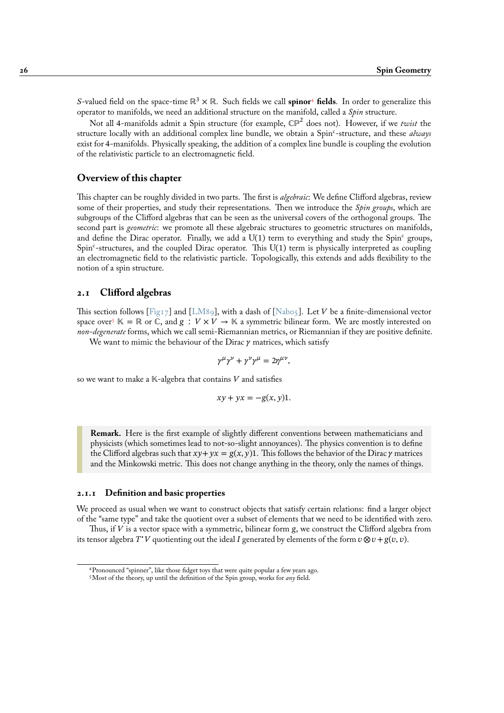S-valued field on the space-time  $\mathbb{R}^3 \times \mathbb{R}$ . Such fields we call **spinor<sup>4</sup>** fields. In order to generalize this operator to manifolds, we need an additional structure on the manifold, called a *Spin* structure.

Not all 4-manifolds admit a Spin structure (for example, ℂℙ<sup>2</sup> does not). However, if we *twist* the structure locally with an additional complex line bundle, we obtain a Spin<sup>c</sup>-structure, and these *always* exist for 4-manifolds. Physically speaking, the addition of a complex [lin](#page-31-2)e bundle is coupling the evolution of the relativistic particle to an electromagnetic field.

# **Overview of this chapter**

This chapter can be roughly divided in two parts. The first is *algebraic*: We define Clifford algebras, review some of their properties, and study their representations. Then we introduce the *Spin groups*, which are subgroups of the Clifford algebras that can be seen as the universal covers of the orthogonal groups. The second part is *geometric*: we promote all these algebraic structures to geometric structures on manifolds, and define the Dirac operator. Finally, we add a  $U(1)$  term to everything and study the Spin<sup>c</sup> groups, Spin<sup>c</sup>-structures, and the coupled Dirac operator. This U(1) term is physically interpreted as coupling an electromagnetic field to the relativistic particle. Topologically, this extends and adds flexibility to the notion of a spin structure.

# **2.1 Clifford algebras**

This section follows [Fig17] and [LM89], with a dash of [Nab05]. Let V be a finite-dimensional vector space over<sup>5</sup>  $\mathbb{K} = \mathbb{R}$  or  $\mathbb{C}$ , and  $g : V \times V \to \mathbb{K}$  a symmetric bilinear form. We are mostly interested on *non-degenerate* forms, which we call semi-Riemannian metrics, or Riemannian if they are positive definite.

<span id="page-31-0"></span>We want to mimic the behaviour of the Dirac  $\gamma$  matrices, which satisfy

$$
\gamma^{\mu}\gamma^{\nu} + \gamma^{\nu}\gamma^{\mu} = 2\eta^{\mu\nu},
$$

so we want to make a  $K$ -algebra that contains V and satisfies

$$
xy + yx = -g(x, y)1.
$$

**Remark.** Here is the first example of slightly different conventions between mathematicians and physicists (which sometimes lead to not-so-slight annoyances). The physics convention is to define the Clifford algebras such that  $xy + yx = g(x, y)1$ . This follows the behavior of the Dirac  $\gamma$  matrices and the Minkowski metric. This does not change anything in the theory, only the names of things.

## **2.1.1 Definition and basic properties**

We proceed as usual when we want to construct objects that satisfy certain relations: find a larger object of the "same type" and take the quotient over a subset of elements that we need to be identified with zero.

<span id="page-31-1"></span>Thus, if  $V$  is a vector space with a symmetric, bilinear form  $g$ , we construct the Clifford algebra from its tensor algebra T V quotienting out the ideal I generated by elements of the form  $v \otimes v + g(v, v)$ .

<sup>4</sup>Pronounced "spinner", like those fidget toys that were quite popular a few years ago.

<span id="page-31-2"></span><sup>5</sup>Most of the theory, up until the definition of the Spin group, works for *any* field.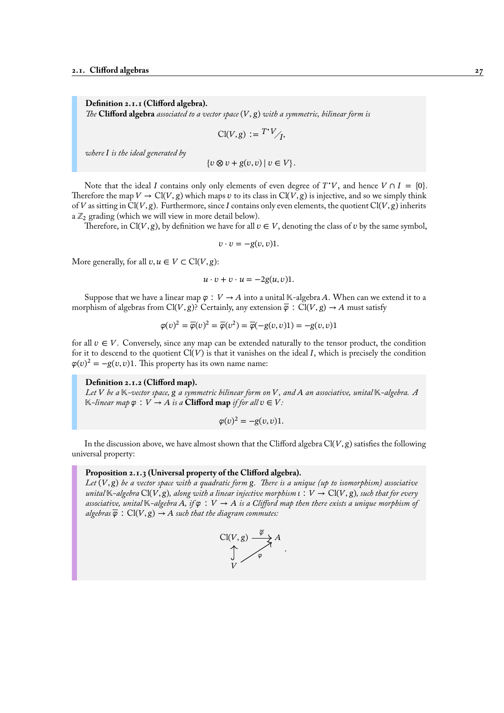**Definition 2.1.1 (Clifford algebra).**

*The* **Clifford algebra** *associated to a vector space*  $(V, g)$  *with a symmetric, bilinear form is* 

$$
\mathrm{Cl}(V,g) := T^*V /_{I},
$$

*where is the ideal generated by*

 ${v \otimes v + g(v, v) | v \in V}.$ 

Note that the ideal I contains only only elements of even degree of  $T^*V$ , and hence  $V \cap I = \{0\}$ . Therefore the map  $V \to Cl(V, g)$  which maps v to its class in  $Cl(V, g)$  is injective, and so we simply think of V as sitting in Cl(V, g). Furthermore, since I contains only even elements, the quotient Cl(V, g) inherits a  $\mathbb{Z}_2$  grading (which we will view in more detail below).

Therefore, in Cl(V, g), by definition we have for all  $v \in V$ , denoting the class of v by the same symbol,

$$
v \cdot v = -g(v, v)1.
$$

More generally, for all  $v, u \in V \subset Cl(V, g)$ :

$$
u \cdot v + v \cdot u = -2g(u, v)1.
$$

Suppose that we have a linear map  $\varphi : V \to A$  into a unital K-algebra A. When can we extend it to a morphism of algebras from Cl(V, g)? Certainly, any extension  $\overline{\varphi}$  : Cl(V, g)  $\rightarrow$  A must satisfy

$$
\varphi(v)^2 = \overline{\varphi}(v)^2 = \overline{\varphi}(v^2) = \overline{\varphi}(-g(v,v)1) = -g(v,v)1
$$

for all  $v \in V$ . Conversely, since any map can be extended naturally to the tensor product, the condition for it to descend to the quotient  $Cl(V)$  is that it vanishes on the ideal I, which is precisely the condition  $\varphi(v)^2 = -g(v, v)$ 1. This property has its own name name:

#### **Definition 2.1.2 (Clifford map).**

Let V be a  $K$ -vector space,  $g$  a symmetric bilinear form on V, and A an associative, unital  $K$ -algebra. A  $K$ *-linear map*  $\varphi : V \to A$  *is a* **Clifford map** *if for all*  $v \in V$ *:* 

$$
\varphi(v)^2 = -g(v,v)1.
$$

In the discussion above, we have almost shown that the Clifford algebra  $Cl(V, g)$  satisfies the following universal property:

#### **Proposition 2.1.3 (Universal property of the Clifford algebra).**

*Let* (V, g) *be a vector space with a quadratic form g. There is a unique (up to isomorphism) associative unital*  $K$ -algebra  $Cl(V, g)$ , along with a linear injective morphism  $\iota : V \to Cl(V, g)$ , such that for every associative, unital  $K$ -algebra A, if  $\varphi : V \to A$  is a Clifford map then there exists a unique morphism of *algebras*  $\overline{\varphi}$  :  $Cl(V, g) \rightarrow A$  *such that the diagram commutes:* 

$$
\bigcup_{V} \frac{Cl(V,g) \xrightarrow{\overline{\varphi}} A}{\varphi}.
$$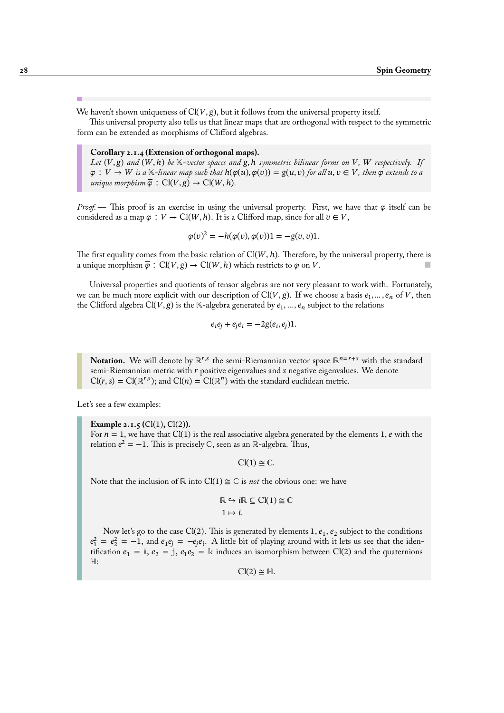We haven't shown uniqueness of  $Cl(V, g)$ , but it follows from the universal property itself.

This universal property also tells us that linear maps that are orthogonal with respect to the symmetric form can be extended as morphisms of Clifford algebras.

# <span id="page-33-0"></span>**Corollary 2.1.4 (Extension of orthogonal maps).**

Let  $(V, g)$  and  $(W, h)$  be  $K$ -vector spaces and  $g, h$  symmetric bilinear forms on  $V, W$  respectively. If  $\varphi: V \to W$  is a K-linear map such that  $h(\varphi(u), \varphi(v)) = g(u, v)$  for all  $u, v \in V$ , then  $\varphi$  extends to a *unique morphism*  $\overline{\varphi}$  :  $Cl(V, g) \rightarrow Cl(W, h)$ .

*Proof.* — This proof is an exercise in using the universal property. First, we have that  $\varphi$  itself can be considered as a map  $\varphi : V \to \mathrm{Cl}(W, h)$ . It is a Clifford map, since for all  $v \in V$ ,

$$
\varphi(v)^2 = -h(\varphi(v), \varphi(v))1 = -g(v, v)1.
$$

The first equality comes from the basic relation of  $Cl(W, h)$ . Therefore, by the universal property, there is a unique morphism  $\overline{\varphi}$ : Cl(V, g)  $\rightarrow$  Cl(W, h) which restricts to  $\varphi$  on V.

Universal properties and quotients of tensor algebras are not very pleasant to work with. Fortunately, we can be much more explicit with our description of Cl(V, g). If we choose a basis  $e_1, ..., e_n$  of V, then the Clifford algebra Cl(V, g) is the K-algebra generated by  $e_1, ..., e_n$  subject to the relations

$$
e_i e_j + e_j e_i = -2g(e_i, e_j)1.
$$

**Notation.** We will denote by  $\mathbb{R}^{r,s}$  the semi-Riemannian vector space  $\mathbb{R}^{n=r+s}$  with the standard semi-Riemannian metric with  $r$  positive eigenvalues and  $s$  negative eigenvalues. We denote  $Cl(r, s) = Cl(\mathbb{R}^{r,s})$ ; and  $Cl(n) = Cl(\mathbb{R}^{n})$  with the standard euclidean metric.

Let's see a few examples:

**Example 2.1.5 (**Cl(1)**,** Cl(2)**).** For  $n = 1$ , we have that Cl(1) is the real associative algebra generated by the elements 1, e with the relation  $e^2 = -1$ . This is precisely C, seen as an ℝ-algebra. Thus,

 $Cl(1) \cong \mathbb{C}$ .

Note that the inclusion of ℝ into Cl(1)  $\cong \mathbb{C}$  is *not* the obvious one: we have

$$
\mathbb{R} \hookrightarrow i\mathbb{R} \subseteq \text{Cl}(1) \cong \mathbb{C}
$$

$$
1 \mapsto i.
$$

Now let's go to the case Cl(2). This is generated by elements 1,  $e_1, e_2$  subject to the conditions  $e_1^2 = e_2^2 = -1$ , and  $e_1e_j = -e_je_i$ . A little bit of playing around with it lets us see that the identification  $e_1 = i$ ,  $e_2 = j$ ,  $e_1e_2 = k$  induces an isomorphism between Cl(2) and the quaternions ℍ:

 $Cl(2) \cong H$ .

m.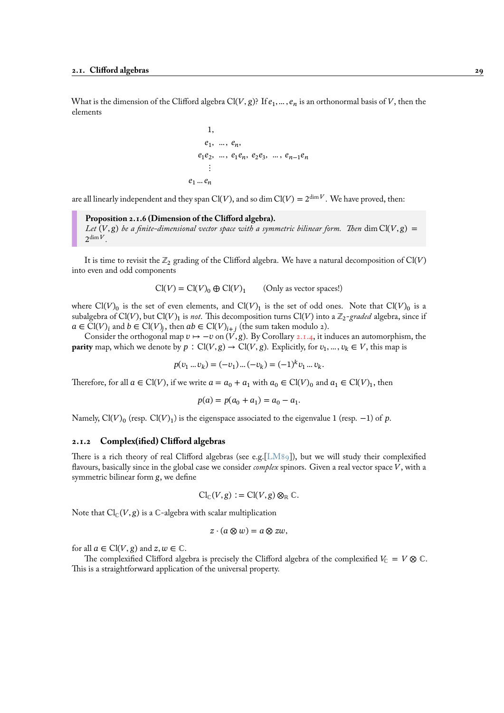What is the dimension of the Clifford algebra Cl(V, g)? If  $e_1, ..., e_n$  is an orthonormal basis of V, then the elements

1,  
\n
$$
e_1, ..., e_n,
$$
  
\n $e_1e_2, ..., e_1e_n, e_2e_3, ..., e_{n-1}e_n$   
\n:  
\n $e_1...e_n$ 

are all linearly independent and they span  $Cl(V)$ , and so dim  $Cl(V) = 2^{\dim V}$ . We have proved, then:

**Proposition 2.1.6 (Dimension of the Clifford algebra).** *Let*  $(V, g)$  *be a finite-dimensional vector space with a symmetric bilinear form. Then* dim Cl( $V, g$ ) =  $2^{\dim V}$ .

It is time to revisit the  $\mathbb{Z}_2$  grading of the Clifford algebra. We have a natural decomposition of Cl(V) into even and odd components

> $Cl(V) = Cl(V)_0 \oplus Cl(V)_1$ (Only as vector spaces!)

where Cl(V)<sub>0</sub> is the set of even elements, and Cl(V)<sub>1</sub> is the set of odd ones. Note that Cl(V)<sub>0</sub> is a subalgebra of Cl(V), but Cl(V)<sub>1</sub> is *not*. This decomposition turns Cl(V) into a  $\mathbb{Z}_2$ -*graded* algebra, since if  $a \in \mathrm{Cl}(V)_i$  and  $b \in \mathrm{Cl}(V)_j$ , then  $ab \in \mathrm{Cl}(V)_{i+j}$  (the sum taken modulo 2).

Consider the orthogonal map  $v \mapsto -v$  on  $(V, g)$ . By Corollary 2.1.4, it induces an automorphism, the **parity** map, which we denote by  $p : Cl(V, g) \to Cl(V, g)$ . Explicitly, for  $v_1, ..., v_k \in V$ , this map is

$$
p(v_1 \dots v_k) = (-v_1) \dots (-v_k) = (-1)^k v_1 \dots v_k.
$$

Therefore, for all  $a \in \mathrm{Cl}(V)$ , if we write  $a = a_0 + a_1$  with  $a_0 \in \mathrm{Cl}(V)_0$  and  $a_1 \in \mathrm{Cl}(V)_1$ , then

$$
p(a) = p(a_0 + a_1) = a_0 - a_1.
$$

Namely, Cl(V)<sub>0</sub> (resp. Cl(V)<sub>1</sub>) is the eigenspace associated to the eigenvalue 1 (resp. –1) of p.

#### **2.1.2 Complex(ified) Clifford algebras**

<span id="page-34-0"></span>There is a rich theory of real Clifford algebras (see e.g.[LM89]), but we will study their complexified flavours, basically since in the global case we consider *complex* spinors. Given a real vector space V, with a symmetric bilinear form g, we define

$$
\mathrm{Cl}_{\mathbb{C}}(V,g) := \mathrm{Cl}(V,g) \otimes_{\mathbb{R}} \mathbb{C}.
$$

Note that  $\text{Cl}_{\mathbb{C}}(V, g)$  is a C-algebra with scalar multiplication

$$
z\cdot (a\otimes w)=a\otimes zw,
$$

for all  $a \in \text{Cl}(V, g)$  and  $z, w \in \mathbb{C}$ .

The complexified Clifford algebra is precisely the Clifford algebra of the complexified  $V_{\mathbb{C}} = V \otimes \mathbb{C}$ . This is a straightforward application of the universal property.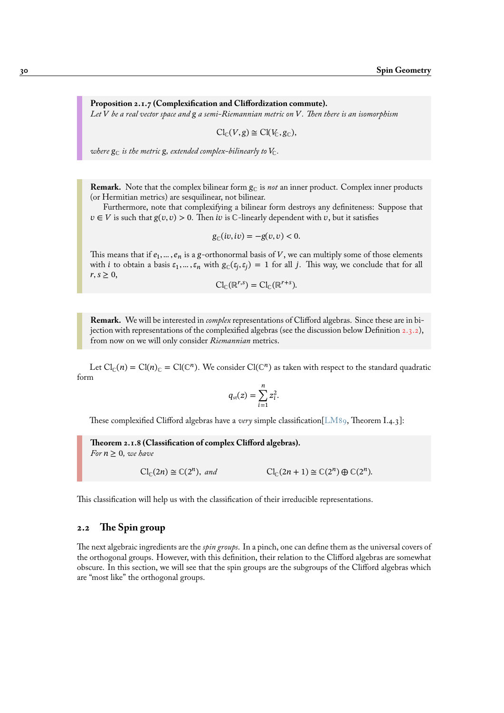**Proposition 2.1.7 (Complexification and Cliffordization commute).** *Let be a real vector space and a semi-Riemannian metric on . Then there is an isomorphism*

$$
\mathrm{Cl}_{\mathbb{C}}(V,g)\cong \mathrm{Cl}(V_{\mathbb{C}},g_{\mathbb{C}}),
$$

*where*  $g_{\text{C}}$  *is the metric*  $g$ *, extended complex-bilinearly to*  $V_{\text{C}}$ *.* 

**Remark.** Note that the complex bilinear form  $g_C$  is *not* an inner product. Complex inner products (or Hermitian metrics) are sesquilinear, not bilinear.

Furthermore, note that complexifying a bilinear form destroys any definiteness: Suppose that  $v \in V$  is such that  $g(v, v) > 0$ . Then *iv* is *C*-linearly dependent with *v*, but it satisfies

$$
g_{\mathbb{C}}(iv, iv) = -g(v, v) < 0.
$$

This means that if  $e_1, \dots, e_n$  is a g-orthonormal basis of  $V,$  we can multiply some of those elements with *i* to obtain a basis  $\varepsilon_1, ..., \varepsilon_n$  with  $g_{\mathbb{C}}(\varepsilon_j, \varepsilon_j) = 1$  for all *j*. This way, we conclude that for all  $r, s \geq 0$ ,

$$
\mathrm{Cl}_{\mathbb{C}}(\mathbb{R}^{r,s})=\mathrm{Cl}_{\mathbb{C}}(\mathbb{R}^{r+s}).
$$

**Remark.** We will be interested in *complex* representations of Clifford algebras. Since these are in bijection with representations of the complexified algebras (see the discussion below Definition 2.3.2), from now on we will only consider *Riemannian* metrics.

Let  $Cl_{\mathbb{C}}(n) = Cl(n)_{\mathbb{C}} = Cl(\mathbb{C}^n)$ . We consider  $Cl(\mathbb{C}^n)$  as taken with respect to the standard [quadr](#page-41-0)atic form

$$
q_{\rm st}(z) = \sum_{i=1}^n z_i^2.
$$

These complexified Clifford algebras have a *very* simple classification[LM89, Theorem I.4.3]:

**Theorem 2.1.8 (Classification of complex Clifford algebras).**  $For n > 0, we have$ 

$$
\mathrm{Cl}_{\mathbb{C}}(2n) \cong \mathbb{C}(2^n), \text{ and } \mathrm{Cl}_{\mathbb{C}}(2n+1) \cong \mathbb{C}(2^n) \oplus \mathbb{C}(2^n).
$$

This classification will help us with the classification of their irreducible representations.

# **2.2 The Spin group**

<span id="page-35-0"></span>The next algebraic ingredients are the *spin groups*. In a pinch, one can define them as the universal covers of the orthogonal groups. However, with this definition, their relation to the Clifford algebras are somewhat obscure. In this section, we will see that the spin groups are the subgroups of the Clifford algebras which are "most like" the orthogonal groups.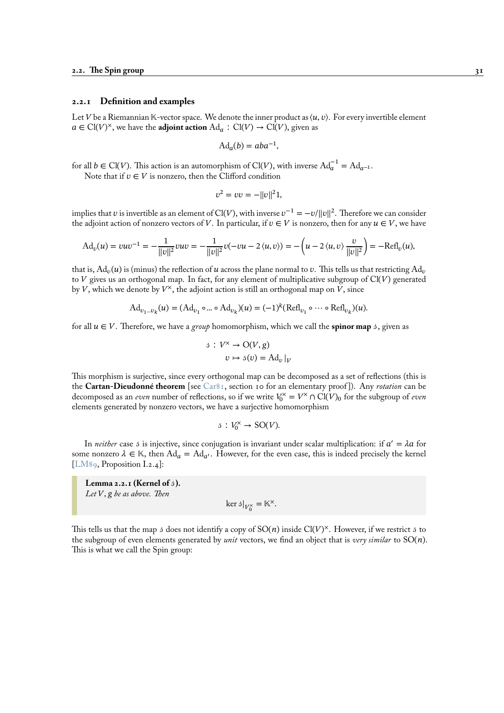# **2.2.1 Definition and examples**

Let V be a Riemannian  $\mathbb{K}\text{-vector space}$ . We denote the inner product as  $\langle u, v \rangle$ . For every invertible element  $a \in \text{Cl}(V)^{\times}$ , we have the **adjoint action** Ad<sub>a</sub> ∶ Cl(V) → Cl(V), given as

$$
Ad_a(b) = aba^{-1},
$$

for all  $b \in \mathrm{Cl}(V)$ . This action is an automorphism of  $\mathrm{Cl}(V)$ , with inverse  $\mathrm{Ad}_{a}^{-1} = \mathrm{Ad}_{a^{-1}}$ .

Note that if  $v \in V$  is nonzero, then the Clifford condition

$$
v^2 = vv = -||v||^2 1,
$$

implies that  $v$  is invertible as an element of Cl(V), with inverse  $v^{-1} = -v/\|v\|^2$ . Therefore we can consider the adjoint action of nonzero vectors of V. In particular, if  $v \in V$  is nonzero, then for any  $u \in V$ , we have

$$
Ad_v(u) = vuv^{-1} = -\frac{1}{\|v\|^2} vuv = -\frac{1}{\|v\|^2} v(-vu - 2\langle u, v\rangle) = -\left(u - 2\langle u, v\rangle \frac{v}{\|v\|^2}\right) = -\text{Refl}_v(u),
$$

that is,  $\mathrm{Ad}_v(u)$  is (minus) the reflection of  $u$  across the plane normal to  $v.$  This tells us that restricting  $\mathrm{Ad}_v$ to  $V$  gives us an orthogonal map. In fact, for any element of multiplicative subgroup of  $Cl(V)$  generated by  $V$ , which we denote by  $V^{\times}$ , the adjoint action is still an orthogonal map on  $V$ , since

$$
\mathrm{Ad}_{v_1\ldots v_k}(u)=(\mathrm{Ad}_{v_1}\circ\ldots\circ\mathrm{Ad}_{v_k})(u)=(-1)^k(\mathrm{Refl}_{v_1}\circ\cdots\circ\mathrm{Refl}_{v_k})(u).
$$

for all  $u \in V$ . Therefore, we have a *group* homomorphism, which we call the **spinor map** s, given as

$$
3: V^{\times} \to \mathcal{O}(V, g)
$$

$$
v \mapsto 3(v) = \mathrm{Ad}_{v}|_{V}
$$

This morphism is surjective, since every orthogonal map can be decomposed as a set of reflections (this is the **Cartan-Dieudonné theorem** [see Car81, section 10 for an elementary proof ]). Any *rotation* can be decomposed as an *even* number of reflections, so if we write  $V_0^{\times} = V^{\times} \cap Cl(V)_0$  for the subgroup of *even* elements generated by nonzero vectors, we have a surjective homomorphism

$$
\vartheta: V_0^\times \to \mathrm{SO}(V).
$$

In *neither* case s is injective, since conjugation is invariant under scalar multiplication: if  $a' = \lambda a$  for some nonzero  $\lambda \in \mathbb{K}$ , then  $\text{Ad}_{a} = \text{Ad}_{a'}$ . However, for the even case, this is indeed precisely the kernel [LM89, Proposition I.2.4]:

**Lemma 2.2.1 (Kernel of ).** Let V, g be as above. Then

$$
\ker \mathfrak{z}|_{V_0^\times} = \mathbb{K}^\times.
$$

<span id="page-36-0"></span>This tells us that the map 3 does not identify a copy of  $SO(n)$  inside  $Cl(V)^{\times}$ . However, if we restrict 3 to the subgroup of even elements generated by *unit* vectors, we find an object that is *very similar* to SO(n). This is what we call the Spin group: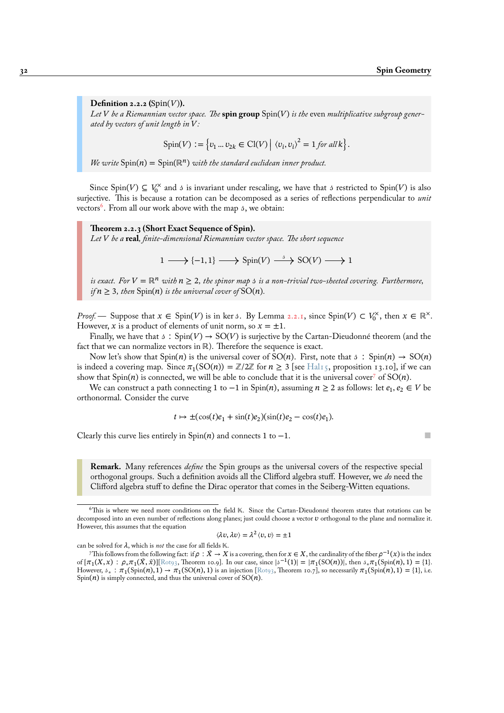**Definition 2.2.2** ( $Spin(V)$ ). Let V be a Riemannian vector space. The spin group  $Spin(V)$  is the even *multiplicative subgroup generated by vectors of unit length in :*

$$
Spin(V) := \left\{ v_1 \dots v_{2k} \in \text{Cl}(V) \middle| \langle v_i, v_i \rangle^2 = 1 \text{ for all } k \right\}.
$$

*We write*  $Spin(n) = Spin(\mathbb{R}^n)$  *with the standard euclidean inner product.* 

Since Spin(V)  $\subseteq V_0^{\times}$  and s is invariant under rescaling, we have that s restricted to Spin(V) is also surjective. This is because a rotation can be decomposed as a series of reflections perpendicular to *unit* vectors<sup>6</sup>. From all our work above with the map 3, we obtain:

**Theorem 2.2.3 (Short Exact Sequence of Spin).** *Let be a* **real***, finite-dimensional Riemannian vector space. The short sequence*

 $1 \longrightarrow \{-1, 1\} \longrightarrow Spin(V) \stackrel{\delta}{\longrightarrow} SO(V) \longrightarrow 1$ 

<span id="page-37-0"></span>*is exact.* For  $V = \mathbb{R}^n$  with  $n \geq 2$ , the spinor map s is a non-trivial two-sheeted covering. Furthermore, *if*  $n \geq 3$ *, then*  $Spin(n)$  *is the universal cover of*  $SO(n)$ *.* 

*Proof.* — Suppose that  $x \in Spin(V)$  is in ker 3. By Lemma 2.2.1, since  $Spin(V) \subset V_0^{\times}$ , then  $x \in \mathbb{R}^{\times}$ . However, x is a product of elements of unit norm, so  $x = \pm 1$ .

Finally, we have that  $\beta$ : Spin( $V$ )  $\rightarrow$  SO( $V$ ) is surjective by the Cartan-Dieudonné theorem (and the fact that we can normalize vectors in ℝ). Therefore the sequence is exact.

Now let's show that Spin(n) is the universal cover of SO(n)[. F](#page-36-0)irst, note that  $\delta : Spin(n) \to SO(n)$ is indeed a covering map. Since  $\pi_1(SO(n)) = \mathbb{Z}/2\mathbb{Z}$  for  $n \geq 3$  [see Hal15, proposition 13.10], if we can show that  $Spin(n)$  is connected, we will be able to conclude that it is the universal cover<sup>7</sup> of  $SO(n)$ .

We can construct a path connecting 1 to  $-1$  in Spin(n), assuming  $n \geq 2$  as follows: let  $e_1, e_2 \in V$  be orthonormal. Consider the curve

$$
t \mapsto \pm(\cos(t)e_1 + \sin(t)e_2)(\sin(t)e_2 - \cos(t)e_1).
$$

Clearly this curve lies entirely in Spin(n) and connects 1 to  $-1$ .

**Remark.** Many references *define* the Spin groups as the universal covers of the respective special orthogonal groups. Such a definition avoids all the Clifford algebra stuff. However, we *do* need the Clifford algebra stuff to define the Dirac operator that comes in the Seiberg-Witten equations.

$$
\langle \lambda v, \lambda v \rangle = \lambda^2 \langle v, v \rangle = \pm 1
$$

can be solved for  $\lambda$ , which is *not* the case for all fields  $\mathbb{K}$ .

<sup>&</sup>lt;sup>6</sup>This is where we need more conditions on the field K. Since the Cartan-Dieudonné theorem states that rotations can be decomposed into an even number of reflections along planes; just could choose a vector  $v$  orthogonal to the plane and normalize it. However, this assumes that the equation

This follows from the following fact: if  $\rho : \tilde{X} \to X$  is a covering, then for  $x \in X,$  the cardinality of the fiber  $\rho^{-1}(x)$  is the index of  $[\pi_1(X, x) : \rho_* \pi_1(\hat{X}, \hat{X})]$  [Rotg3, Theorem 10.9]. In our case, since  $|\mathcal{I}^{-1}(1)| = |\pi_1(SO(n))|$ , then  $\mathcal{I}^*_{*}(\text{Spin}(n), 1) = \{1\}$ . However,  $\delta_* : \pi_1(\text{Spin}(n), 1) \to \pi_1(\text{SO}(n), 1)$  is an injection [Rot93, Theorem 10.7], so necessarily  $\pi_1(\text{Spin}(n), 1) = \{1\}$ , i.e.  $Spin(n)$  is simply connected, and thus the universal cover of  $SO(n)$ .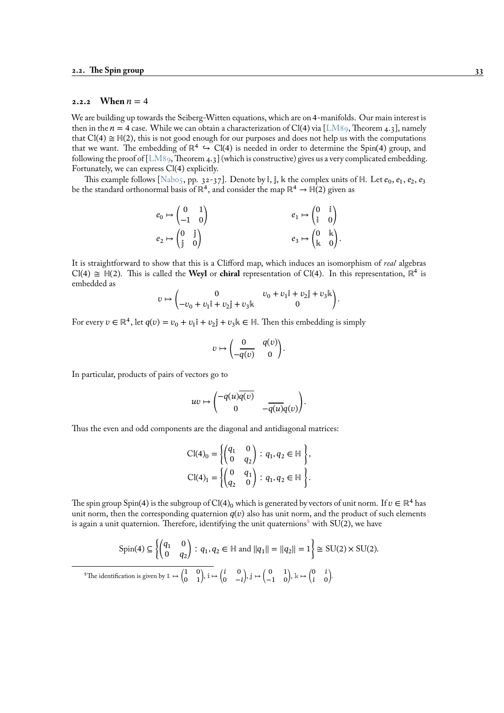#### **2.2.2** When  $n = 4$

<span id="page-38-0"></span>We are building up towards the Seiberg-Witten equations, which are on 4-manifolds. Our main interest is then in the  $n = 4$  case. While we can obtain a characterization of Cl(4) via [LM89, Theorem 4.3], namely that  $Cl(4) \cong H(2)$ , this is not good enough for our purposes and does not help us with the computations that we want. The embedding of  $\mathbb{R}^4 \hookrightarrow \text{Cl}(4)$  is needed in order to determine the Spin(4) group, and following the proof of [LM89, Theorem 4.3] (which is constructive) gives us a very complicated embedding. Fortunately, we can express Cl(4) explicitly.

This example follows [Nab05, pp. 32-37]. Denote by i, j,  $\Bbbk$  the complex units of  $\Bbb H.$  Let  $e_0, e_1, e_2, e_3$ be the standard orthonormal basis of  $\mathbb{R}^4,$  and consider the map  $\mathbb{R}^4 \to \mathbb{H}(2)$  given as

$$
\begin{array}{ccc} e_0 \mapsto \begin{pmatrix} 0 & 1 \\ -1 & 0 \end{pmatrix} & & e_1 \mapsto \begin{pmatrix} 0 & \mathbb{i} \\ \mathbb{i} & 0 \end{pmatrix} \\ e_2 \mapsto \begin{pmatrix} 0 & \mathbb{j} \\ \mathbb{j} & 0 \end{pmatrix} & & e_3 \mapsto \begin{pmatrix} 0 & \mathbb{k} \\ \mathbb{k} & 0 \end{pmatrix}. \end{array}
$$

It is straightforward to show that this is a Clifford map, which induces an isomorphism of *real* algebras Cl(4)  $\cong$  H(2). This is called the **Weyl** or **chiral** representation of Cl(4). In this representation,  $\mathbb{R}^4$  is embedded as

$$
v \mapsto \begin{pmatrix} 0 & v_0 + v_1 \mathbf{i} + v_2 \mathbf{j} + v_3 \mathbf{k} \\ -v_0 + v_1 \mathbf{i} + v_2 \mathbf{j} + v_3 \mathbf{k} & 0 \end{pmatrix}.
$$

For every  $v \in \mathbb{R}^4$ , let  $q(v) = v_0 + v_1 \mathbb{i} + v_2 \mathbb{j} + v_3 \mathbb{k} \in \mathbb{H}$ . Then this embedding is simply

$$
v \mapsto \begin{pmatrix} 0 & q(v) \\ -\overline{q(v)} & 0 \end{pmatrix}.
$$

In particular, products of pairs of vectors go to

$$
uv \mapsto \begin{pmatrix} -q(u)\overline{q(v)} & \\ 0 & -\overline{q(u)}q(v) \end{pmatrix}.
$$

Thus the even and odd components are the diagonal and antidiagonal matrices:

$$
Cl(4)0 = \left\{ \begin{pmatrix} q_1 & 0 \\ 0 & q_2 \end{pmatrix} : q_1, q_2 \in \mathbb{H} \right\},
$$
  
\n
$$
Cl(4)1 = \left\{ \begin{pmatrix} 0 & q_1 \\ q_2 & 0 \end{pmatrix} : q_1, q_2 \in \mathbb{H} \right\}.
$$

The spin group Spin(4) is the subgroup of Cl(4)<sub>0</sub> which is generated by vectors of unit norm. If  $v \in \mathbb{R}^4$  has unit norm, then the corresponding quaternion  $q(v)$  also has unit norm, and the product of such elements is again a unit quaternion. Therefore, identifying the unit quaternions<sup>8</sup> with  $SU(2)$ , we have

$$
\text{Spin}(4) \subseteq \left\{ \begin{pmatrix} q_1 & 0 \\ 0 & q_2 \end{pmatrix} : q_1, q_2 \in \mathbb{H} \text{ and } ||q_1|| = ||q_2|| = 1 \right\} \cong \text{SU}(2) \times \text{SU}(2).
$$
\n
$$
{}^8 \text{The identification is given by } \mathbb{I} \mapsto \begin{pmatrix} 1 & 0 \\ 0 & 1 \end{pmatrix}, \mathbb{i} \mapsto \begin{pmatrix} i & 0 \\ 0 & -i \end{pmatrix}, \mathbb{j} \mapsto \begin{pmatrix} 0 & 1 \\ -1 & 0 \end{pmatrix}, \mathbb{k} \mapsto \begin{pmatrix} 0 & i \\ i & 0 \end{pmatrix}.
$$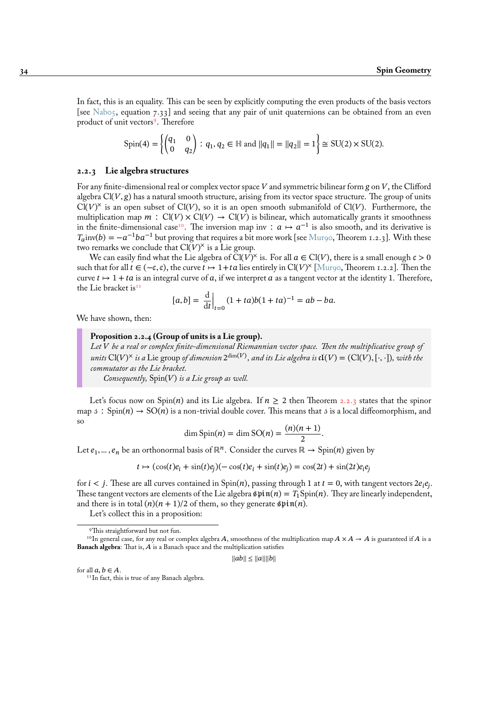In fact, this is an equality. This can be seen by explicitly computing the even products of the basis vectors [see Nab05, equation 7.33] and seeing that any pair of unit quaternions can be obtained from an even product of unit vectors<sup>9</sup>. Therefore

$$
Spin(4) = \left\{ \begin{pmatrix} q_1 & 0 \\ 0 & q_2 \end{pmatrix} : q_1, q_2 \in \mathbb{H} \text{ and } ||q_1|| = ||q_2|| = 1 \right\} \cong SU(2) \times SU(2).
$$

#### **2.2.3 Lie algebra structures**

For any finite-dimensional real or complex vector space  $V$  and symmetric bilinear form  $g$  on  $V$ , the Clifford algebra  $Cl(V, g)$  has a natural smooth structure, arising from its vector space structure. The group of units  $Cl(V)^{\times}$  is an open subset of  $Cl(V)$ , so it is an open smooth submanifold of  $Cl(V)$ . Furthermore, the multiplication map  $m : Cl(V) \times Cl(V) \rightarrow Cl(V)$  is bilinear, which automatically grants it smoothness in the finite-dimensional case<sup>10</sup>. The inversion map inv :  $a \mapsto a^{-1}$  is also smooth, and its derivative is  $T_a$ inv(b) =  $-a^{-1}ba^{-1}$  but proving that requires a bit more work [see Mur90, Theorem 1.2.3]. With these two remarks we conclude that  $Cl(V)^{\times}$  is a Lie group.

We can easily find what the Lie algebra of Cl(V)<sup>×</sup> is. For all  $a \in Cl(V)$ , there is a small enough  $\varepsilon > 0$ such that for all  $t \in (-\epsilon, \epsilon)$ , th[e c](#page-39-0)urve  $t \mapsto 1+t\epsilon$  lies entirely in Cl(V)<sup>×</sup> [Mur90, Theorem 1.2.2]. Then the curve  $t \mapsto 1 + ta$  is an integral curve of a, if we interpret a as a tange[nt vecto](#page-96-1)r at the identity 1. Therefore, the Lie bracket is<sup>11</sup>

$$
[a, b] = \frac{d}{dt}\Big|_{t=0} (1 + ta)b(1 + ta)^{-1} = ab - ba.
$$

We have shown, then:

# **Proposition 2.2.4 (Group of units is a Lie group).**

*Let be a real or complex finite-dimensional Riemannian vector space. Then the multiplicative group of*  $u$ nits  $\text{Cl}(V)^\times$  is a Lie group of dimension  $2^{\dim(V)},$  and its Lie algebra is  $\mathfrak{cl}(V)=(\text{Cl}(V),[\cdot,\cdot]),$  with the *commutator as the Lie bracket.*

*Consequently*,  $Spin(V)$  *is a Lie group as well.* 

Let's focus now on Spin(n) and its Lie algebra. If  $n \geq 2$  then Theorem 2.2.3 states that the spinor map  $\beta$ : Spin(n)  $\rightarrow$  SO(n) is a non-trivial double cover. This means that  $\beta$  is a local diffeomorphism, and so

$$
\dim \operatorname{Spin}(n) = \dim \operatorname{SO}(n) = \frac{(n)(n+1)}{2}.
$$

Let  $e_1, ..., e_n$  be an orthonormal basis of  $\mathbb{R}^n$ . Consider the curves  $\mathbb{R} \to \text{Spin}(n)$  [giv](#page-37-0)en by

 $t \mapsto (\cos(t)e_i + \sin(t)e_j)(-\cos(t)e_i + \sin(t)e_j) = \cos(2t) + \sin(2t)e_ie_j$ 

for  $i < j$ . These are all curves contained in Spin(n), passing through 1 at  $t = 0$ , with tangent vectors 2 $e_i e_j$ . These tangent vectors are elements of the Lie algebra  $\sin(n) = T_1$ Spin(n). They are linearly independent, and there is in total  $(n)(n + 1)/2$  of them, so they generate  $\sin(n)$ .

Let's collect this in a proposition:

 $||ab|| \le ||a||||b||$ 

for all  $a, b \in A$ .

<span id="page-39-0"></span><sup>11</sup>In fact, this is true of any Banach algebra.

<sup>9</sup>This straightforward but not fun.

 $^{10}$ In general case, for any real or complex algebra A, smoothness of the multiplication map  $A\times A\to A$  is guaranteed if  $A$  is a **Banach algebra**: That is,  $A$  is a Banach space and the multiplication satisfies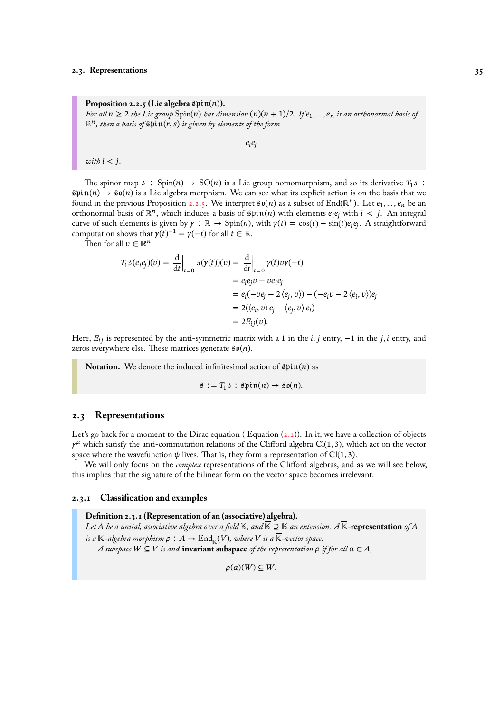**Proposition 2.2.5 (Lie algebra**  $\text{Spin}(n)$ ). For all  $n\geq 2$  the Lie group  $\mathrm{Spin}(n)$  has dimension  $(n)(n+1)/2$ . If  $e_1,...,e_n$  is an orthonormal basis of  $\mathbb{R}^n$ , then a basis of  $\mathfrak{spin}(r, s)$  is given by elements of the form

 $e_i e_i$ 

<span id="page-40-0"></span>*with*  $i < j$ .

The spinor map  $\beta$ : Spin(n) → SO(n) is a Lie group homomorphism, and so its derivative  $T_1 \beta$ :  $\sin(n) \to \sin(n)$  is a Lie algebra morphism. We can see what its explicit action is on the basis that we found in the previous Proposition 2.2.5. We interpret  $\mathfrak{so}(n)$  as a subset of End(ℝ<sup>n</sup>). Let  $e_1, ..., e_n$  be an orthonormal basis of  $\mathbb{R}^n$ , which induces a basis of  $\mathfrak{spin}(n)$  with elements  $e_ie_j$  with  $i < j$ . An integral curve of such elements is given by  $\gamma : \mathbb{R} \to \text{Spin}(n)$ , with  $\gamma(t) = \cos(t) + \sin(t)e_i e_j$ . A straightforward computation shows that  $\gamma(t)^{-1} = \gamma(-t)$  for all  $t \in \mathbb{R}$ .

Then for all  $v \in \mathbb{R}^n$ 

$$
T_1 \delta(e_i e_j)(v) = \left. \frac{d}{dt} \right|_{t=0} \delta(\gamma(t))(v) = \left. \frac{d}{dt} \right|_{t=0} \gamma(t)v\gamma(-t)
$$
  
\n
$$
= e_i e_j v - v e_i e_j
$$
  
\n
$$
= e_i(-v e_j - 2 \langle e_j, v \rangle) - (-e_i v - 2 \langle e_i, v \rangle) e_j
$$
  
\n
$$
= 2(\langle e_i, v \rangle e_j - \langle e_j, v \rangle e_i)
$$
  
\n
$$
= 2E_{ij}(v).
$$

Here,  $E_{ij}$  is represented by the anti-symmetric matrix with a 1 in the *i*, *j* entry,  $-1$  in the *j*, *i* entry, and zeros everywhere else. These matrices generate  $\mathfrak{so}(n)$ .

**Notation.** We denote the induced infinitesimal action of  $\mathfrak{spin}(n)$  as

 $\hat{\mathfrak{s}} := T_1 \mathfrak{s} : \hat{\mathfrak{s}} \text{pin}(n) \rightarrow \hat{\mathfrak{s}} \text{o}(n).$ 

# **2.3 Representations**

Let's go back for a moment to the Dirac equation (Equation  $(2.2)$ ). In it, we have a collection of objects  $\gamma^{\mu}$  which satisfy the anti-commutation relations of the Clifford algebra Cl(1,3), which act on the vector space where the wavefunction  $\psi$  lives. That is, they form a representation of Cl(1, 3).

We will only focus on the *complex* representations of the Clifford algebras, and as we will see below, this implies that the signature of the bilinear form on the vect[or sp](#page-30-0)ace becomes irrelevant.

# **2.3.1 Classification and examples**

**Definition 2.3.1 (Representation of an (associative) algebra).** *Let*  $A$  *be a unital, associative algebra over a field*  $K$ *, and*  $K \supseteq K$  *an extension.*  $A$   $K$ -**representation** of  $A$ is a  $\mathbb{K}\text{-}algebra \textit{ morphism }\rho\,:\,A\to\mathrm{End}_{\overline{\mathbb{K}}}(V), \textit{where }V \textit{ is a } \mathbb{K}\text{-}vector \textit{space}.$ *A* subspace  $W \subseteq V$  is and **invariant subspace** of the representation  $\rho$  if for all  $\alpha \in A$ ,

 $\rho(a)(W) \subseteq W$ .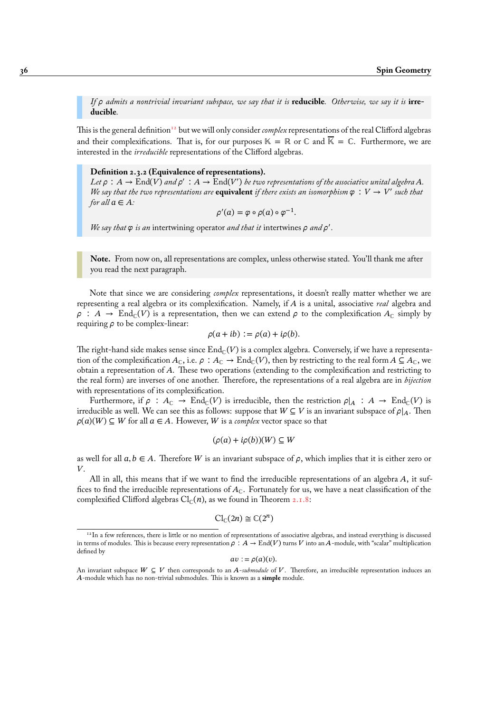*If admits a nontrivial invariant subspace, we say that it is* **reducible***. Otherwise, we say it is* **irreducible***.*

This is the general definition<sup>12</sup> but we will only consider *complex* representations of the real Clifford algebras and their complexifications. That is, for our purposes  $\mathbb{K} = \mathbb{R}$  or  $\mathbb{C}$  and  $\overline{\mathbb{K}} = \mathbb{C}$ . Furthermore, we are interested in the *irreducible* representations of the Clifford algebras.

#### **Definition 2.3.2 (Equi[val](#page-41-0)ence of representations).**

Let  $\rho : A \to \mathrm{End}(V)$  and  $\rho' : A \to \mathrm{End}(V')$  be two representations of the associative unital algebra A. *We say that the two representations are* **equivalent** *if there exists an isomorphism*  $\varphi : V \to V'$  *such that for all*  $a \in A$ *:* 

$$
\rho'(a) = \varphi \circ \rho(a) \circ \varphi^{-1}.
$$

We say that  $\varphi$  is an intertwining operator and that it intertwines  $\rho$  and  $\rho'$ .

**Note.** From now on, all representations are complex, unless otherwise stated. You'll thank me after you read the next paragraph.

Note that since we are considering *complex* representations, it doesn't really matter whether we are representing a real algebra or its complexification. Namely, if is a unital, associative *real* algebra and  $\rho: A \to \text{End}_{\mathbb{C}}(V)$  is a representation, then we can extend  $\rho$  to the complexification  $A_{\mathbb{C}}$  simply by requiring  $\rho$  to be complex-linear:

$$
\rho(a+ib) := \rho(a) + i\rho(b).
$$

The right-hand side makes sense since  $\text{End}_{\mathbb{C}}(V)$  is a complex algebra. Conversely, if we have a representation of the complexification  $A_c$ , i.e.  $\rho : A_c \to \text{End}_c(V)$ , then by restricting to the real form  $A \subseteq A_c$ , we obtain a representation of A. These two operations (extending to the complexification and restricting to the real form) are inverses of one another. Therefore, the representations of a real algebra are in *bijection* with representations of its complexification.

Furthermore, if  $\rho : A_{\mathbb{C}} \to \text{End}_{\mathbb{C}}(V)$  is irreducible, then the restriction  $\rho|_A : A \to \text{End}_{\mathbb{C}}(V)$  is irreducible as well. We can see this as follows: suppose that  $W \subseteq V$  is an invariant subspace of  $\rho|_A$ . Then  $\rho(a)(W) \subseteq W$  for all  $a \in A$ . However, W is a *complex* vector space so that

$$
(\rho(a) + i\rho(b))(W) \subseteq W
$$

as well for all  $a, b \in A$ . Therefore W is an invariant subspace of  $\rho$ , which implies that it is either zero or  $V_{\cdot}$ 

All in all, this means that if we want to find the irreducible representations of an algebra  $A$ , it suffices to find the irreducible representations of  $A_{\mathbb C}$ . Fortunately for us, we have a neat classification of the complexified Clifford algebras  $\text{Cl}_{\mathbb{C}}(n)$ , as we found in Theorem 2.1.8:

$$
\mathrm{Cl}_{\mathbb{C}}(2n) \cong \mathbb{C}(2^n)
$$

 $av := \rho(a)(v).$ 

<sup>&</sup>lt;sup>12</sup>In a few references, there is little or no mention of representations of associative algebras, and instead everything is discussed in terms of modules. This is because every representation  $\rho : A \to \text{End}(V)$  turns V into an A-module, with "scalar" multiplication defined by

<span id="page-41-0"></span>An invariant subspace  $W \subseteq V$  then corresponds to an  $A$ -*submodule* of V. Therefore, an irreducible representation induces an -module which has no non-trivial submodules. This is known as a **simple** module.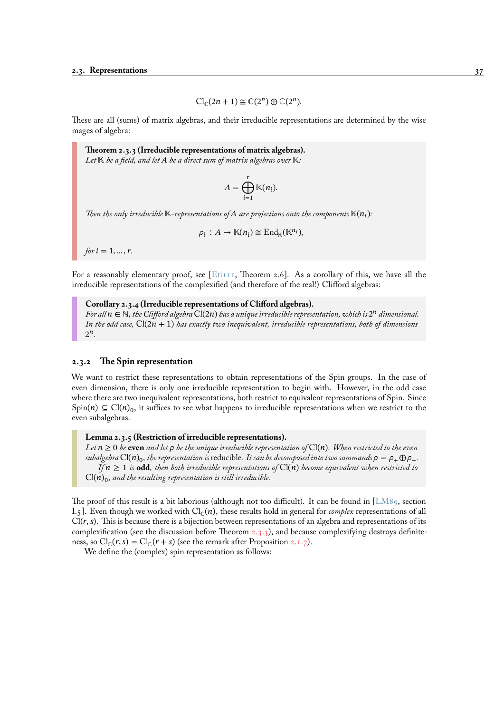$$
\mathrm{Cl}_{\mathbb{C}}(2n+1) \cong \mathbb{C}(2^n) \oplus \mathbb{C}(2^n).
$$

These are all (sums) of matrix algebras, and their irreducible representations are determined by the wise mages of algebra:

**Theorem 2.3.3 (Irreducible representations of matrix algebras).** *Let*  $K$  *be a field, and let*  $A$  *be a direct sum of matrix algebras over*  $K$ :

$$
A = \bigoplus_{i=1}^r \mathbb{K}(n_i).
$$

Then the only irreducible  $\mathbb{K}\text{-}representations$  of  $A$  are projections onto the components  $\mathbb{K}(n_\mathfrak{l})$ :

$$
\rho_i : A \to \mathbb{K}(n_i) \cong \mathrm{End}_{\mathbb{K}}(\mathbb{K}^{n_i}),
$$

*for*  $i = 1, ..., r$ .

For a reasonably elementary proof, see [Eti+11, Theorem 2.6]. As a corollary of this, we have all the irreducible representations of the complexified (and therefore of the real!) Clifford algebras:

#### **Corollary 2.3.4 (Irreducible representations of Clifford algebras).**

For all  $n \in \mathbb{N}$ , the Clifford algebra  $Cl(2n)$  [has a](#page-94-1) unique irreducible representation, which is  $2^n$  dimensional. *In the odd case,*  $Cl(2n + 1)$  *has exactly two inequivalent, irreducible representations, both of dimensions* 2 *.*

#### **2.3.2 The Spin representation**

We want to restrict these representations to obtain representations of the Spin groups. In the case of even dimension, there is only one irreducible representation to begin with. However, in the odd case where there are two inequivalent representations, both restrict to equivalent representations of Spin. Since Spin(n)  $\subseteq$  Cl(n)<sub>0</sub>, it suffices to see what happens to irreducible representations when we restrict to the even subalgebras.

#### **Lemma 2.3.5 (Restriction of irreducible representations).**

*Let*  $n \geq 0$  *be* **even** *and let*  $\rho$  *be the unique irreducible representation of*  $Cl(n)$ *. When restricted to the even*  $s$ ubalgebra Cl(n) $_{0}$ , the representation is reducible. *It can be decomposed into two summands*  $\rho=\rho_{+}\oplus\rho_{-}.$ *If*  $n \geq 1$  *is* **odd***, then both irreducible representations of*  $Cl(n)$  *become equivalent when restricted to*  $\mathrm{Cl}(n)_0$ , and the resulting representation is still irreducible.

The proof of this result is a bit laborious (although not too difficult). It can be found in [LM89, section I.5]. Even though we worked with  $Cl_{\mathbb{C}}(n)$ , these results hold in general for *complex* representations of all  $Cl(r, s)$ . This is because there is a bijection between representations of an algebra and representations of its complexification (see the discussion before Theorem 2.3.3), and because complexifying destroys definiteness, so  $\text{Cl}_{\mathbb{C}}(r, s) = \text{Cl}_{\mathbb{C}}(r + s)$  (see the remark after Proposition 2.1.7).

We define the (complex) spin representation as follows: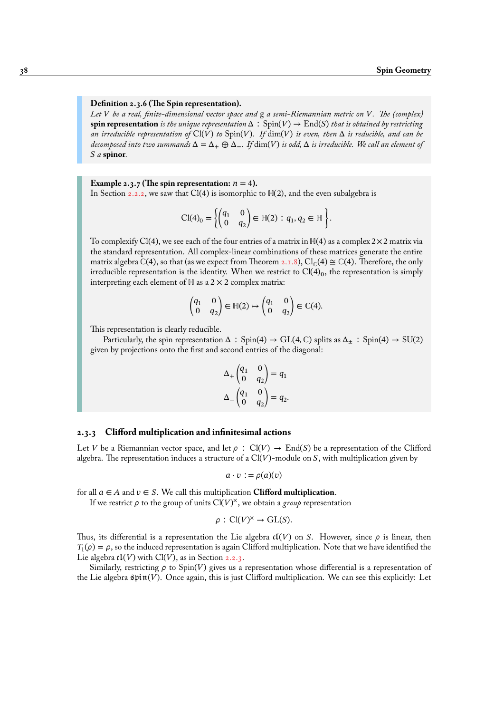# **Definition 2.3.6 (The Spin representation).**

*Let be a real, finite-dimensional vector space and a semi-Riemannian metric on . The (complex)* **spin representation** *is the unique representation*  $\Delta$  :  $Spin(V) \rightarrow End(S)$  *that is obtained by restricting an irreducible representation of*  $Cl(V)$  *to*  $Spin(V)$ *. If*  $dim(V)$  *is even, then*  $\Delta$  *is reducible, and can be*  $de{\theta}$  *decomposed into two summands*  $\Delta = \Delta_+ \oplus \Delta_-$ . If  $\dim(V)$  *is odd,*  $\Delta$  *is irreducible. We call an element of a* **spinor***.*

# **Example 2.3.7 (The spin representation:**  $n = 4$ ).

In Section 2.2.2, we saw that Cl(4) is isomorphic to  $H(2)$ , and the even subalgebra is

$$
\text{Cl}(4)_0 = \left\{ \begin{pmatrix} q_1 & 0 \\ 0 & q_2 \end{pmatrix} \in \mathbb{H}(2) : q_1, q_2 \in \mathbb{H} \right\}.
$$

<span id="page-43-0"></span>To comple[xify C](#page-38-0)l(4), we see each of the four entries of a matrix in  $H(4)$  as a complex  $2 \times 2$  matrix via the standard representation. All complex-linear combinations of these matrices generate the entire matrix algebra  $\mathbb{C}(4)$ , so that (as we expect from Theorem 2.1.8),  $\mathrm{Cl}_{\mathbb{C}}(4) \cong \mathbb{C}(4)$ . Therefore, the only irreducible representation is the identity. When we restrict to  $\mathrm{Cl}(4)_0,$  the representation is simply interpreting each element of  $H$  as a 2  $\times$  2 complex matrix:

$$
\begin{pmatrix} q_1 & 0 \\ 0 & q_2 \end{pmatrix} \in \mathbb{H}(2) \mapsto \begin{pmatrix} q_1 & 0 \\ 0 & q_2 \end{pmatrix} \in \mathbb{C}(4).
$$

This representation is clearly reducible.

Particularly, the spin representation  $\Delta$  : Spin(4)  $\rightarrow$  GL(4, C) splits as  $\Delta_{\pm}$  : Spin(4)  $\rightarrow$  SU(2) given by projections onto the first and second entries of the diagonal:

$$
\Delta_+\begin{pmatrix} q_1 & 0 \\ 0 & q_2 \end{pmatrix} = q_1
$$

$$
\Delta_-\begin{pmatrix} q_1 & 0 \\ 0 & q_2 \end{pmatrix} = q_2.
$$

# **2.3.3 Clifford multiplication and infinitesimal actions**

Let V be a Riemannian vector space, and let  $\rho$ : Cl(V)  $\rightarrow$  End(S) be a representation of the Clifford algebra. The representation induces a structure of a  $Cl(V)$ -module on S, with multiplication given by

$$
a\cdot v := \rho(a)(v)
$$

for all  $a \in A$  and  $v \in S$ . We call this multiplication **Clifford multiplication**.

If we restrict  $\rho$  to the group of units  $Cl(V)^{\times}$ , we obtain a *group* representation

$$
\rho : \text{Cl}(V)^{\times} \to \text{GL}(S).
$$

Thus, its differential is a representation the Lie algebra  $\mathfrak{cl}(V)$  on S. However, since  $\rho$  is linear, then  $T_1(\rho) = \rho$ , so the induced representation is again Clifford multiplication. Note that we have identified the Lie algebra  $cI(V)$  with  $Cl(V)$ , as in Section 2.2.3.

Similarly, restricting  $\rho$  to Spin(V) gives us a representation whose differential is a representation of the Lie algebra  $\sin(V)$ . Once again, this is just Clifford multiplication. We can see this explicitly: Let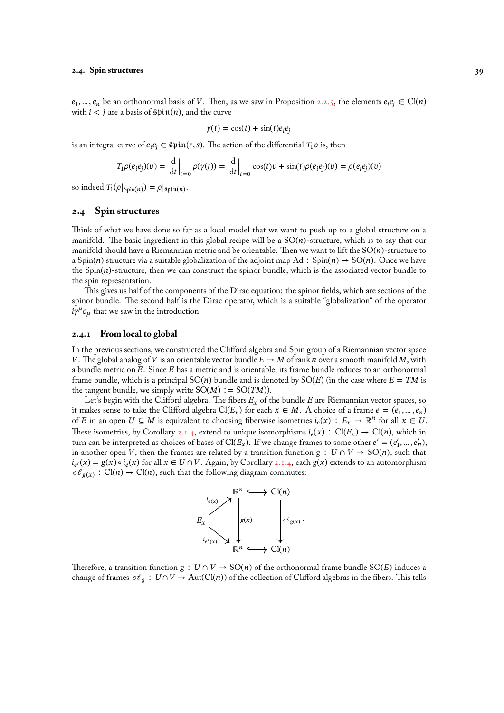$e_1, ..., e_n$  be an orthonormal basis of V. Then, as we saw in Proposition 2.2.5, the elements  $e_ie_j \in \mathrm{Cl}(n)$ with  $i < j$  are a basis of  $\mathfrak{spin}(n)$ , and the curve

$$
\gamma(t) = \cos(t) + \sin(t)e_i e_j
$$

is an integral curve of  $e_i e_j \in \mathfrak{spin}(r, s)$ . The action of the differential  $T_1 \rho$  [is, th](#page-40-0)en

$$
T_1 \rho(e_i e_j)(v) = \left. \frac{\mathrm{d}}{\mathrm{d}t} \right|_{t=0} \rho(\gamma(t)) = \left. \frac{\mathrm{d}}{\mathrm{d}t} \right|_{t=0} \cos(t)v + \sin(t)\rho(e_i e_j)(v) = \rho(e_i e_j)(v)
$$

so indeed  $T_1(\rho|_{\text{Spin}(n)}) = \rho|_{\text{Spin}(n)}.$ 

# **2.4 Spin structures**

<span id="page-44-0"></span>Think of what we have done so far as a local model that we want to push up to a global structure on a manifold. The basic ingredient in this global recipe will be a  $SO(n)$ -structure, which is to say that our manifold should have a Riemannian metric and be orientable. Then we want to lift the  $SO(n)$ -structure to a Spin(n) structure via a suitable globalization of the adjoint map Ad ∶ Spin(n)  $\rightarrow$  SO(n). Once we have the  $Spin(n)$ -structure, then we can construct the spinor bundle, which is the associated vector bundle to the spin representation.

This gives us half of the components of the Dirac equation: the spinor fields, which are sections of the spinor bundle. The second half is the Dirac operator, which is a suitable "globalization" of the operator  $i\gamma^{\mu}\partial_{\mu}$  that we saw in the introduction.

# **2.4.1 From local to global**

In the previous sections, we constructed the Clifford algebra and Spin group of a Riemannian vector space V. The global analog of V is an orientable vector bundle  $E \to M$  of rank n over a smooth manifold M, with a bundle metric on  $E$ . Since  $E$  has a metric and is orientable, its frame bundle reduces to an orthonormal frame bundle, which is a principal  $SO(n)$  bundle and is denoted by  $SO(E)$  (in the case where  $E = TM$  is the tangent bundle, we simply write  $SO(M) := SO(TM)$ .

Let's begin with the Clifford algebra. The fibers  $E_x$  of the bundle  $E$  are Riemannian vector spaces, so it makes sense to take the Clifford algebra Cl( $E_x$ ) for each  $x \in M$ . A choice of a frame  $e = (e_1, ..., e_n)$ of E in an open  $U \subseteq M$  is equivalent to choosing fiberwise isometries  $i_e(x) : E_x \to \mathbb{R}^n$  for all  $x \in U$ . These isometries, by Corollary 2.1.4, extend to unique isomorphisms  $i_e(x)$  : Cl( $E_x$ )  $\rightarrow$  Cl(n), which in turn can be interpreted as choices of bases of Cl( $E_x$ ). If we change frames to some other  $e' = (e'_1, ..., e'_n)$ , in another open V, then the frames are related by a transition function  $g : U \cap V \to SO(n)$ , such that  $i_{e'}(x) = g(x) \circ i_e(x)$  for all  $x \in U \cap V$ . Again, by Corollary 2.1.4, each  $g(x)$  extends to an automorphism  $c \ell_{g(x)} : Cl(n) \to Cl(n)$ , such [that t](#page-33-0)he following diagram commutes:



Therefore, a transition function  $g : U \cap V \to SO(n)$  of the orthonormal frame bundle  $SO(E)$  induces a change of frames  $c \ell_g : U \cap V \to \text{Aut}(\text{Cl}(n))$  of the collection of Clifford algebras in the fibers. This tells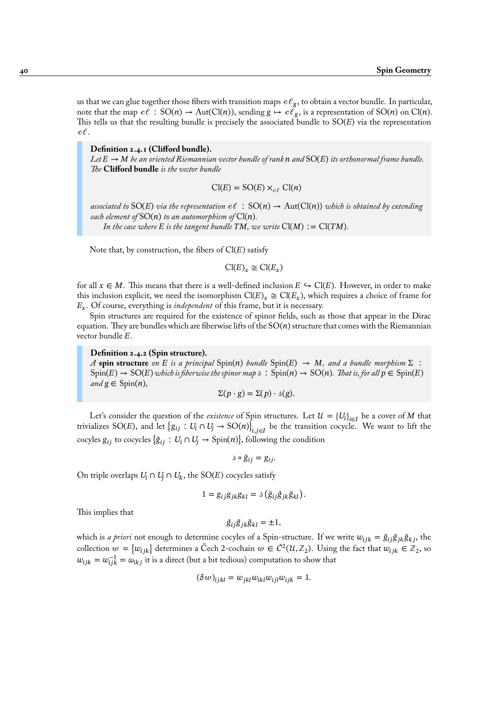us that we can glue together those fibers with transition maps  $e\ell_{\rm\,g}$ , to obtain a vector bundle. In particular, note that the map  $c\ell~:$   ${\rm SO}(n)\to {\rm Aut}({\rm Cl}(n)),$  sending  ${\rm g}\mapsto c\ell_{\rm g},$  is a representation of  ${\rm SO}(n)$  on  ${\rm Cl}(n).$ This tells us that the resulting bundle is precisely the associated bundle to  $SO(E)$  via the representation  $c\ell$  .

**Definition 2.4.1 (Clifford bundle).**

Let  $E \to M$  be an oriented Riemannian vector bundle of rank  $n$  and  $SO(E)$  its orthonormal frame bundle. *The* **Clifford bundle** *is the vector bundle*

$$
\text{Cl}(E) = \text{SO}(E) \times_{c\ell} \text{Cl}(n)
$$

associated to  $SO(E)$  via the representation  $c\ell : SO(n) \to Aut(Cl(n))$  which is obtained by extending *each element of*  $SO(n)$  *to an automorphism of*  $Cl(n)$ *.* 

*In the case where*  $E$  *is the tangent bundle*  $TM$ *, we write*  $Cl(M) := Cl(TM)$ *.* 

Note that, by construction, the fibers of  $Cl(E)$  satisfy

$$
\text{Cl}(E)_x \cong \text{Cl}(E_x)
$$

for all  $x \in M$ . This means that there is a well-defined inclusion  $E \hookrightarrow Cl(E)$ . However, in order to make this inclusion explicit, we need the isomorphism  $Cl(E)_x \cong Cl(E_x)$ , which requires a choice of frame for  $E_x$ . Of course, everything is *independent* of this frame, but it is necessary.

Spin structures are required for the existence of spinor fields, such as those that appear in the Dirac equation. They are bundles which are fiberwise lifts of the  $SO(n)$  structure that comes with the Riemannian vector bundle  $E$ .

# **Definition 2.4.2 (Spin structure).**

*A* **spin structure** *on E is a principal* Spin(n) *bundle* Spin(E)  $\rightarrow$  *M*, and a bundle morphism  $\Sigma$  :  $Spin(E) \to SO(E)$  which is fiberwise the spinor map  $\phi : Spin(n) \to SO(n)$ . That is, for all  $p \in Spin(E)$  $and g \in Spin(n)$ ,

$$
\Sigma(p \cdot g) = \Sigma(p) \cdot \mathfrak{s}(g).
$$

Let's consider the question of the *existence* of Spin structures. Let  $\mathcal{U} = \{U_i\}_{i \in I}$  be a cover of M that trivializes SO(E), and let  $\{g_{ij}:U_i\cap U_j\to {\rm SO}(n)\}_{i,j\in I}$  be the transition cocycle. We want to lift the cocyles  $g_{ij}$  to cocycles  $\{\tilde{g}_{ij} : U_i \cap U_j \to \text{Spin}(n)\}\)$ , following the condition

 $\delta \circ \tilde{g}_{ij} = g_{ij}.$ 

On triple overlaps  $U_i \cap U_j \cap U_k$ , the SO(E) cocycles satisfy

$$
1 = g_{ij}g_{jk}g_{kl} = \delta \left( \tilde{g}_{ij} \tilde{g}_{jk} \tilde{g}_{kl} \right).
$$

This implies that

$$
\tilde{g}_{ij}\tilde{g}_{jk}\tilde{g}_{kl} = \pm 1,
$$

which is *a priori* not enough to determine cocyles of a Spin-structure. If we write  $w_{ijk} = \tilde{g}_{ij}\tilde{g}_{jk}\tilde{g}_{kj}$ , the collection  $w = \{w_{ijk}\}$  determines a Čech 2-cochain  $w \in \check{C}^2(\mathcal{U},\mathbb{Z}_2)$ . Using the fact that  $w_{ijk} \in \mathbb{Z}_2$ , so  $w_{ijk} = w_{ijk}^{-1} = \omega_{ikj}$  it is a direct (but a bit tedious) computation to show that

$$
(\delta w)_{ijkl} = w_{jkl} w_{ikl} w_{ijl} w_{ijk} = 1.
$$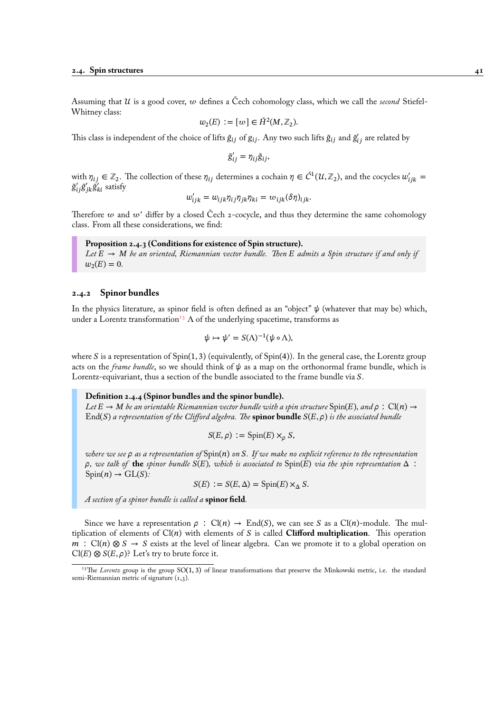Assuming that  $\mathcal U$  is a good cover,  $w$  defines a Čech cohomology class, which we call the *second* Stiefel-Whitney class:

$$
w_2(E) := [w] \in \check{H}^2(M, \mathbb{Z}_2).
$$

This class is independent of the choice of lifts  $\tilde{g}_{ij}$  of  $g_{ij}$ . Any two such lifts  $\tilde{g}_{ij}$  and  $\tilde{g}'_{ij}$  are related by

$$
\tilde{g}_{ij}' = \eta_{ij}\tilde{g}_{ij},
$$

with  $\eta_{ij} \in \mathbb{Z}_2$ . The collection of these  $\eta_{ij}$  determines a cochain  $\eta \in \check{C}^1(\mathcal{U}, \mathbb{Z}_2)$ , and the cocycles  $w'_{ijk} =$  $\tilde{\mathrm{g}}'_{ij}\tilde{\mathrm{g}}'_{jk}\tilde{\mathrm{g}}'_{ki}$  satisfy

$$
w'_{ijk} = w_{ijk} \eta_{ij} \eta_{jk} \eta_{ki} = w_{ijk} (\delta \eta)_{ijk}.
$$

Therefore  $w$  and  $w'$  differ by a closed Čech 2-cocycle, and thus they determine the same cohomology class. From all these considerations, we find:

# **Proposition 2.4.3 (Conditions for existence of Spin structure).**

Let  $E \to M$  be an oriented, Riemannian vector bundle. Then E admits a Spin structure if and only if  $w_2(E) = 0.$ 

# **2.4.2 Spinor bundles**

<span id="page-46-1"></span>In the physics literature, as spinor field is often defined as an "object"  $\psi$  (whatever that may be) which, under a Lorentz transformation<sup>13</sup>  $\Lambda$  of the underlying spacetime, transforms as

$$
\psi \mapsto \psi' = S(\Lambda)^{-1}(\psi \circ \Lambda),
$$

where S is a representation of  $Spin(1, 3)$  $Spin(1, 3)$  $Spin(1, 3)$  (equivalently, of  $Spin(4)$ ). In the general case, the Lorentz group acts on the *frame bundle*, so we should think of  $\psi$  as a map on the orthonormal frame bundle, which is Lorentz-equivariant, thus a section of the bundle associated to the frame bundle via S.

#### **Definition 2.4.4 (Spinor bundles and the spinor bundle).**

*Let*  $E \to M$  *be an orientable Riemannian vector bundle with a spin structure*  $Spin(E)$ *, and*  $\rho : Cl(n) \to Cl(n)$  $End(S)$  *a representation of the Clifford algebra. The* **spinor bundle**  $S(E, \rho)$  *is the associated bundle* 

$$
S(E,\rho) := \text{Spin}(E) \times_{\rho} S,
$$

*where we see as a representation of* Spin() *on . If we make no explicit reference to the representation*  $\rho$ , we talk of **the** *spinor bundle*  $S(E)$ , which is associated to  $Spin(E)$  *via the spin representation*  $\Delta$ :  $Spin(n) \rightarrow GL(S)$ :

$$
S(E) := S(E, \Delta) = \text{Spin}(E) \times_{\Delta} S.
$$

*A section of a spinor bundle is called a* **spinor field***.*

Since we have a representation  $\rho : Cl(n) \to End(S)$ , we can see S as a  $Cl(n)$ -module. The multiplication of elements of  $Cl(n)$  with elements of S is called **Clifford multiplication**. This operation  $m : Cl(n) \otimes S \rightarrow S$  exists at the level of linear algebra. Can we promote it to a global operation on  $Cl(E) \otimes S(E, \rho)$ ? Let's try to brute force it.

<span id="page-46-0"></span><sup>&</sup>lt;sup>13</sup>The *Lorentz* group is the group SO(1,3) of linear transformations that preserve the Minkowski metric, i.e. the standard semi-Riemannian metric of signature  $(1,3)$ .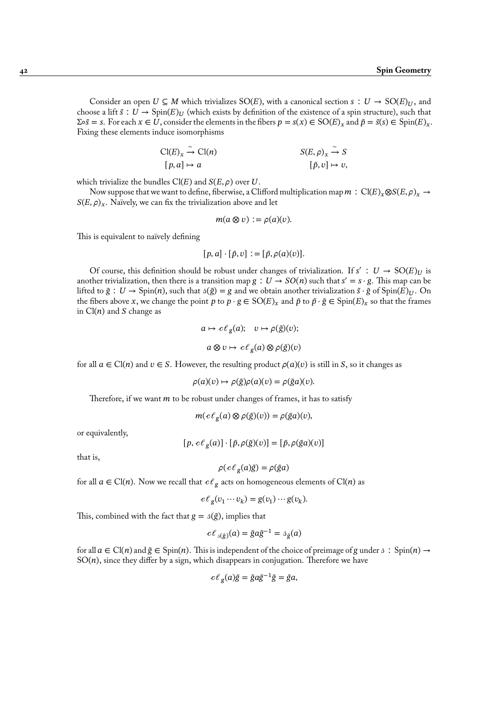Consider an open  $U \subseteq M$  which trivializes SO(E), with a canonical section  $s : U \to SO(E)_U$ , and choose a lift  $\tilde{s}$  :  $U \to \text{Spin}(E)_{U}$  (which exists by definition of the existence of a spin structure), such that  $\Sigma \circ \tilde{s} = s$ . For each  $x \in U$ , consider the elements in the fibers  $p = s(x) \in SO(E)_x$  and  $\tilde{p} = \tilde{s}(s) \in Spin(E)_x$ . Fixing these elements induce isomorphisms

$$
\begin{aligned}\n\text{Cl}(E)_x &\xrightarrow{\sim} \text{Cl}(n) && S(E,\rho)_x \xrightarrow{\sim} S \\
[p,a] &\mapsto a && [\tilde{p},v] \mapsto v,\n\end{aligned}
$$

which trivialize the bundles  $Cl(E)$  and  $S(E, \rho)$  over U.

Now suppose that we want to define, fiberwise, a Clifford multiplication map  $m : Cl(E)_x \otimes S(E, \rho)_x \to$  $S(E, \rho)_x$ . Naïvely, we can fix the trivialization above and let

$$
m(a\otimes v) := \rho(a)(v).
$$

This is equivalent to naïvely defining

$$
[p, a] \cdot [\tilde{p}, v] := [\tilde{p}, \rho(a)(v)].
$$

Of course, this definition should be robust under changes of trivialization. If  $s' : U \to SO(E)_U$  is another trivialization, then there is a transition map  $g : U \to SO(n)$  such that  $s' = s \cdot g$ . This map can be lifted to  $\tilde{g}$  :  $U \to \text{Spin}(n)$ , such that  $\beta(\tilde{g}) = g$  and we obtain another trivialization  $\tilde{s} \cdot \tilde{g}$  of  $\text{Spin}(E)_U$ . On the fibers above x, we change the point p to  $p \cdot g \in SO(E)_x$  and  $\tilde{p}$  to  $\tilde{p} \cdot \tilde{g} \in Spin(E)_x$  so that the frames in  $Cl(n)$  and S change as

$$
a \mapsto c\ell_g(a); \quad v \mapsto \rho(\tilde{g})(v);
$$
  

$$
a \otimes v \mapsto c\ell_g(a) \otimes \rho(\tilde{g})(v)
$$

for all  $a \in \text{Cl}(n)$  and  $v \in S$ . However, the resulting product  $\rho(a)(v)$  is still in S, so it changes as

$$
\rho(a)(v) \mapsto \rho(\tilde{g})\rho(a)(v) = \rho(\tilde{g}a)(v).
$$

Therefore, if we want  $m$  to be robust under changes of frames, it has to satisfy

$$
m(c\ell_g(a)\otimes \rho(\tilde{g})(v)) = \rho(\tilde{g}a)(v),
$$

or equivalently,

$$
[p, c\ell_g(a)] \cdot [\tilde{p}, \rho(\tilde{g})(v)] = [\tilde{p}, \rho(\tilde{g}a)(v)]
$$

that is,

$$
\rho(c\ell_g(a)\tilde{g}) = \rho(\tilde{g}a)
$$

for all  $a \in \mathrm{Cl}(n)$ . Now we recall that  $c \ell_g$  acts on homogeneous elements of  $\mathrm{Cl}(n)$  as

$$
c\ell_g(v_1\cdots v_k)=g(v_1)\cdots g(v_k).
$$

This, combined with the fact that  $g = \delta(\tilde{g})$ , implies that

$$
c\ell_{\delta(\tilde{g})}(a) = \tilde{g}a\tilde{g}^{-1} = \delta_{\tilde{g}}(a)
$$

for all  $a \in \text{Cl}(n)$  and  $\tilde{g} \in \text{Spin}(n)$ . This is independent of the choice of preimage of g under  $\delta : \text{Spin}(n) \rightarrow$  $SO(n)$ , since they differ by a sign, which disappears in conjugation. Therefore we have

$$
c\ell_g(a)\tilde{g} = \tilde{g}a\tilde{g}^{-1}\tilde{g} = \tilde{g}a,
$$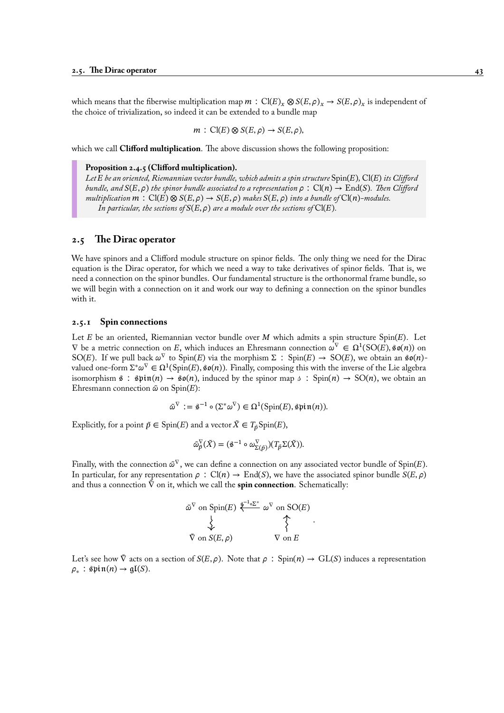which means that the fiberwise multiplication map  $m : Cl(E)_x \otimes S(E, \rho)_x \to S(E, \rho)_x$  is independent of the choice of trivialization, so indeed it can be extended to a bundle map

$$
m: Cl(E) \otimes S(E, \rho) \to S(E, \rho),
$$

which we call **Clifford multiplication**. The above discussion shows the following proposition:

#### **Proposition 2.4.5 (Clifford multiplication).**

*Let be an oriented, Riemannian vector bundle, which admits a spin structure* Spin()*,* Cl()*its Clifford bundle, and*  $S(E, \rho)$  *the spinor bundle associated to a representation*  $\rho : Cl(n) \to End(S)$ *. Then Clifford multiplication*  $m : Cl(E) \otimes S(E, \rho) \rightarrow S(E, \rho)$  *makes*  $S(E, \rho)$  *into a bundle of*  $Cl(n)$ *-modules. In particular, the sections of*  $S(E, \rho)$  *are a module over the sections of*  $Cl(E)$ *.* 

# **2.5 The Dirac operator**

We have spinors and a Clifford module structure on spinor fields. The only thing we need for the Dirac equation is the Dirac operator, for which we need a way to take derivatives of spinor fields. That is, we need a connection on the spinor bundles. Our fundamental structure is the orthonormal frame bundle, so we will begin with a connection on it and work our way to defining a connection on the spinor bundles with it.

# <span id="page-48-0"></span>**2.5.1 Spin connections**

Let  $E$  be an oriented, Riemannian vector bundle over  $M$  which admits a spin structure Spin( $E$ ). Let  $∇$  be a metric connection on E, which induces an Ehresmann connection  $ω<sup>∇</sup> ∈ Ω<sup>1</sup>(SO(E), §ø(n))$  on SO(E). If we pull back  $\omega^{\nabla}$  to Spin(E) via the morphism  $\Sigma$ : Spin(E)  $\rightarrow$  SO(E), we obtain an  $\mathfrak{so}(n)$ valued one-form  $\Sigma^*\omega^\nabla\in\Omega^1(\mathrm{Spin}(E),\mathfrak{so}(n)).$  Finally, composing this with the inverse of the Lie algebra isomorphism  $\hat{\mathfrak{s}}$  :  $\hat{\mathfrak{spin}}(n) \to \hat{\mathfrak{so}}(n)$ , induced by the spinor map  $\hat{\mathfrak{s}}$  :  $Spin(n) \to SO(n)$ , we obtain an Ehresmann connection  $\tilde{\omega}$  on Spin(E):

$$
\tilde{\omega}^{\nabla} := \hat{\mathbf{s}}^{-1} \circ (\Sigma^* \omega^{\nabla}) \in \Omega^1(\text{Spin}(E), \hat{\mathbf{s}} \text{pin}(n)).
$$

Explicitly, for a point  $\tilde{p} \in \text{Spin}(E)$  and a vector  $\tilde{X} \in T_{\tilde{p}}\text{Spin}(E)$ ,

$$
\tilde{\omega}_{\tilde{p}}^{\nabla}(\tilde{X}) = (\mathbf{\hat{s}}^{-1} \circ \omega_{\Sigma(\tilde{p})}^{\nabla})(T_{\tilde{p}}\Sigma(\tilde{X})).
$$

Finally, with the connection  $\tilde{\omega}^\nabla$ , we can define a connection on any associated vector bundle of Spin(E). In particular, for any representation  $\rho$ : Cl(n)  $\rightarrow$  End(S), we have the associated spinor bundle  $S(E, \rho)$ and thus a connection  $\tilde{\nabla}$  on it, which we call the **spin connection**. Schematically:

$$
\begin{array}{ccc}\n\tilde{\omega}^{\nabla} \text{ on } \text{Spin}(E) & \stackrel{\tilde{\mathbf{g}}^{-1} \circ \Sigma^*}{\sim} & \omega^{\nabla} \text{ on } \text{SO}(E) \\
& \diamondsuit & \diamondsuit \\
\tilde{\nabla} \text{ on } S(E, \rho) & \nabla \text{ on } E\n\end{array}.
$$

Let's see how  $\tilde{\nabla}$  acts on a section of  $S(E, \rho)$ . Note that  $\rho : Spin(n) \to GL(S)$  induces a representation  $\rho_*$ :  $\text{spin}(n) \rightarrow \text{gl}(S)$ .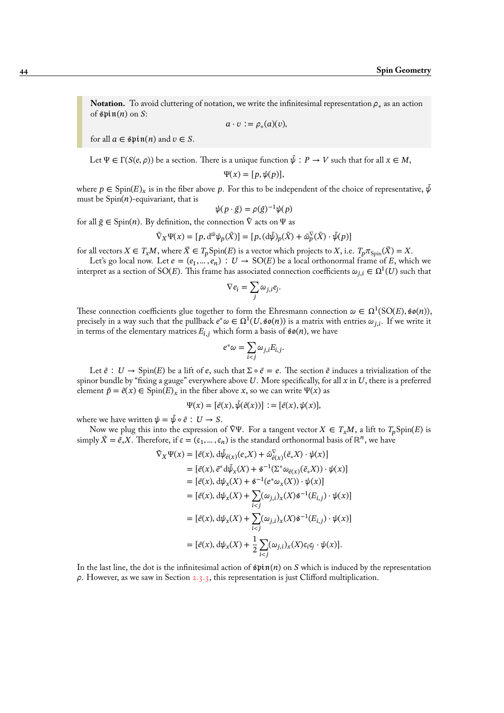**Notation.** To avoid cluttering of notation, we write the infinitesimal representation  $\rho_*$  as an action of  $\sin(n)$  on S:

$$
a\cdot v := \rho_*(a)(v),
$$

for all  $a \in \mathfrak{spin}(n)$  and  $v \in S$ .

Let  $\Psi \in \Gamma(S(e, \rho))$  be a section. There is a unique function  $\tilde{\psi}: P \to V$  such that for all  $x \in M$ ,

$$
\Psi(x) = [p, \psi(p)],
$$

where  $p \in \text{Spin}(E)_{\chi}$  is in the fiber above p. For this to be independent of the choice of representative,  $\psi$ must be  $Spin(n)$ -equivariant, that is

$$
\psi(p \cdot \tilde{g}) = \rho(\tilde{g})^{-1} \psi(p)
$$

for all  $\tilde{g} \in$  Spin(*n*). By definition, the connection  $\tilde{V}$  acts on  $\Psi$  as

$$
\tilde{\nabla}_X \Psi(x) = [p, d^{\tilde{\omega}} \psi_p(\tilde{X})] = [p, (d\tilde{\psi})_p(\tilde{X}) + \tilde{\omega}_p^{\nabla}(\tilde{X}) \cdot \tilde{\psi}(p)]
$$

for all vectors  $X \in T_xM$ , where  $\tilde{X} \in T_p$ Spin(E) is a vector which projects to X, i.e.  $T_p \pi_{Spin}(\tilde{X}) = X$ .

Let's go local now. Let  $e = (e_1, ..., e_n) : U \to SO(E)$  be a local orthonormal frame of E, which we interpret as a section of SO(E). This frame has associated connection coefficients  $\omega_{j,i} \in \Omega^1(U)$  such that

$$
\nabla e_i = \sum_j \omega_{j,i} e_j
$$

.

These connection coefficients glue together to form the Ehresmann connection  $\omega \in \Omega^1(\mathrm{SO}(E),\mathfrak{so}(n)),$ precisely in a way such that the pullback  $e^*\omega \in \Omega^1(U,\mathfrak{so}(n))$  is a matrix with entries  $\omega_{j,i}.$  If we write it in terms of the elementary matrices  $E_{i,j}$  which form a basis of  $\mathfrak{so}(n)$ , we have

$$
e^*\omega = \sum_{i < j} \omega_{j,i} E_{i,j}.
$$

Let  $\tilde{e}$  :  $U \to \text{Spin}(E)$  be a lift of  $e$ , such that  $\Sigma \circ \tilde{e} = e$ . The section  $\tilde{e}$  induces a trivialization of the spinor bundle by "fixing a gauge" everywhere above  $U$ . More specifically, for all  $x$  in  $U$ , there is a preferred element  $\tilde{p} = \tilde{e}(x) \in Spin(E)_x$  in the fiber above x, so we can write  $\Psi(x)$  as

$$
\Psi(x) = [\tilde{e}(x), \tilde{\psi}(\tilde{e}(x))] := [\tilde{e}(x), \psi(x)],
$$

where we have written  $\psi = \tilde{\psi} \circ \tilde{e}$ :  $U \to S$ .

Now we plug this into the expression of  $\tilde{\nabla}\Psi$ . For a tangent vector  $X \in T_xM$ , a lift to  $T_pSpin(E)$  is simply  $\tilde{X} = \tilde{e}_* X$ . Therefore, if  $\epsilon = (\epsilon_1, ..., \epsilon_n)$  is the standard orthonormal basis of  $\mathbb{R}^n$ , we have

$$
\tilde{\nabla}_{X}\Psi(x) = [\tilde{e}(x), d\tilde{\psi}_{\tilde{e}(x)}(e_{*}X) + \tilde{\omega}_{\tilde{e}(x)}^{\nabla}(\tilde{e}_{*}X) \cdot \psi(x)]
$$
\n
$$
= [\tilde{e}(x), \tilde{e}^{*}d\tilde{\psi}_{x}(X) + \tilde{s}^{-1}(\Sigma^{*}\omega_{\tilde{e}(x)}(\tilde{e}_{*}X)) \cdot \psi(x)]
$$
\n
$$
= [\tilde{e}(x), d\psi_{x}(X) + \tilde{s}^{-1}(e^{*}\omega_{x}(X)) \cdot \psi(x)]
$$
\n
$$
= [\tilde{e}(x), d\psi_{x}(X) + \sum_{i < j} (\omega_{j,i})_{x}(X)\tilde{s}^{-1}(E_{i,j}) \cdot \psi(x)]
$$
\n
$$
= [\tilde{e}(x), d\psi_{x}(X) + \sum_{i < j} (\omega_{j,i})_{x}(X)\tilde{s}^{-1}(E_{i,j}) \cdot \psi(x)]
$$
\n
$$
= [\tilde{e}(x), d\psi_{x}(X) + \frac{1}{2} \sum_{i < j} (\omega_{j,i})_{x}(X)\tilde{e}_{i}\tilde{\epsilon}_{j} \cdot \psi(x)].
$$

In the last line, the dot is the infinitesimal action of  $\mathfrak{spin}(n)$  on S which is induced by the representation  $\rho$ . However, as we saw in Section 2.3.3, this representation is just Clifford multiplication.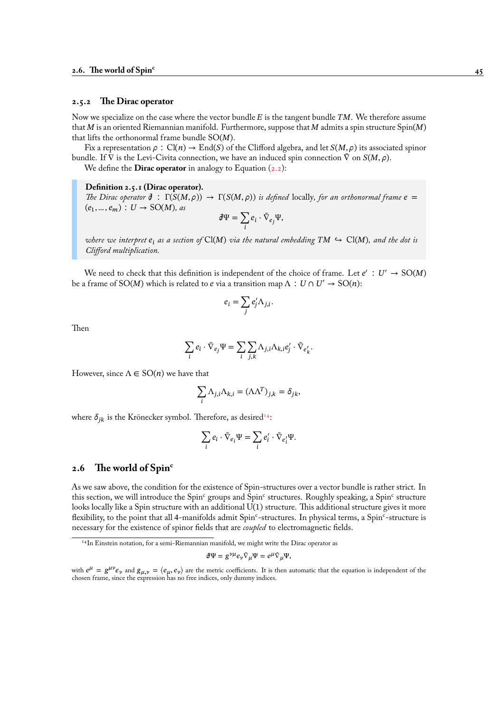# **2.5.2 The Dirac operator**

Now we specialize on the case where the vector bundle  $E$  is the tangent bundle  $TM$ . We therefore assume that  $M$  is an oriented Riemannian manifold. Furthermore, suppose that  $M$  admits a spin structure Spin( $M$ ) that lifts the orthonormal frame bundle  $SO(M)$ .

<span id="page-50-0"></span>Fix a representation  $\rho$ : Cl(n)  $\to$  End(S) of the Clifford algebra, and let  $S(M, \rho)$  its associated spinor bundle. If  $\nabla$  is the Levi-Civita connection, we have an induced spin connection  $\nabla$  on  $S(M, \rho)$ .

We define the **Dirac operator** in analogy to Equation  $(2.2)$ :

#### **Definition 2.5.1 (Dirac operator).**

*The Dirac operator*  $\phi$  :  $\Gamma(S(M,\rho)) \to \Gamma(S(M,\rho))$  *is defined* locally*, for an orthonormal frame*  $e =$  $(e_1, \ldots, e_m)$  :  $U \rightarrow SO(M)$ , as

$$
\partial \Psi = \sum_i e_i \cdot \tilde{\nabla}_{e_j} \Psi,
$$

*where we interpret*  $e_i$  as a section of  $Cl(M)$  *via the natural embedding*  $TM \hookrightarrow Cl(M)$ *, and the dot is Clifford multiplication.*

We need to check that this definition is independent of the choice of frame. Let  $e' : U' \rightarrow SO(M)$ be a frame of SO(M) which is related to *e* via a transition map  $\Lambda : U \cap U' \to SO(n)$ :

$$
e_i = \sum_j e'_j \Lambda_{j,i}.
$$

Then

$$
\sum_{i} e_i \cdot \tilde{\nabla}_{e_j} \Psi = \sum_{i} \sum_{j,k} \Lambda_{j,i} \Lambda_{k,i} e'_j \cdot \tilde{\nabla}_{e'_k}.
$$

However, since  $\Lambda \in SO(n)$  we have that

$$
\sum_i \Lambda_{j,i} \Lambda_{k,i} = (\Lambda \Lambda^T)_{j,k} = \delta_{jk},
$$

where  $\delta_{ik}$  is the Krönecker symbol. Therefore, as desired<sup>14</sup>:

$$
\sum_i e_i \cdot \tilde{\nabla}_{e_i} \Psi = \sum_i e'_i \cdot \tilde{\nabla}_{e'_i} \Psi.
$$

# **2.6 The world of Spin<sup>c</sup>**

As we saw above, the condition for the existence of Spin-structures over a vector bundle is rather strict. In this section, we will introduce the Spin<sup>c</sup> groups and Spin<sup>c</sup> structures. Roughly speaking, a Spin<sup>c</sup> structure looks locally like a Spin structure with an additional U(1) structure. This additional structure gives it more flexibility, to the point that all 4-manifolds admit Spin<sup>c</sup>-structures. In physical terms, a Spin<sup>c</sup>-structure is necessary for the existence of spinor fields that are *coupled* to electromagnetic fields.

$$
\partial\Psi=g^{\nu\mu}e_\nu\tilde{\nabla}_\mu\Psi=e^\mu\tilde{\nabla}_\mu\Psi,
$$

<sup>&</sup>lt;sup>14</sup>In Einstein notation, for a semi-Riemannian manifold, we might write the Dirac operator as

with  $e^{\mu} = g^{\mu\nu}e_{\nu}$  and  $g_{\mu,\nu} = \langle e_{\mu}, e_{\nu} \rangle$  are the metric coefficients. It is then automatic that the equation is independent of the chosen frame, since the expression has no free indices, only dummy indices.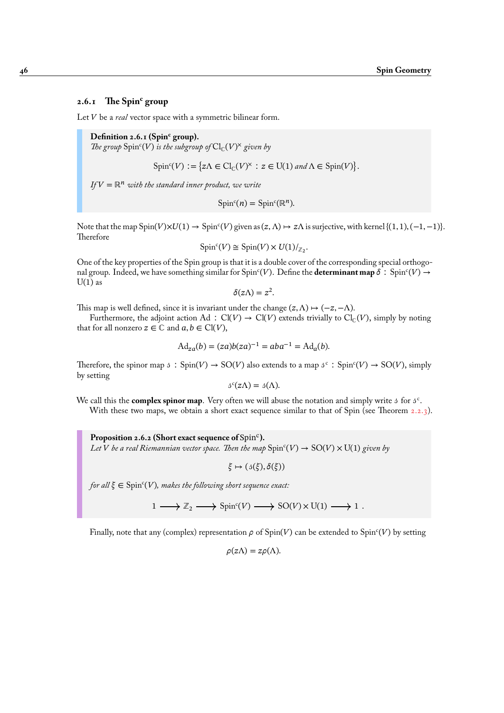# **2.6.1 The Spin<sup>c</sup> group**

Let *V* be a *real* vector space with a symmetric bilinear form.

**Definition 2.6.1 (Spin<sup>c</sup> group).** *The group*  $Spin^c(V)$  *is the subgroup of*  $Cl_C(V)^{\times}$  *given by* 

 $Spin<sup>c</sup>(V) := \{ z \Lambda \in Cl<sub>C</sub>(V)^{\times} : z \in U(1) \text{ and } \Lambda \in Spin(V) \}.$ 

 $IFV = \mathbb{R}^n$  *with the standard inner product, we write* 

 $Spin<sup>c</sup>(n) = Spin<sup>c</sup>(\mathbb{R}<sup>n</sup>).$ 

Note that the map  $Spin(V)\times U(1) \to Spin^{c}(V)$  given as  $(z, \Lambda) \mapsto z\Lambda$  is surjective, with kernel {(1, 1), (-1, -1)}. **Therefore** 

$$
\mathrm{Spin}^c(V) \cong \mathrm{Spin}(V) \times U(1)/_{\mathbb{Z}_2}.
$$

One of the key properties of the Spin group is that it is a double cover of the corresponding special orthogonal group. Indeed, we have something similar for Spin<sup>c</sup>(V). Define the **determinant map**  $\delta$ : Spin<sup>c</sup>(V)  $\rightarrow$  $U(1)$  as

$$
\delta(z\Lambda)=z^2.
$$

This map is well defined, since it is invariant under the change  $(z, \Lambda) \mapsto (-z, -\Lambda)$ .

Furthermore, the adjoint action Ad :  $Cl(V) \rightarrow Cl(V)$  extends trivially to  $Cl_{\mathbb{C}}(V)$ , simply by noting that for all nonzero  $z \in \mathbb{C}$  and  $a, b \in \mathrm{Cl}(V)$ ,

$$
Ad_{za}(b) = (za)b(za)^{-1} = aba^{-1} = Ad_a(b).
$$

Therefore, the spinor map  $\beta$ :  $Spin(V) \to SO(V)$  also extends to a map  $\beta^c$ :  $Spin^c(V) \to SO(V)$ , simply by setting

$$
\beta^{c}(z\Lambda) = \beta(\Lambda).
$$

We call this the **complex spinor map**. Very often we will abuse the notation and simply write  $\beta$  for  $\beta^c$ .

With these two maps, we obtain a short exact sequence similar to that of Spin (see Theorem  $2.2.3$ ).

Proposition 2.6.2 (Short exact sequence of Spin<sup>c</sup>). Let  $V$  be a real Riemannian vector space. Then the map  $\mathrm{Spin}^\mathrm{c}(V) \to \mathrm{SO}(V) \times \mathrm{U}(1)$  given by

 $\xi \mapsto (\mathfrak{z}(\xi), \delta(\xi))$ 

for all  $\xi \in \mathrm{Spin}^c(V)$ , makes the following short sequence exact:

 $1 \longrightarrow \mathbb{Z}_2 \longrightarrow \text{Spin}^c(V) \longrightarrow \text{SO}(V) \times \text{U}(1) \longrightarrow 1$ .

Finally, note that any (complex) representation  $\rho$  of Spin(V) can be extended to Spin<sup>c</sup>(V) by setting

$$
\rho(z\Lambda)=z\rho(\Lambda).
$$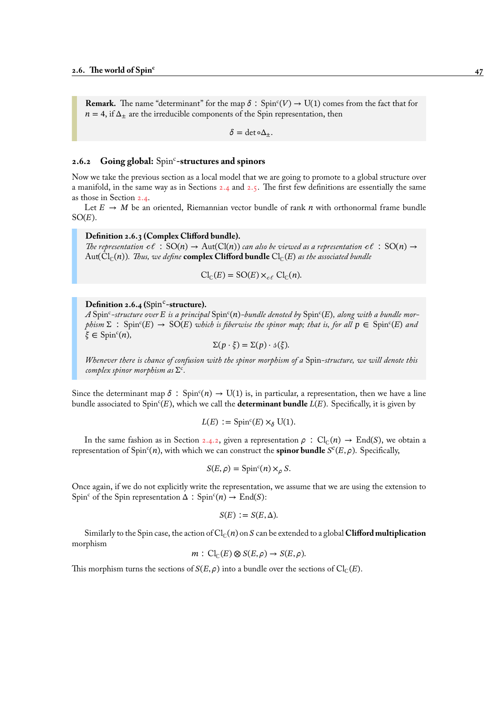**Remark.** The name "determinant" for the map  $\delta$ :  $Spin<sup>c</sup>(V) \rightarrow U(1)$  comes from the fact that for  $n = 4$ , if  $\Delta_{\pm}$  are the irreducible components of the Spin representation, then

 $\delta = \det \circ \Delta_+$ .

# 2.6.2 Going global: Spin<sup>c</sup>-structures and spinors

Now we take the previous section as a local model that we are going to promote to a global structure over a manifold, in the same way as in Sections 2.4 and 2.5. The first few definitions are essentially the same as those in Section 2.4.

Let  $E \rightarrow M$  be an oriented, Riemannian vector bundle of rank  $n$  with orthonormal frame bundle  $SO(E)$ .

#### **Definition 2.6[.3 \(C](#page-44-0)omplex Clifford b[undl](#page-44-0)e).**

*The representation*  $c\ell$  :  $SO(n) \rightarrow Aut(Cl(n))$  *can also be viewed as a representation*  $c\ell$  :  $SO(n) \rightarrow$  $Aut(Cl_{\mathbb{C}}(n))$ *. Thus, we define* **complex Clifford bundle**  $Cl_{\mathbb{C}}(E)$  *as the associated bundle* 

$$
\mathrm{Cl}_{\mathbb{C}}(E) = \mathrm{SO}(E) \times_{c\ell} \mathrm{Cl}_{\mathbb{C}}(n).
$$

# Definition 2.6.4 (Spin<sup>c</sup>-structure).

A  $\rm{Spin^c\text{-}structure}$  over  $E$  is a principal  $\rm{Spin^c}(n)$ -bundle denoted by  $\rm{Spin^c}(E)$ , along with a bundle mor $phism\ \Sigma\ : \ \mathrm{Spin}^c(E)\ \rightarrow \ \mathrm{SO}(E)$  which is fiberwise the spinor map; that is, for all  $p\in \mathrm{Spin}^c(E)$  and  $\xi \in \text{Spin}^c(n)$ ,

$$
\Sigma(p \cdot \xi) = \Sigma(p) \cdot \mathfrak{s}(\xi).
$$

*Whenever there is chance of confusion with the spinor morphism of a* Spin*-structure, we will denote this complex spinor morphism as* Σ c *.*

Since the determinant map  $\delta$ : Spin<sup>c</sup> $(n) \to U(1)$  is, in particular, a representation, then we have a line bundle associated to Spin<sup>c</sup>(E), which we call the **determinant bundle** L(E). Specifically, it is given by

$$
L(E) := \text{Spin}^c(E) \times_{\delta} \text{U}(1).
$$

In the same fashion as in Section 2.4.2, given a representation  $\rho$  :  $Cl_{\mathbb{C}}(n) \to End(S)$ , we obtain a representation of  $Spin<sup>c</sup>(n)$ , with which we can construct the **spinor bundle**  $S<sup>c</sup>(E, \rho)$ . Specifically,

$$
S(E,\rho) = \operatorname{Spin}^c(n) \times_{\rho} S.
$$

Once again, if we do not explicitly wri[te the](#page-46-1) representation, we assume that we are using the extension to Spin<sup>c</sup> of the Spin representation  $\Delta$  : Spin<sup>c</sup> $(n) \rightarrow$  End(S):

$$
S(E) := S(E, \Delta).
$$

Similarly to the Spin case, the action of  $Cl_{\mathbb{C}}(n)$  on S can be extended to a global **Clifford multiplication** morphism

$$
m: \operatorname{Cl}_{\mathbb{C}}(E) \otimes S(E, \rho) \to S(E, \rho).
$$

This morphism turns the sections of  $S(E, \rho)$  into a bundle over the sections of Cl<sub>C</sub>(E).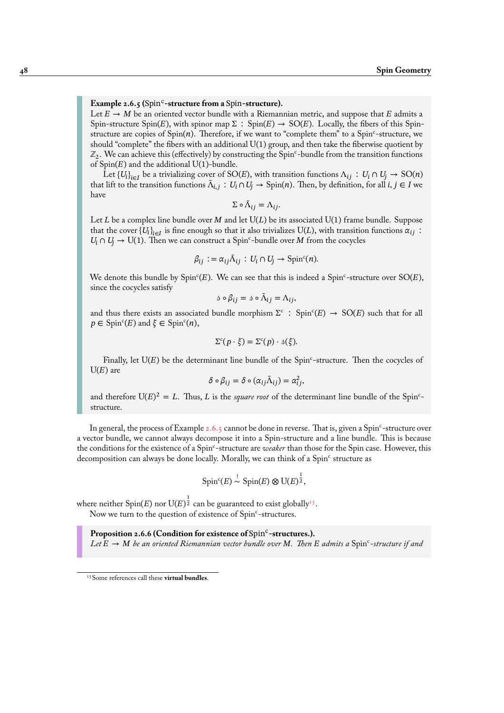# Example 2.6.5 (Spin<sup>c</sup>-structure from a Spin-structure).

Let  $E \to M$  be an oriented vector bundle with a Riemannian metric, and suppose that E admits a Spin-structure Spin(E), with spinor map  $\Sigma$ : Spin(E)  $\rightarrow$  SO(E). Locally, the fibers of this Spinstructure are copies of  $Spin(n)$ . Therefore, if we want to "complete them" to a  $Spin<sup>c</sup>$ -structure, we should "complete" the fibers with an additional U(1) group, and then take the fiberwise quotient by  $\mathbb{Z}_2$ . We can achieve this (effectively) by constructing the Spin<sup>c</sup>-bundle from the transition functions of  $Spin(E)$  and the additional U(1)-bundle.

Let  ${U_i}_{i\in I}$  be a trivializing cover of SO(E), with transition functions  $\Lambda_{ij}: U_i \cap U_j \to SO(n)$ that lift to the transition functions  $\tilde{\Lambda}_{i,j}: U_i \cap U_j \to \text{Spin}(n)$ . Then, by definition, for all  $i, j \in I$  we have

 $\Sigma \circ \tilde{\Lambda}_{ij} = \Lambda_{ij}.$ 

Let L be a complex line bundle over M and let  $U(L)$  be its associated  $U(1)$  frame bundle. Suppose that the cover  $\{U_i\}_{i\in I}$  is fine enough so that it also trivializes  $\mathrm{U}(L),$  with transition functions  $\alpha_{ij}$ :  $U_i \cap U_j \to U(1)$ . Then we can construct a Spin<sup>c</sup>-bundle over M from the cocycles

$$
\beta_{ij} := \alpha_{ij} \tilde{\Lambda}_{ij} : U_i \cap U_j \to \text{Spin}^c(n).
$$

We denote this bundle by Spin<sup>c</sup>(E). We can see that this is indeed a Spin<sup>c</sup>-structure over SO(E), since the cocycles satisfy

$$
\mathbf{1} \circ \beta_{ij} = \mathbf{1} \circ \tilde{\Lambda}_{ij} = \Lambda_{ij},
$$

and thus there exists an associated bundle morphism  $\Sigma^c$ : Spinc $(E) \rightarrow SO(E)$  such that for all  $p \in \text{Spin}^c(E)$  and  $\xi \in \text{Spin}^c(n)$ ,

$$
\Sigma^c(p \cdot \xi) = \Sigma^c(p) \cdot \mathfrak{z}(\xi).
$$

Finally, let  $U(E)$  be the determinant line bundle of the Spin<sup>c</sup>-structure. Then the cocycles of  $U(E)$  are

$$
\delta \circ \beta_{ij} = \delta \circ (\alpha_{ij} \tilde{\Lambda}_{ij}) = \alpha_{ij}^2,
$$

and therefore  $U(E)^2 = L$ . Thus, L is the *square root* of the determinant line bundle of the Spin<sup>c</sup>structure.

In general, the process of Example 2.6.5 cannot be done in reverse. That is, given a Spin<sup>c</sup>-structure over a vector bundle, we cannot always decompose it into a Spin-structure and a line bundle. This is because the conditions for the existence of a Spin<sup>c</sup>-structure are *weaker* than those for the Spin case. However, this decomposition can always be done locally. Morally, we can think of a Spin<sup>c</sup> structure as

$$
\text{Spin}^c(E) \stackrel{!}{\sim} \text{Spin}(E) \otimes \text{U}(E)^{\frac{1}{2}},
$$

where neither Spin(E) nor U(E) $^{\frac{1}{2}}$  can be guaranteed to exist globally<sup>15</sup>. Now we turn to the question of existence of Spin<sup>c</sup>-structures.

Proposition 2.6.6 (Condition for existence of Spin<sup>c</sup>-structures.). Let  $E \to M$  be a[n](#page-53-0) oriented Riemannian vector bundle over M. Then  $E$  admits a  $\mathrm{Spin^c\text{-}structure}$  if and

<span id="page-53-0"></span><sup>15</sup>Some references call these **virtual bundles**.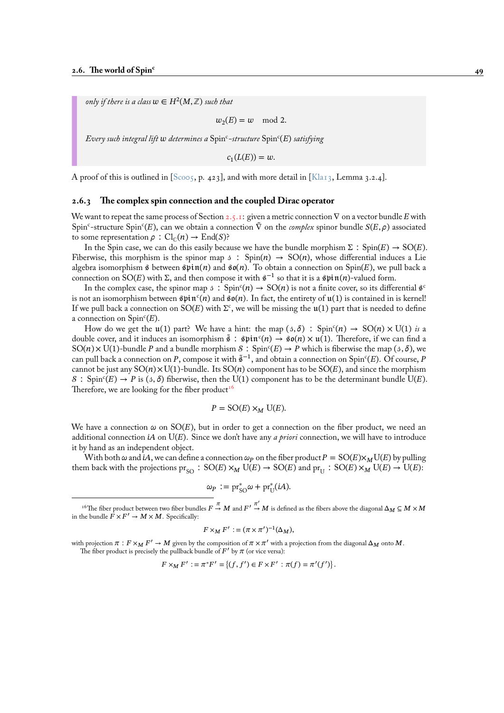only if there is a class  $w \in H^2(M,{\mathbb Z})$  such that

 $w_2(E) = w \mod 2.$ 

 $E$ very such integral lift  $w$  determines a  $\text{Spin}^c\text{-}structure$   $\text{Spin}^c(E)$  satisfying

 $c_1(L(E)) = w.$ 

A proof of this is outlined in [Scoo5, p. 423], and with more detail in [Kla13, Lemma 3.2.4].

#### **2.6.3 The complex spin connection and the coupled Dirac operator**

We want to repeat the same pr[ocess o](#page-96-2)f Section 2.5.1: given a metric con[nection](#page-95-1)  $\nabla$  on a vector bundle E with Spin<sup>c</sup>-structure Spin<sup>c</sup>(E), can we obtain a connection  $\tilde{\nabla}$  on the *complex* spinor bundle  $S(E, \rho)$  associated to some representation  $\rho$  :  $Cl_{\mathbb{C}}(n) \to End(S)$ ?

In the Spin case, we can do this easily because we have the bundle morphism  $\Sigma : Spin(E) \rightarrow SO(E)$ . Fiberwise, this morphism is the spinor map  $\beta$ : Spin(n)  $\rightarrow$  SO(n), whose differential induces a Lie algebra isomorphism  $\hat{\beta}$  between  $\hat{\beta}$   $\hat{\beta}$  and  $\hat{\beta}$   $\hat{\beta}$ (n). To obtain a connection on Spin(E), we pull back a connection on SO(E) with Σ, and then compose it with  $\hat{\mathbf{s}}^{-1}$  so that it is a  $\hat{\mathbf{s}}$ pin(n)-valued form.

In the complex case, the spinor map  $\beta$ :  $Spin<sup>c</sup>(n) \rightarrow SO(n)$  is not a finite cover, so its differential  $\hat{s}^c$ is not an isomorphism between  $\sin^n(n)$  and  $\sin(n)$ . In fact, the entirety of  $\mathfrak{u}(1)$  is contained in is kernel! If we pull back a connection on  $\mathrm{SO}(E)$  with  $\Sigma^\mathrm{c}$ , we will be missing the  $\mathfrak{u}(1)$  part that is needed to define a connection on  $Spin<sup>c</sup>(E)$ .

How do we get the  $\mathfrak{u}(1)$  part? We have a hint: the map  $(\beta, \delta)$ : Spin<sup>c</sup> $(n) \to SO(n) \times U(1)$  *is* a double cover, and it induces an isomorphism  $\tilde{s}: \hat{\mathfrak{spin}}^c(n) \to \hat{\mathfrak{so}}(n) \times \mathfrak{u}(1)$ . Therefore, if we can find a SO(n)  $\times$  U(1)-bundle P and a bundle morphism  $S: Spin<sup>c</sup>(E) \rightarrow P$  which is fiberwise the map (3,  $\delta$ ), we can pull back a connection on P, compose it with  $\tilde{\$}^{-1},$  and obtain a connection on Spin°(E). Of course, P cannot be just any  $SO(n) \times U(1)$ -bundle. Its  $SO(n)$  component has to be  $SO(E)$ , and since the morphism  $S$  : Spin<sup>c</sup>(E) → P is (3, δ) fiberwise, then the U(1) component has to be the determinant bundle U(E). Therefore, we are looking for the fiber product<sup>16</sup>

$$
P = SO(E) \times_M U(E).
$$

We have a connection  $\omega$  on SO(E), but in o[rde](#page-54-0)r to get a connection on the fiber product, we need an additional connection  $iA$  on  $U(E)$ . Since we don't have any *a priori* connection, we will have to introduce it by hand as an independent object.

With both  $\omega$  and iA, we can define a connection  $\omega_P$  on the fiber product  $P = SO(E) \times_M U(E)$  by pulling them back with the projections  $pr_{SO} : SO(E) \times_M U(E) \to SO(E)$  and  $pr_U : SO(E) \times_M U(E) \to U(E)$ :

$$
\omega_P := \mathrm{pr}_{\mathrm{SO}}^* \omega + \mathrm{pr}_{\mathrm{U}}^*(iA).
$$

<sup>16</sup>The fiber product between two fiber bundles  $F\stackrel{\pi}{\to}M$  and  $F'\stackrel{\pi'}{\to}M$  is defined as the fibers above the diagonal  $\Delta_M\subseteq M\times M$ in the bundle  $\vec{F} \times F' \to M \times M$ . Specifically:

$$
F\times_M F':=(\pi\times\pi')^{-1}(\Delta_M),
$$

<span id="page-54-0"></span>with projection  $\pi : F \times_M F' \to M$  given by the composition of  $\pi \times \pi'$  with a projection from the diagonal  $\Delta_M$  onto  $M$ . The fiber product is precisely the pullback bundle of  $F'$  by  $\pi$  (or vice versa):

$$
F \times_M F' := \pi^* F' = \{(f, f') \in F \times F' : \pi(f) = \pi'(f')\}.
$$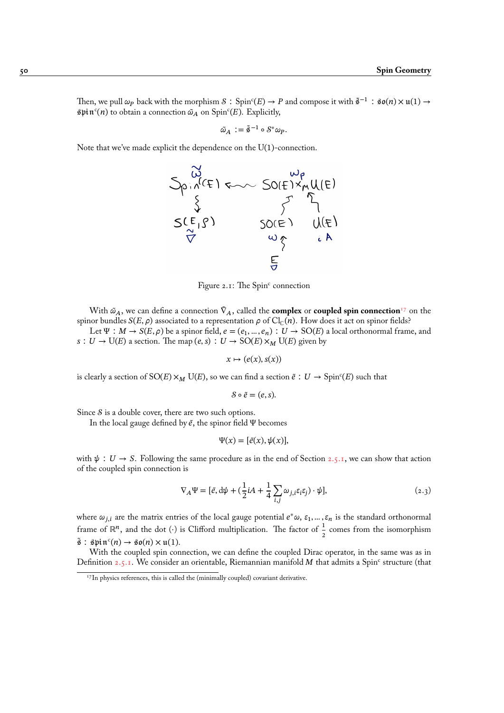Then, we pull  $\omega_P$  back with the morphism  $S$  ∶ Spin<sup>c</sup>(E)  $\to$  P and compose it with  $\tilde{s}^{-1}$  ∶ \$0(n)  $\times$  u(1)  $\to$  $\sin^c(n)$  to obtain a connection  $\tilde{\omega}_A$  on  $\text{Spin}^c(E)$ . Explicitly,

$$
\tilde{\omega}_A := \tilde{\mathfrak{s}}^{-1} \circ \mathcal{S}^* \omega_P.
$$

Note that we've made explicit the dependence on the U(1)-connection.



Figure 2.1: The Spinc connection

With  $\tilde{\omega}_A$ , we can define a connection  $\tilde{V}_A$ , called the **complex** or **coupled spin connection**<sup>17</sup> on the spinor bundles  $S(E, \rho)$  associated to a representation  $\rho$  of Cl<sub>C</sub>(n). How does it act on spinor fields?

Let  $\Psi : M \to S(E, \rho)$  be a spinor field,  $e = (e_1, ..., e_n) : U \to SO(E)$  a local orthonormal frame, and s : U → U(E) a section. The map (e, s) : U → SO(E)  $\times_M$  U(E) given by

$$
x \mapsto (e(x), s(x))
$$

is clearly a section of  ${\rm SO}(E) \times_M {\rm U}(E)$ , so we can find a section  $\tilde e : U \to {\rm Spin}^c(E)$  such that

$$
\mathcal{S} \circ \tilde{e} = (e, s).
$$

Since  $\delta$  is a double cover, there are two such options.

In the local gauge defined by  $\tilde{e}$ , the spinor field  $\Psi$  becomes

$$
\Psi(x) = [\tilde{e}(x), \psi(x)],
$$

with  $\psi : U \to S$ . Following the same procedure as in the end of Section 2.5.1, we can show that action of the coupled spin connection is

$$
\nabla_A \Psi = [\tilde{e}, d\psi + (\frac{1}{2}iA + \frac{1}{4}\sum_{i,j}\omega_{j,i}\varepsilon_i\varepsilon_j) \cdot \psi],
$$
\n(2.3)

where  $\omega_{j,i}$  are the matrix entries of the local gauge potential  $e^*\omega$ ,  $\varepsilon_1, ..., \varepsilon_n$  is the standard orthonormal frame of ℝ<sup>n</sup>, and the dot (⋅) is Clifford multiplication. The factor of  $\frac{1}{2}$  comes from the isomorphism  $\tilde{\mathfrak{s}}$  :  $\text{spin}^c(n) \rightarrow \text{SO}(n) \times \mathfrak{u}(1)$ .

With the coupled spin connection, we can define the coupled Dirac operator, in the same was as in Definition 2.5.1. We consider an orientable, Riemannian manifold M that admits a Spin<sup>c</sup> structure (that

<sup>&</sup>lt;sup>17</sup>In physics references, this is called the (minimally coupled) covariant derivative.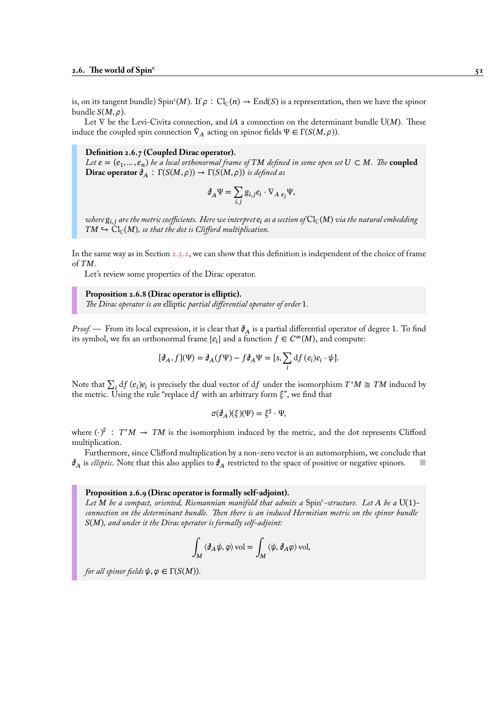is, on its tangent bundle) Spin<sup>c</sup>(M). If  $\rho : Cl_{\mathbb{C}}(n) \to End(S)$  is a representation, then we have the spinor bundle  $S(M, \rho)$ .

Let  $\nabla$  be the Levi-Civita connection, and *iA* a connection on the determinant bundle U(*M*). These induce the coupled spin connection  $\tilde{\nabla}_A$  acting on spinor fields  $\Psi \in \Gamma(S(M, \rho)).$ 

#### **Definition 2.6.7 (Coupled Dirac operator).**

Let  $e = (e_1, ..., e_n)$  be a local orthonormal frame of  $TM$  defined in some open set  $U \subset M$ . The  $\bf{coupled}$ **Dirac operator**  $\mathcal{J}_A$  :  $\Gamma(S(M,\rho)) \to \Gamma(S(M,\rho))$  is defined as

$$
\partial_A \Psi = \sum_{i,j} g_{i,j} e_i \cdot \nabla_{A} e_j \Psi,
$$

*where*  $g_{i,j}$  are the metric coefficients. Here we interpret  $e_i$  as a section of  $Cl_c(M)$  via the natural embedding  $TM \hookrightarrow Cl_{\mathbb{C}}(M)$ , so that the dot is Clifford multiplication.

In the same way as in Section 2.5.2, we can show that this definition is independent of the choice of frame of  $TM$ .

Let's review some properties of the Dirac operator.

**Proposition 2.6.8 (Dirac [opera](#page-50-0)tor is elliptic).** *The Dirac operator is an* elliptic *partial differential operator of order* 1*.*

*Proof.* — From its local expression, it is clear that  $\mathcal{J}_A$  is a partial differential operator of degree 1. To find its symbol, we fix an orthonormal frame  $\{e_i\}$  and a function  $f \in C^{\infty}(M)$ , and compute:

$$
[\mathcal{J}_A, f](\Psi) = \mathcal{J}_A(f\Psi) - f\mathcal{J}_A\Psi = [s, \sum_i \mathrm{d}f(e_i)e_i \cdot \psi].
$$

Note that  $\sum_i df(e_i)e_i$  is precisely the dual vector of df under the isomorphism  $T^*M \cong TM$  induced by the metric. Using the rule "replace  $df$  with an arbitrary form  $\xi$ ", we find that

$$
\sigma(\partial_A)(\xi)(\Psi) = \xi^{\sharp} \cdot \Psi,
$$

where  $(\cdot)^\sharp$ :  $T^*M \to TM$  is the isomorphism induced by the metric, and the dot represents Clifford multiplication.

Furthermore, since Clifford multiplication by a non-zero vector is an automorphism, we conclude that  $\partial_A$  is *elliptic*. Note that this also applies to  $\partial_A$  restricted to the space of positive or negative spinors.  $\Box$ 

#### **Proposition 2.6.9 (Dirac operator is formally self-adjoint).**

*Let be a compact, oriented, Riemannian manifold that admits a* Spin<sup>c</sup> *-structure. Let be a* U(1) *connection on the determinant bundle. Then there is an induced Hermitian metric on the spinor bundle* ()*, and under it the Dirac operator is formally self-adjoint:*

$$
\int_M \langle \mathcal{J}_A \psi, \varphi \rangle \,\text{vol} = \int_M \langle \psi, \mathcal{J}_A \varphi \rangle \,\text{vol},
$$

*for all spinor fields*  $\psi, \varphi \in \Gamma(S(M))$ *.*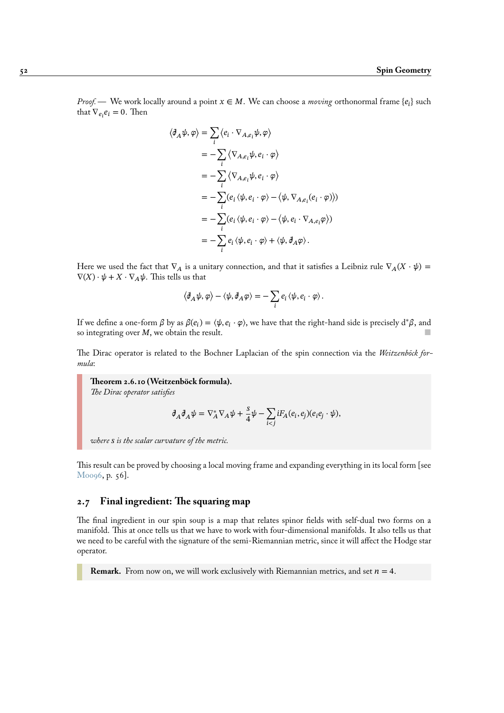*Proof.* — We work locally around a point  $x \in M$ . We can choose a *moving* orthonormal frame  $\{e_i\}$  such that  $\nabla_{e_i} e_i = 0$ . Then

$$
\langle \mathcal{J}_A \psi, \varphi \rangle = \sum_i \langle e_i \cdot \nabla_{A, e_i} \psi, \varphi \rangle
$$
  
=  $-\sum_i \langle \nabla_{A, e_i} \psi, e_i \cdot \varphi \rangle$   
=  $-\sum_i \langle \nabla_{A, e_i} \psi, e_i \cdot \varphi \rangle$   
=  $-\sum_i (e_i \langle \psi, e_i \cdot \varphi \rangle - \langle \psi, \nabla_{A, e_i} (e_i \cdot \varphi) \rangle)$   
=  $-\sum_i (e_i \langle \psi, e_i \cdot \varphi \rangle - \langle \psi, e_i \cdot \nabla_{A, e_i} \varphi \rangle)$   
=  $-\sum_i e_i \langle \psi, e_i \cdot \varphi \rangle + \langle \psi, \mathcal{J}_A \varphi \rangle.$ 

Here we used the fact that  $\nabla_A$  is a unitary connection, and that it satisfies a Leibniz rule  $\nabla_A(X \cdot \psi) =$  $\nabla(X) \cdot \psi + X \cdot \nabla_A \psi$ . This tells us that

$$
\left\langle \mathcal{J}_{A}\psi,\varphi\right\rangle -\left\langle \psi,\mathcal{J}_{A}\varphi\right\rangle =-\sum_{i}e_{i}\left\langle \psi,e_{i}\cdot\varphi\right\rangle .
$$

If we define a one-form  $\beta$  by as  $\beta(e_i) = \langle \psi, e_i \cdot \varphi \rangle$ , we have that the right-hand side is precisely d\* $\beta$ , and so integrating over  $M$ , we obtain the result.

The Dirac operator is related to the Bochner Laplacian of the spin connection via the *Weitzenböck formula*:

**Theorem 2.6.10 (Weitzenböck formula).** *The Dirac operator satisfies*

$$
\partial_A \partial_A \psi = \nabla_A^* \nabla_A \psi + \frac{s}{4} \psi - \sum_{i < j} i F_A(e_i, e_j)(e_i e_j \cdot \psi),
$$

*where is the scalar curvature of the metric.*

This result can be proved by choosing a local moving frame and expanding everything in its local form [see Moo96, p. 56].

# **2.7 Final ingredient: The squaring map**

[The fina](#page-95-2)l ingredient in our spin soup is a map that relates spinor fields with self-dual two forms on a manifold. This at once tells us that we have to work with four-dimensional manifolds. It also tells us that we need to be careful with the signature of the semi-Riemannian metric, since it will affect the Hodge star operator.

**Remark.** From now on, we will work exclusively with Riemannian metrics, and set  $n = 4$ .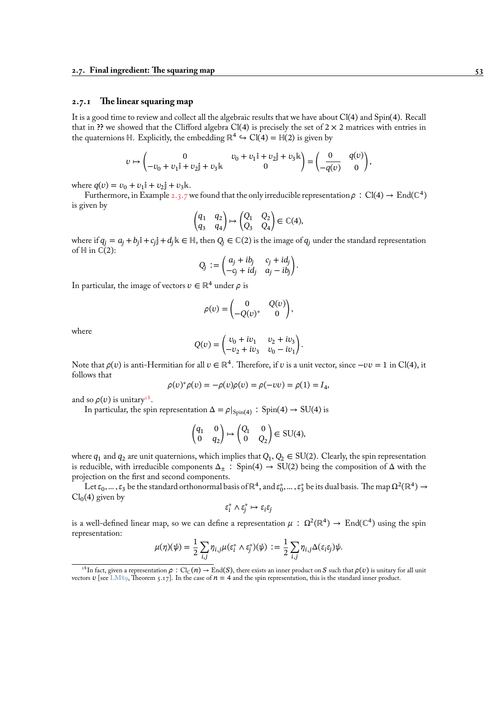# **2.7.1 The linear squaring map**

It is a good time to review and collect all the algebraic results that we have about Cl(4) and Spin(4). Recall that in **??** we showed that the Clifford algebra Cl(4) is precisely the set of  $2 \times 2$  matrices with entries in the quaternions ℍ. Explicitly, the embedding  $\mathbb{R}^4 \hookrightarrow \text{Cl}(4) = \mathbb{H}(2)$  is given by

$$
v \mapsto \begin{pmatrix} 0 & v_0 + v_1 \mathbf{i} + v_2 \mathbf{j} + v_3 \mathbf{k} \\ -v_0 + v_1 \mathbf{i} + v_2 \mathbf{j} + v_3 \mathbf{k} & 0 \end{pmatrix} = \begin{pmatrix} 0 & q(v) \\ -\overline{q(v)} & 0 \end{pmatrix},
$$

where  $q(v) = v_0 + v_1 \mathbf{i} + v_2 \mathbf{j} + v_3 \mathbf{k}$ .

Furthermore, in Example 2.3.7 we found that the only irreducible representation  $\rho : Cl(4) \to End(\mathbb{C}^4)$ is given by

$$
\begin{pmatrix} q_1 & q_2 \ q_3 & q_4 \end{pmatrix} \mapsto \begin{pmatrix} Q_1 & Q_2 \ Q_3 & Q_4 \end{pmatrix} \in \mathbb{C}(4),
$$

where if  $q_j = a_j + b_j$ i +  $c_j$ j +  $d_j$ k  $\in \mathbb{H}$ , then  $Q_j \in \mathbb{C}(2)$  is the image of  $q_j$  under the standard representation of  $\mathbb H$  in  $\mathbb C(2)$ :

$$
Q_j := \begin{pmatrix} a_j + ib_j & c_j + id_j \\ -c_j + id_j & a_j - ib_j \end{pmatrix}.
$$

In particular, the image of vectors  $v \in \mathbb{R}^4$  under  $\rho$  is

$$
\rho(v) = \begin{pmatrix} 0 & Q(v) \\ -Q(v)^* & 0 \end{pmatrix},
$$

where

$$
Q(v) = \begin{pmatrix} v_0 + iv_1 & v_2 + iv_3 \ -v_2 + iv_3 & v_0 - iv_1 \end{pmatrix}.
$$

Note that  $\rho(v)$  is anti-Hermitian for all  $v \in \mathbb{R}^4$ . Therefore, if  $v$  is a unit vector, since  $-vv=1$  in Cl(4), it follows that

$$
\rho(v)^{*}\rho(v) = -\rho(v)\rho(v) = \rho(-vv) = \rho(1) = I_4,
$$

and so  $\rho(v)$  is unitary<sup>18</sup>.

In particular, the spin representation  $\Delta = \rho|_{Spin(4)}$  : Spin(4)  $\rightarrow$  SU(4) is

$$
\begin{pmatrix} q_1 & 0 \\ 0 & q_2 \end{pmatrix} \mapsto \begin{pmatrix} Q_1 & 0 \\ 0 & Q_2 \end{pmatrix} \in \text{SU}(4),
$$

where  $q_1$  and  $q_2$  are unit quaternions, which implies that  $Q_1, Q_2 \in SU(2)$ . Clearly, the spin representation is reducible, with irreducible components  $\Delta_{\pm}$ : Spin(4)  $\rightarrow$  SU(2) being the composition of  $\Delta$  with the projection on the first and second components.

Let  $\varepsilon_0, ..., \varepsilon_3$  be the standard orthonormal basis of  $\mathbb{R}^4$ , and  $\varepsilon_0^*, ..., \varepsilon_3^*$  be its dual basis. The map  $\Omega^2(\mathbb{R}^4) \to$  $Cl_0(4)$  given by

$$
\varepsilon_i^* \wedge \varepsilon_j^* \mapsto \varepsilon_i \varepsilon_j
$$

is a well-defined linear map, so we can define a representation  $\mu$  :  $\Omega^2(\mathbb{R}^4)\to \mathrm{End}(\mathbb{C}^4)$  using the spin representation:

$$
\mu(\eta)(\psi) = \frac{1}{2} \sum_{i,j} \eta_{i,j} \mu(\varepsilon_i^* \wedge \varepsilon_j^*)(\psi) := \frac{1}{2} \sum_{i,j} \eta_{i,j} \Delta(\varepsilon_i \varepsilon_j) \psi.
$$

<sup>&</sup>lt;sup>18</sup>In fact, given a representation  $\rho$  : Cl<sub>C</sub>(n)  $\to$  End(S), there exists an inner product on S such that  $\rho(v)$  is unitary for all unit vectors  $v$  [see LM89, Theorem 5.17]. In the case of  $n = 4$  and the spin representation, this is the standard inner product.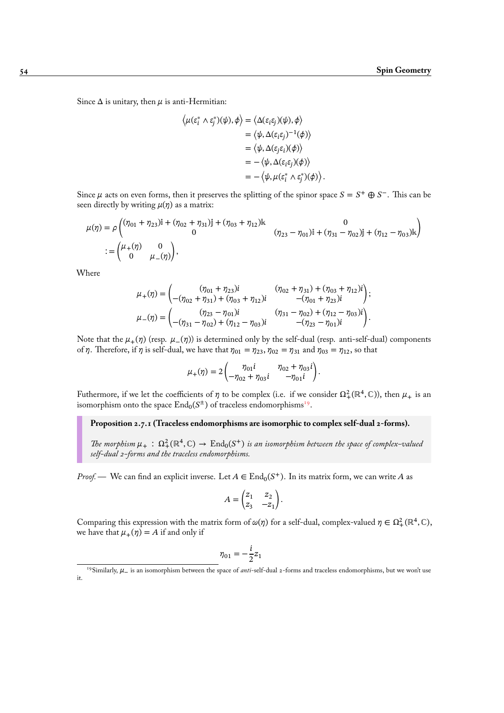Since  $\Delta$  is unitary, then  $\mu$  is anti-Hermitian:

$$
\langle \mu(\varepsilon_i^* \wedge \varepsilon_j^*)(\psi), \phi \rangle = \langle \Delta(\varepsilon_i \varepsilon_j)(\psi), \phi \rangle
$$
  
\n
$$
= \langle \psi, \Delta(\varepsilon_i \varepsilon_j)^{-1}(\phi) \rangle
$$
  
\n
$$
= \langle \psi, \Delta(\varepsilon_j \varepsilon_i)(\phi) \rangle
$$
  
\n
$$
= -\langle \psi, \Delta(\varepsilon_i \varepsilon_j)(\phi) \rangle
$$
  
\n
$$
= -\langle \psi, \mu(\varepsilon_i^* \wedge \varepsilon_j^*)(\phi) \rangle.
$$

Since  $\mu$  acts on even forms, then it preserves the splitting of the spinor space  $S = S^+ \oplus S^-$ . This can be seen directly by writing  $\mu(\eta)$  as a matrix:

$$
\mu(\eta) = \rho \begin{pmatrix} (\eta_{01} + \eta_{23})\mathbb{I} + (\eta_{02} + \eta_{31})\mathbb{I} + (\eta_{03} + \eta_{12})\mathbb{K} & 0 \\ 0 & (\eta_{23} - \eta_{01})\mathbb{I} + (\eta_{31} - \eta_{02})\mathbb{I} + (\eta_{12} - \eta_{03})\mathbb{K} \end{pmatrix}
$$
  
 := 
$$
\begin{pmatrix} \mu_+(\eta) & 0 \\ 0 & \mu_-(\eta) \end{pmatrix},
$$

Where

$$
\mu_{+}(\eta) = \begin{pmatrix} (\eta_{01} + \eta_{23})i & (\eta_{02} + \eta_{31}) + (\eta_{03} + \eta_{12})i \\ -(\eta_{02} + \eta_{31}) + (\eta_{03} + \eta_{12})i & -(\eta_{01} + \eta_{23})i \end{pmatrix};
$$
  
\n
$$
\mu_{-}(\eta) = \begin{pmatrix} (\eta_{23} - \eta_{01})i & (\eta_{31} - \eta_{02}) + (\eta_{12} - \eta_{03})i \\ -(\eta_{31} - \eta_{02}) + (\eta_{12} - \eta_{03})i & -(\eta_{23} - \eta_{01})i \end{pmatrix}.
$$

Note that the  $\mu_+(\eta)$  (resp.  $\mu_-(\eta)$ ) is determined only by the self-dual (resp. anti-self-dual) components of  $\eta$ . Therefore, if  $\eta$  is self-dual, we have that  $\eta_{01} = \eta_{23}$ ,  $\eta_{02} = \eta_{31}$  and  $\eta_{03} = \eta_{12}$ , so that

$$
\mu_+(\eta) = 2\begin{pmatrix} \eta_{01}i & \eta_{02} + \eta_{03}i \\ -\eta_{02} + \eta_{03}i & -\eta_{01}i \end{pmatrix}.
$$

Futhermore, if we let the coefficients of  $\eta$  to be complex (i.e. if we consider  $\Omega^2_+(\mathbb{R}^4,\mathbb{C})$ ), then  $\mu_+$  is an isomorphism onto the space  $\mathrm{End}_0(S^{\pm})$  of traceless endomorphisms<sup>19</sup>.

**Proposition 2.7.1 (Traceless endomorphisms are isomorphic to complex self-dual 2-forms).**

The morphism  $\mu_+$ :  $\Omega^2_+(\mathbb{R}^4, \mathbb{C}) \to \text{End}_0(S^+)$  is an isomorphis[m b](#page-59-0)etween the space of complex-valued *self-dual 2-forms and the traceless endomorphisms.*

<span id="page-59-1"></span>*Proof.* — We can find an explicit inverse. Let  $A \in End_0(S^+)$ . In its matrix form, we can write A as

$$
A = \begin{pmatrix} z_1 & z_2 \\ z_3 & -z_1 \end{pmatrix}.
$$

Comparing this expression with the matrix form of  $\omega(\eta)$  for a self-dual, complex-valued  $\eta \in \Omega^2_+(\mathbb{R}^4,\mathbb{C})$ , we have that  $\mu_+(\eta) = A$  if and only if

$$
\eta_{01}=-\frac{i}{2}z_1
$$

<span id="page-59-0"></span><sup>&</sup>lt;sup>19</sup>Similarly, μ is an isomorphism between the space of *anti*-self-dual 2-forms and traceless endomorphisms, but we won't use it.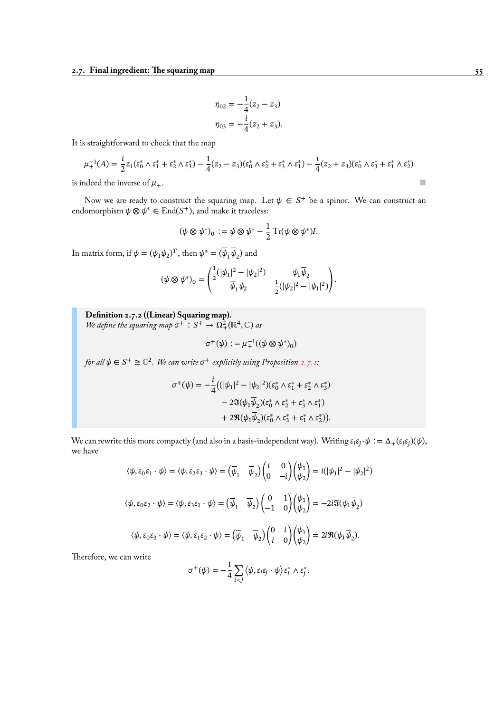$$
\eta_{02} = -\frac{1}{4}(z_2 - z_3)
$$

$$
\eta_{03} = -\frac{i}{4}(z_2 + z_3).
$$

It is straightforward to check that the map

$$
\mu_+^{-1}(A) = \frac{i}{2} z_1 (\varepsilon_0^* \wedge \varepsilon_1^* + \varepsilon_2^* \wedge \varepsilon_3^*) - \frac{1}{4} (z_2 - z_3)(\varepsilon_0^* \wedge \varepsilon_2^* + \varepsilon_3^* \wedge \varepsilon_1^*) - \frac{i}{4} (z_2 + z_3)(\varepsilon_0^* \wedge \varepsilon_3^* + \varepsilon_1^* \wedge \varepsilon_2^*)
$$

is indeed the inverse of  $\mu_+$ .

Now we are ready to construct the squaring map. Let  $\psi \in S^+$  be a spinor. We can construct an endomorphism  $\psi \otimes \psi^* \in \text{End}(S^+)$ , and make it traceless:

$$
(\psi \otimes \psi^*)_0 := \psi \otimes \psi^* - \frac{1}{2} \operatorname{Tr}(\psi \otimes \psi^*)I.
$$

In matrix form, if  $\psi = (\psi_1 \psi_2)^T$ , then  $\psi^* = (\psi_1 \psi_2)$  and

$$
(\psi \otimes \psi^*)_0 = \begin{pmatrix} \frac{1}{2}(|\psi_1|^2 - |\psi_2|^2) & \psi_1 \overline{\psi}_2 \\ \overline{\psi}_1 \psi_2 & \frac{1}{2}(|\psi_2|^2 - |\psi_1|^2) \end{pmatrix}.
$$

**Definition 2.7.2 ((Linear) Squaring map).** We define the squaring map  $\sigma^+$ :  $S^+ \to \Omega^2_+(\mathbb{R}^4, \mathbb{C})$  as

$$
\sigma^+(\psi) := \mu_+^{-1}((\psi \otimes \psi^*)_0)
$$

for all  $\psi \in S^+ \cong \mathbb{C}^2$ . We can write  $\sigma^+$  explicitly using Proposition 2.7.1:

$$
\sigma^+(\psi) = -\frac{i}{4} \big( (\vert \psi_1 \vert^2 - \vert \psi_2 \vert^2) (\varepsilon_0^* \wedge \varepsilon_1^* + \varepsilon_2^* \wedge \varepsilon_3^*)
$$

$$
- 2\Im(\psi_1 \overline{\psi}_2) (\varepsilon_0^* \wedge \varepsilon_2^* + \varepsilon_3^* \wedge \varepsilon_1^*)
$$

$$
+ 2\Re(\psi_1 \overline{\psi}_2) (\varepsilon_0^* \wedge \varepsilon_3^* + \varepsilon_1^* \wedge \varepsilon_2^*) \big).
$$

We can rewrite this more compactly (and also in a basis-independent way). Writing  $\varepsilon_i \varepsilon_j \cdot \psi := \Delta_+(\varepsilon_i \varepsilon_j)(\psi)$ , we have

$$
\langle \psi, \varepsilon_0 \varepsilon_1 \cdot \psi \rangle = \langle \psi, \varepsilon_2 \varepsilon_3 \cdot \psi \rangle = \left( \overline{\psi}_1 - \overline{\psi}_2 \right) \begin{pmatrix} i & 0 \\ 0 & -i \end{pmatrix} \begin{pmatrix} \psi_1 \\ \psi_2 \end{pmatrix} = i(|\psi_1|^2 - |\psi_2|^2)
$$
  

$$
\langle \psi, \varepsilon_0 \varepsilon_2 \cdot \psi \rangle = \langle \psi, \varepsilon_3 \varepsilon_1 \cdot \psi \rangle = \left( \overline{\psi}_1 - \overline{\psi}_2 \right) \begin{pmatrix} 0 & 1 \\ -1 & 0 \end{pmatrix} \begin{pmatrix} \psi_1 \\ \psi_2 \end{pmatrix} = -2i \Im(\psi_1 \overline{\psi}_2)
$$
  

$$
\langle \psi, \varepsilon_0 \varepsilon_3 \cdot \psi \rangle = \langle \psi, \varepsilon_1 \varepsilon_2 \cdot \psi \rangle = \left( \overline{\psi}_1 - \overline{\psi}_2 \right) \begin{pmatrix} 0 & i \\ i & 0 \end{pmatrix} \begin{pmatrix} \psi_1 \\ \psi_2 \end{pmatrix} = 2i \Re(\psi_1 \overline{\psi}_2).
$$

Therefore, we can write

$$
\sigma^+(\psi) = -\frac{1}{4}\sum_{i
$$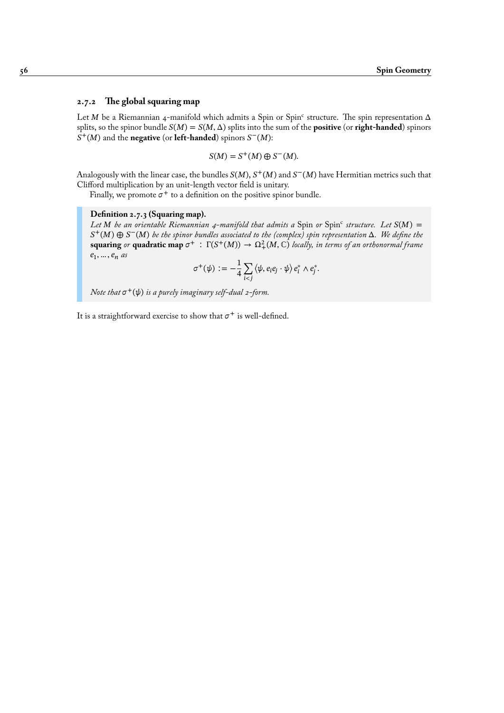# <span id="page-61-0"></span>**2.7.2 The global squaring map**

Let M be a Riemannian 4-manifold which admits a Spin or Spin<sup>c</sup> structure. The spin representation  $\Delta$ splits, so the spinor bundle  $S(M) = S(M, \Delta)$  splits into the sum of the **positive** (or **right-handed**) spinors  $S^+(M)$  and the **negative** (or **left-handed**) spinors  $S^-(M)$ :

$$
S(M) = S^+(M) \oplus S^-(M).
$$

Analogously with the linear case, the bundles  $S(M)$ ,  $S^+(M)$  and  $S^-(M)$  have Hermitian metrics such that Clifford multiplication by an unit-length vector field is unitary.

Finally, we promote  $\sigma^+$  to a definition on the positive spinor bundle.

# **Definition 2.7.3 (Squaring map).**

Let M be an orientable Riemannian 4-manifold that admits a Spin or Spin<sup>c</sup> structure. Let  $S(M)$  =  $S^+(M) ⊕ S^-(M)$  *be the spinor bundles associated to the (complex) spin representation* Δ. We define the  $\mathbf{squaring}$  or  $\mathbf{quadratic map } \sigma^+ : \Gamma(S^+(M)) \to \Omega^2_+(M, \mathbb{C})$  *locally, in terms of an orthonormal frame*  $e_1, \ldots, e_n$  as

$$
\sigma^+(\psi) := -\frac{1}{4}\sum_{i < j} \langle \psi, e_i e_j \cdot \psi \rangle e_i^* \wedge e_j^*.
$$

Note that  $\sigma^+(\psi)$  is a purely imaginary self-dual 2-form.

It is a straightforward exercise to show that  $\sigma^+$  is well-defined.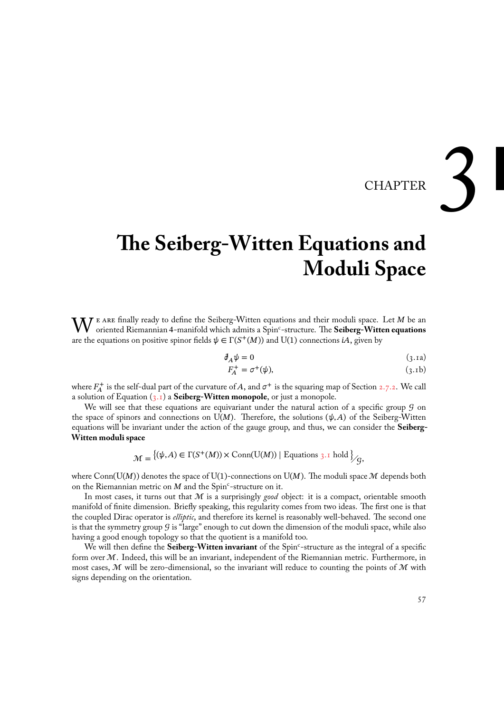# CHAPTER

# **The Seiberg-Witten Equations and Moduli Space**

W E ARE finally ready to define the Seiberg-Witten equations and their moduli space. Let M be an oriented Riemannian 4-manifold which admits a Spin<sup>c</sup>-structure. The **Seiberg-Witten equations** are the equations on positive spinor fields  $\psi \in \Gamma(S^+(M))$  and U(1) connections *iA*, given by

$$
\partial_A \psi = 0 \tag{3.1a}
$$

<span id="page-62-0"></span>
$$
F_A^+ = \sigma^+(\psi), \tag{3.1b}
$$

where  $F_A^+$  is the self-dual part of the curvature of A, and  $\sigma^+$  is the squaring map of Section 2.7.2. We call a solution of Equation (3.1) a **Seiberg-Witten monopole**, or just a monopole.

We will see that these equations are equivariant under the natural action of a specific group  $\mathcal G$  on the space of spinors and connections on  $U(M)$ . Therefore, the solutions  $(\psi, A)$  of the Seiberg-Witten equations will be invariant under the action of the gauge group, and thus, we can conside[r the](#page-61-0) **Seiberg-Witten moduli space**

$$
\mathcal{M} = \{ (\psi, A) \in \Gamma(S^+(M)) \times \text{Conn}(\text{U}(M)) \mid \text{Equations } 3.1 \text{ hold } \Big\} / g,
$$

where Conn( $U(M)$ ) denotes the space of U(1)-connections on U(M). The moduli space M depends both on the Riemannian metric on  $M$  and the Spin<sup>c</sup>-structure on it.

Inmost cases, it turns out that M is a surprisingly *good* object: it i[s a c](#page-62-0)ompact, orientable smooth manifold of finite dimension. Briefly speaking, this regularity comes from two ideas. The first one is that the coupled Dirac operator is *elliptic*, and therefore its kernel is reasonably well-behaved. The second one is that the symmetry group  $G$  is "large" enough to cut down the dimension of the moduli space, while also having a good enough topology so that the quotient is a manifold too.

We will then define the **Seiberg-Witten invariant** of the Spin<sup>c</sup>-structure as the integral of a specific form over  $M$ . Indeed, this will be an invariant, independent of the Riemannian metric. Furthermore, in most cases,  $M$  will be zero-dimensional, so the invariant will reduce to counting the points of  $M$  with signs depending on the orientation.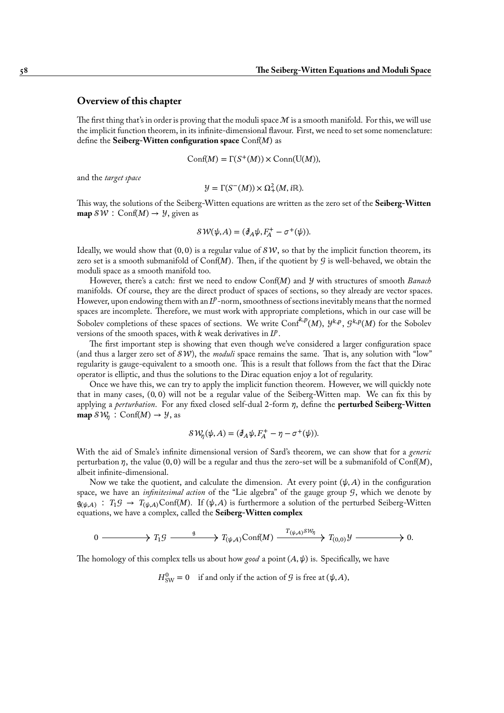# **Overview of this chapter**

The first thing that's in order is proving that the moduli space  $M$  is a smooth manifold. For this, we will use the implicit function theorem, in its infinite-dimensional flavour. First, we need to set some nomenclature: define the **Seiberg-Witten configuration space** Conf(M) as

$$
Conf(M) = \Gamma(S^+(M)) \times Conn(\mathrm{U}(M)),
$$

and the *target space*

$$
\mathcal{Y} = \Gamma(S^-(M)) \times \Omega^2_+(M, i\mathbb{R}).
$$

This way, the solutions of the Seiberg-Witten equations are written as the zero set of the **Seiberg-Witten map**  $\mathcal{SW}: \text{Conf}(M) \rightarrow \mathcal{Y}$ , given as

$$
\mathcal{SW}(\psi, A) = (\partial_A \psi, F_A^+ - \sigma^+(\psi)).
$$

Ideally, we would show that  $(0, 0)$  is a regular value of  $SW$ , so that by the implicit function theorem, its zero set is a smooth submanifold of  $Conf(M)$ . Then, if the quotient by  $G$  is well-behaved, we obtain the moduli space as a smooth manifold too.

However, there's a catch: first we need to endow Conf(M) and *y* with structures of smooth *Banach* manifolds. Of course, they are the direct product of spaces of sections, so they already are vector spaces. However, upon endowing them with an  $L^p$ -norm, smoothness of sections inevitably means that the normed spaces are incomplete. Therefore, we must work with appropriate completions, which in our case will be Sobolev completions of these spaces of sections. We write  $\text{Conf}^{k,p}(M)$ ,  $y^{k,p}$ ,  $g^{k,p}(M)$  for the Sobolev versions of the smooth spaces, with  $k$  weak derivatives in  $L^p$ .

The first important step is showing that even though we've considered a larger configuration space (and thus a larger zero set of  $\mathcal{SW}$ ), the *moduli* space remains the same. That is, any solution with "low" regularity is gauge-equivalent to a smooth one. This is a result that follows from the fact that the Dirac operator is elliptic, and thus the solutions to the Dirac equation enjoy a lot of regularity.

Once we have this, we can try to apply the implicit function theorem. However, we will quickly note that in many cases, (0, 0) will not be a regular value of the Seiberg-Witten map. We can fix this by applying a *perturbation*. For any fixed closed self-dual 2-form  $\eta$ , define the **perturbed Seiberg-Witten map**  $\mathcal{SW}_n$  :  $\text{Conf}(M) \rightarrow \mathcal{Y}$ , as

$$
\mathcal{SW}_{\eta}(\psi, A) = (\partial_A \psi, F_A^+ - \eta - \sigma^+(\psi)).
$$

With the aid of Smale's infinite dimensional version of Sard's theorem, we can show that for a *generic* perturbation  $\eta$ , the value (0,0) will be a regular and thus the zero-set will be a submanifold of Conf(M), albeit infinite-dimensional.

Now we take the quotient, and calculate the dimension. At every point  $(\psi, A)$  in the configuration space, we have an *infinitesimal action* of the "Lie algebra" of the gauge group  $G$ , which we denote by  $\mathfrak{g}_{(\psi,A)}: T_1 \mathcal{G} \to T_{(\psi,A)} \text{Conf}(M)$ . If  $(\psi,A)$  is furthermore a solution of the perturbed Seiberg-Witten equations, we have a complex, called the **Seiberg-Witten complex**

$$
0 \longrightarrow T_1 \mathcal{G} \longrightarrow T_{(\psi,A)} \text{Conf}(M) \xrightarrow{T_{(\psi,A)} \mathcal{S} \mathcal{W}_{\eta}} T_{(0,0)} \mathcal{Y} \longrightarrow 0.
$$

The homology of this complex tells us about how *good* a point  $(A, \psi)$  is. Specifically, we have

 $H_{\text{SW}}^0 = 0$  if and only if the action of  $\mathcal G$  is free at  $(\psi, A)$ ,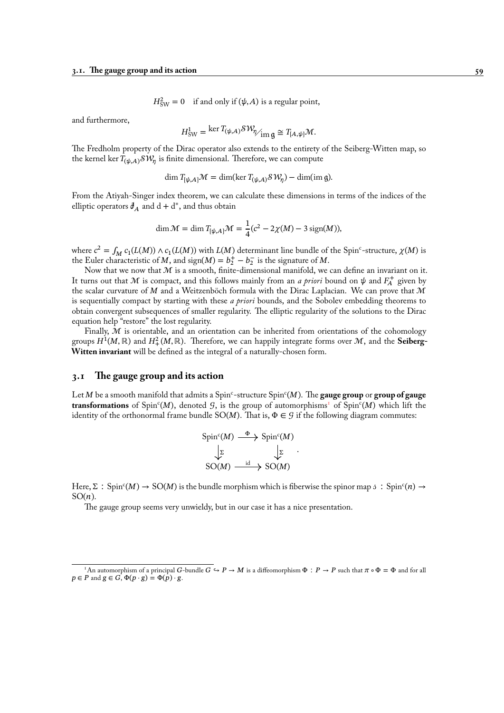$$
H_{SW}^2 = 0
$$
 if and only if  $(\psi, A)$  is a regular point,

and furthermore,

$$
H_{\text{SW}}^1 = \ker T_{(\psi,A)} \mathcal{SW}_{\gamma_{\text{im } \mathfrak{g}}} \cong T_{[A,\psi]} \mathcal{M}.
$$

The Fredholm property of the Dirac operator also extends to the entirety of the Seiberg-Witten map, so the kernel ker  $T_{(\psi,A)}\mathcal{SW}_\eta$  is finite dimensional. Therefore, we can compute

$$
\dim T_{[\psi,A]} \mathcal{M} = \dim(\ker T_{(\psi,A)} \mathcal{S} \mathcal{W}_{\eta}) - \dim(\text{im } \mathfrak{g}).
$$

From the Atiyah-Singer index theorem, we can calculate these dimensions in terms of the indices of the elliptic operators  $\partial_A$  and  $d + d^*$ , and thus obtain

$$
\dim \mathcal{M} = \dim T_{[\psi,A]} \mathcal{M} = \frac{1}{4} (c^2 - 2\chi(M) - 3 \operatorname{sign}(M)),
$$

where  $c^2 = \int_M c_1(L(M)) \wedge c_1(L(M))$  with  $L(M)$  determinant line bundle of the Spin<sup>c</sup>-structure,  $\chi(M)$  is the Euler characteristic of M, and sign( $M$ ) =  $b_2^+$  –  $b_2^-$  is the signature of M.

Now that we now that  $M$  is a smooth, finite-dimensional manifold, we can define an invariant on it. It turns out that  $M$  is compact, and this follows mainly from an *a priori* bound on  $\psi$  and  $F_A^+$  given by the scalar curvature of M and a Weitzenböch formula with the Dirac Laplacian. We can prove that  $M$ is sequentially compact by starting with these *a priori* bounds, and the Sobolev embedding theorems to obtain convergent subsequences of smaller regularity. The elliptic regularity of the solutions to the Dirac equation help "restore" the lost regularity.

Finally,  $M$  is orientable, and an orientation can be inherited from orientations of the cohomology groups  $H^1(M,\mathbb{R})$  and  $H^2_+(M,\mathbb{R}).$  Therefore, we can happily integrate forms over  $\mathcal M,$  and the **Seiberg-Witten invariant** will be defined as the integral of a naturally-chosen form.

# **3.1 The gauge group and its action**

Let M be a smooth manifold that admits a Spin<sup>c</sup>-structure Spin<sup>c</sup>(M). The **gauge group** or **group of gauge** transformations of Spin<sup>c</sup>(M), denoted 9, is the group of automorphisms<sup>1</sup> of Spin<sup>c</sup>(M) which lift the identity of the orthonormal frame bundle  $SO(M)$ . That is,  $\Phi \in \mathcal{G}$  if the following diagram commutes:

$$
\begin{array}{ccc}\n\text{Spin}^c(M) & \xrightarrow{\Phi} & \text{Spin}^c(M) \\
\downarrow^{\Sigma} & & \downarrow^{\Sigma} \\
\text{SO}(M) & & \text{id} \rightarrow \text{SO}(M)\n\end{array}
$$

.

Here,  $\Sigma$ : Spin<sup>c</sup>(M)  $\to$  SO(M) is the bundle morphism which is fiberwise the spinor map  $\phi$ : Spin<sup>c</sup>(n)  $\to$  $SO(n)$ .

The gauge group seems very unwieldy, but in our case it has a nice presentation.

<sup>&</sup>lt;sup>1</sup>An automorphism of a principal G-bundle  $G \hookrightarrow P \to M$  is a diffeomorphism  $\Phi : P \to P$  such that  $\pi \circ \Phi = \Phi$  and for all  $p \in P$  and  $g \in G$ ,  $\Phi(p \cdot g) = \Phi(p) \cdot g$ .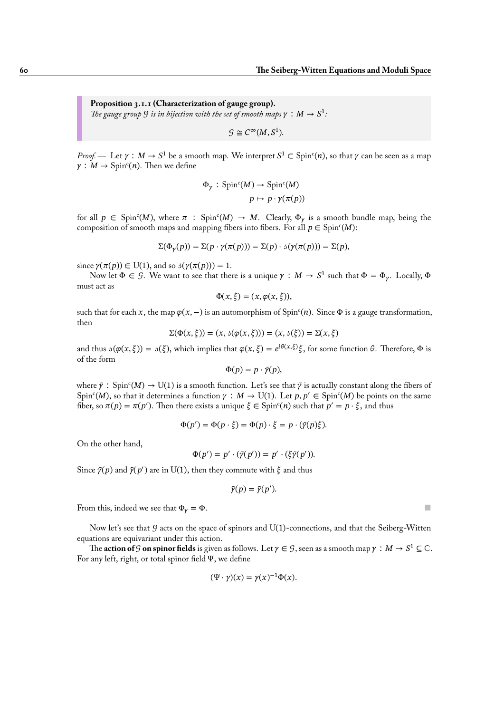**Proposition 3.1.1 (Characterization of gauge group).** The gauge group  $G$  is in bijection with the set of smooth maps  $\gamma : M \to S^1$ .

$$
\mathcal{G} \cong C^{\infty}(M, S^1).
$$

*Proof.* — Let  $\gamma : M \to S^1$  be a smooth map. We interpret  $S^1 \subset \text{Spin}^c(n)$ , so that  $\gamma$  can be seen as a map  $\gamma: M \to \text{Spin}^c(n)$ . Then we define

$$
\Phi_{\gamma} : \text{Spin}^c(M) \to \text{Spin}^c(M)
$$

$$
p \mapsto p \cdot \gamma(\pi(p))
$$

for all  $p \in \text{Spin}^c(M)$ , where  $\pi : \text{Spin}^c(M) \to M$ . Clearly,  $\Phi_{\gamma}$  is a smooth bundle map, being the composition of smooth maps and mapping fibers into fibers. For all  $p \in \text{Spin}^c(M)$ :

$$
\Sigma(\Phi_{\gamma}(p)) = \Sigma(p \cdot \gamma(\pi(p))) = \Sigma(p) \cdot \mathfrak{s}(\gamma(\pi(p))) = \Sigma(p),
$$

since  $\gamma(\pi(p)) \in U(1)$ , and so  $\beta(\gamma(\pi(p))) = 1$ .

Now let  $\Phi \in \mathcal{G}$ . We want to see that there is a unique  $\gamma : M \to S^1$  such that  $\Phi = \Phi_{\gamma}$ . Locally,  $\Phi$ must act as

$$
\Phi(x,\xi)=(x,\varphi(x,\xi)),
$$

such that for each x, the map  $\varphi(x, -)$  is an automorphism of Spin<sup>c</sup>(n). Since  $\Phi$  is a gauge transformation, then

$$
\Sigma(\Phi(x,\xi)) = (x, \delta(\varphi(x,\xi))) = (x, \delta(\xi)) = \Sigma(x,\xi)
$$

and thus  $\delta(\varphi(x, \xi)) = \delta(\xi)$ , which implies that  $\varphi(x, \xi) = e^{i\theta(x, \xi)}\xi$ , for some function  $\theta$ . Therefore,  $\Phi$  is of the form

$$
\Phi(p) = p \cdot \tilde{\gamma}(p),
$$

where  $\tilde{\gamma}$  : Spin<sup>c</sup>(M)  $\to$  U(1) is a smooth function. Let's see that  $\tilde{\gamma}$  is actually constant along the fibers of Spin<sup>c</sup>(M), so that it determines a function  $\gamma : M \to U(1)$ . Let  $p, p' \in Spin<sup>c</sup>(M)$  be points on the same fiber, so  $\pi(p) = \pi(p')$ . Then there exists a unique  $\xi \in \text{Spin}^c(n)$  such that  $p' = p \cdot \xi$ , and thus

$$
\Phi(p') = \Phi(p \cdot \xi) = \Phi(p) \cdot \xi = p \cdot (\tilde{\gamma}(p)\xi).
$$

On the other hand,

$$
\Phi(p') = p' \cdot (\tilde{\gamma}(p')) = p' \cdot (\xi \tilde{\gamma}(p')).
$$

Since  $\tilde{\gamma}(p)$  and  $\tilde{\gamma}(p')$  are in U(1), then they commute with  $\xi$  and thus

$$
\tilde{\gamma}(p) = \tilde{\gamma}(p').
$$

From this, indeed we see that  $\Phi_y = \Phi$ .

Now let's see that  $G$  acts on the space of spinors and U(1)-connections, and that the Seiberg-Witten equations are equivariant under this action.

The **action of**  $G$  **on spinor fields** is given as follows. Let  $\gamma \in G$ , seen as a smooth map  $\gamma : M \to S^1 \subseteq \mathbb{C}$ . For any left, right, or total spinor field Ψ, we define

$$
(\Psi \cdot \gamma)(x) = \gamma(x)^{-1} \Phi(x).
$$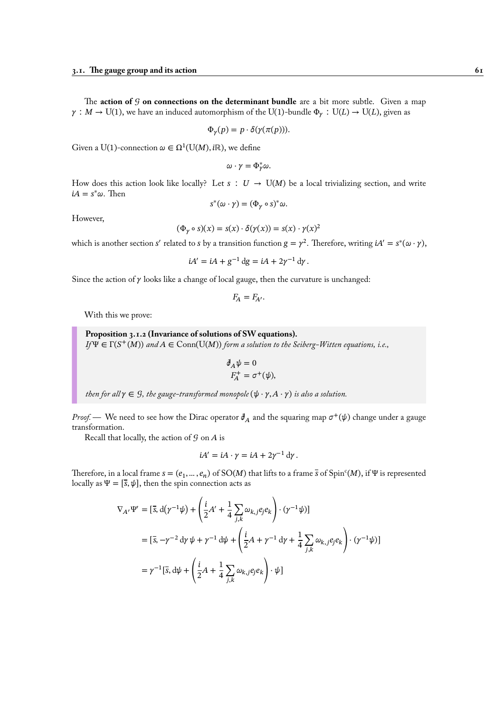The **action of** *G* **on connections on the determinant bundle** are a bit more subtle. Given a map  $\gamma : M \to U(1)$ , we have an induced automorphism of the U(1)-bundle  $\Phi_{\gamma} : U(L) \to U(L)$ , given as

$$
\Phi_{\gamma}(p) = p \cdot \delta(\gamma(\pi(p))).
$$

Given a U(1)-connection  $\omega \in \Omega^1(\mathrm{U}(M),i\mathbb{R})$ , we define

$$
\omega\cdot\gamma=\Phi_{\gamma}^*\omega.
$$

How does this action look like locally? Let  $s : U \to U(M)$  be a local trivializing section, and write  $iA = s^*\omega$ . Then

$$
s^*(\omega \cdot \gamma) = (\Phi_\gamma \circ s)^* \omega.
$$

However,

$$
(\Phi_{\gamma} \circ s)(x) = s(x) \cdot \delta(\gamma(x)) = s(x) \cdot \gamma(x)^2
$$

which is another section s' related to s by a transition function  $g = \gamma^2$ . Therefore, writing  $iA' = s^*(\omega \cdot \gamma)$ ,

$$
iA' = iA + g^{-1} dg = iA + 2\gamma^{-1} d\gamma.
$$

Since the action of  $\gamma$  looks like a change of local gauge, then the curvature is unchanged:

 $F_A = F_{A'}$ .

With this we prove:

**Proposition 3.1.2 (Invariance of solutions of SW equations).**  $I_f \Psi \in \Gamma(S^+(M))$  and  $A \in \text{Conn}(\text{U}(M))$  *form a solution to the Seiberg-Witten equations, i.e.,* 

$$
\begin{aligned} \n\partial_A \psi &= 0 \\ \nF_A^+ &= \sigma^+ (\psi), \n\end{aligned}
$$

*then for all*  $\gamma \in \mathcal{G}$ *, the gauge-transformed monopole*  $(\psi \cdot \gamma, A \cdot \gamma)$  *is also a solution.* 

*Proof.* — We need to see how the Dirac operator  $\partial_A$  and the squaring map  $\sigma^+(\psi)$  change under a gauge transformation.

Recall that locally, the action of  $G$  on  $A$  is

$$
iA' = iA \cdot \gamma = iA + 2\gamma^{-1} d\gamma.
$$

Therefore, in a local frame  $s = (e_1, ..., e_n)$  of SO(M) that lifts to a frame  $\bar{s}$  of Spin<sup>c</sup>(M), if  $\Psi$  is represented locally as  $\Psi = [\bar{s}, \psi]$ , then the spin connection acts as

$$
\nabla_{A'}\Psi' = \left[\bar{s}, \mathrm{d}(\gamma^{-1}\psi) + \left(\frac{i}{2}A' + \frac{1}{4}\sum_{j,k}\omega_{k,j}e_je_k\right) \cdot (\gamma^{-1}\psi)\right]
$$
  
\n
$$
= \left[\bar{s}, -\gamma^{-2}\mathrm{d}\gamma\,\psi + \gamma^{-1}\mathrm{d}\psi + \left(\frac{i}{2}A + \gamma^{-1}\mathrm{d}\gamma + \frac{1}{4}\sum_{j,k}\omega_{k,j}e_je_k\right) \cdot (\gamma^{-1}\psi)\right]
$$
  
\n
$$
= \gamma^{-1}\left[\bar{s}, \mathrm{d}\psi + \left(\frac{i}{2}A + \frac{1}{4}\sum_{j,k}\omega_{k,j}e_je_k\right) \cdot \psi\right]
$$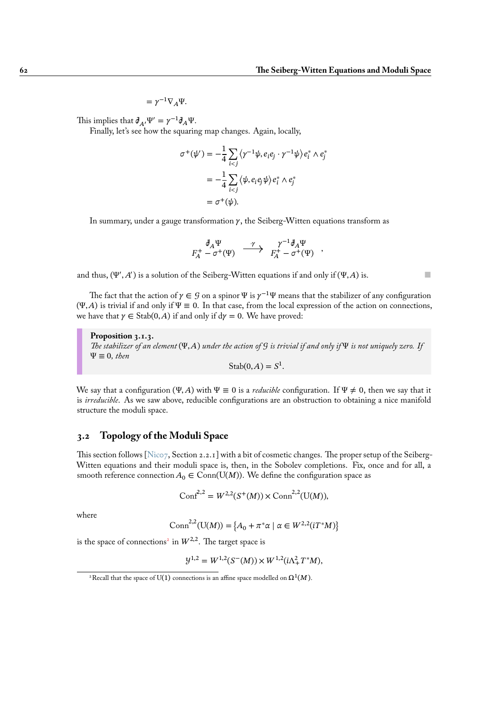,

 $=\gamma^{-1}\nabla_A\Psi.$ 

This implies that  $\partial_{A'} \Psi' = \gamma^{-1} \partial_A \Psi$ .

Finally, let's see how the squaring map changes. Again, locally,

$$
\sigma^+(\psi') = -\frac{1}{4} \sum_{i < j} \langle \gamma^{-1}\psi, e_i e_j \cdot \gamma^{-1}\psi \rangle e_i^* \wedge e_j^*
$$
\n
$$
= -\frac{1}{4} \sum_{i < j} \langle \psi, e_i e_j \psi \rangle e_i^* \wedge e_j^*
$$
\n
$$
= \sigma^+(\psi).
$$

In summary, under a gauge transformation  $\gamma$ , the Seiberg-Witten equations transform as

$$
\begin{array}{ccccc}\n\partial_A \Psi & \longrightarrow & \gamma^{-1} \partial_A \Psi \\
F_A^+ & -\sigma^+(\Psi) & \longrightarrow & F_A^+ - \sigma^+(\Psi)\n\end{array}
$$

and thus,  $(\Psi', A')$  is a solution of the Seiberg-Witten equations if and only if  $(\Psi, A)$  is.

The fact that the action of  $\gamma \in \mathcal{G}$  on a spinor  $\Psi$  is  $\gamma^{-1}\Psi$  means that the stabilizer of any configuration  $(\Psi, A)$  is trivial if and only if  $\Psi \equiv 0$ . In that case, from the local expression of the action on connections, we have that  $\gamma \in \text{Stab}(0, A)$  if and only if  $d\gamma = 0$ . We have proved:

**Proposition 3.1.3.** *The stabilizer of an element* (Ψ, A) *under the action of*  $G$  *is trivial if and only if* Ψ *is not uniquely zero.* If  $\Psi \equiv 0$ *, then* 

$$
Stab(0, A) = S^1.
$$

We say that a configuration (Ψ, A) with  $\Psi \equiv 0$  is a *reducible* configuration. If  $\Psi \neq 0$ , then we say that it is *irreducible*. As we saw above, reducible configurations are an obstruction to obtaining a nice manifold structure the moduli space.

# **3.2 Topology of the Moduli Space**

This section follows [Nic07, Section 2.2.1] with a bit of cosmetic changes. The proper setup of the Seiberg-Witten equations and their moduli space is, then, in the Sobolev completions. Fix, once and for all, a smooth reference connection  $A_0 \in \text{Conn}(U(M))$ . We define the configuration space as

$$
\text{Conf}^{2,2} = W^{2,2}(S^+(M)) \times \text{Conn}^{2,2}(\text{U}(M)),
$$

where

$$
\text{Conn}^{2,2}(\text{U}(M)) = \{A_0 + \pi^* \alpha \mid \alpha \in W^{2,2}(iT^*M)\}
$$

is the space of connections<sup>2</sup> in  $W^{2,2}$ . The target space is

$$
\mathcal{Y}^{1,2} = W^{1,2}(S^-(M)) \times W^{1,2}(i\Lambda_+^2 T^*M),
$$

<span id="page-67-0"></span> $^{2}$ Recall that the space of U([1\)](#page-67-0) connections is an affine space modelled on  $\Omega^{1}(M).$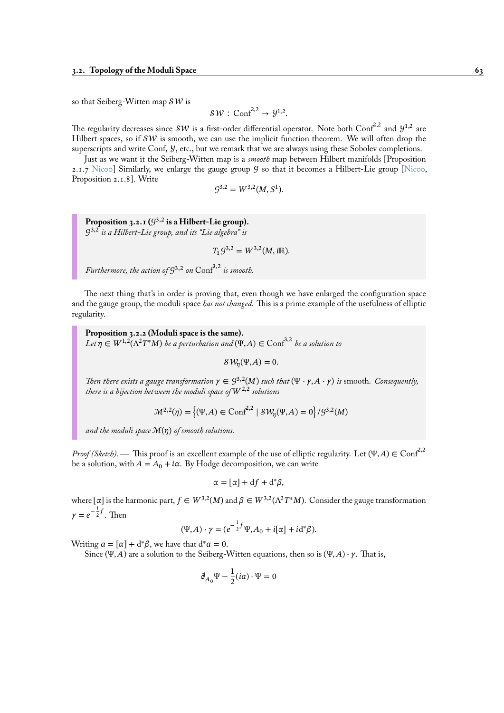so that Seiberg-Witten map  $\mathcal{SW}$  is

$$
SW: \mathrm{Conf}^{2,2} \to \mathcal{Y}^{1,2}.
$$

The regularity decreases since  $\mathcal{SW}$  is a first-order differential operator. Note both Conf<sup>2,2</sup> and  $\mathcal{Y}^{1,2}$  are Hilbert spaces, so if  $\mathcal{SW}$  is smooth, we can use the implicit function theorem. We will often drop the superscripts and write Conf, *y*, etc., but we remark that we are always using these Sobolev completions.

Just as we want it the Seiberg-Witten map is a *smooth* map between Hilbert manifolds [Proposition 2.1.7 Nicoo] Similarly, we enlarge the gauge group  $\mathcal G$  so that it becomes a Hilbert-Lie group [Nicoo, Proposition 2.1.8]. Write

$$
\mathcal{G}^{3,2} = W^{3,2}(M,\mathbb{S}^1).
$$

Proposition 3.2.1  $(\mathcal{G}^{3,2}% \rightarrow\mathcal{G}^{3,1})$  is a Hilbert-Lie group). 3,2 *is a Hilbert-Lie group, and its "Lie algebra" is*

$$
T_1S^{3,2} = W^{3,2}(M, i\mathbb{R}).
$$

<span id="page-68-0"></span>*Furthermore, the action of* 3,2 *on* Conf3,2 *is smooth.*

The next thing that's in order is proving that, even though we have enlarged the configuration space and the gauge group, the moduli space *has not changed*. This is a prime example of the usefulness of elliptic regularity.

**Proposition 3.2.2 (Moduli space is the same).**  $Let \eta \in W^{1,2}(\Lambda^2 T^*M)$  *be a perturbation and*  $(\Psi, A) \in \text{Conf}^{3,2}$  *be a solution to* 

 $\mathcal{SW}_{\eta}(\Psi, A) = 0.$ 

*Then there exists a gauge transformation*  $\gamma \in \mathcal{G}^{3,2}(M)$  *such that*  $(\Psi \cdot \gamma, A \cdot \gamma)$  *is* smooth. Consequently, *there is a bijection between the moduli space of*  $W^{2,2}$  *solutions* 

$$
\mathcal{M}^{2,2}(\eta) = \left\{ (\Psi, A) \in \text{Conf}^{2,2} \mid \mathcal{SW}_{\eta}(\Psi, A) = 0 \right\} / \mathcal{G}^{3,2}(M)
$$

and the moduli space  $\mathcal{M}(\eta)$  of smooth solutions.

*Proof (Sketch).* — This proof is an excellent example of the use of elliptic regularity. Let  $(\Psi, A) \in \text{Conf}^{2,2}$ be a solution, with  $A = A_0 + i\alpha$ . By Hodge decomposition, we can write

$$
\alpha = [\alpha] + df + d^*\beta,
$$

where [ $\alpha$ ] is the harmonic part,  $f \in W^{3,2}(M)$  and  $\beta \in W^{3,2}(\Lambda^2T^*M)$ . Consider the gauge transformation  $\gamma = e^{-\frac{i}{2}}$  $\frac{1}{2}$ <sup>f</sup>. Then

$$
(\Psi, A) \cdot \gamma = (e^{-\frac{i}{2}f} \Psi, A_0 + i[\alpha] + i d^* \beta).
$$

Writing  $a = [\alpha] + d^*\beta$ , we have that  $d^*a = 0$ .

Since (Ψ, A) are a solution to the Seiberg-Witten equations, then so is (Ψ, A)  $\cdot \gamma$ . That is,

$$
\partial_{A_0}\Psi - \frac{1}{2}(ia)\cdot\Psi = 0
$$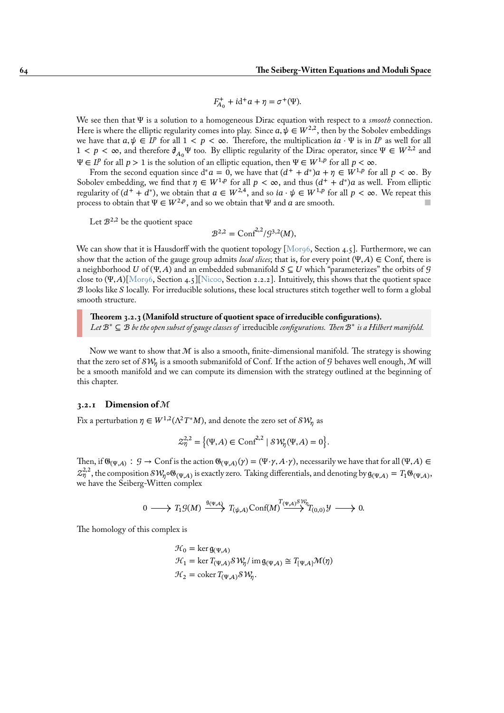$$
F_{A_0}^+ + id^+a + \eta = \sigma^+(\Psi).
$$

We see then that Ψ is a solution to a homogeneous Dirac equation with respect to a *smooth* connection. Here is where the elliptic regularity comes into play. Since  $a, \psi \in W^{2,2}$ , then by the Sobolev embeddings we have that  $a, \psi \in L^p$  for all  $1 < p < \infty$ . Therefore, the multiplication  $ia \cdot \Psi$  is in  $L^p$  as well for all  $1 < p < \infty$ , and therefore  $\partial_{A_0}\Psi$  too. By elliptic regularity of the Dirac operator, since  $\Psi \in W^{2,2}$  and  $\Psi \in L^p$  for all  $p > 1$  is the solution of an elliptic equation, then  $\Psi \in W^{1,p}$  for all  $p < \infty$ .

From the second equation since  $d^*a = 0$ , we have that  $(d^+ + d^*)a + \eta \in W^{1,p}$  for all  $p < \infty$ . By Sobolev embedding, we find that  $\eta \in W^{1,p}$  for all  $p < \infty$ , and thus  $(d^+ + d^*)a$  as well. From elliptic regularity of  $(d^+ + d^*)$ , we obtain that  $a \in W^{2,4}$ , and so  $ia \cdot \psi \in W^{1,p}$  for all  $p < \infty$ . We repeat this process to obtain that  $\Psi \in W^{2,p}$ , and so we obtain that  $\Psi$  and  $a$  are smooth.

Let  $\mathcal{B}^{2,2}$  be the quotient space

$$
\mathcal{B}^{2,2} = \text{Conf}^{2,2} / \mathcal{G}^{3,2}(M),
$$

We can show that it is Hausdorff with the quotient topology [Mor96, Section 4.5]. Furthermore, we can show that the action of the gauge group admits *local slices*; that is, for every point  $(\Psi, A) \in \text{Conf}$ , there is a neighborhood U of (Ψ, A) and an embedded submanifold  $S \subseteq U$  which "parameterizes" the orbits of G close to  $(\Psi, A)[\text{Morg6}, \text{Section 4.5}][\text{Nico}, \text{Section 2.2.2}].$  Intuitively, this shows that the quotient space  $\cal B$  looks like  $\cal S$  locally. For irreducible solutions, these local str[uctures s](#page-96-3)titch together well to form a global smooth structure.

**Theorem 3[.2.3 \(M](#page-96-3)anifold struc[ture of](#page-96-4) quotient space of irreducible configurations).** *Let* ℬ<sup>∗</sup> ⊆ ℬ *be the open subset of gauge classes of* irreducible *configurations. Then* ℬ<sup>∗</sup> *is a Hilbert manifold.*

Now we want to show that M is also a smooth, finite-dimensional manifold. The strategy is showing that the zero set of  $\mathcal{SW}_\eta$  is a smooth submanifold of Conf. If the action of  $\mathcal G$  behaves well enough,  $\mathcal M$  will be a smooth manifold and we can compute its dimension with the strategy outlined at the beginning of this chapter.

# **3.2.1 Dimension of** ℳ

Fix a perturbation  $\eta \in W^{1,2}(\Lambda^2T^*M),$  and denote the zero set of  $\mathcal{SW}_\eta$  as

$$
\mathcal{Z}^{2,2}_\eta=\left\{(\Psi,A)\in\textnormal{Conf}^{2,2}\mid \mathcal{SW}_\eta(\Psi,A)=0\right\}.
$$

Then, if  $\mathfrak{G}_{(\Psi,A)} : \mathcal{G} \to \text{Conf}$  is the action  $\mathfrak{G}_{(\Psi,A)}(\gamma) = (\Psi \cdot \gamma, A \cdot \gamma)$ , necessarily we have that for all  $(\Psi, A) \in$  $\mathcal{Z}_{\eta}^{2,2}$ , the composition  $\mathcal{SW}_{\eta}$ ० $\mathfrak{G}_{(\Psi,\mathcal{A})}$  is exactly zero. Taking differentials, and denoting by  $\mathfrak{g}_{(\Psi,\mathcal{A})} = T_1 \mathfrak{G}_{(\Psi,\mathcal{A})}$ , we have the Seiberg-Witten complex

$$
0 \longrightarrow T_1\mathcal{G}(M) \xrightarrow{\mathfrak{g}(\Psi,A)} T_{(\psi,A)} \text{Conf}(M) \xrightarrow{T_{(\Psi,A)} \mathcal{S} \mathcal{W}_{\eta}} T_{(0,0)} \mathcal{Y} \longrightarrow 0.
$$

The homology of this complex is

$$
\mathcal{H}_0 = \ker \mathfrak{g}_{(\Psi,A)} \n\mathcal{H}_1 = \ker T_{(\Psi,A)} \mathcal{SW}_\eta / \operatorname{im} \mathfrak{g}_{(\Psi,A)} \cong T_{[\Psi,A]} \mathcal{M}(\eta) \n\mathcal{H}_2 = \operatorname{coker} T_{(\Psi,A)} \mathcal{SW}_\eta.
$$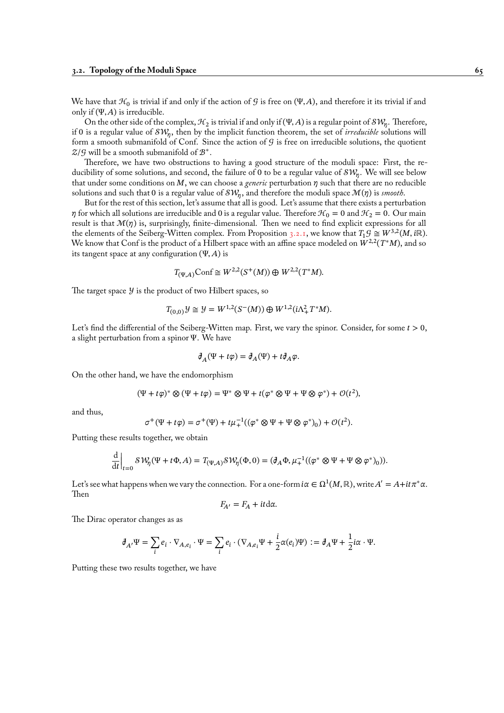We have that  $\mathcal{H}_0$  is trivial if and only if the action of  $\mathcal G$  is free on  $(\Psi,\!A),$  and therefore it its trivial if and only if  $(\Psi, A)$  is irreducible.

On the other side of the complex,  $\mathcal{H}_2$  is trivial if and only if  $(\Psi,A)$  is a regular point of  $\mathcal{SW}_{\eta}.$  Therefore, if 0 is a regular value of  $\mathcal{SW}_\eta,$  then by the implicit function theorem, the set of *irreducible* solutions will form a smooth submanifold of Conf. Since the action of  $\mathcal G$  is free on irreducible solutions, the quotient  $\mathcal{Z}/\mathcal{G}$  will be a smooth submanifold of  $\mathcal{B}^*$ .

Therefore, we have two obstructions to having a good structure of the moduli space: First, the reducibility of some solutions, and second, the failure of 0 to be a regular value of  $\mathcal{SW}_{\eta}.$  We will see below that under some conditions on M, we can choose a *generic* perturbation  $\eta$  such that there are no reducible solutions and such that 0 is a regular value of  $\mathcal{SW}_\eta,$  and therefore the moduli space  $\mathcal{M}(\eta)$  is *smooth*.

But for the rest of this section, let's assume that all is good. Let's assume that there exists a perturbation  $\eta$  for which all solutions are irreducible and 0 is a regular value. Therefore  $\mathcal{H}_0 = 0$  and  $\mathcal{H}_2 = 0$ . Our main result is that  $\mathcal{M}(\eta)$  is, surprisingly, finite-dimensional. Then we need to find explicit expressions for all the elements of the Seiberg-Witten complex. From Proposition 3.2.1, we know that  $T_1 \mathcal{G} \cong W^{3,2}(M, i\mathbb{R})$ . We know that Conf is the product of a Hilbert space with an affine space modeled on  $W^{2,2}(T^*M)$ , and so its tangent space at any configuration  $(\Psi, A)$  is

$$
T_{(\Psi,A)}\text{Conf} \cong W^{2,2}(S^+(M)) \oplus W^{2,2}(T^*M).
$$

The target space  $\mathcal{Y}$  is the product of two Hilbert spaces, so

$$
T_{(0,0)}\mathcal{Y} \cong \mathcal{Y} = W^{1,2}(S^-(M)) \oplus W^{1,2}(i\Lambda^2_+ T^*M).
$$

Let's find the differential of the Seiberg-Witten map. First, we vary the spinor. Consider, for some  $t > 0$ , a slight perturbation from a spinor Ψ. We have

$$
\partial_A(\Psi + t\varphi) = \partial_A(\Psi) + t\partial_A\varphi.
$$

On the other hand, we have the endomorphism

$$
(\Psi + t\varphi)^* \otimes (\Psi + t\varphi) = \Psi^* \otimes \Psi + t(\varphi^* \otimes \Psi + \Psi \otimes \varphi^*) + \mathcal{O}(t^2),
$$

and thus,

$$
\sigma^+(\Psi + t\varphi) = \sigma^+(\Psi) + t\mu_+^{-1}((\varphi^* \otimes \Psi + \Psi \otimes \varphi^*)_0) + \mathcal{O}(t^2).
$$

Putting these results together, we obtain

$$
\left. \frac{\mathrm{d}}{\mathrm{d}t} \right|_{t=0} S W_{\eta}(\Psi + t\Phi, A) = T_{(\Psi, A)} S W_{\eta}(\Phi, 0) = (\partial_A \Phi, \mu_+^{-1}((\varphi^* \otimes \Psi + \Psi \otimes \varphi^*)_0)).
$$

Let's see what happens when we vary the connection. For a one-form i $\alpha\in\Omega^1(M,\mathbb{R}),$  write  $A'=A+it\pi^*\alpha.$ Then

$$
F_{A'} = F_A + it \, \mathrm{d} \alpha.
$$

The Dirac operator changes as as

$$
\mathcal{J}_{A'}\Psi = \sum_i e_i \cdot \nabla_{A,e_i} \cdot \Psi = \sum_i e_i \cdot (\nabla_{A,e_i}\Psi + \frac{i}{2}\alpha(e_i)\Psi) := \mathcal{J}_A\Psi + \frac{1}{2}i\alpha \cdot \Psi.
$$

Putting these two results together, we have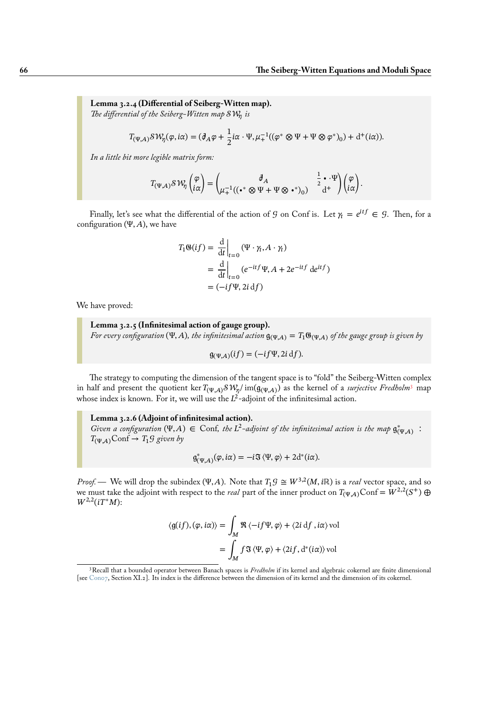**Lemma 3.2.4 (Differential of Seiberg-Witten map).** *The differential of the Seiberg-Witten map is*

$$
T_{(\Psi,A)}\mathcal{SW}_{\eta}(\varphi,i\alpha) = (\partial_A\varphi + \frac{1}{2}i\alpha \cdot \Psi, \mu_+^{-1}((\varphi^* \otimes \Psi + \Psi \otimes \varphi^*)_0) + d^+(i\alpha)).
$$

*In a little bit more legible matrix form:*

$$
T_{(\Psi,\boldsymbol{A})}\mathcal{SW}_{\eta}\begin{pmatrix} \varphi \\ i\alpha \end{pmatrix} = \begin{pmatrix} \mathbb{J}_A & \frac{1}{2} \cdot \Psi \\ \mu_+^{-1}((\bullet^* \otimes \Psi + \Psi \otimes \bullet^*)_0) & \frac{1}{4} \end{pmatrix} \begin{pmatrix} \varphi \\ i\alpha \end{pmatrix}.
$$

Finally, let's see what the differential of the action of G on Conf is. Let  $\gamma_t = e^{itf} \in \mathcal{G}$ . Then, for a configuration (Ψ, A), we have

$$
T_1 \mathfrak{G}(if) = \left. \frac{d}{dt} \right|_{t=0} (\Psi \cdot \gamma_t, A \cdot \gamma_t)
$$
  
= 
$$
\left. \frac{d}{dt} \right|_{t=0} (e^{-itf} \Psi, A + 2e^{-itf} de^{itf})
$$
  
= 
$$
(-if \Psi, 2i df)
$$

We have proved:

# **Lemma 3.2.5 (Infinitesimal action of gauge group).** *For every configuration* (Ψ, A), the infinitesimal action  $g_{(\Psi,A)} = T_1 \mathfrak{G}_{(\Psi,A)}$  of the gauge group is given by

$$
\mathfrak{g}_{(\Psi,A)}(if) = (-if\Psi, 2i df).
$$

The strategy to computing the dimension of the tangent space is to "fold" the Seiberg-Witten complex in half and present the quotient ker  $T_{(\Psi,A)}\mathcal{SW}_\eta/\operatorname{im}(\mathfrak{g}_{(\Psi,A)})$  as the kernel of a *surjective Fredholm*<sup>3</sup> map whose index is known. For it, we will use the  $L^2$ -adjoint of the infinitesimal action.

**Lemma 3.2.6 (Adjoint of infinitesimal action).** *Given a configuration*  $(\Psi, A) \in$  $(\Psi, A) \in$  $(\Psi, A) \in$  Conf, the L<sup>2</sup>-adjoint of the infinitesimal action is the map  $\mathfrak{g}^*_{(\Psi,A)}$ :  $T_{(\Psi,A)}\text{Conf} \to T_1 \mathcal{G}$  given by

$$
\mathfrak{g}_{(\Psi,A)}^*(\varphi,i\alpha) = -i\mathfrak{F}\langle \Psi,\varphi\rangle + 2d^*(i\alpha).
$$

*Proof.* — We will drop the subindex (Ψ, A). Note that  $T_1 \mathcal{G} \cong W^{3,2}(M, i\mathbb{R})$  is a *real* vector space, and so we must take the adjoint with respect to the *real* part of the inner product on  $T_{(\Psi,A)}\text{Conf} = W^{2,2}(S^+) \oplus W^{2,2}(\mathbb{Z})$  $W^{2,2}(i T^* M)$ :

$$
\langle g(if), (\varphi, i\alpha) \rangle = \int_M \Re \langle -if \Psi, \varphi \rangle + \langle 2i \, df, i\alpha \rangle \text{vol}
$$

$$
= \int_M f \Im \langle \Psi, \varphi \rangle + \langle 2if, d^*(i\alpha) \rangle \text{vol}
$$

<span id="page-71-0"></span><sup>3</sup>Recall that a bounded operator between Banach spaces is *Fredholm* if its kernel and algebraic cokernel are finite dimensional [see Con07, Section XI.2]. Its index is the difference between the dimension of its kernel and the dimension of its cokernel.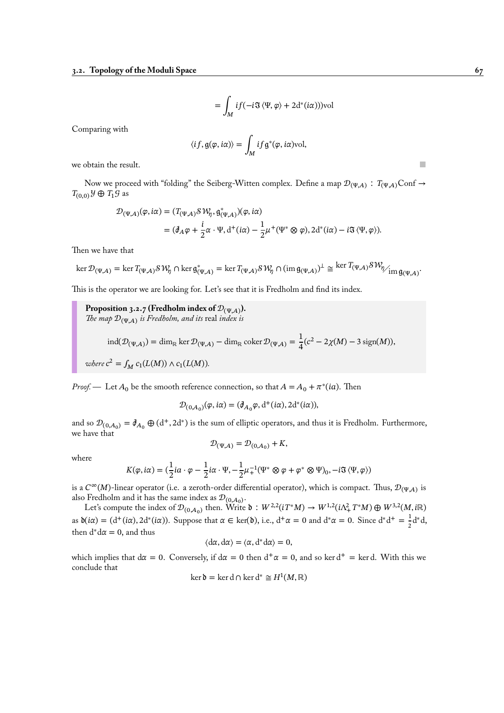$$
= \int_M i f(-i\mathfrak{F}\langle \Psi, \varphi \rangle + 2\mathrm{d}^*(i\alpha))\mathrm{vol}
$$

Comparing with

$$
\langle if, \mathfrak{g}(\varphi, i\alpha) \rangle = \int_M if \mathfrak{g}^*(\varphi, i\alpha) \text{vol},
$$

we obtain the result.  $\blacksquare$ 

Now we proceed with "folding" the Seiberg-Witten complex. Define a map  $\mathcal{D}_{(\Psi,A)}$ :  $T_{(\Psi,A)}$ Conf  $\rightarrow$  $T_{(0,0)}$   $\mathcal{Y} \oplus T_1 \mathcal{G}$  as

$$
\mathcal{D}_{(\Psi,A)}(\varphi,i\alpha) = (T_{(\Psi,A)} \mathcal{S} \mathcal{W}_{\eta}, \mathfrak{g}^*_{(\Psi,A)})(\varphi,i\alpha)
$$
  
=  $(\partial_A \varphi + \frac{i}{2} \alpha \cdot \Psi, d^+(i\alpha) - \frac{1}{2} \mu^+(\Psi^* \otimes \varphi), 2d^*(i\alpha) - i \mathfrak{F} \langle \Psi, \varphi \rangle).$ 

Then we have that

$$
\ker \mathcal{D}_{(\Psi,A)} = \ker T_{(\Psi,A)} \mathcal{SW}_{\eta} \cap \ker \mathfrak{g}_{(\Psi,A)}^* = \ker T_{(\Psi,A)} \mathcal{SW}_{\eta} \cap (\text{im } \mathfrak{g}_{(\Psi,A)})^\perp \cong \ker T_{(\Psi,A)} \mathcal{SW}_{\eta \times \text{im } \mathfrak{g}_{(\Psi,A)}}.
$$

This is the operator we are looking for. Let's see that it is Fredholm and find its index.

<span id="page-72-0"></span>**Proposition 3.2.7 (Fredholm index of**  $\mathcal{D}_{(\Psi,A)}$ **).** *The map*  $\mathcal{D}_{(\Psi,A)}$  *is Fredholm, and its* real *index is* 

$$
\operatorname{ind}(\mathcal{D}_{(\Psi,A)}) = \dim_{\mathbb{R}} \ker \mathcal{D}_{(\Psi,A)} - \dim_{\mathbb{R}} \operatorname{coker} \mathcal{D}_{(\Psi,A)} = \frac{1}{4}(c^2 - 2\chi(M) - 3\operatorname{sign}(M)),
$$

*where*  $c^2 = \int_M c_1(L(M)) \wedge c_1(L(M))$ .

*Proof.* — Let  $A_0$  be the smooth reference connection, so that  $A = A_0 + \pi^*(ia)$ . Then

$$
\mathcal{D}_{(0,A_0)}(\varphi,i\alpha)=(\partial_{A_0}\varphi,\mathrm{d}^+(i\alpha),2\mathrm{d}^+(i\alpha)),
$$

and so  $\mathcal{D}_{(0,A_0)} = \mathcal{J}_{A_0} \oplus (d^+, 2d^*)$  is the sum of elliptic operators, and thus it is Fredholm. Furthermore, we have that

$$
\mathcal{D}_{(\Psi,A)} = \mathcal{D}_{(0,A_0)} + K,
$$

where

$$
K(\varphi, i\alpha) = \left(\frac{1}{2}i\alpha \cdot \varphi - \frac{1}{2}i\alpha \cdot \Psi, -\frac{1}{2}\mu_+^{-1}(\Psi^* \otimes \varphi + \varphi^* \otimes \Psi)_0, -i\mathfrak{F}\langle \Psi, \varphi \rangle\right)
$$

is a  $C^{\infty}(M)$ -linear operator (i.e. a zeroth-order differential operator), which is compact. Thus,  $\mathcal{D}_{(\Psi,A)}$  is also Fredholm and it has the same index as  ${\cal D}_{(0, A_0)}.$ 

Let's compute the index of  $\mathcal{D}_{(0,A_0)}$  then. Write  $\mathfrak{d}: W^{2,2}(iT^*M) \to W^{1,2}(i\Lambda_T^2 T^*M) \oplus W^{3,2}(M,i\mathbb{R})$ as  $\delta(i\alpha) = (d^+(i\alpha), 2d^*(i\alpha))$ . Suppose that  $\alpha \in \text{ker}(\delta)$ , i.e.,  $d^+\alpha = 0$  and  $d^*\alpha = 0$ . Since  $d^*d^+ = \frac{1}{2}$  $\frac{1}{2}d^*d,$ then  $d^*d\alpha = 0$ , and thus

$$
\langle d\alpha, d\alpha\rangle = \langle \alpha, d^*d\alpha\rangle = 0,
$$

which implies that  $d\alpha = 0$ . Conversely, if  $d\alpha = 0$  then  $d^+\alpha = 0$ , and so ker  $d^+$  = ker d. With this we conclude that

$$
\ker \delta = \ker d \cap \ker d^* \cong H^1(M, \mathbb{R})
$$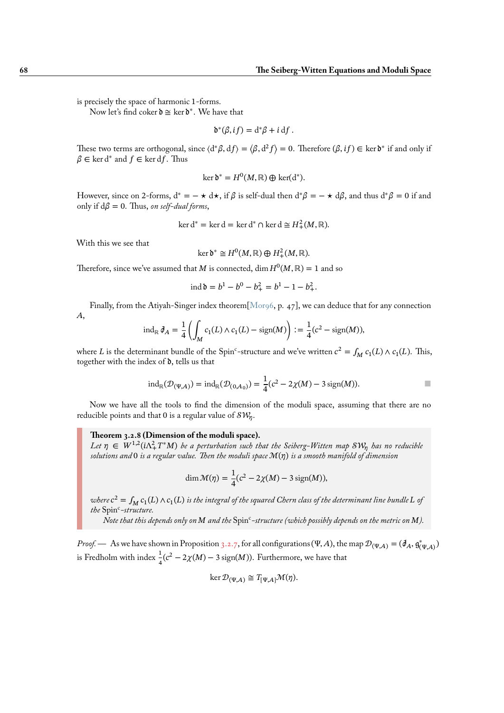is precisely the space of harmonic 1-forms.

Now let's find coker  $\mathfrak{d} \cong \ker \mathfrak{d}^*$ . We have that

$$
\mathfrak{d}^*(\beta, if) = d^*\beta + i df.
$$

These two terms are orthogonal, since  $\langle d^*\beta, df \rangle = \langle \beta, d^2f \rangle = 0$ . Therefore  $(\beta, if) \in \text{ker } \mathfrak{d}^*$  if and only if  $\beta \in \ker d^*$  and  $f \in \ker df$ . Thus

$$
\ker \delta^* = H^0(M, \mathbb{R}) \oplus \ker(\mathrm{d}^*).
$$

However, since on 2-forms,  $d^* = - \star d\star$ , if  $\beta$  is self-dual then  $d^*\beta = - \star d\beta$ , and thus  $d^*\beta = 0$  if and only if  $d\beta = 0$ . Thus, *on self-dual forms*,

$$
\ker d^* = \ker d = \ker d^* \cap \ker d \cong H^2_+(M, \mathbb{R}).
$$

With this we see that

$$
\ker \delta^* \cong H^0(M, \mathbb{R}) \oplus H^2_+(M, \mathbb{R}).
$$

Therefore, since we've assumed that M is connected, dim  $H^0(M, \mathbb{R}) = 1$  and so

$$
ext{ind } b = b^1 - b^0 - b_+^2 = b^1 - 1 - b_+^2.
$$

Finally, from the Atiyah-Singer index theorem  $[Morg6, p. 47]$ , we can deduce that for any connection  $A$ ,

$$
\mathrm{ind}_{\mathbb{R}} \, \mathcal{J}_A = \frac{1}{4} \left( \int_M c_1(L) \wedge c_1(L) - \mathrm{sign}(M) \right) := \frac{1}{4} (c^2 - \mathrm{sign}(M)),
$$

where L is the determinant bundle of the Spin<sup>c</sup>-str[ucture a](#page-96-0)nd we've written  $c^2 = \int_M c_1(L) \wedge c_1(L)$ . This, together with the index of  $\delta$ , tells us that

$$
ind_{\mathbb{R}}(\mathcal{D}_{(\Psi,A)}) = ind_{\mathbb{R}}(\mathcal{D}_{(0,A_0)}) = \frac{1}{4}(c^2 - 2\chi(M) - 3\operatorname{sign}(M)).
$$

Now we have all the tools to find the dimension of the moduli space, assuming that there are no reducible points and that 0 is a regular value of  $\mathcal{SW}_{\eta}.$ 

#### **Theorem 3.2.8 (Dimension of the moduli space).**

Let  $\eta \in W^{1,2}(i\Lambda_+^2T^*M)$  be a perturbation such that the Seiberg-Witten map  $\mathcal{SW}_\eta$  has no reducible *solutions and* 0 *is a regular value. Then the moduli space* ℳ() *is a smooth manifold of dimension*

$$
\dim \mathcal{M}(\eta) = \frac{1}{4}(c^2 - 2\chi(M) - 3\operatorname{sign}(M)),
$$

where  $c^2 = \int_M c_1(L) \wedge c_1(L)$  is the integral of the squared Chern class of the determinant line bundle  $L$  of the Spin<sup>c</sup>-structure.

Note that this depends only on M and the  $Spin^c$ -structure (which possibly depends on the metric on M).

*Proof.* — As we have shown in Proposition 3.2.7, for all configurations (Ψ,Α), the map  $\mathcal{D}_{(\Psi,A)} = (\partial_A, \mathfrak{g}_{(\Psi,A)}^*)$ is Fredholm with index  $\frac{1}{4}(c^2 - 2\chi(M) - 3\,\text{sign}(M))$ . Furthermore, we have that

$$
\ker \mathcal{D}_{(\Psi,A)} \cong T_{[\Psi,A]} \mathcal{M}(\eta).
$$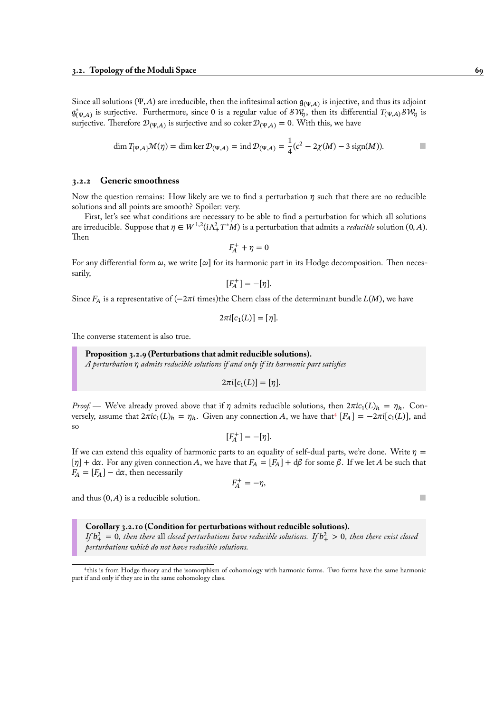Since all solutions (Ψ, A) are irreducible, then the infitesimal action  $\mathfrak{g}_{(\Psi,A)}$  is injective, and thus its adjoint  $\mathfrak{g}_{(\Psi,A)}^*$  is surjective. Furthermore, since 0 is a regular value of  $\mathcal{SW}_\eta$ , then its differential  $T_{(\Psi,A)}\mathcal{SW}_\eta$  is surjective. Therefore  $\mathcal{D}_{(\Psi,A)}$  is surjective and so coker  $\mathcal{D}_{(\Psi,A)} = 0$ . With this, we have

$$
\dim T_{[\Psi,A]} \mathcal{M}(\eta) = \dim \ker \mathcal{D}_{(\Psi,A)} = \operatorname{ind} \mathcal{D}_{(\Psi,A)} = \frac{1}{4} (c^2 - 2\chi(M) - 3\operatorname{sign}(M)).
$$

#### **3.2.2 Generic smoothness**

Now the question remains: How likely are we to find a perturbation  $\eta$  such that there are no reducible solutions and all points are smooth? Spoiler: very.

First, let's see what conditions are necessary to be able to find a perturbation for which all solutions are irreducible. Suppose that  $\eta \in W^{1,2}(i\Lambda^2_+T^*M)$  is a perturbation that admits a *reducible* solution  $(0, A)$ . Then

$$
F_{\!A}^+ + \eta = 0
$$

For any differential form  $\omega$ , we write  $[\omega]$  for its harmonic part in its Hodge decomposition. Then necessarily,

$$
[F_A^+] = -[\eta].
$$

Since  $F_A$  is a representative of ( $-2\pi i$  times)the Chern class of the determinant bundle  $L(M)$ , we have

$$
2\pi i[c_1(L)] = [\eta].
$$

The converse statement is also true.

# **Proposition 3.2.9 (Perturbations that admit reducible solutions).**

*A perturbation admits reducible solutions if and only if its harmonic part satisfies*

$$
2\pi i[c_1(L)] = [\eta].
$$

*Proof.* — We've already proved above that if  $\eta$  admits reducible solutions, then  $2\pi i c_1(L)_h = \eta_h$ . Conversely, assume that  $2\pi i c_1(L)_h = \eta_h$ . Given any connection A, we have that  $[F_A] = -2\pi i [c_1(L)]$ , and so

$$
[F_A^+] = -[\eta].
$$

If we can extend this equality of h[ar](#page-74-0)monic parts to an equality of self-dual parts, we're done. Write  $\eta =$  $[\eta] + d\alpha$ . For any given connection A, we have that  $F_A = [F_A] + d\beta$  for some  $\beta$ . If we let A be such that  $F_A = [F_A] - d\alpha$ , then necessarily

$$
F_A^+=-\eta,
$$

and thus  $(0, A)$  is a reducible solution.

#### **Corollary 3.2.10 (Condition for perturbations without reducible solutions).**

If  $b_+^2=0$ , then there all closed perturbations have reducible solutions. If  $b_+^2>0$ , then there exist closed *perturbations which do not have reducible solutions.*

<span id="page-74-0"></span><sup>4</sup> this is from Hodge theory and the isomorphism of cohomology with harmonic forms. Two forms have the same harmonic part if and only if they are in the same cohomology class.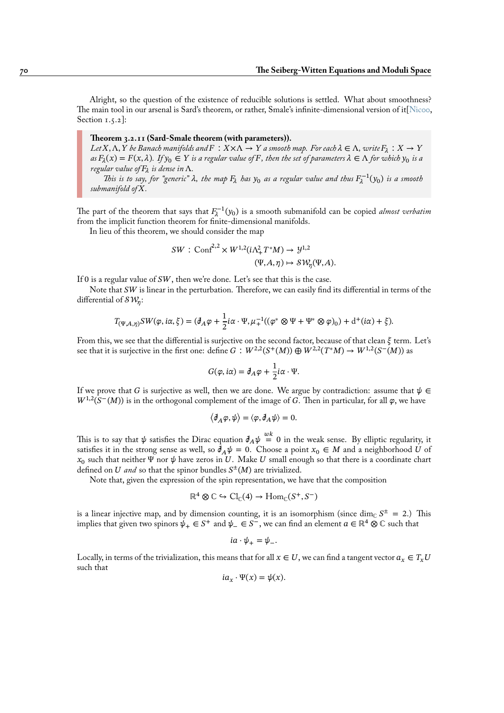Alright, so the question of the existence of reducible solutions is settled. What about smoothness? The main tool in our arsenal is Sard's theorem, or rather, Smale's infinite-dimensional version of it[Nic00, Section  $1.5.2$ :

**Theorem 3.2.11 (Sard-Smale theorem (with parameters)).** Let X,  $\Lambda$ , Y be Banach manifolds and  $F : X \times \Lambda \to Y$  a smooth map. For each  $\lambda \in \Lambda$ , write  $F_{\lambda} : X \to Y$  $a$ s  $F_\lambda(x) = F(x, \lambda)$ . If  $y_0 \in Y$  is a regular value of F, then the set of parameters  $\lambda \in \Lambda$  for which  $y_0$  is a *regular value of is dense in* Λ*.*

This is to say, for "generic"  $\lambda$ , the map  $F_{\lambda}$  has  $y_0$  as a regular value and thus  $F_{\lambda}^{-1}(y_0)$  is a smooth *submanifold of .*

The part of the theorem that says that  $F_{\lambda}^{-1}(y_0)$  is a smooth submanifold can be copied *almost verbatim* from the implicit function theorem for finite-dimensional manifolds.

In lieu of this theorem, we should consider the map

$$
SW: \text{Conf}^{2,2} \times W^{1,2}(i\Lambda_+^2 T^* M) \to \mathcal{Y}^{1,2}
$$
  

$$
(\Psi, A, \eta) \mapsto \mathcal{SW}_{\eta}(\Psi, A).
$$

If 0 is a regular value of  $SW$ , then we're done. Let's see that this is the case.

Note that  $SW$  is linear in the perturbation. Therefore, we can easily find its differential in terms of the differential of  $\mathcal{SW}_{\eta}$ :

$$
T_{(\Psi,A,\eta)}SW(\varphi,i\alpha,\xi)=(\partial_A\varphi+\frac{1}{2}i\alpha\cdot\Psi,\mu_+^{-1}((\varphi^*\otimes\Psi+\Psi^*\otimes\varphi)_0)+d^+(i\alpha)+\xi).
$$

From this, we see that the differential is surjective on the second factor, because of that clean  $\xi$  term. Let's see that it is surjective in the first one: define  $G : W^{2,2}(S^+(M)) \oplus W^{2,2}(T^*M) \to W^{1,2}(S^-(M))$  as

$$
G(\varphi, i\alpha) = \partial_A \varphi + \frac{1}{2}i\alpha \cdot \Psi.
$$

If we prove that G is surjective as well, then we are done. We argue by contradiction: assume that  $\psi \in$  $W^{1,2}(S^-(M))$  is in the orthogonal complement of the image of G. Then in particular, for all  $\varphi$ , we have

$$
\langle \partial_A \varphi, \psi \rangle = \langle \varphi, \partial_A \psi \rangle = 0.
$$

This is to say that  $\psi$  satisfies the Dirac equation  $\partial_A\psi\stackrel{wk}{=}0$  in the weak sense. By elliptic regularity, it satisfies it in the strong sense as well, so  $\bar{\partial}_A \psi = 0$ . Choose a point  $x_0 \in M$  and a neighborhood U of  $x_0$  such that neither  $\Psi$  nor  $\psi$  have zeros in  $U.$  Make  $U$  small enough so that there is a coordinate chart defined on  $U$  and so that the spinor bundles  $S^{\pm}(M)$  are trivialized.

Note that, given the expression of the spin representation, we have that the composition

$$
\mathbb{R}^4 \otimes \mathbb{C} \hookrightarrow \mathrm{Cl}_{\mathbb{C}}(4) \to \mathrm{Hom}_{\mathbb{C}}(S^+, S^-)
$$

is a linear injective map, and by dimension counting, it is an isomorphism (since  $\dim_{\mathbb{C}} S^{\pm} = 2$ .) This implies that given two spinors  $\psi_+ \in S^+$  and  $\psi_- \in S^-$ , we can find an element  $a \in \mathbb{R}^4 \otimes \mathbb{C}$  such that

$$
ia\cdot\psi_+=\psi_-.
$$

Locally, in terms of the trivialization, this means that for all  $x \in U$ , we can find a tangent vector  $a_x \in T_x U$ such that

$$
ia_x \cdot \Psi(x) = \psi(x).
$$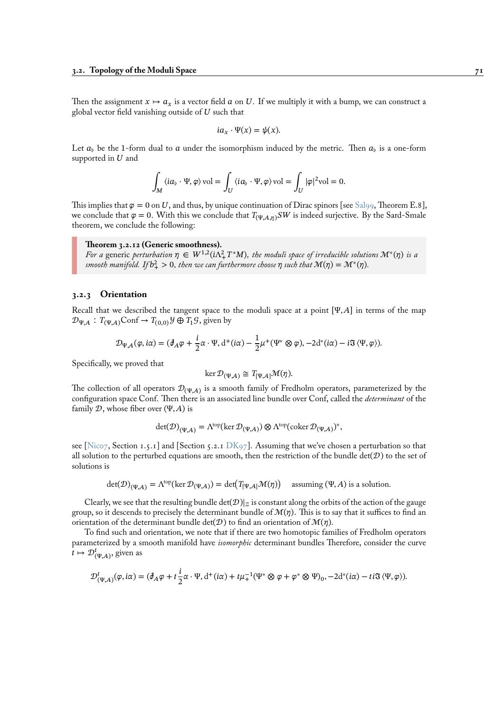Then the assignment  $x \mapsto a_x$  is a vector field a on U. If we multiply it with a bump, we can construct a global vector field vanishing outside of  $U$  such that

$$
ia_x\cdot\Psi(x)=\psi(x).
$$

Let  $a_{\flat}$  be the 1-form dual to  $a$  under the isomorphism induced by the metric. Then  $a_{\flat}$  is a one-form supported in  $U$  and

$$
\int_M \left\langle i a_\flat \cdot \Psi , \varphi \right\rangle \mathrm{vol} = \int_U \left\langle i a_\flat \cdot \Psi , \varphi \right\rangle \mathrm{vol} = \int_U |\varphi|^2 \mathrm{vol} = 0.
$$

This implies that  $\varphi = 0$  on U, and thus, by unique continuation of Dirac spinors [see Sal99, Theorem E.8], we conclude that  $\varphi = 0$ . With this we conclude that  $T_{(\Psi,A,n)}SW$  is indeed surjective. By the Sard-Smale theorem, we conclude the following:

#### **Theorem 3.2.12 (Generic smoothness).**

Fora generic perturbation  $\eta \in W^{1,2}(i\Lambda_+^2T^*M)$ , the moduli space of irreducible s[olution](#page-96-2)s  $\mathcal{M}^*(\eta)$  is a smooth manifold. If  $b_+^2 > 0$ , then we can furthermore choose  $\eta$  such that  $\mathcal{M}(\eta) = \mathcal{M}^*(\eta)$ .

# **3.2.3 Orientation**

Recall that we described the tangent space to the moduli space at a point  $[\Psi, A]$  in terms of the map  $\mathcal{D}_{\Psi,A}$ :  $T_{(\Psi,A)}\text{Conf} \to T_{(0,0)}\mathcal{Y} \oplus T_1\mathcal{G}$ , given by

$$
\mathcal{D}_{\Psi,A}(\varphi,i\alpha)=(\partial_A\varphi+\frac{i}{2}\alpha\cdot\Psi,\mathrm{d}^+(i\alpha)-\frac{1}{2}\mu^+(\Psi^*\otimes\varphi),-2\mathrm{d}^*(i\alpha)-i\mathfrak{F}\langle\Psi,\varphi\rangle).
$$

Specifically, we proved that

$$
\ker \mathcal{D}_{(\Psi,A)} \cong T_{[\Psi,A]} \mathcal{M}(\eta).
$$

The collection of all operators  $\mathcal{D}_{(\Psi,A)}$  is a smooth family of Fredholm operators, parameterized by the configuration space Conf. Then there is an associated line bundle over Conf, called the *determinant* of the family  $D$ , whose fiber over  $(\Psi, A)$  is

$$
\det(\mathcal{D})_{(\Psi,A)} = \Lambda^{\text{top}}(\ker \mathcal{D}_{(\Psi,A)}) \otimes \Lambda^{\text{top}}(\mathrm{coker}\,\mathcal{D}_{(\Psi,A)})^*,
$$

see [Nico7, Section 1.5.1] and [Section 5.2.1 DK97]. Assuming that we've chosen a perturbation so that all solution to the perturbed equations are smooth, then the restriction of the bundle det( $D$ ) to the set of solutions is

$$
\det(\mathcal{D})_{(\Psi,\mathcal{A})} = \Lambda^{\text{top}}(\ker \mathcal{D}_{(\Psi,\mathcal{A})}) = \det(T_{[\Psi,\mathcal{A}]} \mathcal{M}(\eta)) \quad \text{assuming } (\Psi,\mathcal{A}) \text{ is a solution.}
$$

Clearly, we see that the resulting bundle  $\det(D)|_z$  is constant along the orbits of the action of the gauge group, so it descends to precisely the determinant bundle of  $\mathcal{M}(\eta)$ . This is to say that it suffices to find an orientation of the determinant bundle det( $\mathcal{D}$ ) to find an orientation of  $\mathcal{M}(\eta)$ .

To find such and orientation, we note that if there are two homotopic families of Fredholm operators parameterized by a smooth manifold have *isomorphic* determinant bundles Therefore, consider the curve  $t \mapsto \mathcal{D}_{(\Psi,A)}^t$ , given as

$$
\mathcal{D}^t_{(\Psi,A)}(\varphi,i\alpha) = (\partial_A \varphi + t\frac{i}{2}\alpha \cdot \Psi, d^+(i\alpha) + t\mu_+^{-1}(\Psi^* \otimes \varphi + \varphi^* \otimes \Psi)_0, -2d^*(i\alpha) - ti\Im \langle \Psi, \varphi \rangle).
$$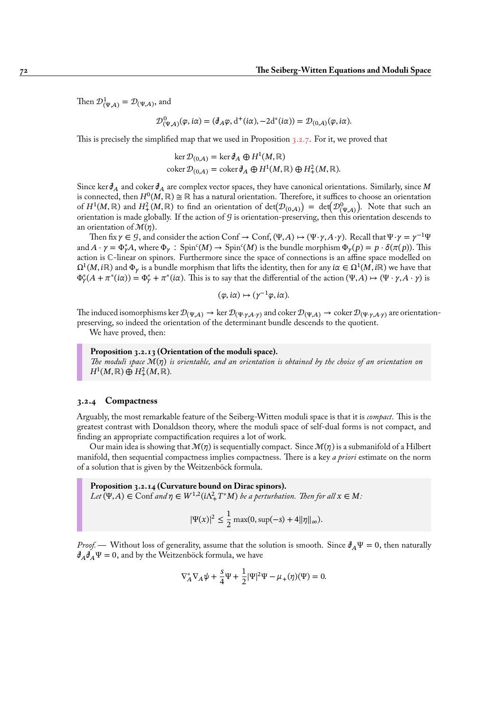Then  $\mathcal{D}_{(\Psi,A)}^1 = \mathcal{D}_{(\Psi,A)}$ , and

$$
\mathcal{D}^0_{(\Psi,A)}(\varphi,i\alpha) = (\partial_A \varphi, d^+(i\alpha), -2d^*(i\alpha)) = \mathcal{D}_{(0,A)}(\varphi,i\alpha).
$$

This is precisely the simplified map that we used in Proposition 3.2.7. For it, we proved that

$$
\ker \mathcal{D}_{(0,A)} = \ker \mathcal{J}_A \oplus H^1(M, \mathbb{R})
$$
  
coker  $\mathcal{D}_{(0,A)} = \text{coker} \mathcal{J}_A \oplus H^1(M, \mathbb{R}) \oplus H^2_+(M, \mathbb{R}).$ 

Since ker  $\partial_A$  and coker  $\partial_A$  are complex vector spaces, they have [canon](#page-72-0)ical orientations. Similarly, since M is connected, then  $H^0(M,\mathbb{R})\cong \mathbb{R}$  has a natural orientation. Therefore, it suffices to choose an orientation of  $H^1(M,\mathbb{R})$  and  $H^2_+(M,\mathbb{R})$  to find an orientation of  $\det(\mathcal{D}_{(0,A)}) = \det(\mathcal{D}_{(\Psi,A)}^0)$ . Note that such an orientation is made globally. If the action of  $G$  is orientation-preserving, then this orientation descends to an orientation of  $\mathcal{M}(\eta)$ .

Then fix  $\gamma \in \mathcal{G}$ , and consider the action Conf  $\to$  Conf,  $(\Psi, A) \mapsto (\Psi \cdot \gamma, A \cdot \gamma)$ . Recall that  $\Psi \cdot \gamma = \gamma^{-1}\Psi$ and  $A \cdot \gamma = \Phi_{\gamma}^* A$ , where  $\Phi_{\gamma}$ : Spin<sup>c</sup>(*M*)  $\to$  Spin<sup>c</sup>(*M*) is the bundle morphism  $\Phi_{\gamma}(p) = p \cdot \delta(\pi(p))$ . This action is ℂ-linear on spinors. Furthermore since the space of connections is an affine space modelled on  $\Omega^1(M,i\mathbb{R})$  and  $\Phi_\gamma$  is a bundle morphism that lifts the identity, then for any  $i\alpha\in\Omega^1(M,i\mathbb{R})$  we have that  $\Phi_{\gamma}^*(A+\pi^*(i\alpha))=\Phi_{\gamma}^*+\pi^*(i\alpha).$  This is to say that the differential of the action  $(\Psi,A)\mapsto (\Psi\cdot\gamma,A\cdot\gamma)$  is

$$
(\varphi, i\alpha) \mapsto (\gamma^{-1}\varphi, i\alpha).
$$

The induced isomorphisms ker  $\mathcal{D}_{(\Psi,A)} \to \text{ker } \mathcal{D}_{(\Psi,\gamma,A,\gamma)}$  and coker  $\mathcal{D}_{(\Psi,A)} \to \text{coker } \mathcal{D}_{(\Psi,\gamma,A,\gamma)}$  are orientationpreserving, so indeed the orientation of the determinant bundle descends to the quotient.

We have proved, then:

# **Proposition 3.2.13 (Orientation of the moduli space).** *The moduli space* ℳ() *is orientable, and an orientation is obtained by the choice of an orientation on*  $H^1(M,\mathbb{R})\oplus H^2_+(M,\mathbb{R}).$

#### <span id="page-77-0"></span>**3.2.4 Compactness**

Arguably, the most remarkable feature of the Seiberg-Witten moduli space is that it is *compact*. This is the greatest contrast with Donaldson theory, where the moduli space of self-dual forms is not compact, and finding an appropriate compactification requires a lot of work.

Our main idea is showing that  $\mathcal{M}(\eta)$  is sequentially compact. Since  $\mathcal{M}(\eta)$  is a submanifold of a Hilbert manifold, then sequential compactness implies compactness. There is a key *a priori* estimate on the norm of a solution that is given by the Weitzenböck formula.

**Proposition 3.2.14 (Curvature bound on Dirac spinors).**  $Let \overline{(V, A)} \in \text{Conf}$  and  $\eta \in W^{1,2}(i\Lambda^2_+ T^*M)$  be a perturbation. Then for all  $x \in M$ :

$$
|\Psi(x)|^2 \le \frac{1}{2} \max(0, \sup(-s) + 4||\eta||_{\infty}).
$$

*Proof.* — Without loss of generality, assume that the solution is smooth. Since  $\partial_A \Psi = 0$ , then naturally  $\partial_A \partial_A \Psi = 0$ , and by the Weitzenböck formula, we have

$$
\nabla_A^* \nabla_A \psi + \frac{s}{4} \Psi + \frac{1}{2} |\Psi|^2 \Psi - \mu_+(\eta)(\Psi) = 0.
$$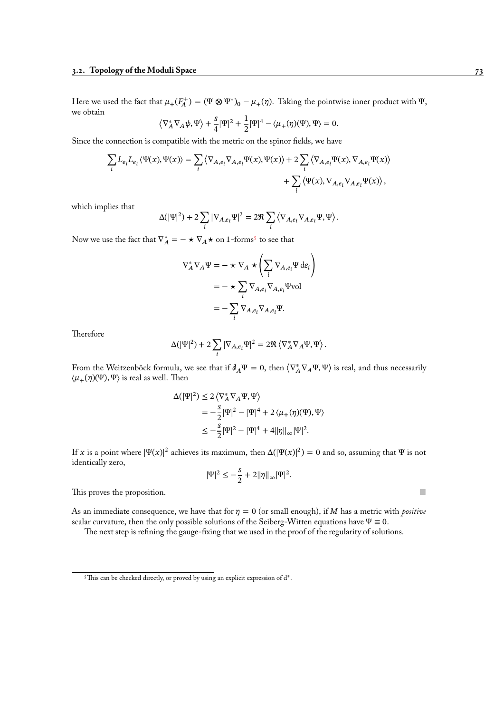Here we used the fact that  $\mu_+(F_A^+) = (\Psi \otimes \Psi^*)_0 - \mu_+(\eta)$ . Taking the pointwise inner product with  $\Psi$ , we obtain

$$
\left\langle \nabla_A^* \nabla_A \psi, \Psi \right\rangle + \frac{s}{4} |\Psi|^2 + \frac{1}{2} |\Psi|^4 - \langle \mu_+(\eta)(\Psi), \Psi \rangle = 0.
$$

Since the connection is compatible with the metric on the spinor fields, we have

$$
\begin{split} \sum_{i} L_{e_i} L_{e_i} \left\langle \Psi(x), \Psi(x) \right\rangle = \sum_{i} \left\langle \nabla_{A, e_i} \nabla_{A, e_i} \Psi(x), \Psi(x) \right\rangle + 2 \sum_{i} \left\langle \nabla_{A, e_i} \Psi(x), \nabla_{A, e_i} \Psi(x) \right\rangle \\ + \sum_{i} \left\langle \Psi(x), \nabla_{A, e_i} \nabla_{A, e_i} \Psi(x) \right\rangle, \end{split}
$$

which implies that

$$
\Delta (|\Psi|^2)+2\sum_i|\nabla_{A,e_i}\Psi|^2=2\Re\sum_i\left\langle\nabla_{A,e_i}\nabla_{A,e_i}\Psi,\Psi\right\rangle.
$$

Now we use the fact that  $\nabla_A^* = - \star \nabla_A \star$  on 1-forms<sup>5</sup> to see that

$$
\nabla_A^* \nabla_A \Psi = - \star \nabla_A \star \left( \sum_i \nabla_{A, e_i} \Psi \, de_i \right)
$$
  
= 
$$
- \star \sum_i \nabla_{A, e_i} \nabla_{A, e_i} \Psi \text{vol}
$$
  
= 
$$
- \sum_i \nabla_{A, e_i} \nabla_{A, e_i} \Psi.
$$

**Therefore** 

$$
\Delta(|\Psi|^2) + 2\sum_i |\nabla_{A,e_i}\Psi|^2 = 2\Re \left\langle \nabla_A^* \nabla_A \Psi, \Psi \right\rangle.
$$

From the Weitzenböck formula, we see that if  $\partial_A \Psi = 0$ , then  $\langle \nabla_A^* \nabla_A \Psi, \Psi \rangle$  is real, and thus necessarily  $\langle \mu_+(\eta)(\Psi), \Psi \rangle$  is real as well. Then

$$
\Delta(|\Psi|^2) \le 2 \langle \nabla_A^* \nabla_A \Psi, \Psi \rangle
$$
  
=  $-\frac{s}{2} |\Psi|^2 - |\Psi|^4 + 2 \langle \mu_+(\eta)(\Psi), \Psi \rangle$   
 $\le -\frac{s}{2} |\Psi|^2 - |\Psi|^4 + 4 ||\eta||_{\infty} |\Psi|^2.$ 

If x is a point where  $|\Psi(x)|^2$  achieves its maximum, then  $\Delta(|\Psi(x)|^2) = 0$  and so, assuming that  $\Psi$  is not identically zero,

$$
|\Psi|^2 \le -\frac{s}{2} + 2||\eta||_{\infty} |\Psi|^2.
$$

This proves the proposition.  $\blacksquare$ 

As an immediate consequence, we have that for  $\eta = 0$  (or small enough), if M has a metric with *positive* scalar curvature, then the only possible solutions of the Seiberg-Witten equations have  $\Psi \equiv 0$ .

The next step is refining the gauge-fixing that we used in the proof of the regularity of solutions.

<sup>&</sup>lt;sup>5</sup>This can be checked directly, or proved by using an explicit expression of d<sup>\*</sup>.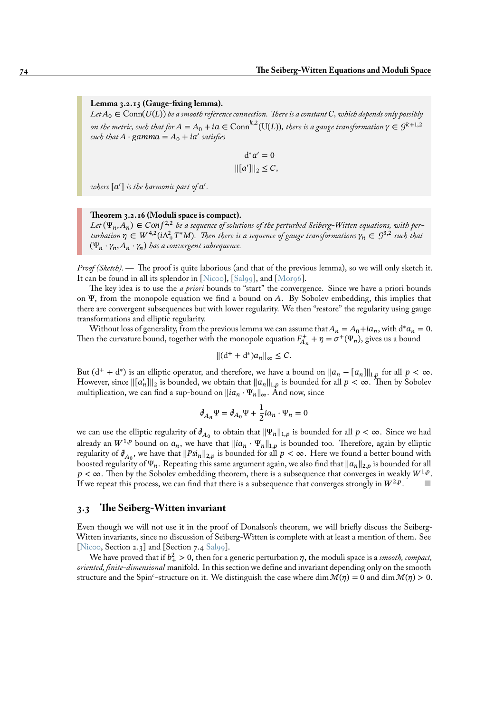### **Lemma 3.2.15 (Gauge-fixing lemma).**

 $Let A_0 \in \text{Conn}(U(L))$  *be a smooth reference connection. There is a constant*  $C$ , which depends only possibly *on the metric, such that for*  $A = A_0 + ia \in \text{Conn}^{k,2}(\text{U}(L))$ *, there is a gauge transformation*  $\gamma \in \mathcal{G}^{k+1,2}$ *such that*  $A \cdot \text{gamma} = A_0 + \text{i}a'$  *satisfies* 

$$
d^*a' = 0
$$

$$
\| [a'] \|_2 \le C,
$$

where  $[a']$  is the harmonic part of  $a'$ .

#### **Theorem 3.2.16 (Moduli space is compact).**

Let  $(\Psi_n, A_n) \in \text{Conf}^{2,2}$  be a sequence of solutions of the perturbed Seiberg-Witten equations, with perturbation  $\eta \in W^{4,2}(i\Lambda_{+}^{2}T^{*}M)$ . Then there is a sequence of gauge transformations  $\gamma_n \in \mathcal{G}^{3,2}$  such that  $(\Psi_n \cdot \gamma_n, A_n \cdot \gamma_n)$  has a convergent subsequence.

*Proof (Sketch).—* The proof is quite laborious (and that of the previous lemma), so we will only sketch it. It can be found in all its splendor in [Nicoo], [Sal99], and [Mor96].

The key idea is to use the *a priori* bounds to "start" the convergence. Since we have a priori bounds on Ψ, from the monopole equation we find a bound on  $A$ . By Sobolev embedding, this implies that there are convergent subsequences but with lower regularity. We then "restore" the regularity using gauge transformations and elliptic regularit[y.](#page-96-1)

Without loss of generality, from the previo[us lemm](#page-96-2)a we [can assu](#page-96-0)me that  $A_n = A_0 + i a_n$ , with  $d^* a_n = 0$ . Then the curvature bound, together with the monopole equation  $F_{A_n}^+ + \eta = \sigma^+(\Psi_n)$ , gives us a bound

$$
\|(d^+ + d^*)a_n\|_{\infty} \le C.
$$

But  $(d^+ + d^*)$  is an elliptic operator, and therefore, we have a bound on  $||a_n - [a_n]||_{1,p}$  for all  $p < \infty$ . However, since  $\|[a'_n]\|_2$  is bounded, we obtain that  $\|a_n\|_{1,p}$  is bounded for all  $p < \infty$ . Then by Sobolev multiplication, we can find a sup-bound on  $\left\|ia_n \cdot \Psi_n\right\|_{\infty}$ . And now, since

$$
\partial_{A_n}\Psi = \partial_{A_0}\Psi + \frac{1}{2}ia_n \cdot \Psi_n = 0
$$

we can use the elliptic regularity of  $\mathcal{J}_{A_0}$  to obtain that  $\|\Psi_n\|_{1,p}$  is bounded for all  $p < \infty$ . Since we had already an  $W^{1,p}$  bound on  $a_n$ , we have that  $||ia_n \cdot \Psi_n||_{1,p}$  is bounded too. Therefore, again by elliptic regularity of  $\partial_{A_0}$ , we have that  $\|Psi\|_{2,p}$  is bounded for all  $p < \infty$ . Here we found a better bound with boosted regularity of  $\Psi_n$ . Repeating this same argument again, we also find that  $||a_n||_{2,p}$  is bounded for all  $p < \infty$ . Then by the Sobolev embedding theorem, there is a subsequence that converges in weakly  $W^{1,p}$ . If we repeat this process, we can find that there is a subsequence that converges strongly in  $W^{2,p}$ . .  $\blacksquare$ 

# **3.3 The Seiberg-Witten invariant**

Even though we will not use it in the proof of Donalson's theorem, we will briefly discuss the Seiberg-Witten invariants, since no discussion of Seiberg-Witten is complete with at least a mention of them. See [Nicoo, Section 2.3] and [Section 7.4 Sal99].

We have proved that if  $b_+^2 > 0$ , then for a generic perturbation  $\eta,$  the moduli space is a *smooth, compact, oriented, finite-dimensional* manifold. In this section we define and invariant depending only on the smooth structure and the Spin<sup>c</sup>-structure on it. We distinguish the case where dim  $\mathcal{M}(\eta) = 0$  and dim  $\mathcal{M}(\eta) > 0$ .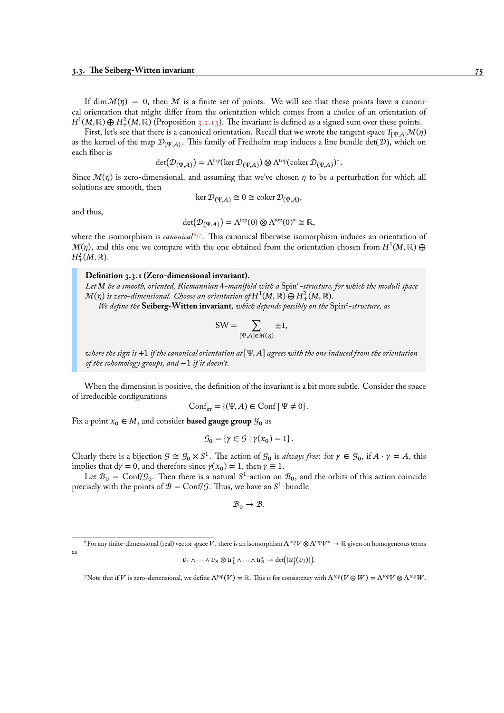If dim  $\mathcal{M}(\eta) = 0$ , then M is a finite set of points. We will see that these points have a canonical orientation that might differ from the orientation which comes from a choice of an orientation of  $H^1(M,\mathbb{R})\oplus H_+^2(M,\mathbb{R})$  (Proposition 3.2.13). The invariant is defined as a signed sum over these points.

First, let's see that there is a canonical orientation. Recall that we wrote the tangent space  $T_{[\Psi,A]} \mathcal{M}(\eta)$ as the kernel of the map  $\mathcal{D}_{(\Psi,A)}$ . This family of Fredholm map induces a line bundle det( $\mathcal{D}$ ), which on each fiber is

$$
\det(\mathcal{D}_{(\Psi,A)}) = \Lambda^{\text{top}}(\ker \mathcal{D}_{(\Psi,A)}) \otimes \Lambda^{\text{top}}(\text{coker } \mathcal{D}_{(\Psi,A)})^*.
$$

Since  $\mathcal{M}(\eta)$  is zero-dimensional, and assuming that we've chosen  $\eta$  to be a perturbation for which all solutions are smooth, then

$$
\ker \mathcal{D}_{(\Psi,A)} \cong 0 \cong \operatorname{coker} \mathcal{D}_{(\Psi,A)},
$$

and thus,

$$
\det(\mathcal{D}_{(\Psi,A)}) = \Lambda^{\text{top}}(0) \otimes \Lambda^{\text{top}}(0)^* \cong \mathbb{R},
$$

where the isomorphism is *canonical*<sup>6,7</sup>. This canonical fiberwise isomorphism induces an orientation of  $\mathcal{M}(\eta),$  and this one we compare with the one obtained from the orientation chosen from  $H^1(M,\mathbb{R})\oplus\emptyset$  $H^2_+(M,\mathbb{R}).$ 

#### **Definition 3.3.1 (Zero-dimens[io](#page-80-0)[n](#page-80-1)al invariant).**

*Let be a smooth, oriented, Riemannian* 4*-manifold with a* Spin<sup>c</sup> *-structure, for which the moduli space*  $\mathcal{M}(\eta)$  is zero-dimensional. Choose an orientation of  $H^1(M,\mathbb{R})\oplus H^2_+(M,\mathbb{R})$ .

We define the **Seiberg-Witten invariant**, which depends possibly on the Spinc-structure, as

$$
SW = \sum_{\left[\Psi, A\right] \in \mathcal{M}(\eta)} \pm 1,
$$

*where the sign is* +1 *if the canonical orientation at* [Ψ, A] *agrees with the one induced from the orientation of the cohomology groups, and* −1 *if it doesn't.*

When the dimension is positive, the definition of the invariant is a bit more subtle. Consider the space of irreducible configurations

$$
Conf_{irr} = \{ (\Psi, A) \in Conf \mid \Psi \neq 0 \}.
$$

Fix a point  $x_0 \in M$ , and consider **based gauge group**  $\mathcal{G}_0$  as

$$
\mathcal{G}_0 = \{ \gamma \in \mathcal{G} \mid \gamma(x_0) = 1 \}.
$$

Clearly there is a bijection  $G \cong G_0 \times S^1$ . The action of  $G_0$  is *always free*: for  $\gamma \in G_0$ , if  $A \cdot \gamma = A$ , this implies that  $dy = 0$ , and therefore since  $\gamma(x_0) = 1$ , then  $\gamma \equiv 1$ .

Let  $B_0 = \text{Conf}/\mathcal{G}_0$ . Then there is a natural  $S^1$ -action on  $\mathcal{B}_0$ , and the orbits of this action coincide precisely with the points of  $\mathcal{B} = \text{Conf}/\mathcal{G}$ . Thus, we have an  $S^1$ -bundle

$$
\mathcal{B}_0 \to \mathcal{B}.
$$

$$
v_1 \wedge \cdots \wedge v_n \otimes u_1^* \wedge \cdots \wedge u_n^* \rightarrow \det([u_j^*(v_i)]).
$$

<span id="page-80-1"></span><span id="page-80-0"></span>7Note that if V is zero-dimensional, we define  $\Lambda^{\text{top}}(V) = \mathbb{R}$ . This is for consistency with  $\Lambda^{\text{top}}(V \oplus W) = \Lambda^{\text{top}}V \otimes \Lambda^{\text{top}}W$ .

<sup>&</sup>lt;sup>6</sup> For any finite-dimensional (real) vector space V, there is an isomorphism  $\Lambda^{top}V\otimes\Lambda^{top}V^*\to\mathbb{R}$  given on homogeneous terms as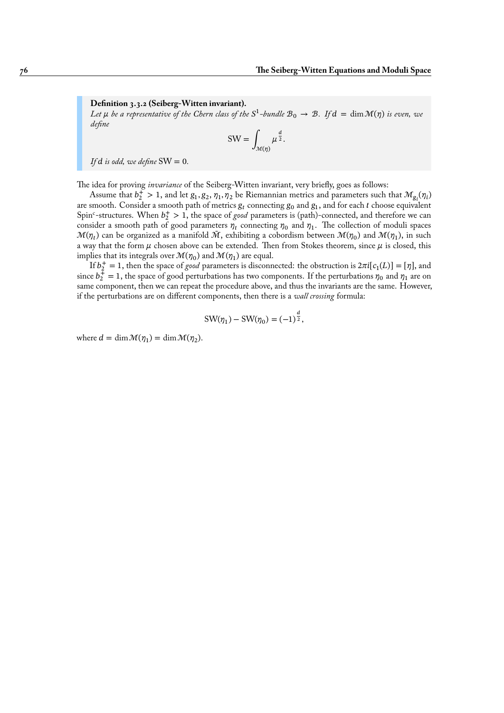**Definition 3.3.2 (Seiberg-Witten invariant).**

Let  $\mu$  be a representative of the Chern class of the S<sup>1</sup>-bundle  ${\cal B}_0\to{\cal B}$ . If  $d=\dim{\cal M}(\eta)$  is even, we *define*

$$
SW = \int_{\mathcal{M}(\eta)} \mu^{\frac{d}{2}}.
$$

*If*  $d$  *is odd, we define*  $SW = 0$ *.* 

The idea for proving *invariance* of the Seiberg-Witten invariant, very briefly, goes as follows:

Assume that  $b_2^+ > 1$ , and let  $g_1, g_2, \eta_1, \eta_2$  be Riemannian metrics and parameters such that  $\mathcal{M}_{g_i}(\eta_i)$ are smooth. Consider a smooth path of metrics  $\bm{g}_{t}$  connecting  $\bm{g}_{0}$  and  $\bm{g}_{1},$  and for each  $t$  choose equivalent Spin<sup>c</sup>-structures. When  $b_2^+ > 1$ , the space of *good* parameters is (path)-connected, and therefore we can consider a smooth path of good parameters  $\eta_t$  connecting  $\eta_0$  and  $\eta_1.$  The collection of moduli spaces  $\mathcal{M}(\eta_t)$  can be organized as a manifold  $\tilde{\mathcal{M}},$  exhibiting a cobordism between  $\mathcal{M}(\eta_0)$  and  $\mathcal{M}(\eta_1),$  in such a way that the form  $\mu$  chosen above can be extended. Then from Stokes theorem, since  $\mu$  is closed, this implies that its integrals over  $\mathcal{M}(\eta_0)$  and  $\mathcal{M}(\eta_1)$  are equal.

If  $b_2^+ = 1$ , then the space of *good* parameters is disconnected: the obstruction is  $2\pi i[c_1(L)] = [\eta]$ , and since  $b_2^+=1$ , the space of good perturbations has two components. If the perturbations  $\eta_0$  and  $\eta_1$  are on same component, then we can repeat the procedure above, and thus the invariants are the same. However, if the perturbations are on different components, then there is a *wall crossing* formula:

$$
SW(\eta_1) - SW(\eta_0) = (-1)^{\frac{d}{2}},
$$

where  $d = \dim \mathcal{M}(\eta_1) = \dim \mathcal{M}(\eta_2)$ .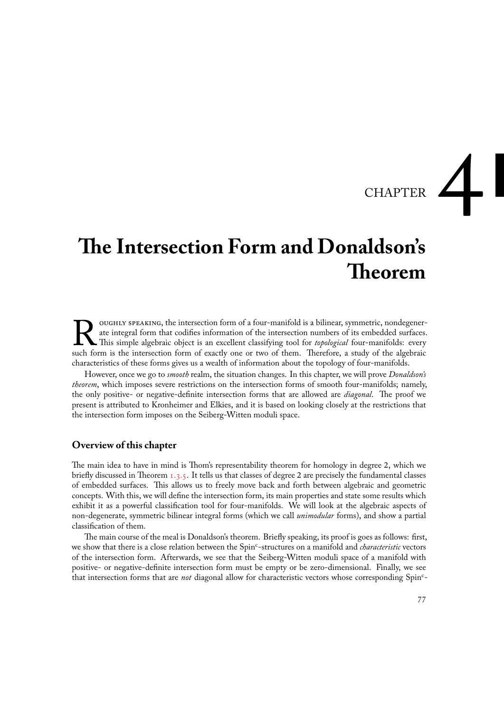# CHAPTER

# **The Intersection Form and Donaldson's Theorem**

NOUGHLY SPEAKING, the intersection form of a four-manifold is a bilinear, symmetric, nondegenerate integral form that codifies information of the intersection numbers of its embedded surfaces This simple algebraic object i oughly speaking, the intersection form of a four-manifold is a bilinear, symmetric, nondegenerate integral form that codifies information of the intersection numbers of its embedded surfaces. This simple algebraic object is an excellent classifying tool for *topological* four-manifolds: every characteristics of these forms gives us a wealth of information about the topology of four-manifolds.

However, once we go to *smooth* realm, the situation changes. In this chapter, we will prove *Donaldson's theorem*, which imposes severe restrictions on the intersection forms of smooth four-manifolds; namely, the only positive- or negative-definite intersection forms that are allowed are *diagonal*. The proof we present is attributed to Kronheimer and Elkies, and it is based on looking closely at the restrictions that the intersection form imposes on the Seiberg-Witten moduli space.

# **Overview of this chapter**

The main idea to have in mind is Thom's representability theorem for homology in degree 2, which we briefly discussed in Theorem 1.3.5. It tells us that classes of degree 2 are precisely the fundamental classes of embedded surfaces. This allows us to freely move back and forth between algebraic and geometric concepts. With this, we will define the intersection form, its main properties and state some results which exhibit it as a powerful classification tool for four-manifolds. We will look at the algebraic aspects of non-degenerate, symmetric [bilinea](#page-22-0)r integral forms (which we call *unimodular* forms), and show a partial classification of them.

The main course of the meal is Donaldson's theorem. Briefly speaking, its proof is goes as follows: first, we show that there is a close relation between the Spin<sup>c</sup>-structures on a manifold and *characteristic* vectors of the intersection form. Afterwards, we see that the Seiberg-Witten moduli space of a manifold with positive- or negative-definite intersection form must be empty or be zero-dimensional. Finally, we see that intersection forms that are *not* diagonal allow for characteristic vectors whose corresponding Spin<sup>c</sup> -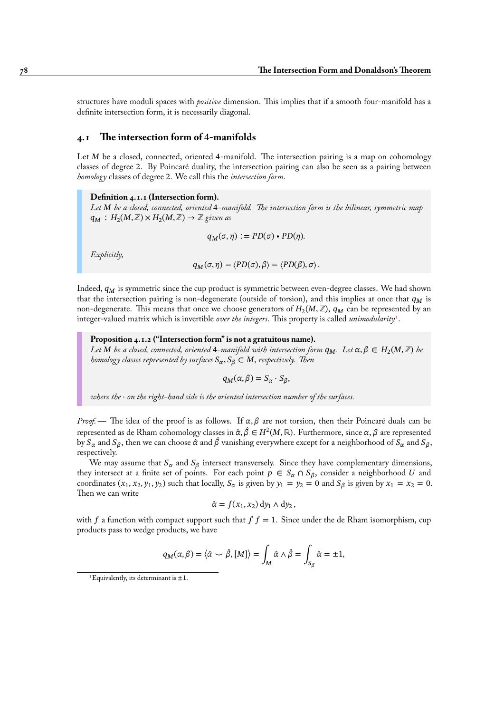structures have moduli spaces with *positive* dimension. This implies that if a smooth four-manifold has a definite intersection form, it is necessarily diagonal.

# **4.1 The intersection form of** 4**-manifolds**

Let  $M$  be a closed, connected, oriented 4-manifold. The intersection pairing is a map on cohomology classes of degree 2. By Poincaré duality, the intersection pairing can also be seen as a pairing between *homology* classes of degree 2. We call this the *intersection form*.

#### **Definition 4.1.1 (Intersection form).**

*Let be a closed, connected, oriented* 4*-manifold. The intersection form is the bilinear, symmetric map*  $q_M: H_2(M, \mathbb{Z}) \times H_2(M, \mathbb{Z}) \to \mathbb{Z}$  given as

$$
q_M(\sigma,\eta) := PD(\sigma) \cdot PD(\eta).
$$

*Explicitly,*

$$
q_M(\sigma, \eta) = \langle PD(\sigma), \beta \rangle = \langle PD(\beta), \sigma \rangle.
$$

Indeed,  $q_M$  is symmetric since the cup product is symmetric between even-degree classes. We had shown that the intersection pairing is non-degenerate (outside of torsion), and this implies at once that  $q_M$  is non-degenerate. This means that once we choose generators of  $H_2(M,\mathbb{Z}),\, q_M$  can be represented by an integer-valued matrix which is invertible *over the integers*. This property is called *unimodularity*<sup>1</sup> .

**Proposition 4.1.2 ("Intersection form" is not a gratuitous name).** Let M be a closed, connected, oriented 4–manifold with intersection form  $q_M$ . Let  $\alpha,\beta\in H_2(M,\mathbb{Z})$  be *homology classes represented by surfaces*  $S_{\alpha}, S_{\beta} \subset M$ *, respectively. Then* 

$$
q_M(\alpha,\beta)=S_\alpha\cdot S_\beta,
$$

*where the* ⋅ *on the right-hand side is the oriented intersection number of the surfaces.*

*Proof.* — The idea of the proof is as follows. If  $\alpha, \beta$  are not torsion, then their Poincaré duals can be represented as de Rham cohomology classes in  $\hat\alpha,\hat\beta\in H^2(M,\mathbb{R}).$  Furthermore, since  $\alpha,\beta$  are represented by  $S_\alpha$  and  $S_\beta$ , then we can choose  $\hat{\alpha}$  and  $\hat{\beta}$  vanishing everywhere except for a neighborhood of  $S_\alpha$  and  $S_\beta$ , respectively.

We may assume that  $S_{\alpha}$  and  $S_{\beta}$  intersect transversely. Since they have complementary dimensions, they intersect at a finite set of points. For each point  $p \in S_\alpha \cap S_\beta$ , consider a neighborhood U and coordinates  $(x_1, x_2, y_1, y_2)$  such that locally,  $S_\alpha$  is given by  $y_1 = y_2 = 0$  and  $S_\beta$  is given by  $x_1 = x_2 = 0$ . Then we can write

$$
\hat{\alpha} = f(x_1, x_2) \, dy_1 \wedge dy_2 \,,
$$

with f a function with compact support such that  $\int f = 1$ . Since under the de Rham isomorphism, cup products pass to wedge products, we have

$$
q_M(\alpha, \beta) = \langle \hat{\alpha} \smile \hat{\beta}, [M] \rangle = \int_M \hat{\alpha} \wedge \hat{\beta} = \int_{S_{\beta}} \hat{\alpha} = \pm 1,
$$

<sup>&</sup>lt;sup>1</sup>Equivalently, its determinant is  $\pm 1$ .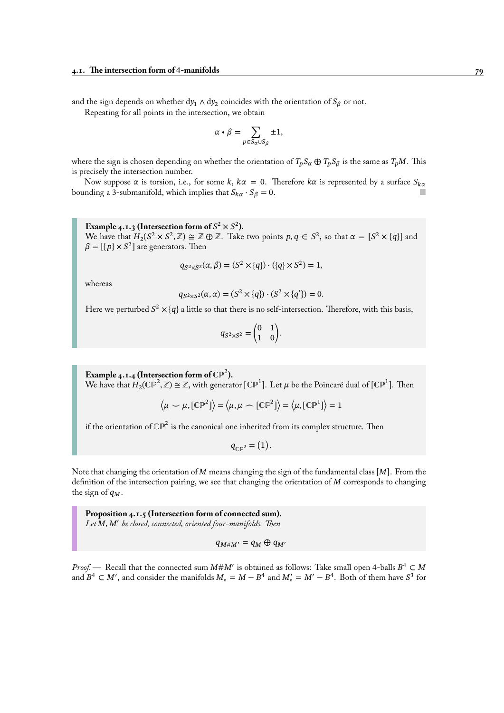and the sign depends on whether dy<sub>1</sub> ∧ dy<sub>2</sub> coincides with the orientation of  $S_\beta$  or not.

Repeating for all points in the intersection, we obtain

$$
\alpha \cdot \beta = \sum_{p \in S_{\alpha} \cup S_{\beta}} \pm 1,
$$

where the sign is chosen depending on whether the orientation of  $T_p S_\alpha \oplus T_p S_\beta$  is the same as  $T_p M$ . This is precisely the intersection number.

Now suppose  $\alpha$  is torsion, i.e., for some k,  $k\alpha = 0$ . Therefore  $k\alpha$  is represented by a surface  $S_{k\alpha}$ bounding a 3-submanifold, which implies that  $S_{k\alpha} \cdot S_{\beta} = 0$ .

<span id="page-84-0"></span>**Example 4.1.3 (Intersection form of**  $S^2 \times S^2$ ). We have that  $H_2(S^2 \times S^2, \mathbb{Z}) \cong \mathbb{Z} \oplus \mathbb{Z}$ . Take two points  $p, q \in S^2$ , so that  $\alpha = [S^2 \times \{q\}]$  and  $\beta = [\{p\} \times S^2]$  are generators. Then

$$
q_{S^2 \times S^2}(\alpha, \beta) = (S^2 \times \{q\}) \cdot (\{q\} \times S^2) = 1,
$$

whereas

$$
q_{S^2 \times S^2}(\alpha, \alpha) = (S^2 \times \{q\}) \cdot (S^2 \times \{q'\}) = 0.
$$

Here we perturbed  $S^2 \times \{q\}$  a little so that there is no self-intersection. Therefore, with this basis,

$$
q_{S^2 \times S^2} = \begin{pmatrix} 0 & 1 \\ 1 & 0 \end{pmatrix}.
$$

**Example 4.1.4 (Intersection form of**  $\mathbb{CP}^2$ ). We have that  $H_2(\mathbb{CP}^2, \mathbb{Z}) \cong \mathbb{Z}$ , with generator  $[\mathbb{CP}^1]$ . Let  $\mu$  be the Poincaré dual of  $[\mathbb{CP}^1]$ . Then

$$
\left\langle \mu \smile \mu, [\mathbb{CP}^2] \right\rangle = \left\langle \mu, \mu \frown [\mathbb{CP}^2] \right\rangle = \left\langle \mu, [\mathbb{CP}^1] \right\rangle = 1
$$

if the orientation of C $\mathbb{P}^2$  is the canonical one inherited from its complex structure. Then

$$
q_{\mathbb{CP}^2} = (1).
$$

Note that changing the orientation of M means changing the sign of the fundamental class  $[M]$ . From the definition of the intersection pairing, we see that changing the orientation of  $M$  corresponds to changing the sign of  $q_M$ .

**Proposition 4.1.5 (Intersection form of connected sum).** Let M, M' be closed, connected, oriented four-manifolds. Then

 $q_{M \# M'} = q_M \oplus q_{M'}$ 

*Proof.* — Recall that the connected sum  $M$ # $M'$  is obtained as follows: Take small open 4-balls  $B^4 \subset M$ and  $B^4 \subset M'$ , and consider the manifolds  $M_0 = M - B^4$  and  $M'_0 = M' - B^4$ . Both of them have  $S^3$  for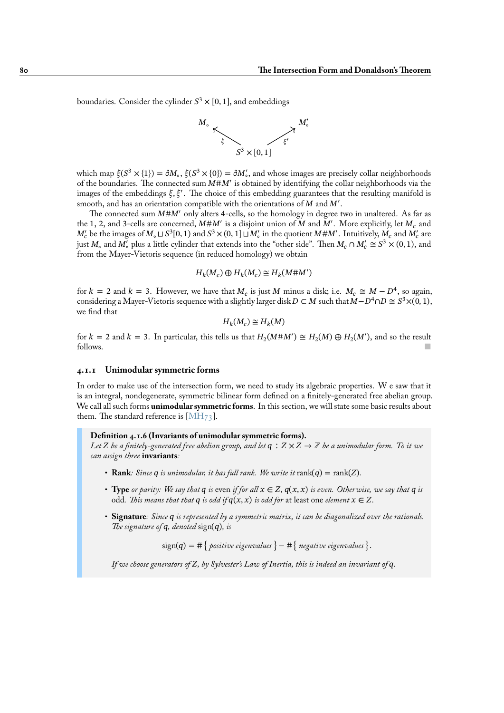boundaries. Consider the cylinder  $S^3 \times [0,1]$ , and embeddings



which map  $\xi(S^3 \times \{1\}) = \partial M_o$ ,  $\xi(S^3 \times \{0\}) = \partial M_o'$ , and whose images are precisely collar neighborhoods of the boundaries. The connected sum  $M#M'$  is obtained by identifying the collar neighborhoods via the images of the embeddings  $\xi, \xi'$ . The choice of this embedding guarantees that the resulting manifold is smooth, and has an orientation compatible with the orientations of  $M$  and  $M'$ .

The connected sum  $M#M'$  only alters 4-cells, so the homology in degree two in unaltered. As far as the 1, 2, and 3-cells are concerned,  $M M'$  is a disjoint union of  $M$  and  $M'$ . More explicitly, let  $M_c$  and  $M_c'$  be the images of  $M$ <sub>0</sub> ⊔  $S^3[0,1)$  and  $S^3\times(0,1]\sqcup M_c'$  in the quotient  $M\# M'$  . Intuitively,  $M_c$  and  $M_c'$  are just  $M_{\circ}$  and  $M'_{\circ}$  plus a little cylinder that extends into the "other side". Then  $M_c \cap M'_c \cong S^3 \times (0,1)$ , and from the Mayer-Vietoris sequence (in reduced homology) we obtain

$$
H_k(M_c) \oplus H_k(M_c) \cong H_k(M \# M')
$$

for  $k = 2$  and  $k = 3$ . However, we have that  $M_c$  is just M minus a disk; i.e.  $M_c \cong M - D^4$ , so again, considering a Mayer-Vietoris sequence with a slightly larger disk  $D \subset M$  such that  $M - D^4 \cap D \cong S^3 \times (0, 1)$ , we find that

$$
H_k(M_c) \cong H_k(M)
$$

for  $k = 2$  and  $k = 3$ . In particular, this tells us that  $H_2(M \# M') \cong H_2(M) \oplus H_2(M')$ , and so the result follows.

#### **4.1.1 Unimodular symmetric forms**

In order to make use of the intersection form, we need to study its algebraic properties. W e saw that it is an integral, nondegenerate, symmetric bilinear form defined on a finitely-generated free abelian group. We call all such forms **unimodular symmetric forms**. In this section, we will state some basic results about them. The standard reference is [MH $_{73}$ ].

#### **Definition 4.1.6 (Invariants of unimodular symmetric forms).**

*Let Z* be a finitely-generated free abelian group, and let  $q : Z \times Z \rightarrow \mathbb{Z}$  be a unimodular form. To it we *can assign three* **invariants***:*

- **Rank***: Since*  $q$  *is unimodular, it has full rank. We write it* rank $(q) = \text{rank}(Z)$ *.*
- **Type** or parity: We say that  $q$  is even if for all  $x \in Z$ ,  $q(x, x)$  is even. Otherwise, we say that  $q$  is odd. This means that that q is odd if  $q(x, x)$  is odd for at least one *element*  $x \in Z$ .
- *•* **Signature***: Since is represented by a symmetric matrix, it can be diagonalized over the rationals. The signature of q, denoted* sign(q), is

 $sign(q) = # \{ positive eigenvalues\} - # \{ negative eigenvalues\}.$ 

If we choose generators of Z, by Sylvester's Law of Inertia, this is indeed an invariant of  $q$ .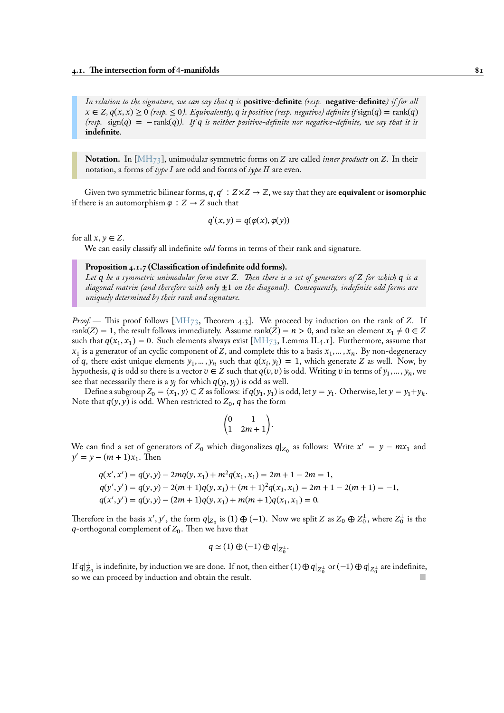*In relation to the signature, we can say that is* **positive-definite** *(resp.* **negative-definite***) if for all*  $x \in Z$ ,  $q(x, x) \ge 0$  (resp.  $\le 0$ ). Equivalently, q is positive (resp. negative) definite if sign(q) = rank(q)  $(r \epsilon s p. \text{sign}(q) = -\text{rank}(q)$ . If q is neither positive-definite nor negative-definite, we say that it is **indefinite***.*

**Notation.** In  $[MH_{73}]$ , unimodular symmetric forms on Z are called *inner products* on Z. In their notation, a forms of *type I* are odd and forms of *type II* are even.

Given two symmetric bilinear forms,  $q, q' : Z \times Z \rightarrow \mathbb{Z}$ , we say that they are **equivalent** or **isomorphic** if there is an auto[morphism](#page-95-0)  $\varphi : Z \to Z$  such that

$$
q'(x, y) = q(\varphi(x), \varphi(y))
$$

for all  $x, y \in Z$ .

We can easily classify all indefinite *odd* forms in terms of their rank and signature.

#### **Proposition 4.1.7 (Classification of indefinite odd forms).**

*Let be a symmetric unimodular form over . Then there is a set of generators of for which is a diagonal matrix (and therefore with only* ±1 *on the diagonal). Consequently, indefinite odd forms are uniquely determined by their rank and signature.*

*Proof.* — This proof follows [MH<sub>73</sub>, Theorem 4.3]. We proceed by induction on the rank of Z. If rank(Z) = 1, the result follows immediately. Assume rank(Z) =  $n > 0$ , and take an element  $x_1 \neq 0 \in Z$ such that  $q(x_1, x_1) = 0$ . Such elements always exist [MH<sub>73</sub>, Lemma II.4.1]. Furthermore, assume that  $x_1$  is a generator of an cyclic component of Z, and complete this to a basis  $x_1, ..., x_n$ . By non-degeneracy of q, there exist unique eleme[nts](#page-95-0)  $y_1, ..., y_n$  such that  $q(x_i, y_i) = 1$ , which generate Z as well. Now, by hypothesis,  $q$  is odd so there is a vector  $v \in Z$  such that  $q(v, v)$  is odd. Writing  $v$  in terms of  $y_1, ..., y_n$ , we see that necessarily there is a  $y_j$  for which  $q(y_j, y_j)$  is o[dd as w](#page-95-0)ell.

Define a subgroup  $Z_0 = \langle x_1, y \rangle \subset Z$  as follows: if  $q(y_1, y_1)$  is odd, let  $y = y_1$ . Otherwise, let  $y = y_1 + y_k$ . Note that  $q(y, y)$  is odd. When restricted to  $Z_0, q$  has the form

$$
\begin{pmatrix} 0 & 1 \\ 1 & 2m+1 \end{pmatrix}.
$$

We can find a set of generators of  $Z_0$  which diagonalizes  $q|_{Z_0}$  as follows: Write  $x' = y - mx_1$  and  $y' = y - (m + 1)x_1$ . Then

$$
q(x', x') = q(y, y) - 2mq(y, x_1) + m^2q(x_1, x_1) = 2m + 1 - 2m = 1,
$$
  
\n
$$
q(y', y') = q(y, y) - 2(m + 1)q(y, x_1) + (m + 1)^2q(x_1, x_1) = 2m + 1 - 2(m + 1) = -1,
$$
  
\n
$$
q(x', y') = q(y, y) - (2m + 1)q(y, x_1) + m(m + 1)q(x_1, x_1) = 0.
$$

Therefore in the basis  $x', y'$ , the form  $q|_{Z_0}$  is (1)  $\oplus$  (−1). Now we split Z as  $Z_0 \oplus Z_0^{\perp}$ , where  $Z_0^{\perp}$  is the q-orthogonal complement of  $Z_0$ . Then we have that

$$
q \simeq (1) \oplus (-1) \oplus q|_{Z_0^{\perp}}.
$$

If  $q|_{Z_0}^{\perp}$  is indefinite, by induction we are done. If not, then either  $(1)\oplus q|_{Z_0^\perp}$  or  $(-1)\oplus q|_{Z_0^\perp}$  are indefinite, so we can proceed by induction and obtain the result.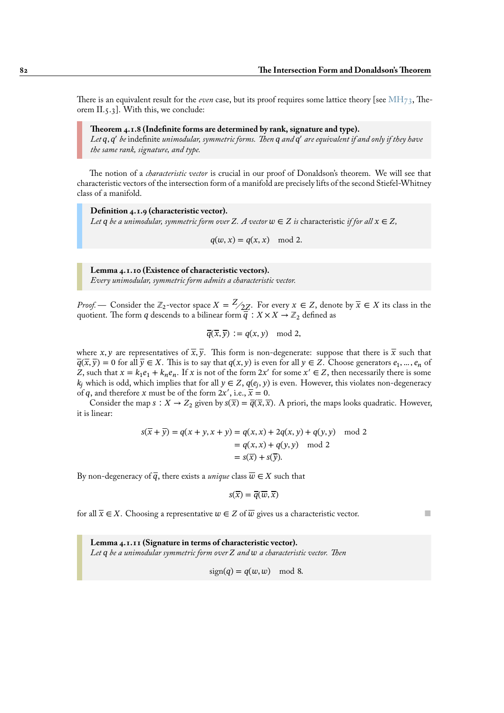There is an equivalent result for the *even* case, but its proof requires some lattice theory [see MH73, Theorem II.5.3]. With this, we conclude:

#### **Theorem 4.1.8 (Indefinite forms are determined by rank, signature and type).**

Let  $q$ ,  $q'$  be indefinite unimodular, symmetric forms. Then  $q$  and  $q'$  are equivalent if and only [if they ha](#page-95-0)ve *the same rank, signature, and type.*

The notion of a *characteristic vector* is crucial in our proof of Donaldson's theorem. We will see that characteristic vectors of the intersection form of a manifold are precisely lifts of the second Stiefel-Whitney class of a manifold.

**Definition 4.1.9 (characteristic vector).** *Let*  $q$  *be a unimodular, symmetric form over*  $Z$ *. A vector*  $w \in Z$  *is* characteristic *if for all*  $x \in Z$ *,* 

 $q(w, x) = q(x, x) \mod 2.$ 

**Lemma 4.1.10 (Existence of characteristic vectors).** *Every unimodular, symmetric form admits a characteristic vector.*

<span id="page-87-0"></span>*Proof.* — Consider the  $\mathbb{Z}_2$ -vector space  $X = \frac{Z}{2Z}$ . For every  $x \in Z$ , denote by  $\overline{x} \in X$  its class in the quotient. The form  $q$  descends to a bilinear form  $\overline{q}:X\times X\rightarrow \mathbb{Z}_2$  defined as

$$
\overline{q}(\overline{x},\overline{y}) := q(x,y) \mod 2,
$$

where x, y are representatives of  $\overline{x}$ ,  $\overline{y}$ . This form is non-degenerate: suppose that there is  $\overline{x}$  such that  $\overline{q}(\overline{x}, \overline{y}) = 0$  for all  $\overline{y} \in X$ . This is to say that  $q(x, y)$  is even for all  $y \in Z$ . Choose generators  $e_1, ..., e_n$  of Z, such that  $x = k_1 e_1 + k_n e_n$ . If x is not of the form  $2x'$  for some  $x' \in Z$ , then necessarily there is some  $k_j$  which is odd, which implies that for all  $y \in Z$ ,  $q(e_j, y)$  is even. However, this violates non-degeneracy of q, and therefore x must be of the form  $2x'$ , i.e.,  $\overline{x} = 0$ .

Consider the map  $s : X \to Z_2$  given by  $s(\overline{x}) = \overline{q}(\overline{x}, \overline{x})$ . A priori, the maps looks quadratic. However, it is linear:

$$
s(\overline{x} + \overline{y}) = q(x + y, x + y) = q(x, x) + 2q(x, y) + q(y, y) \mod 2
$$

$$
= q(x, x) + q(y, y) \mod 2
$$

$$
= s(\overline{x}) + s(\overline{y}).
$$

By non-degeneracy of  $\overline{q}$ , there exists a *unique* class  $\overline{w} \in X$  such that

$$
s(\overline{x}) = \overline{q}(\overline{w}, \overline{x})
$$

for all  $\overline{x} \in X$ . Choosing a representative  $w \in Z$  of  $\overline{w}$  gives us a characteristic vector.

**Lemma 4.1.11 (Signature in terms of characteristic vector).** *Let be a unimodular symmetric form over and a characteristic vector. Then*

$$
sign(q) = q(w, w) \mod 8.
$$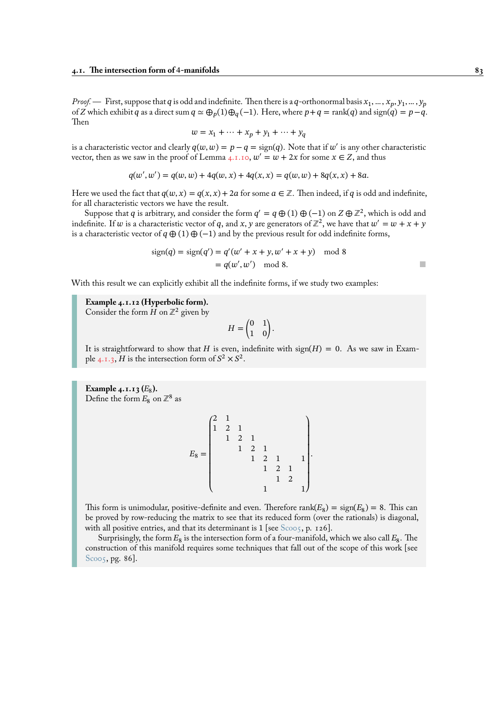*Proof.* — First, suppose that  $q$  is odd and indefinite. Then there is a  $q$ -orthonormal basis  $x_1, ..., x_p, y_1, ..., y_p$ of Z which exhibit q as a direct sum  $q \simeq \bigoplus_p(1)\bigoplus_q(-1)$ . Here, where  $p+q = \text{rank}(q)$  and  $\text{sign}(q) = p-q$ . Then

$$
w = x_1 + \dots + x_p + y_1 + \dots + y_q
$$

is a characteristic vector and clearly  $q(w, w) = p - q = sign(q)$ . Note that if  $w'$  is any other characteristic vector, then as we saw in the proof of Lemma 4.1.10,  $w' = w + 2x$  for some  $x \in Z$ , and thus

$$
q(w', w') = q(w, w) + 4q(w, x) + 4q(x, x) = q(w, w) + 8q(x, x) + 8a.
$$

Here we used the fact that  $q(w, x) = q(x, x) + 2a$  $q(w, x) = q(x, x) + 2a$  $q(w, x) = q(x, x) + 2a$  for some  $a \in \mathbb{Z}$ . Then indeed, if q is odd and indefinite, for all characteristic vectors we have the result.

Suppose that q is arbitrary, and consider the form  $q' = q \oplus (1) \oplus (-1)$  on  $Z \oplus \mathbb{Z}^2$ , which is odd and indefinite. If w is a characteristic vector of q, and x, y are generators of  $\mathbb{Z}^2$ , we have that  $w' = w + x + y$ is a characteristic vector of  $q \oplus (1) \oplus (-1)$  and by the previous result for odd indefinite forms,

sign() = sign(′ ) = ′ (′ + + , ′ + + ) mod 8 = (′ , ′ ) mod 8. ■

With this result we can explicitly exhibit all the indefinite forms, if we study two examples:

**Example 4.1.12 (Hyperbolic form).**

Consider the form H on  $\mathbb{Z}^2$  given by

$$
H = \begin{pmatrix} 0 & 1 \\ 1 & 0 \end{pmatrix}.
$$

It is straightforward to show that H is even, indefinite with sign(H) = 0. As we saw in Example 4.1.3, H is the intersection form of  $S^2 \times S^2$ .

Example 4.1.13 (E<sub>8</sub>). De[fine th](#page-84-0)e form  $E_8$  on  $\mathbb{Z}^8$  as

$$
E_8 = \begin{pmatrix} 2 & 1 & & & \\ 1 & 2 & 1 & & & \\ & 1 & 2 & 1 & & \\ & & 1 & 2 & 1 & \\ & & & 1 & 2 & 1 \\ & & & & 1 & 2 \\ & & & & & 1 \end{pmatrix}
$$

.

This form is unimodular, positive-definite and even. Therefore rank( $E_8$ ) = sign( $E_8$ ) = 8. This can be proved by row-reducing the matrix to see that its reduced form (over the rationals) is diagonal, with all positive entries, and that its determinant is  $1$  [see Scoo5, p. 126].

Surprisingly, the form  $E_8$  is the intersection form of a four-manifold, which we also call  $E_8$ . The construction of this manifold requires some techniques that fall out of the scope of this work [see Sco05, pg. 86].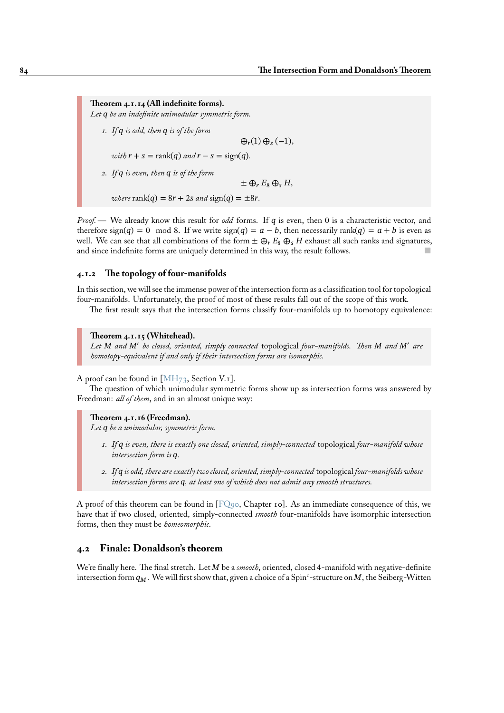**Theorem 4.1.14 (All indefinite forms).** *Let be an indefinite unimodular symmetric form.*

*1. If is odd, then is of the form*  $\bigoplus_r(1)\bigoplus_s(-1),$ *with*  $r + s = \text{rank}(q)$  *and*  $r - s = \text{sign}(q)$ *. 2. If is even, then is of the form*  $\pm \bigoplus_r E_8 \bigoplus_s H$ , *where* rank $(q) = 8r + 2s$  *and* sign $(q) = \pm 8r$ .

*Proof.* — We already know this result for *odd* forms. If q is even, then 0 is a characteristic vector, and therefore sign(q) = 0 mod 8. If we write sign(q) =  $a - b$ , then necessarily rank(q) =  $a + b$  is even as well. We can see that all combinations of the form  $\pm \bigoplus_r E_8 \bigoplus_s H$  exhaust all such ranks and signatures, and since indefinite forms are uniquely determined in this way, the result follows.

# **4.1.2 The topology of four-manifolds**

In this section, we will see the immense power of the intersection form as a classification tool for topological four-manifolds. Unfortunately, the proof of most of these results fall out of the scope of this work.

The first result says that the intersection forms classify four-manifolds up to homotopy equivalence:

# **Theorem 4.1.15 (Whitehead).**

Let M and M' be closed, oriented, simply connected topological four-manifolds. Then M and M' are *homotopy-equivalent if and only if their intersection forms are isomorphic.*

A proof can be found in  $[MH_{73}$ , Section V.<sub>1</sub>].

The question of which unimodular symmetric forms show up as intersection forms was answered by Freedman: *all of them*, and in an almost unique way:

#### **Theorem 4.1.16 (Fre[edman\)](#page-95-0).**

*Let be a unimodular, symmetric form.*

- *1. If is even, there is exactly one closed, oriented, simply-connected* topological *four-manifold whose intersection form is .*
- *2. If is odd, there are exactly two closed, oriented, simply-connected* topological *four-manifolds whose* intersection forms are  $q$ , at least one of which does not admit any smooth structures.

A proof of this theorem can be found in  $[FQ99, Chapter 10]$ . As an immediate consequence of this, we have that if two closed, oriented, simply-connected *smooth* four-manifolds have isomorphic intersection forms, then they must be *homeomorphic*.

# **4.2 Finale: Donaldson's theore[m](#page-94-1)**

We're finally here. The final stretch. Let M be a *smooth*, oriented, closed 4-manifold with negative-definite intersection form  $q_M$  . We will first show that, given a choice of a Spin<sup>c</sup>-structure on M, the Seiberg-Witten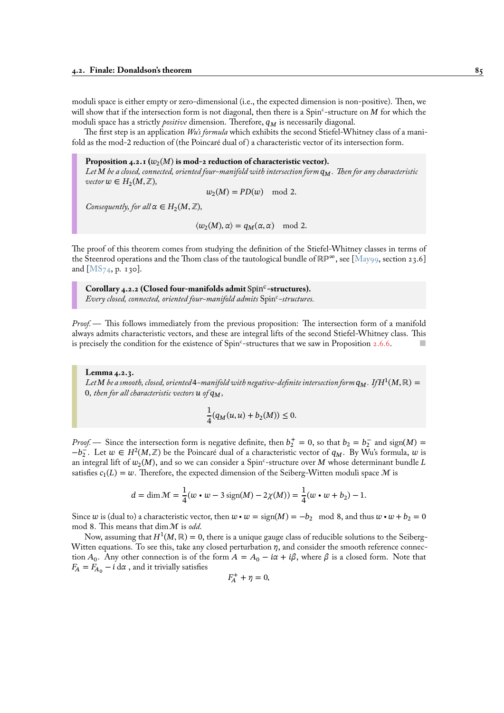moduli space is either empty or zero-dimensional (i.e., the expected dimension is non-positive). Then, we will show that if the intersection form is not diagonal, then there is a Spin<sup>c</sup>-structure on  $M$  for which the moduli space has a strictly *positive* dimension. Therefore,  $q_M$  is necessarily diagonal.

The first step is an application *Wu's formula* which exhibits the second Stiefel-Whitney class of a manifold as the mod-2 reduction of (the Poincaré dual of ) a characteristic vector of its intersection form.

# Proposition 4.2.1  $(w_2(M)$  is mod-2 reduction of characteristic vector).

*Let be a closed, connected, oriented four-manifold with intersection form . Then for any characteristic*  $\forall x \in H_2(M, \mathbb{Z}),$ 

 $w_2(M) = PD(w) \mod 2.$ 

*Consequently, for all*  $\alpha \in H_2(M, \mathbb{Z})$ *,* 

 $\langle w_2(M), \alpha \rangle = q_M(\alpha, \alpha) \mod 2.$ 

The proof of this theorem comes from studying the definition of the Stiefel-Whitney classes in terms of the Steenrod operations and the Thom class of the tautological bundle of ℝℙ∞, see [May99, section 23.6] and [MS $_{74}$ , p. 130].

Corollary 4.2.2 (Closed four-manifolds admit Spin<sup>c</sup>-structures). *Every closed, connected, oriented four-manifold admits* Spin<sup>c</sup> *-structures.*

*Proof.—* This follows immediately from the previous proposition: The intersection form of a manifold always admits characteristic vectors, and these are integral lifts of the second Stiefel-Whitney class. This is precisely the condition for the existence of Spin<sup>c</sup>-structures that we saw in Proposition 2.6.6.

**Lemma 4.2.3.** Let  $M$  be a smooth, closed, oriented 4–manifold with negative-definite intersection form  $q_M$ . If  $H^1(M,\mathbb{R})=$ 0, then for all characteristic vectors  $u$  of  $q_M$ ,

$$
\frac{1}{4}(q_M(u,u)+b_2(M))\leq 0.
$$

<span id="page-90-0"></span>*Proof.* — Since the intersection form is negative definite, then  $b_2^+ = 0$ , so that  $b_2 = b_2^-$  and sign(M) =  $-b_2^-$ . Let  $w \in H^2(M, \mathbb{Z})$  be the Poincaré dual of a characteristic vector of  $q_M$ . By Wu's formula, w is an integral lift of  $w_2(M)$ , and so we can consider a  $\text{Spin}^c\text{-}$ structure over  $M$  whose determinant bundle  $L$ satisfies  $c_1(L) = w$ . Therefore, the expected dimension of the Seiberg-Witten moduli space M is

$$
d = \dim \mathcal{M} = \frac{1}{4}(w \cdot w - 3 \operatorname{sign}(M) - 2\chi(M)) = \frac{1}{4}(w \cdot w + b_2) - 1.
$$

Since w is (dual to) a characteristic vector, then  $w \cdot w = \text{sign}(M) = -b_2 \mod 8$ , and thus  $w \cdot w + b_2 = 0$ mod 8. This means that dim M is *odd*.

Now, assuming that  $H^1(M,\mathbb{R}) = 0$ , there is a unique gauge class of reducible solutions to the Seiberg-Witten equations. To see this, take any closed perturbation  $\eta$ , and consider the smooth reference connection  $A_0$ . Any other connection is of the form  $A = A_0 - i\alpha + i\beta$ , where  $\beta$  is a closed form. Note that  $F_A = F_{A_0} - i \, d\alpha$ , and it trivially satisfies

$$
F_A^+ + \eta = 0,
$$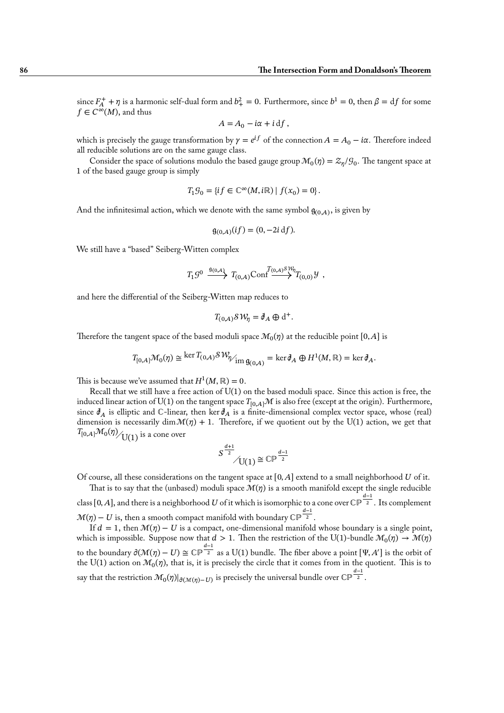since  $F_A^+ + \eta$  is a harmonic self-dual form and  $b_+^2 = 0$ . Furthermore, since  $b^1 = 0$ , then  $\beta = df$  for some  $f \in C^{\infty}(M)$ , and thus

$$
A = A_0 - i\alpha + i \, df,
$$

which is precisely the gauge transformation by  $\gamma = e^{if}$  of the connection  $A = A_0 - i\alpha$ . Therefore indeed all reducible solutions are on the same gauge class.

Consider the space of solutions modulo the based gauge group  $\mathcal{M}_0(\eta) = \mathcal{Z}_{\eta}/\mathcal{G}_0$ . The tangent space at 1 of the based gauge group is simply

$$
T_1\mathcal{G}_0=\{if\in \mathbb{C}^\infty(M,i\mathbb{R})\mid f(x_0)=0\}.
$$

And the infinitesimal action, which we denote with the same symbol  $g_{(0,A)}$ , is given by

$$
\mathfrak{g}_{(0,A)}(if) = (0, -2i \, df).
$$

We still have a "based" Seiberg-Witten complex

$$
T_1 \mathcal{G}^0 \xrightarrow{\mathfrak{g}_{(0,A)}} T_{(0,A)} \text{Conf} \xrightarrow{T_{(0,A)} \mathcal{S} \mathcal{W}_{\eta}} T_{(0,0)} \mathcal{Y} ,
$$

and here the differential of the Seiberg-Witten map reduces to

$$
T_{(0,A)}\mathcal{S}\mathcal{W}_{\eta} = \mathcal{J}_A \oplus d^+.
$$

Therefore the tangent space of the based moduli space  $\mathcal{M}_0(\eta)$  at the reducible point  $[0,A]$  is

$$
T_{[0,A]}\mathcal{M}_0(\eta) \cong \ker T_{(0,A)}\mathcal{SW}_{\eta/_{\text{im }\mathfrak{g}_{(0,A)}}} = \ker \mathfrak{d}_A \oplus H^1(M,\mathbb{R}) = \ker \mathfrak{d}_A.
$$

This is because we've assumed that  $H^1(M,\mathbb{R})=0.$ 

Recall that we still have a free action of  $U(1)$  on the based moduli space. Since this action is free, the induced linear action of U(1) on the tangent space  $T_{[0,A]}M$  is also free (except at the origin). Furthermore, since  $\partial_A$  is elliptic and ℂ-linear, then ker  $\partial_A$  is a finite-dimensional complex vector space, whose (real) dimension is necessarily dim  $\mathcal{M}(\eta) + 1$ . Therefore, if we quotient out by the U(1) action, we get that  $\left.T_{[0,A]}\mathcal{M}_0(\eta)\right>_{\displaystyle{\bigcup(1)}}$  is a cone over

$$
S^{\frac{d+1}{2}}\Big/ \text{U}(1) \cong \mathbb{CP}^{\frac{d-1}{2}}
$$

Of course, all these considerations on the tangent space at  $[0, A]$  extend to a small neighborhood U of it.

That is to say that the (unbased) moduli space  $\mathcal{M}(\eta)$  is a smooth manifold except the single reducible class [0, A], and there is a neighborhood  $U$  of it which is isomorphic to a cone over CP  $^{\frac{d-1}{2}}.$  Its complement  $\mathcal{M}(\eta) - U$  is, then a smooth compact manifold with boundary CP  $^{\tfrac{d-1}{2}}.$ 

If  $d = 1$ , then  $\mathcal{M}(\eta) - U$  is a compact, one-dimensional manifold whose boundary is a single point, which is impossible. Suppose now that  $d>1.$  Then the restriction of the U(1)-bundle  $\mathcal{M}_0(\eta)\to \mathcal{M}(\eta)$ to the boundary  $\partial(\mathcal{M}(\eta) - U) \cong \mathbb{CP}^{\frac{d-1}{2}}$  as a U(1) bundle. The fiber above a point  $[\Psi, A']$  is the orbit of the U(1) action on  $\mathcal{M}_0(\eta),$  that is, it is precisely the circle that it comes from in the quotient. This is to say that the restriction  $\mathcal{M}_0(\eta)|_{\partial (\mathcal{M}(\eta)-U)}$  is precisely the universal bundle over CP  $^{\frac{d-1}{2}}.$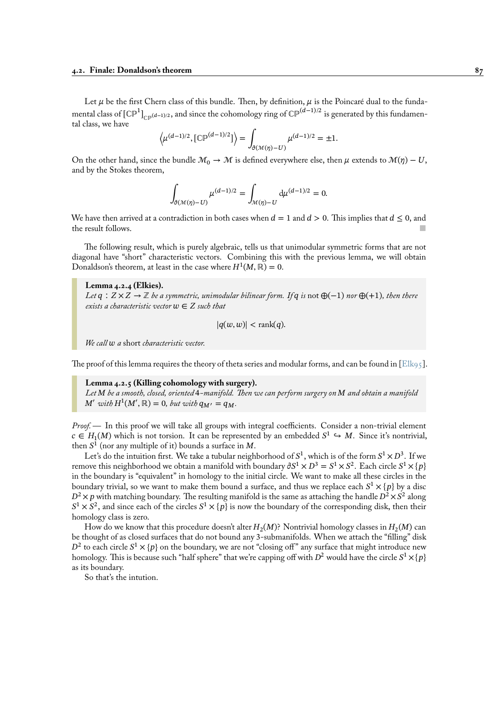Let  $\mu$  be the first Chern class of this bundle. Then, by definition,  $\mu$  is the Poincaré dual to the fundamental class of  $\llbracket \mathbb{CP}^1 \rrbracket_{\mathbb{CP}^{(d-1)/2}}$  , and since the cohomology ring of  $\mathbb{CP}^{(d-1)/2}$  is generated by this fundamental class, we have

$$
\left\langle \mu^{(d-1)/2}, \left[\mathbb{CP}^{(d-1)/2}\right] \right\rangle = \int_{\partial (\mathcal{M}(\eta) - U)} \mu^{(d-1)/2} = \pm 1.
$$

On the other hand, since the bundle  $\mathcal{M}_0 \to \mathcal{M}$  is defined everywhere else, then  $\mu$  extends to  $\mathcal{M}(\eta) - U$ , and by the Stokes theorem,

$$
\int_{\partial(\mathcal{M}(\eta)-U)} \mu^{(d-1)/2} = \int_{\mathcal{M}(\eta)-U} d\mu^{(d-1)/2} = 0.
$$

We have then arrived at a contradiction in both cases when  $d = 1$  and  $d > 0$ . This implies that  $d \le 0$ , and the result follows.

The following result, which is purely algebraic, tells us that unimodular symmetric forms that are not diagonal have "short" characteristic vectors. Combining this with the previous lemma, we will obtain Donaldson's theorem, at least in the case where  $H^1(M,\mathbb{R})=0$ .

**Lemma 4.2.4 (Elkies).**

*Let*  $q$  :  $Z \times Z \rightarrow \mathbb{Z}$  *be a symmetric, unimodular bilinear form. If*  $q$  *is* not  $\bigoplus (-1)$  *nor*  $\bigoplus (+1)$ *, then there exists a characteristic vector*  $w \in Z$  *such that* 

$$
|q(w, w)| < \text{rank}(q).
$$

*We call a* short *characteristic vector.*

The proof of this lemma requires the theory of theta series and modular forms, and can be found in [Elk95].

**Lemma 4.2.5 (Killing cohomology with surgery).** *Let be a smooth, closed, oriented* 4*-manifold. Then we can perform surgery on and obtain a manifold*  $M'$  with  $H^1(M', \mathbb{R}) = 0$ , but with  $q_{M'} = q_M$ .

<span id="page-92-0"></span>*Proof.—* In this proof we will take all groups with integral coefficients. Consider a non-trivial element  $c \in H_1(M)$  which is not torsion. It can be represented by an embedded  $S^1 \hookrightarrow M$ . Since it's nontrivial, then  $S^1$  (nor any multiple of it) bounds a surface in M.

Let's do the intuition first. We take a tubular neighborhood of  $S^1,$  which is of the form  $S^1 \times D^3.$  If we remove this neighborhood we obtain a manifold with boundary  $\partial S^1\times D^3=S^1\times S^2.$  Each circle  $S^1\times \{p\}$ in the boundary is "equivalent" in homology to the initial circle. We want to make all these circles in the boundary trivial, so we want to make them bound a surface, and thus we replace each  $S^1 \times \{p\}$  by a disc  $D^2 \times p$  with matching boundary. The resulting manifold is the same as attaching the handle  $D^2 \times S^2$  along  $S^1 \times S^2$ , and since each of the circles  $S^1 \times \{p\}$  is now the boundary of the corresponding disk, then their homology class is zero.

How do we know that this procedure doesn't alter  $H_2(M)$ ? Nontrivial homology classes in  $H_2(M)$  can be thought of as closed surfaces that do not bound any 3-submanifolds. When we attach the "filling" disk  $D^2$  to each circle  $S^1 \times \{p\}$  on the boundary, we are not "closing off" any surface that might introduce new homology. This is because such "half sphere" that we're capping off with  $D^2$  would have the circle  $S^1 \times \{p\}$ as its boundary.

So that's the intution.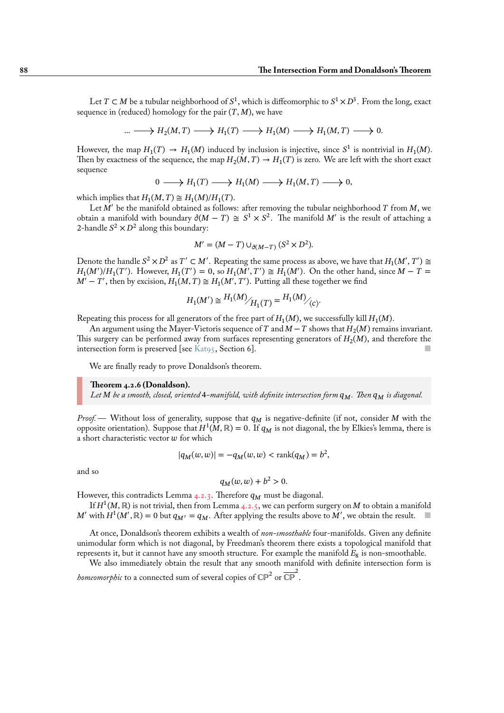Let  $T \subset M$  be a tubular neighborhood of  $S^1,$  which is diffeomorphic to  $S^1 \times D^3.$  From the long, exact sequence in (reduced) homology for the pair  $(T, M)$ , we have

$$
\dots \longrightarrow H_2(M, T) \longrightarrow H_1(T) \longrightarrow H_1(M) \longrightarrow H_1(M, T) \longrightarrow 0.
$$

However, the map  $H_1(T) \to H_1(M)$  induced by inclusion is injective, since  $S^1$  is nontrivial in  $H_1(M)$ . Then by exactness of the sequence, the map  $H_2(M,T) \to H_1(T)$  is zero. We are left with the short exact sequence

$$
0 \longrightarrow H_1(T) \longrightarrow H_1(M) \longrightarrow H_1(M,T) \longrightarrow 0,
$$

which implies that  $H_1(M, T) \cong H_1(M)/H_1(T)$ .

Let  $M'$  be the manifold obtained as follows: after removing the tubular neighborhood  $T$  from  $M$ , we obtain a manifold with boundary  $\partial (M - T) \cong S^1 \times S^2$ . The manifold M' is the result of attaching a 2-handle  $S^2 \times D^2$  along this boundary:

$$
M' = (M - T) \cup_{\partial(M - T)} (S^2 \times D^2).
$$

Denote the handle  $S^2 \times D^2$  as  $T' \subset M'$ . Repeating the same process as above, we have that  $H_1(M',T') \cong$  $H_1(M')/H_1(T')$ . However,  $H_1(T') = 0$ , so  $H_1(M', T') \cong H_1(M')$ . On the other hand, since  $M - T =$  $M'-T'$ , then by excision,  $H_1(M,T) \cong H_1(M',T')$ . Putting all these together we find

$$
H_1(M') \cong \frac{H_1(M)}{H_1(T)} = \frac{H_1(M)}{C}.
$$

Repeating this process for all generators of the free part of  $H_1(M)$ , we successfully kill  $H_1(M)$ .

An argument using the Mayer-Vietoris sequence of  $T$  and  $M\!-T$  shows that  $H_2(M)$  remains invariant. This surgery can be performed away from surfaces representing generators of  $H_2(M)$ , and therefore the intersection form is preserved [see Kat95, Section 6].

We are finally ready to prove Donaldson's theorem.

#### **Theorem 4.2.6 (Donaldson).**

*Let be a smooth, closed, oriented* 4*[-m](#page-95-1)anifold, with definite intersection form . Then is diagonal.*

*Proof.* — Without loss of generality, suppose that  $q_M$  is negative-definite (if not, consider M with the opposite orientation). Suppose that  $H^1(M,\mathbb{R}) = 0$ . If  $q_M$  is not diagonal, the by Elkies's lemma, there is a short characteristic vector  $w$  for which

$$
|q_M(w, w)| = -q_M(w, w) < \text{rank}(q_M) = b^2,
$$

and so

$$
q_M(w, w) + b^2 > 0.
$$

However, this contradicts Lemma  $4.2.3$ . Therefore  $q_M$  must be diagonal.

If  $H^1(M,\mathbb{R})$  is not trivial, then from Lemma 4.2.5, we can perform surgery on  $M$  to obtain a manifold M' with  $H^1(M', \mathbb{R}) = 0$  but  $q_{M'} = q_M$ . After applying the results above to M', we obtain the result.

At once, Donaldson's theorem [exhib](#page-90-0)its a wealth of *non-smoothable* four-manifolds. Given any definite unimodular form which is not diagonal, by Fre[edman](#page-92-0)'s theorem there exists a topological manifold that represents it, but it cannot have any smooth structure. For example the manifold  $E_8$  is non-smoothable.

We also immediately obtain the result that any smooth manifold with definite intersection form is *homeomorphic* to a connected sum of several copies of  $\mathbb{CP}^2$  or  $\overline{\mathbb{CP}}^2$ .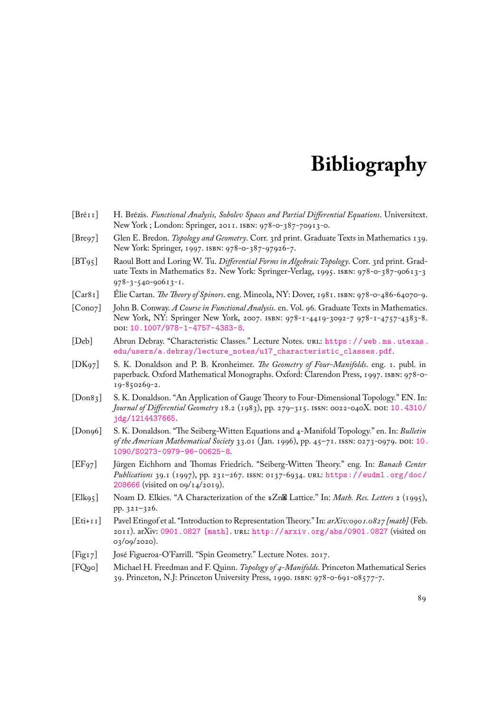# **Bibliography**

- [Bré11] H. Brézis. *Functional Analysis, Sobolev Spaces and Partial Differential Equations*. Universitext. New York ; London: Springer, 2011. isbn: 978-0-387-70913-0.
- [Bre97] Glen E. Bredon. *Topology and Geometry*. Corr. 3rd print. Graduate Texts in Mathematics 139. New York: Springer, 1997. isbn: 978-0-387-97926-7.
- [BT95] Raoul Bott and Loring W. Tu. *Differential Forms in Algebraic Topology*. Corr. 3rd print. Graduate Texts in Mathematics 82. New York: Springer-Verlag, 1995. isbn: 978-0-387-90613-3 978-3-540-90613-1.
- [Car81] Élie Cartan. *The Theory of Spinors*. eng. Mineola, NY: Dover, 1981. isbn: 978-0-486-64070-9.
- [Con07] John B. Conway. *A Course in Functional Analysis*. en. Vol. 96. Graduate Texts in Mathematics. New York, NY: Springer New York, 2007. isbn: 978-1-4419-3092-7 978-1-4757-4383-8. doi: 10.1007/978-1-4757-4383-8.
- [Deb] Abrun Debray. "Characteristic Classes." Lecture Notes. url: https://web.ma.utexas. edu/users/a.debray/lecture\_notes/u17\_characteristic\_classes.pdf.
- [DK97] S. K. Donaldson and P. B. Kronheimer. *The Geometry of Four-Manifolds*. eng. 1. publ. in pape[rback. Oxford Mathematical Mon](https://doi.org/10.1007/978-1-4757-4383-8)ographs. Oxford: Clare[ndon Press, 1997.](https://web.ma.utexas.edu/users/a.debray/lecture_notes/u17_characteristic_classes.pdf) isbn: 978-0- 19-850269-2.
- <span id="page-94-0"></span>[Don83] [S. K. Donaldson. "An Application of Gauge Theory to Four-Dimensional Topology](https://web.ma.utexas.edu/users/a.debray/lecture_notes/u17_characteristic_classes.pdf)." EN. In: *Journal of Differential Geometry* 18.2 (1983), pp. 279–315. issn: 0022-040X. doi: 10.4310/ jdg/1214437665.
- [Don96] S. K. Donaldson. "The Seiberg-Witten Equations and 4-Manifold Topology." en. In: *Bulletin of the American Mathematical Society* 33.01 ( Jan. 1996), pp. 45–71. issn: 0273-0979. doi: [10.](https://doi.org/10.4310/jdg/1214437665) 1090/S0273-0979-96-00625-8.
- [EF97] [Jürgen Eichhorn a](https://doi.org/10.4310/jdg/1214437665)nd Thomas Friedrich. "Seiberg-Witten Theory." eng. In: *Banach Center Publications* 39.1 (1997), pp. 231–267. issn: 0137-6934. url: https://eudml.org/d[oc/](https://doi.org/10.1090/S0273-0979-96-00625-8) 208666 (visited on 09/14/2019).
- [Elk95] [Noam D. Elkies. "A Characterizat](https://doi.org/10.1090/S0273-0979-96-00625-8)ion of the  $Zn\mathbb{Z}$  Lattice." In: *Math. Res. Letters* 2 (1995), pp. 321–326.
- [Eti+11] Pavel Etingof et al. "Introduction to RepresentationTheory." In: *[arXiv:0901.0827 \[math\]](https://eudml.org/doc/208666)* (Feb. [2011\). a](https://eudml.org/doc/208666)rXiv: 0901.0827 [math]. url: http://arxiv.org/abs/0901.0827 (visited on 03/09/2020).
- [Fig17] José Figueroa-O'Farrill. "Spin Geometry." Lecture Notes. 2017.
- <span id="page-94-1"></span>[FQ90] Michael H. F[reedman and F. Quin](https://arxiv.org/abs/0901.0827)n. *Topology of 4-Manifolds*. Princeton Mathematical Series 39. Princeton, N.J: Princeton University Press, 1990. isbn[: 978-0-691-08577-7.](http://arxiv.org/abs/0901.0827)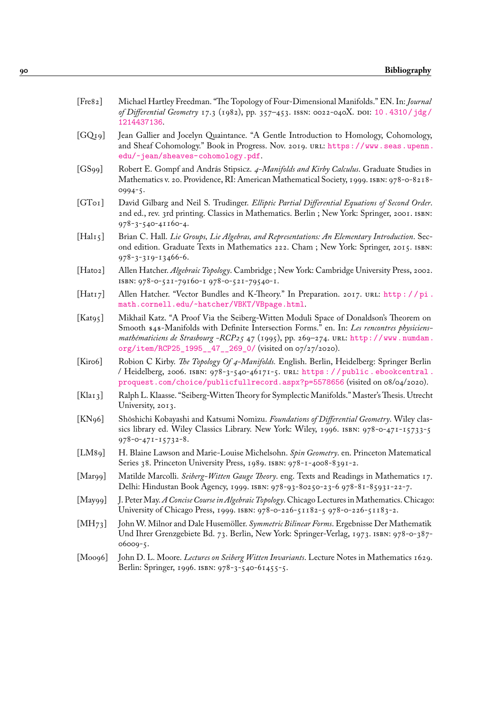- [Fre82] Michael Hartley Freedman. "The Topology of Four-Dimensional Manifolds." EN. In: *Journal of Differential Geometry* 17.3 (1982), pp. 357–453. issn: 0022-040X. doi: 10.4310/jdg/ 1214437136.
- [GQ19] Jean Gallier and Jocelyn Quaintance. "A Gentle Introduction to Homology, Cohomology, and Sheaf Cohomology." Book in Progress. Nov. 2019. url: https://ww[w.seas.upenn.](https://doi.org/10.4310/jdg/1214437136) edu/~jean/sheaves-cohomology.pdf.
- [GS99] [Robert E. Go](https://doi.org/10.4310/jdg/1214437136)mpf and András Stipsicz. *4-Manifolds and Kirby Calculus*. Graduate Studies in Mathematics v. 20. Providence, RI: American Mathematical Society, 1999. ISBN[: 978-0-8218-](https://www.seas.upenn.edu/~jean/sheaves-cohomology.pdf) 0994-5.
- [GT01] [David Gilbarg and Neil S. Trudinger.](https://www.seas.upenn.edu/~jean/sheaves-cohomology.pdf) *Elliptic Partial Differential Equations of Second Order*. 2nd ed., rev. 3rd printing. Classics in Mathematics. Berlin ; New York: Springer, 2001. isbn: 978-3-540-41160-4.
- [Hal15] Brian C. Hall. *Lie Groups, Lie Algebras, and Representations: An Elementary Introduction*. Second edition. Graduate Texts in Mathematics 222. Cham ; New York: Springer, 2015. isbn: 978-3-319-13466-6.
- [Hat02] Allen Hatcher. *Algebraic Topology*. Cambridge ; New York: Cambridge University Press, 2002. isbn: 978-0-521-79160-1 978-0-521-79540-1.
- [Hat17] Allen Hatcher. "Vector Bundles and K-Theory." In Preparation. 2017. url.: http://pi. math.cornell.edu/~hatcher/VBKT/VBpage.html.
- [Kat95] Mikhail Katz. "A Proof Via the Seiberg-Witten Moduli Space of Donaldson's Theorem on Smooth \$4\$-Manifolds with Definite Intersection Forms." en. In: *Les rencontres physiciensmathématiciens de Strasbourg -RCP25* 47 (1995), pp. 269–274. url: http://[www.numdam.](http://pi.math.cornell.edu/~hatcher/VBKT/VBpage.html) [org/item/RCP25\\_1995\\_\\_47\\_\\_269\\_0/](http://pi.math.cornell.edu/~hatcher/VBKT/VBpage.html) (visited on 07/27/2020).
- <span id="page-95-1"></span>[Kir06] Robion C Kirby. *The Topology Of 4-Manifolds.* English. Berlin, Heidelberg: Springer Berlin / Heidelberg, 2006. isbn: 978-3-540-46171-5. url: https : / / public . ebookcentral . proquest.com/choice/publicfullrecord.aspx?p=5578656 ([visited on 08/04/2020\).](http://www.numdam.org/item/RCP25_1995__47__269_0/)
- [Kla13] Ralph L. Klaasse. "Seiberg-Witten Theory for Symplectic Manifolds." Master's Thesis. Utrecht University, 2013.
- [KN96] [Shōshichi Kobayashi and Katsumi Nomizu.](https://public.ebookcentral.proquest.com/choice/publicfullrecord.aspx?p=5578656) *Foundati[ons of Differential Geometry](https://public.ebookcentral.proquest.com/choice/publicfullrecord.aspx?p=5578656)*. Wiley classics library ed. Wiley Classics Library. New York: Wiley, 1996. isbn: 978-0-471-15733-5 978-0-471-15732-8.
- [LM89] H. Blaine Lawson and Marie-Louise Michelsohn. *Spin Geometry*. en. Princeton Matematical Series 38. Princeton University Press, 1989. ISBN: 978-1-4008-8391-2.
- [Mar99] Matilde Marcolli. *Seiberg-Witten Gauge Theory*. eng. Texts and Readings in Mathematics 17. Delhi: Hindustan Book Agency, 1999. isbn: 978-93-80250-23-6 978-81-85931-22-7.
- [May99] J. Peter May. *A Concise Course in Algebraic Topology*. Chicago Lectures in Mathematics. Chicago: University of Chicago Press, 1999. isbn: 978-0-226-51182-5 978-0-226-51183-2.
- [MH73] John W. Milnor and Dale Husemöller. *Symmetric Bilinear Forms*. Ergebnisse Der Mathematik Und Ihrer Grenzgebiete Bd. 73. Berlin, New York: Springer-Verlag, 1973. isbn: 978-0-387- 06009-5.
- <span id="page-95-0"></span>[Moo96] John D. L. Moore. *Lectures on Seiberg Witten Invariants*. Lecture Notes in Mathematics 1629. Berlin: Springer, 1996. isbn: 978-3-540-61455-5.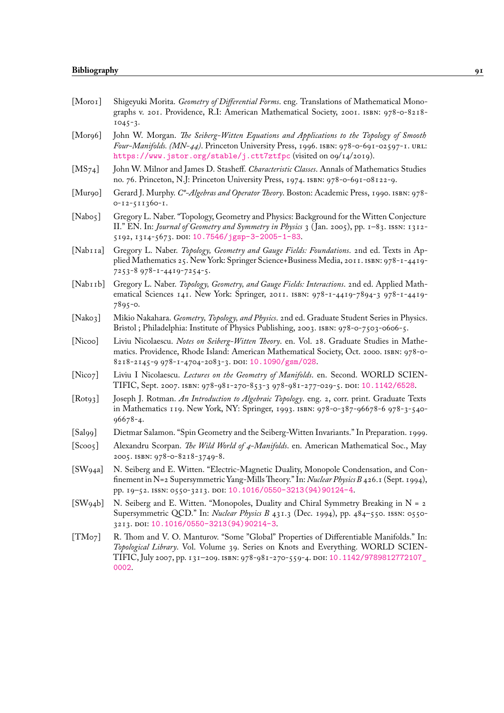<span id="page-96-3"></span><span id="page-96-2"></span><span id="page-96-1"></span><span id="page-96-0"></span>

| [Moro I]              | Shigeyuki Morita. Geometry of Differential Forms. eng. Translations of Mathematical Mono-<br>graphs v. 201. Providence, R.I: American Mathematical Society, 2001. ISBN: 978-0-8218-<br>$1045 - 3.$                                                                           |
|-----------------------|------------------------------------------------------------------------------------------------------------------------------------------------------------------------------------------------------------------------------------------------------------------------------|
| [Morg6]               | John W. Morgan. The Seiberg-Witten Equations and Applications to the Topology of Smooth<br>Four-Manifolds. (MN-44). Princeton University Press, 1996. ISBN: 978-0-691-02597-1. URL:<br>https://www.jstor.org/stable/j.ctt7ztfpc (visited on og/14/2019).                     |
| [MS <sub>74</sub> ]   | John W. Milnor and James D. Stasheff. Characteristic Classes. Annals of Mathematics Studies<br>no. 76. Princeton, N.J: Princeton University Press, 1974. ISBN: 978-0-691-08122-9.                                                                                            |
| [Mur90]               | Gerard J. Murphy. C*-Algebras and Operator Theory. Boston: Academic Press, 1990. ISBN: 978-<br>$0 - 12 - 511360 - 1$ .                                                                                                                                                       |
| [Nabog]               | Gregory L. Naber. "Topology, Geometry and Physics: Background for the Witten Conjecture<br>II." EN. In: Journal of Geometry and Symmetry in Physics 3 (Jan. 2005), pp. 1-83. ISSN: 1312-<br>5192, 1314-5673. DOI: 10.7546/jgsp-3-2005-1-83.                                  |
| [Nab <sub>I</sub> 1a] | Gregory L. Naber. Topology, Geometry and Gauge Fields: Foundations. 2nd ed. Texts in Ap-<br>plied Mathematics 25. New York: Springer Science+Business Media, 2011. ISBN: 978-1-4419-<br>7253-8 978-1-4419-7254-5.                                                            |
| [Nab <sub>I</sub>     | Gregory L. Naber. Topology, Geometry, and Gauge Fields: Interactions. 2nd ed. Applied Math-<br>ematical Sciences 141. New York: Springer, 2011. ISBN: 978-1-4419-7894-3 978-1-4419-<br>7895-0.                                                                               |
| [Nako3]               | Mikio Nakahara. Geometry, Topology, and Physics. 2nd ed. Graduate Student Series in Physics.<br>Bristol; Philadelphia: Institute of Physics Publishing, 2003. ISBN: 978-0-7503-0606-5.                                                                                       |
| [Nicoo]               | Liviu Nicolaescu. Notes on Seiberg-Witten Theory. en. Vol. 28. Graduate Studies in Mathe-<br>matics. Providence, Rhode Island: American Mathematical Society, Oct. 2000. ISBN: 978-0-<br>8218-2145-9 978-1-4704-2083-3. DOI: 10.1090/gsm/028.                                |
| [Nico7]               | Liviu I Nicolaescu. Lectures on the Geometry of Manifolds. en. Second. WORLD SCIEN-<br>TIFIC, Sept. 2007. ISBN: 978-981-270-853-3 978-981-277-029-5. DOI: 10.1142/6528.                                                                                                      |
| [Rot93]               | Joseph J. Rotman. An Introduction to Algebraic Topology. eng. 2, corr. print. Graduate Texts<br>in Mathematics 119. New York, NY: Springer, 1993. ISBN: 978-0-387-96678-6 978-3-540-<br>96678-4.                                                                             |
| [Sal99]               | Dietmar Salamon. "Spin Geometry and the Seiberg-Witten Invariants." In Preparation. 1999.                                                                                                                                                                                    |
| [Scos]                | Alexandru Scorpan. The Wild World of 4-Manifolds. en. American Mathematical Soc., May<br>2005. ISBN: 978-0-8218-3749-8.                                                                                                                                                      |
| $[SW_{94a}]$          | N. Seiberg and E. Witten. "Electric-Magnetic Duality, Monopole Condensation, and Con-<br>finement in N=2 Supersymmetric Yang-Mills Theory." In: <i>Nuclear Physics B</i> 426.1 (Sept. 1994),<br>pp. 19-52. ISSN: 0550-3213. DOI: 10.1016/0550-3213(94)90124-4.               |
| [SW94b]               | N. Seiberg and E. Witten. "Monopoles, Duality and Chiral Symmetry Breaking in $N = 2$<br>Supersymmetric QCD." In: Nuclear Physics B 431.3 (Dec. 1994), pp. 484-550. ISSN: 0550-<br>3213. DOI: 10.1016/0550-3213(94)90214-3.                                                  |
| [TMo7]                | R. Thom and V. O. Manturov. "Some "Global" Properties of Differentiable Manifolds." In:<br>Topological Library. Vol. Volume 39. Series on Knots and Everything. WORLD SCIEN-<br>TIFIC, July 2007, pp. 131-209. ISBN: 978-981-270-559-4. DOI: 10.1142/9789812772107_<br>0002. |